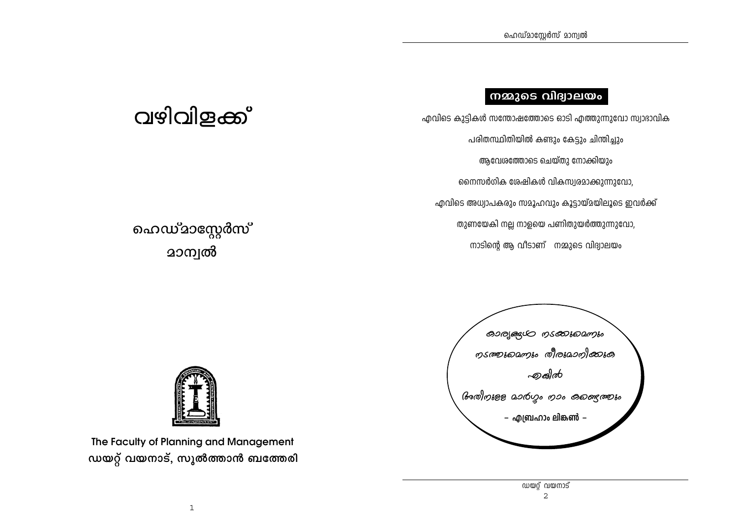## നമ്മുടെ വിദ്വാലയം

എവിടെ കുട്ടികൾ സന്തോഷത്തോടെ ഓടി എത്തുന്നുവോ സ്വാഭാവിക പരിതസ്ഥിതിയിൽ കണ്ടും കേട്ടും ചിന്തിച്ചും ആവേശത്തോടെ ചെയ്തു നോക്കിയും നൈസർഗിക ശേഷികൾ വികസ്വരമാക്കുന്നുവോ, എവിടെ അധ്വാപകരും സമൂഹവും കൂട്ടായ്മയിലൂടെ ഇവർക്ക് തുണയേകി നല്ല നാളയെ പണിതുയർത്തുന്നുവോ, നാടിന്റെ ആ വീടാണ് നമ്മുടെ വിദ്വാലയം

# വഴിവിളക്ക്

## ഹെഡ്ദാസ്റ്റേർസ് **മാന്വൽ**





The Faculty of Planning and Management ഡയറ്റ് വയനാട്, സുൽത്താൻ ബത്തേരി

> ന്ത്രി സ്ത്രാട്  $\overline{2}$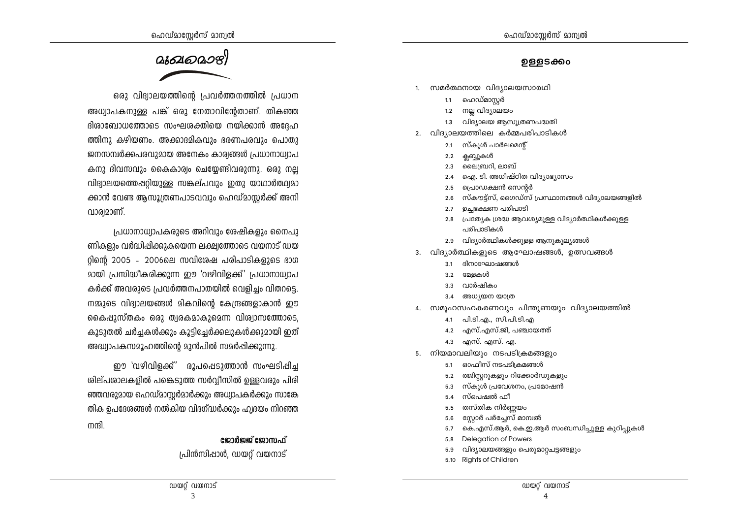#### ൭ളളടക്കം

- 1. സമർത്ഥനായ വിദ്യാലയസാരഥി
	- 1.1 ഹെഡ്മാസർ
	- $1, 2$ നല്ല വിദ്യാലയം
	- 1.3 വിദ്യാലയ ആസൂത്രണപദ്ധതി
- 2. വിദ്യാലയത്തിലെ കർമ്മപരിപാടികൾ
	- 2.1 സ്കൂൾ പാർലമെന്റ്
	- 2.2 ക്ലബ്ബുകൾ
	- 2.3 ലൈബ്രറി, ലാബ്
	- 2.4 ഐ. ടി. അധിഷ്ഠിത വിദ്യാഭ്യാസം
	- പ്രൊഡക്ഷൻ സെന്റർ  $2.5$
	- 2.6 സ്കൗട്ട്സ്, ഗൈഡ്സ് പ്രസ്ഥാനങ്ങൾ വിദ്യാലയങ്ങളിൽ
	- 2.7 ഉച്ചഭക്ഷണ പരിപാടി
	- 2.8 പ്രത്യേക ശ്രദ്ധ ആവശ്യമുള്ള വിദ്യാർത്ഥികൾക്കുള്ള പരിപാടികൾ
	- 2.9 വിദ്യാർത്ഥികൾക്കുള്ള ആനുകൂല്യങ്ങൾ
- 3. വിദ്യാർത്ഥികളുടെ ആഘോഷങ്ങൾ, ഉത്സവങ്ങൾ
	- ദിനാഘോഷങ്ങൾ  $3.1$
	- $3.2$ മേളകൾ
	- വാർഷികം  $3.3$
	- 3.4 അധ്യയന യാത്ര
- 4. സമുഹസഹകരണവും പിന്തുണയും വിദ്യാലയത്തിൽ
	- 4.1 പി.ടി.എ., സി.പി.ടി.എ
	- 4.2 എസ്.എസ്.ജി, പഞ്ചായത്ത്
	- $4.3$  എസ്. എസ്. എ.
- 5. നിയമാവലിയും നടപടിക്രമങ്ങളും
	- 5.1 ഓഫീസ് നടപടിക്രമങ്ങൾ
	- 5.2 രജിസ്റ്ററുകളും റിക്കോർഡുകളും
	- 5.3 സ്കൂൾ പ്രവേശനം, പ്രമോഷൻ
	- 5.4 സ്പെഷൽ ഫീ
	- 5.5 തസ്തിക നിർണയം
	- സ്റ്റോർ പർച്ചേസ് മാമ്പൽ  $5.6$
	- ം..<br>കെ.എസ്.ആർ, കെ.ഇ.ആർ സംബന്ധിച്ചുള്ള കുറിപ്പുകൾ  $5.7$
	- **Delegation of Powers**  $5.8$
	- $5.9$ വിദ്യാലയങ്ങളും പെരുമാറ്റചട്ടങ്ങളും
	- 5.10 Rights of Children



ഒരു വിദ്വാലയത്തിന്റെ പ്രവർത്തനത്തിൽ പ്രധാന അധ്വാപകനുള്ള പങ്ക് ഒരു നേതാവിന്റേതാണ്. തികഞ്ഞ ദിശാബോധത്തോടെ സംഘശക്തിയെ നയിക്കാൻ അദ്ദേഹ ത്തിനു കഴിയണം. അക്കാദമികവും ഭരണപരവും പൊതു ജനസമ്പർക്കപരവുമായ അനേകം കാര്യങ്ങൾ പ്രധാനാധ്വാപ കനു ദിവസവും കൈകാര്വം ചെയ്യേണ്ടിവരുന്നു. ഒരു നല്ല വിദ്യാലയത്തെപ്പറ്റിയുള്ള സങ്കല്പവും ഇതു യാഥാർത്ഥ്വമാ ക്കാൻ വേണ്ട ആസൂത്രണപാടവവും ഹെഡ്മാസ്റ്റർക്ക് അനി വാര്വമാണ്.

പ്രധാനാധ്വാപകരുടെ അറിവും ശേഷികളും നൈപു ണികളും വർദ്ധിപ്പിക്കുകയെന്ന ലക്ഷ്വത്തോടെ വയനാട് ഡയ റിന്റെ 2005 - 2006ലെ സവിശേഷ പരിപാടികളുടെ ഭാഗ മായി പ്രസിദ്ധീകരിക്കുന്ന ഈ 'വഴിവിളക്ക്' പ്രധാനാധ്വാപ കർക്ക് അവരുടെ പ്രവർത്തനപാതയിൽ വെളിച്ചം വിതറടെ. നമ്മുടെ വിദ്വാലയങ്ങൾ മികവിന്റെ കേന്ദ്രങ്ങളാകാൻ ഈ കൈപ്പുസ്തകം ഒരു ത്വരകമാകുമെന്ന വിശ്വാസത്തോടെ, കൂടുതൽ ചർച്ചകൾക്കും കൂട്ടിച്ചേർക്കലുകൾക്കുമായി ഇത് അദ്ധ്വാപകസമൂഹത്തിന്റെ മുൻപിൽ സമർപ്പിക്കുന്നു.

ഈ 'വഴിവിളക്ക്' രൂപപ്പെടുത്താൻ സംഘടിപ്പിച്ച ശില്പശാലകളിൽ പങ്കെടുത്ത സർവ്വീസിൽ ഉള്ളവരും പിരി ഞ്ഞവരുമായ ഹെഡ്മാസ്റ്റർമാർക്കും അധ്വാപകർക്കും സാങ്കേ തിക ഉപദേശങ്ങൾ നൽകിയ വിദഗ്ദ്ധർക്കും ഹ്വദയം നിറഞ്ഞ നന്ദി

#### ജോർജ്ജ് ജോസഫ്

പ്രിൻസിപ്പാൾ, ഡയറ് വയനാട്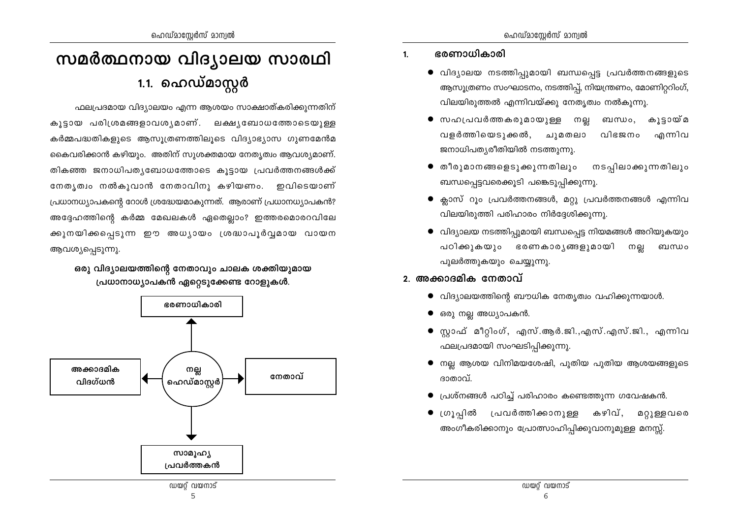# സമർത്ഥനായ വിദ്യാലയ സാരഥി 1.1. ഹെഡ്മാസ്റ്റർ

ഫലപ്രദമായ വിദ്യാലയം എന്ന ആശയം സാക്ഷാത്കരിക്കുന്നതിന് കൂട്ടായ പരിശ്രമങ്ങളാവശ്യമാണ്. ലക്ഷ്യബോധത്തോടെയുള്ള കർമ്മപദ്ധതികളുടെ ആസുത്രണത്തിലുടെ വിദ്യാഭ്യാസ ഗുണമേൻമ കൈവരിക്കാൻ കഴിയും. അതിന് സുശക്തമായ നേതൃത്വം ആവശ്യമാണ്. തികഞ്ഞ ജനാധിപത്യബോധത്തോടെ കൂട്ടായ പ്രവർത്തനങ്ങൾക്ക് നേതൃത്വം നൽകുവാൻ നേതാവിനു കഴിയണം. ഇവിടെയാണ് പ്രധാനധ്യാപകന്റെ റോൾ ശ്രദ്ധേയമാകുന്നത്. ആരാണ് പ്രധാനധ്യാപകൻ? അദ്ദേഹത്തിന്റെ കർമ്മ മേഖലകൾ ഏതെല്ലാം? ഇത്തരമൊരറവിലേ ക്കുനയിക്കപ്പെടുന്ന ഈ അധ്യായം ശ്രദ്ധാപൂർവ്വമായ വായന ആവശ്യപ്പെടുന്നു.

ഒരു വിദ്യാലയത്തിന്റെ നേതാവും ചാലക ശക്തിയുമായ പ്രധാനാധ്യാപകൻ ഏറ്റെടുക്കേണ്ട റോളുകൾ.



- ഭരണാധികാരി  $1<sub>1</sub>$ 
	- വിദ്യാലയ നടത്തിപ്പുമായി ബന്ധപ്പെട്ട പ്രവർത്തനങ്ങളുടെ ആസൂത്രണം സംഘാടനം, നടത്തിപ്പ്, നിയന്ത്രണം, മോണിറ്ററിംഗ്, വിലയിരുത്തൽ എന്നിവയ്ക്കു നേതൃത്വം നൽകുന്നു.
	- സഹപ്രവർത്തകരുമായുള്ള നല്ല കുടായ്മ ബന്ധം. വളർത്തിയെടുക്കൽ, ചുമതലാ വിഭജനം എന്നിവ ജനാധിപതൃരീതിയിൽ നടത്തുന്നു.
	- തീരുമാനങ്ങളെടുക്കുന്നതിലും നടപ്പിലാക്കുന്നതിലും ബന്ധപ്പെട്ടവരെക്കൂടി പങ്കെടുപ്പിക്കുന്നു.
	- ക്ലാസ് റൂം പ്രവർത്തനങ്ങൾ, മറ്റു പ്രവർത്തനങ്ങൾ എന്നിവ വിലയിരുത്തി പരിഹാരം നിർദ്ദേശിക്കുന്നു.
	- വിദ്യാലയ നടത്തിപ്പുമായി ബന്ധപ്പെട്ട നിയമങ്ങൾ അറിയുകയും പഠിക്കുകയും ഭരണകാരൃങ്ങളുമായി നല്ല ബന്ധം പുലർത്തുകയും ചെയ്യുന്നു.

## <u>2. അക്കാദമിക നേതാവ് </u>

- $\bullet$  വിദ്യാലയത്തിന്റെ ബൗധിക നേതൃത്വം വഹിക്കുന്നയാൾ.
- ഒരു നല്ല അധ്യാപകൻ.
- സ്റ്റാഫ് മീറ്റിംഗ്, എസ്.ആർ.ജി.,എസ്.എസ്.ജി., എന്നിവ ഫലപ്രദമായി സംഘടിപ്പിക്കുന്നു.
- $\bullet$  നല്ല ആശയ വിനിമയശേഷി, പുതിയ പുതിയ ആശയങ്ങളുടെ ദാതാവ്.
- പ്രശ്നങ്ങൾ പഠിച്ച് പരിഹാരം കണ്ടെത്തുന്ന ഗവേഷകൻ.
- ഗ്രൂപ്പിൽ പ്രവർത്തിക്കാനുള്ള കഴിവ്, മറ്റുള്ളവരെ അംഗീകരിക്കാനും പ്രോത്സാഹിപ്പിക്കുവാനുമുള്ള മനസ്സ്.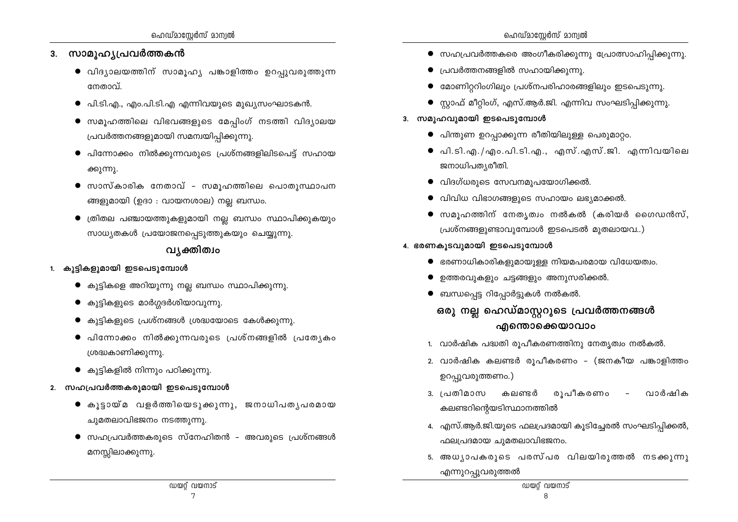- 3. സാമൂഹ്യപ്രവർത്തകൻ
	- $\bullet$  വിദ്യാലയത്തിന് സാമൂഹ്യ പങ്കാളിത്തം ഉറപുവരുത്തുന്ന നേതാവ്.
	- പി.ടി.എ., എം.പി.ടി.എ എന്നിവയുടെ മുഖ്യസംഘാടകൻ.  $\bullet$
	- സമൂഹത്തിലെ വിഭവങ്ങളുടെ മേപ്പിംഗ് നടത്തി വിദ്യാലയ പ്രവർത്തനങ്ങളുമായി സമന്വയിപ്പിക്കുന്നു.
	- $\bullet$  പിന്നോക്കം നിൽക്കുന്നവരുടെ പ്രശ്നങ്ങളിലിടപെട്ട് സഹായ ക്കുന്നു.
	- സാസ്കാരിക നേതാവ് സമുഹത്തിലെ പൊതുസ്ഥാപന ങ്ങളുമായി (ഉദാ : വായനശാല) നല്ല ബന്ധം.
	- ത്രിതല പഞ്ചായത്തുകളുമായി നല്ല ബന്ധം സ്ഥാപിക്കുകയും സാധ്യതകൾ പ്രയോജനപ്പെടുത്തുകയും ചെയ്യുന്നു.

## വ്യക്തിത്വം

- 1. കുട്ടികളുമായി ഇടപെടുമ്പോൾ
	- $\bullet$  കുട്ടികളെ അറിയുന്നു നല്ല ബന്ധം സ്ഥാപിക്കുന്നു.
	- $\bullet$  കുട്ടികളുടെ മാർഗ്ഗദർശിയാവുന്നു.
	- കുട്ടികളുടെ പ്രശ്നങ്ങൾ ശ്രദ്ധയോടെ കേൾക്കുന്നു.
	- പിന്നോക്കം നിൽക്കുന്നവരുടെ പ്രശ്നങ്ങളിൽ പ്രത്യേകം ശ്രദ്ധകാണിക്കുന്നു.
	- $\bullet$  കുട്ടികളിൽ നിന്നും പഠിക്കുന്നു.
- 2. സഹപ്രവർത്തകരുമായി ഇടപെടുമ്പോൾ
	- $\bullet$  കൂട്ടായ്മ വളർത്തിയെടുക്കുന്നു, ജനാധിപതൃപരമായ ചുമതലാവിഭജനം നടത്തുന്നു.
	- $\bullet$  സഹപ്രവർത്തകരുടെ സ്നേഹിതൻ അവരുടെ പ്രശ്നങ്ങൾ മനസ്സിലാക്കുന്നു.
- $\bullet$  സഹപ്രവർത്തകരെ അംഗീകരിക്കുന്നു പ്രോത്സാഹിപ്പിക്കുന്നു.
- $\bullet$  പ്രവർത്തനങ്ങളിൽ സഹായിക്കുന്നു.
- മോണിറ്ററിംഗിലും പ്രശ്നപരിഹാരങ്ങളിലും ഇടപെടുന്നു.
- സ്റ്റാഫ് മീറ്റിംഗ്, എസ്.ആർ.ജി. എന്നിവ സംഘടിപ്പിക്കുന്നു.
- 3. സമുഹവുമായി ഇടപെടുമ്പോൾ
	- $\bullet$  പിന്തുണ ഉറപ്പാക്കുന്ന രീതിയിലുള്ള പെരുമാറ്റം.
	- പി.ടി.എ./എം.പി.ടി.എ., എസ്.എസ്.ജി. എന്നിവയിലെ ജനാധിപത്യരീതി.
	- $\bullet$  വിദഗ്ധരുടെ സേവനമുപയോഗിക്കൽ.
	- $\bullet$  വിവിധ വിഭാഗങ്ങളുടെ സഹായം ലഭ്യമാക്കൽ.
	- സമൂഹത്തിന് നേതൃത്വം നൽകൽ (കരിയർ ഗൈഡൻസ്, പ്രശ്നങ്ങളുണ്ടാവുമ്പോൾ ഇടപെടൽ മുതലായവ..)
- 4. ഭരണകൂടവുമായി ഇടപെടുമ്പോൾ
	- $\bullet$  ഭരണാധികാരികളുമായുള്ള നിയമപരമായ വിധേയത്വം.
	- ഉത്തരവുകളും ചട്ടങ്ങളും അനുസരിക്കൽ.
	- $\bullet$  ബന്ധപ്പെട്ട റിപ്പോർട്ടുകൾ നൽകൽ.

## ഒരു നല്ല ഹെഡ്മാസ്റ്ററുടെ പ്രവർത്തനങ്ങൾ എന്തൊക്കെയാവാം

- 1. വാർഷിക പദ്ധതി രൂപീകരണത്തിനു നേതൃത്വം നൽകൽ.
- 2. വാർഷിക കലണ്ടർ രൂപീകരണം (ജനകീയ പങ്കാളിത്തം ഉറപ്പുവരുത്തണം.)
- 3. പ്രതിമാസ വാർഷിക കലണ്ടർ രുപീകരണം കലണ്ടറിന്റെയടിസ്ഥാനത്തിൽ
- 4. എസ്.ആർ.ജി.യുടെ ഫലപ്രദമായി കൂടിച്ചേരൽ സംഘടിപ്പിക്കൽ, ഫലപ്രദമായ ചുമതലാവിഭജനം.
- 5. അധൃാപകരുടെ പരസ്പര വിലയിരുത്തൽ നടക്കുന്നു എന്നുറപ്പുവരുത്തൽ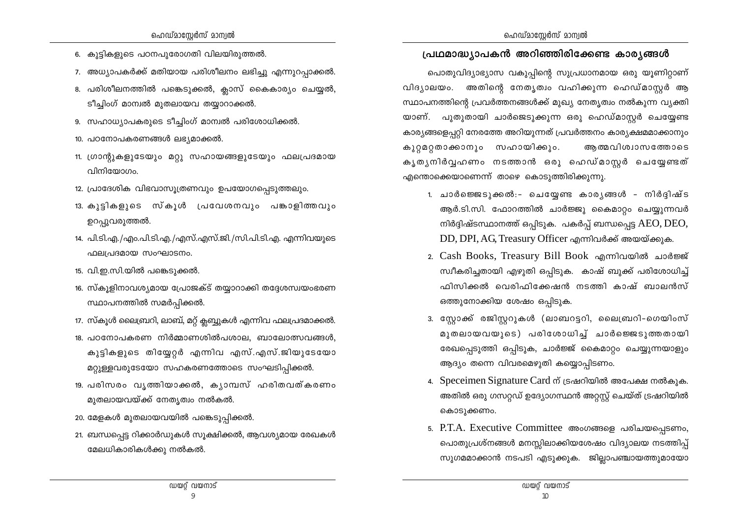- 6. കുട്ടികളുടെ പഠനപുരോഗതി വിലയിരുത്തൽ.
- 7. അധ്യാപകർക്ക് മതിയായ പരിശീലനം ലഭിച്ചു എന്നുറപ്പാക്കൽ.
- 8. പരിശീലനത്തിൽ പങ്കെടുക്കൽ, ക്ലാസ് കൈകാര്യം ചെയ്യൽ, ടീച്ചിംഗ് മാമ്പൽ മൂതലായവ തയ്യാറാക്കൽ.
- 9. സഹാധ്യാപകരുടെ ടീച്ചിംഗ് മാന്വൽ പരിശോധിക്കൽ.
- 10. പഠനോപകരണങ്ങൾ ലഭ്യമാക്കൽ.
- 11. ഗ്രാന്റുകളുടേയും മറ്റു സഹായങ്ങളുടേയും ഫലപ്രദമായ വിനിയോഗം.
- 12. പ്രാദേശിക വിഭവാസൂത്രണവും ഉപയോഗപ്പെടുത്തലും.
- 13. കുട്ടികളുടെ സ്കൂൾ പ്രവേശനവും പങ്കാളിത്തവും ഉറപ്പുവരുത്തൽ.
- 14. പി.ടി.എ./എം.പി.ടി.എ./എസ്.എസ്.ജി./സി.പി.ടി.എ. എന്നിവയുടെ ഫലപ്രദമായ സംഘാടനം.
- 15. വി.ഇ.സി.യിൽ പങ്കെടുക്കൽ.
- 16. സ്കുളിനാവശ്യമായ പ്രോജക്ട് തയ്യാറാക്കി തദ്ദേശസ്വയംഭരണ സ്ഥാപനത്തിൽ സമർപ്പിക്കൽ.
- 17. സ്കൂൾ ലൈബ്രറി, ലാബ്, മറ്റ് ക്ലബ്ബുകൾ എന്നിവ ഫലപ്രദമാക്കൽ.
- 18. പഠനോപകരണ നിർമ്മാണശിൽപശാല, ബാലോത്സവങ്ങൾ, കുട്ടികളുടെ തിയ്യേറ്റർ എന്നിവ എസ്.എസ്.ജിയുടേയോ മറ്റുള്ളവരുടേയോ സഹകരണത്തോടെ സംഘടിപ്പിക്കൽ.
- 19. പരിസരം വൃത്തിയാക്കൽ, കൃാമ്പസ് ഹരിതവത്കരണം മുതലായവയ്ക്ക് നേതൃത്വം നൽകൽ.
- 20. മേളകൾ മുതലായവയിൽ പങ്കെടുപ്പിക്കൽ.
- 21. ബന്ധപ്പെട്ട റിക്കാർഡുകൾ സൂക്ഷിക്കൽ, ആവശ്യമായ രേഖകൾ മേലധികാരികൾക്കു നൽകൽ.

## പ്രഥമാദ്ധ്യാപകൻ അറിഞ്ഞിരിക്കേണ്ട കാര്യങ്ങൾ

പൊതുവിദ്യാഭ്യാസ വകുപ്പിന്റെ സുപ്രധാനമായ ഒരു യൂണിറ്റാണ് വിദ്യാലയം. അതിന്റെ നേതൃത്വം വഹിക്കുന്ന ഹെഡ്മാസ്ലർ ആ സ്ഥാപനത്തിന്റെ പ്രവർത്തനങ്ങൾക്ക് മുഖ്യ നേതൃത്വം നൽകുന്ന വ്യക്തി യാണ്. പുതുതായി ചാർജെടുക്കുന്ന ഒരു ഹെഡ്മാസ്റ്റർ ചെയ്യേണ്ട കാര്യങ്ങളെപറ്റി നേരത്തേ അറിയുന്നത് പ്രവർത്തനം കാര്യക്ഷമമാക്കാനും കുറ്റമറ്റതാക്കാനും സഹായിക്കും. ആത്മവിശ്വാസത്തോടെ കൃതൃനിർവ്വഹണം നടത്താൻ ഒരു ഹെഡ്മാസ്റ്റർ ചെയ്യേണ്ടത് എന്തൊക്കെയാണെന്ന് താഴെ കൊടുത്തിരിക്കുന്നു.

- 1. ചാർജെജടുക്കൽ:- ചെയ്യേണ്ട കാരൃങ്ങൾ നിർദ്ദിഷ്ട ആർ.ടി.സി. ഫോറത്തിൽ ചാർജ്ജു കൈമാറ്റം ചെയ്യുന്നവർ നിർദ്ദിഷ്ടസ്ഥാനത്ത് ഒപ്പിടുക. പകർപ്പ് ബന്ധപ്പെട്ട  $AEO, DEO,$ DD, DPI, AG, Treasury Officer എന്നിവർക്ക് അയയ്ക്കുക.
- 2. Cash Books, Treasury Bill Book എന്നിവയിൽ ചാർജ്ജ് സ്ഥീകരിച്ചതായി എഴുതി ഒപ്പിടുക. കാഷ് ബുക്ക് പരിശോധിച്ച് ഫിസിക്കൽ വെരിഫിക്കേഷൻ നടത്തി കാഷ് ബാലൻസ് ഒത്തുനോക്കിയ ശേഷം ഒപ്പിടുക.
- 3. സ്റ്റോക്ക് രജിസ്റ്ററുകൾ (ലാബറട്ടറി, ലൈബ്രറി-ഗെയിംസ് മുതലായവയുടെ) പരിശോധിച്ചാർജെ ഭടുത്തതായി രേഖപ്പെടുത്തി ഒപ്പിടുക, ചാർജ്ജ് കൈമാറ്റം ചെയ്യുന്നയാളും ആദ്യം തന്നെ വിവരമെഴുതി കയ്യൊപ്പിടണം.
- 4. Speceimen Signature Card ന് ട്രഷറിയിൽ അപേക്ഷ നൽകുക. അതിൽ ഒരു ഗസറ്റഡ് ഉദ്യോഗസ്ഥൻ അറ്റസ്റ്റ് ചെയ്ത് ട്രഷറിയിൽ കൊടുക്കണം.
- 5. P.T.A. Executive Committee അംഗങ്ങളെ പരിചയപ്പെടണം, പൊതുപ്രശ്നങ്ങൾ മനസ്സിലാക്കിയശേഷം വിദ്യാലയ നടത്തിപ്പ് സുഗമമാക്കാൻ നടപടി എടുക്കുക. ജില്ലാപഞ്ചായത്തുമായോ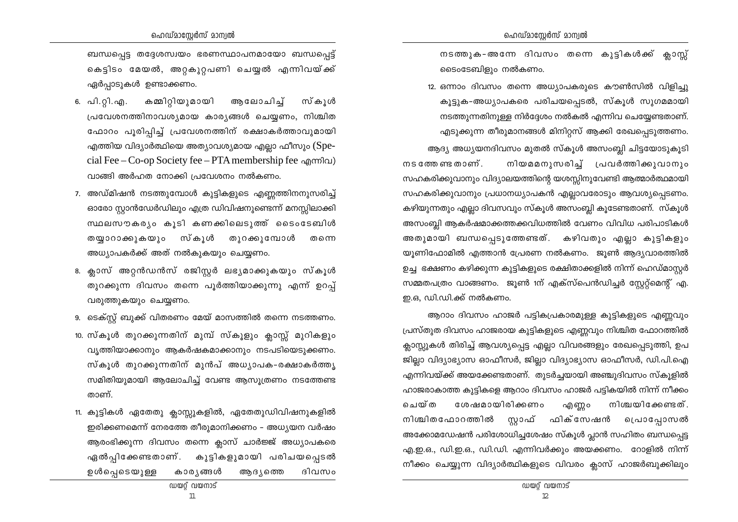ബന്ധപ്പെട്ട തദ്ദേശസ്വയം ഭരണസ്ഥാപനമായോ ബന്ധപ്പെട്ട് കെട്ടിടം മേയൽ, അറ്റകുറ്റപണി ചെയ്യൽ എന്നിവയ്ക്ക് ഏർപാടുകൾ ഉണ്ടാക്കണം.

- കമ്മിറ്റിയുമായി 6. പി.റ്റി.എ. ആലോചിച്ച് സ്കൂൾ പ്രവേശനത്തിനാവശ്യമായ കാര്യങ്ങൾ ചെയ്യണം, നിശ്ചിത ഫോറം പൂരിപ്പിച്ച് പ്രവേശനത്തിന് രക്ഷാകർത്താവുമായി എത്തിയ വിദ്യാർത്ഥിയെ അത്യാവശ്യമായ എല്ലാ ഫീസും (Special Fee – Co-op Society fee – PTA membership fee  $\alpha$  mm $\alpha$ ) വാങ്ങി അർഹത നോക്കി പ്രവേശനം നൽകണം.
- 7. അഡ്മിഷൻ നടത്തുമ്പോൾ കുട്ടികളുടെ എണ്ണത്തിനനുസരിച്ച് ഓരോ സ്റ്റാൻഡേർഡിലും എത്ര ഡിവിഷനുണ്ടെന്ന് മനസ്സിലാക്കി സ്ഥലസൗകര്യം കുടി കണക്കിലെടുത്ത് ടൈംടേബിൾ തയ്യാറാക്കുകയും സ്കൂൾ തുറക്കുമ്പോൾ തന്നെ അധ്യാപകർക്ക് അത് നൽകുകയും ചെയ്യണം.
- 8. ക്ലാസ് അറ്റൻഡൻസ് രജിസ്റ്റർ ലഭ്യമാക്കുകയും സ്കൂൾ തുറക്കുന്ന ദിവസം തന്നെ പൂർത്തിയാക്കുന്നു എന്ന് ഉറപ്പ് വരുത്തുകയും ചെയ്യണം.
- 9. ടെക്സ്റ്റ് ബുക്ക് വിതരണം മേയ് മാസത്തിൽ തന്നെ നടത്തണം.
- 10. സ്കൂൾ തുറക്കുന്നതിന് മുമ്പ് സ്കൂളും ക്ലാസ്സ് മുറികളും വൃത്തിയാക്കാനും ആകർഷകമാക്കാനും നടപടിയെടുക്കണം. സ്കൂൾ തുറക്കുന്നതിന് മുൻപ് അധ്യാപക-രക്ഷാകർത്തൃ സമിതിയുമായി ആലോചിച്ച് വേണ്ട ആസുത്രണം നടത്തേണ്ട താണ്.
- 11. കുട്ടികൾ ഏതേതു ക്ലാസ്സുകളിൽ, ഏതേതുഡിവിഷനുകളിൽ ഇരിക്കണമെന്ന് നേരത്തേ തീരുമാനിക്കണം – അധ്യയന വർഷം ആരംഭിക്കുന്ന ദിവസം തന്നെ ക്ലാസ് ചാർജ്ജ് അധ്യാപകരെ ഏൽപ്പിക്കേണ്ടതാണ്. കുട്ടികളുമായി പരിചയപ്പെടൽ ഉൾപ്പെടെയുള്ള കാര്യങ്ങൾ ആദ്യത്തെ ദിവസം

നടത്തുക-അന്നേ ദിവസം തന്നെ കുട്ടികൾക്ക് ക്ലാസ്സ് ടൈംടേബിളും നൽകണം.

12. ഒന്നാം ദിവസം തന്നെ അധ്യാപകരുടെ കൗൺസിൽ വിളിച്ചു കൂട്ടുക-അധ്യാപകരെ പരിചയപ്പെടൽ, സ്കൂൾ സുഗമമായി നടത്തുന്നതിനുള്ള നിർദ്ദേശം നൽകൽ എന്നിവ ചെയ്യേണ്ടതാണ്. എടുക്കുന്ന തീരുമാനങ്ങൾ മിനിറ്റസ് ആക്കി രേഖപ്പെടുത്തണം. ആദ്യ അധ്യയനദിവസം മുതൽ സ്കൂൾ അസംബ്ലി ചിട്ടയോടുകൂടി  $m$ ട ത്തേ ണ്ട താണ്. നിയമമനുസരിച്ച് പ്രവർത്തിക്കുവാനും സഹകരിക്കുവാനും വിദ്യാലയത്തിന്റെ യശസ്സിനുവേണ്ടി ആത്മാർത്ഥമായി സഹകരിക്കുവാനും പ്രധാനധ്യാപകൻ എല്ലാവരോടും ആവശ്യപ്പെടണം. കഴിയുന്നതും എല്ലാ ദിവസവും സ്കൂൾ അസംബ്ലി കൂടേണ്ടതാണ്. സ്കൂൾ അസംബ്ലി ആകർഷമാക്കത്തക്കവിധത്തിൽ വേണം വിവിധ പരിപാടികൾ അതുമായി ബന്ധപ്പെടുത്തേണ്ടത്. കഴിവതും എല്ലാ കുട്ടികളും യുണിഫോമിൽ എത്താൻ പ്രേരണ നൽകണം. ജുൺ ആദ്യവാരത്തിൽ ഉച്ച ഭക്ഷണം കഴിക്കുന്ന കുട്ടികളുടെ രക്ഷിതാക്കളിൽ നിന്ന് ഹെഡ്മാസ്റ്റർ സമ്മതപത്രം വാങ്ങണം. ജൂൺ 1ന് എക്സ്പെൻഡിച്ചർ സ്റ്റേറ്റ്മെന്റ് എ. ഇ.ഒ. ഡി.ഡി.ക്ക് നൽകണം.

ആറാം ദിവസം ഹാജർ പട്ടികപ്രകാരമുള്ള കുട്ടികളുടെ എണ്ണവും പ്രസ്തുത ദിവസം ഹാജരായ കുട്ടികളുടെ എണ്ണവും നിശ്ചിത ഫോറത്തിൽ ക്ലാസ്റ്റുകൾ തിരിച്ച് ആവശ്യപ്പെട്ട എല്ലാ വിവരങ്ങളും രേഖപ്പെടുത്തി, ഉപ ജില്ലാ വിദ്യാഭ്യാസ ഓഫീസർ, ജില്ലാ വിദ്യാഭ്യാസ ഓഫീസർ, ഡി.പി.ഐ എന്നിവയ്ക്ക് അയക്കേണ്ടതാണ്. തുടർച്ചയായി അഞ്ചുദിവസം സ്കൂളിൽ ഹാജരാകാത്ത കുട്ടികളെ ആറാം ദിവസം ഹാജർ പട്ടികയിൽ നിന്ന് നീക്കം ചെയ്ത ശേഷമായിരിക്കണം എണ്ണറ നിശ്ചയിക്കേണ്ടത്. നിശ്ചിതഫോറത്തിൽ സ്റ്റാഫ് ഫിക്സേഷൻ പ്രൊപ്പോസൽ അക്കോമഡേഷൻ പരിശോധിച്ചശേഷം സ്കൂൾ പ്ലാൻ സഹിതം ബന്ധപ്പെട്ട എ.ഇ.ഒ., ഡി.ഇ.ഒ., ഡി.ഡി. എന്നിവർക്കും അയക്കണം. റോളിൽ നിന്ന് നീക്കം ചെയ്യുന്ന വിദ്യാർത്ഥികളുടെ വിവരം ക്ലാസ് ഹാജർബുക്കിലും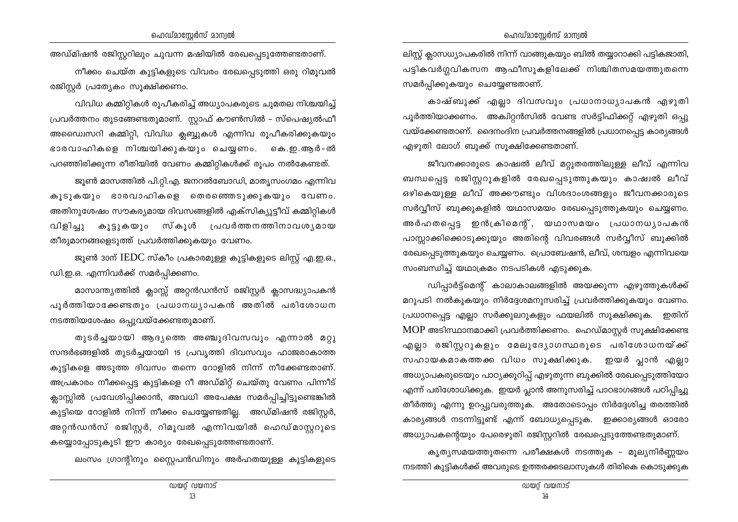അഡ്മിഷൻ രജിസ്റ്ററിലും ചുവന്ന മഷിയിൽ രേഖപ്പെടുത്തേണ്ടതാണ്.

നീക്കം ചെയ്ത കുട്ടികളുടെ വിവരം രേഖപ്പെടുത്തി ഒരു റിമൂവൽ രജിസ്റ്റർ പ്രത്യേകം സുക്ഷിക്കണം.

വിവിധ കമ്മിറ്റികൾ രൂപീകരിച്ച് അധ്യാപകരുടെ ചുമതല നിശ്ചയിച്ച് പ്രവർത്തനം തുടങ്ങേണ്ടതുമാണ്. സ്റ്റാഫ് കൗൺസിൽ – സ്പെഷ്യൽഫീ അഡ്വൈസറി കമ്മിറ്റി, വിവിധ ക്ലബ്ബുകൾ എന്നിവ രൂപീകരിക്കുകയും ഭാരവാഹികളെ നിശ്ചയിക്കുകയും ചെയ്യണം. കെ.ഇ.ആർ-ൽ പറഞ്ഞിരിക്കുന്ന രീതിയിൽ വേണം കമ്മിറ്റികൾക്ക് രൂപം നൽകേണ്ടത്.

ജൂൺ മാസത്തിൽ പി.റ്റി.എ. ജനറൽബോഡി, മാതൃസംഗമം എന്നിവ കൂടുകയും ഭാരവാഹികളെ തെരഞ്ഞെടുക്കുകയും വേണം. അതിനുശേഷം സൗകര്യമായ ദിവസങ്ങളിൽ എക്സിക്യുട്ടീവ് കമ്മിറ്റികൾ വിളിച്ചു കൂട്ടുകയും സ്കൂൾ പ്രവർത്തനത്തിനാവശ്യമായ തീരുമാനങ്ങളെടുത്ത് പ്രവർത്തിക്കുകയും വേണം.

ജൂൺ 30ന് IEDC സ്കീം പ്രകാരമുള്ള കുട്ടികളുടെ ലിസ്റ്റ് എ.ഇ.ഒ., ഡി.ഇ.ഒ. എന്നിവർക്ക് സമർപ്പിക്കണം.

മാസാന്ത്യത്തിൽ ക്ലാസ്സ് അറ്റൻഡൻസ് രജിസ്റ്റർ ക്ലാസദ്ധ്യാപകൻ പൂർത്തിയാക്കേണ്ടതും പ്രധാനധ്യാപകൻ അതിൽ പരിശോധന നടത്തിയശേഷം ഒപ്പുവയ്ക്കേണ്ടതുമാണ്.

തുടർച്ചയായി ആദ്യത്തെ അഞ്ചുദിവസവും എന്നാൽ മറ്റു സന്ദർഭങ്ങളിൽ തുടർച്ചയായി 15 പ്രവൃത്തി ദിവസവും ഹാജരാകാത്ത കുട്ടികളെ അടുത്ത ദിവസം തന്നെ റോളിൽ നിന്ന് നീക്കേണ്ടതാണ്. അപ്രകാരം നീക്കപ്പെട്ട കുട്ടികളെ റീ അഡ്മിറ്റ് ചെയ്തു വേണം പിന്നീട് ക്ലാസ്സിൽ പ്രവേശിപ്പിക്കാൻ, അവധി അപേക്ഷ സമർപ്പിച്ചിട്ടുണ്ടെങ്കിൽ കുട്ടിയെ റോളിൽ നിന്ന് നീക്കം ചെയ്യേണ്ടതില്ല. അഡ്മിഷൻ രജിസ്റ്റർ, അറ്റൻഡൻസ് രജിസ്റ്റർ, റിമൂവൽ എന്നിവയിൽ ഹെഡ്മാസ്റ്ററുടെ കയ്യൊപ്പോടുകൂടി ഈ കാര്യം രേഖപ്പെടുത്തേണ്ടതാണ്.

ലംസം ഗ്രാന്റിനും സ്റ്റൈപൻഡിനും അർഹതയുള്ള കുട്ടികളുടെ

ലിസ്റ്റ് ക്ലാസധ്യാപകരിൽ നിന്ന് വാങ്ങുകയും ബിൽ തയ്യാറാക്കി പട്ടികജാതി, പട്ടികവർഗ്ഗവികസന ആഫീസുകളിലേക്ക് നിശ്ചിതസമയത്തുതന്നെ സമർപ്പിക്കുകയും ചെയ്യേണ്ടതാണ്.

കാഷ്ബുക്ക് എല്ലാ ദിവസവും പ്രധാനാധ്യാപകൻ എഴുതി പൂർത്തിയാക്കണം. അകിറ്റൻസിൽ വേണ്ട സർട്ടിഫിക്കറ്റ് എഴുതി ഒപ്പു വയ്ക്കേണ്ടതാണ്. ദൈനംദിന പ്രവർത്തനങ്ങളിൽ പ്രധാനപ്പെട്ട കാര്യങ്ങൾ എഴുതി ലോഗ് ബുക്ക് സൂക്ഷിക്കേണ്ടതാണ്.

ജീവനക്കാരുടെ കാഷ്വൽ ലീവ് മറ്റുതരത്തിലുള്ള ലീവ് എന്നിവ ബന്ധപ്പെട്ട രജിസ്റ്ററുകളിൽ രേഖപ്പെടുത്തുകയും കാഷ്വൽ ലീവ് ഒഴികെയുള്ള ലീവ് അക്കൗണ്ടും വിശദാംശങ്ങളും ജീവനക്കാരുടെ സർവ്വീസ് ബുക്കുകളിൽ യഥാസമയം രേഖപ്പെടുത്തുകയും ചെയ്യണം. അർഹതപ്പെട്ട ഇൻക്രിമെന്റ്, യഥാസമയം പ്രധാനധൃാപകൻ പാസ്സാക്കിക്കൊടുക്കുയും അതിന്റെ വിവരങ്ങൾ സർവ്വീസ് ബുക്കിൽ രേഖപ്പെടുത്തുകയും ചെയ്യണം. പ്രൊബേഷൻ, ലീവ്, ശമ്പളം എന്നിവയെ സംബന്ധിച്ച് യഥാക്രമം നടപടികൾ എടുക്കുക.

ഡിപ്പാർട്ട്മെന്റ് കാലാകാലങ്ങളിൽ അയക്കുന്ന എഴുത്തുകൾക്ക് മറുപടി നൽകുകയും നിർദ്ദേശമനുസരിച്ച് പ്രവർത്തിക്കുകയും വേണം. പ്രധാനപ്പെട്ട എല്ലാ സർക്കുലറുകളും ഫയലിൽ സൂക്ഷിക്കുക. ഇതിന് MOP അടിസ്ഥാനമാക്കി പ്രവർത്തിക്കണം. ഹെഡ്മാസ്റ്റർ സൂക്ഷിക്കേണ്ട എല്ലാ രജിസ്റ്ററുകളും മേലുദ്യോഗസ്ഥരുടെ പരിശോധനയ്ക്ക് സഹായകമാകത്തക്ക വിധം സൂക്ഷിക്കുക. ഇയർ പ്ലാൻ എല്ലാ അധ്യാപകരുടെയും പാഠ്യക്കുറിപ്പ് എഴുതുന്ന ബുക്കിൽ രേഖപ്പെടുത്തിയോ എന്ന് പരിശോധിക്കുക. ഇയർ പ്ലാൻ അനുസരിച്ച് പാഠഭാഗങ്ങൾ പഠിപ്പിച്ചു തീർത്തു എന്നു ഉറപ്പുവരുത്തുക. അതോടൊപ്പം നിർദ്ദേശിച്ച തരത്തിൽ കാര്യങ്ങൾ നടന്നിട്ടുണ്ട് എന്ന് ബോധ്യപ്പെടുക. ഇക്കാര്യങ്ങൾ ഓരോ അധ്യാപകന്റെയും പേരെഴുതി രജിസ്റ്ററിൽ രേഖപ്പെടുത്തേണ്ടതുമാണ്.

കൃത്യസമയത്തുതന്നെ പരീക്ഷകൾ നടത്തുക – മൂല്യനിർണ്ണയം നടത്തി കുട്ടികൾക്ക് അവരുടെ ഉത്തരക്കടലാസുകൾ തിരികെ കൊടുക്കുക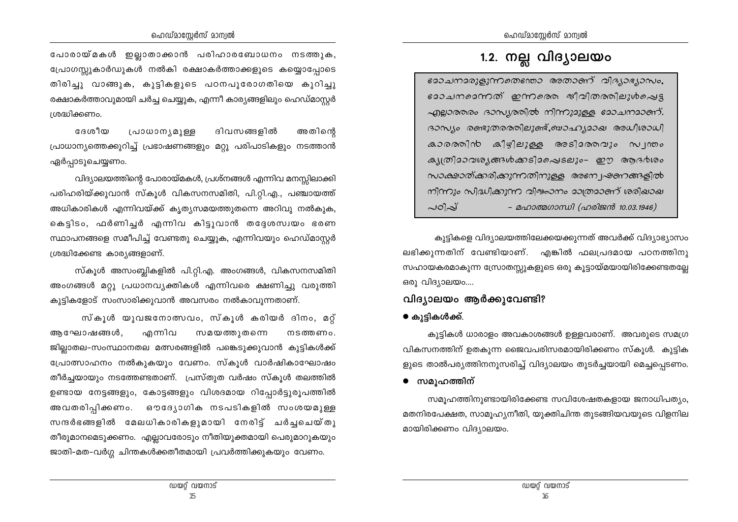പോരായ്മകൾ ഇല്ലാതാക്കാൻ പരിഹാരബോധനം നടത്തുക, പ്രോഗസ്സുകാർഡുകൾ നൽകി രക്ഷാകർത്താക്കളുടെ കയ്യൊപ്പോടെ തിരിച്ചു വാങ്ങുക, കൂട്ടികളുടെ പഠനപൂരോഗതിയെ കൂറിച്ചു രക്ഷാകർത്താവുമായി ചർച്ച ചെയ്യുക, എന്നീ കാര്യങ്ങളിലും ഹെഡ്മാസ്റ്റർ ശ്രദ്ധിക്കണം.

**GR** (@<sup>1</sup>m) പ്രാധാന്യമുള്ള ദിവസങ്ങളിൽ അതിനെ പ്രാധാന്യത്തെക്കുറിച്ച് പ്രഭാഷണങ്ങളും മറ്റു പരിപാടികളും നടത്താൻ ഏർപ്പാടുചെയ്യണം.

വിദ്യാലയത്തിന്റെ പോരായ്മകൾ, പ്രശ്നങ്ങൾ എന്നിവ മനസ്സിലാക്കി പരിഹരിയ്ക്കുവാൻ സ്കൂൾ വികസനസമിതി, പി.റ്റി.എ., പഞ്ചായത്ത് അധികാരികൾ എന്നിവയ്ക്ക് കൃത്യസമയത്തുതന്നെ അറിവു നൽകുക, കെട്ടിടം, ഫർണിച്ചർ എന്നിവ കിട്ടുവാൻ തദ്ദേശസ്വയം ഭരണ സ്ഥാപനങ്ങളെ സമീപിച്ച് വേണ്ടതു ചെയ്യുക, എന്നിവയും ഹെഡ്മാസ്റ്റർ ശ്രദ്ധിക്കേണ്ട കാര്യങ്ങളാണ്.

സ്കൂൾ അസംബ്ലികളിൽ പി.റ്റി.എ. അംഗങ്ങൾ, വികസനസമിതി അംഗങ്ങൾ മറ്റു പ്രധാനവൃക്തികൾ എന്നിവരെ ക്ഷണിച്ചു വരുത്തി കുട്ടികളോട് സംസാരിക്കുവാൻ അവസരം നൽകാവുന്നതാണ്.

സ്കൂൾ യുവജനോത്സവം, സ്കൂൾ കരിയർ ദിനം, മറ്റ് എന്നിവ ആഘോഷങ്ങൾ, സമയത്തുതന്നെ നടത്തണം. ജില്ലാതല-സംസ്ഥാനതല മത്സരങ്ങളിൽ പങ്കെടുക്കുവാൻ കുട്ടികൾക്ക് പ്രോത്സാഹനം നൽകുകയും വേണം. സ്കൂൾ വാർഷികാഘോഷം തീർച്ചയായും നടത്തേണ്ടതാണ്. പ്രസ്തുത വർഷം സ്കൂൾ തലത്തിൽ ഉണ്ടായ നേട്ടങ്ങളും, കോട്ടങ്ങളും വിശദമായ റിപ്പോർട്ടുരൂപത്തിൽ അവതരിപ്പിക്കണം. ഔദ്യോഗിക നടപടികളിൽ സംശയമുള്ള സന്ദർഭങ്ങളിൽ മേലധികാരികളുമായി നേരിട്ട് ചർച്ചചെയ്തു തീരുമാനമെടുക്കണം. എല്ലാവരോടും നീതിയുക്തമായി പെരുമാറുകയും ജാതി-മത-വർഗ്ഗ ചിന്തകൾക്കതീതമായി പ്രവർത്തിക്കുകയും വേണം.

## 1.2. നല്ല വിദ്യാലയം

മോചനമരുളുന്നതെന്തോ അതാണ് വിദ്യാഭ്യാസം. മോചനമെന്നത് ഇന്നരെ ജീവിതരതിലുൾപ്പെട്ട എല്ലാരുതം ദാസ്യരതിൽ നിന്നുമുള്ള മോചനമാണ്. ദാസ്യം രണ്ടുതരരതിലുണ്ട്,ബാഹ്യമാഖ അധീശാധി  $a$ 20000) $nb$   $a$  $|q|$ ല $|p|$  ആടി $a$ നവ $|p|$   $\sim$   $|m|$ ക്യത്രിമാവര്യങ്ങൾക്കടിമപ്പെടലും- ഈ ആദർശം *സാക്ഷാത്ക്കരിക്കുന്നതിനുളള അനേ പ്രക്നങ്ങളിൽ* നിന്നും സിദ്ധിക്കുന്ന വിശോനം മാത്രമാണ് ശരിഖാഖ പഠിപ് - മഹാത്മഗാന്ധി (ഹരിജൻ 10.03.1946)

കുട്ടികളെ വിദ്യാലയത്തിലേക്കയക്കുന്നത് അവർക്ക് വിദ്യാഭ്യാസം ലഭിക്കുന്നതിന് വേണ്ടിയാണ്. എങ്കിൽ ഫലപ്രദമായ പഠനത്തിനു സഹായകരമാകുന്ന സ്രോതസ്സുകളുടെ ഒരു കൂട്ടായ്മയായിരിക്കേണ്ടതല്ലേ ഒരു വിദ്യാലയം....

## വിദ്യാലയം ആർക്കുവേണ്ടി?

### ● കുട്ടികൾക്ക്.

കുട്ടികൾ ധാരാളം അവകാശങ്ങൾ ഉള്ളവരാണ്. അവരുടെ സമഗ്ര വികസനത്തിന് ഉതകുന്ന ജൈവപരിസരമായിരിക്കണം സ്കൂൾ. കുട്ടിക ളുടെ താൽപര്യത്തിനനുസരിച്ച് വിദ്യാലയം തുടർച്ചയായി മെച്ചപ്പെടണം.

● സമുഹത്തിന്

സമുഹത്തിനുണ്ടായിരിക്കേണ്ട സവിശേഷതകളായ ജനാധിപത്യം, മതനിരപേക്ഷത, സാമുഹ്യനീതി, യുക്തിചിന്ത തുടങ്ങിയവയുടെ വിളനില മായിരിക്കണം വിദ്യാലയം.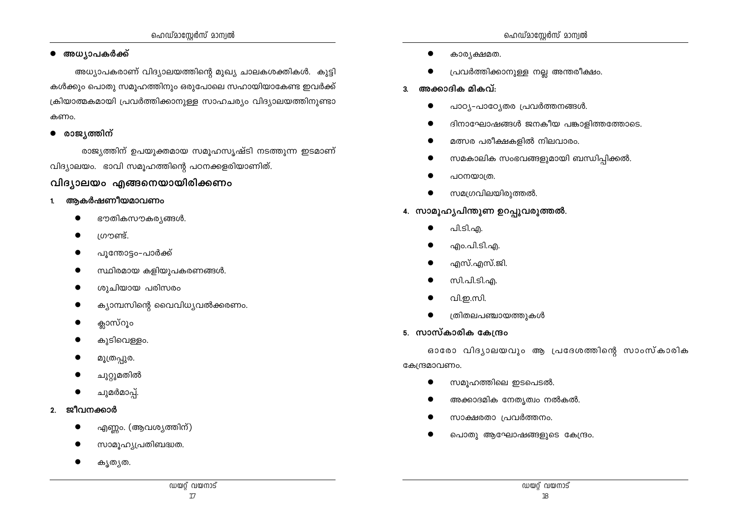- കൃതൃത.
- എണ്ണം. (ആവശ്യത്തിന്) സാമൂഹ്യപ്രതിബദ്ധത.
- 2. ജീവനക്കാർ

ചുമർമാപ്പ്.

- ചുറ്റുമതിൽ
- മൂത്രപ്പുര.

കുടിവെള്ളം.

- 
- ക്ലാസ്റൂം
- ക്യാമ്പസിന്റെ വൈവിധ്യവൽക്കരണം.
- 
- 
- 
- ശുചിയായ പരിസരം
- 
- സ്ഥിരമായ കളിയുപകരണങ്ങൾ.
- 
- പുന്തോട്ടം-പാർക്ക്
- 1. ആകർഷണീയമാവണം
- -
	-
	-
- 

വിദ്യാലയം എങ്ങനെയായിരിക്കണം

- 
- 
- 
- 
- 
- 
- ഭൗതികസൗകര്യങ്ങൾ.
- 

● അധ്യാപകർക്ക്

രാജ്യത്തിന്

കണം.

 $\bullet$ 

- ശ്രൗണ്ട്.
- 
- 
- 
- 
- 
- 
- 
- 
- വിദ്യാലയം. ഭാവി സമൂഹത്തിന്റെ പഠനക്കളരിയാണിത്.

ഹെഡ്മാസ്റ്റേർസ് മാന്വൽ

കൾക്കും പൊതു സമുഹത്തിനും ഒരുപോലെ സഹായിയാകേണ്ട ഇവർക്ക്

ക്രിയാത്മകമായി പ്രവർത്തിക്കാനുള്ള സാഹചര്യം വിദ്യാലയത്തിനുണ്ടാ

അധ്യാപകരാണ് വിദ്യാലയത്തിന്റെ മുഖ്യ ചാലകശക്തികൾ. കുട്ടി

രാജ്യത്തിന് ഉപയുക്തമായ സമുഹസ്യഷ്ടി നടത്തുന്ന ഇടമാണ്

## കാര്യക്ഷമത.

- പ്രവർത്തിക്കാനുള്ള നല്ല അന്തരീക്ഷം.
- 3. അക്കാദിക മികവ്:
	- പാഠ്യ-പാഠ്യേതര പ്രവർത്തനങ്ങൾ.  $\bullet$
	- ദിനാഘോഷങ്ങൾ ജനകീയ പങ്കാളിത്തത്തോടെ.
	- മത്സര പരീക്ഷകളിൽ നിലവാരം.
	- സമകാലിക സംഭവങ്ങളുമായി ബന്ധിപ്പിക്കൽ.  $\bullet$
	- പഠനയാത്ര.
	- സമഗ്രവിലയിരുത്തൽ.
- 4. സാമൂഹ്യപിന്തുണ ഉറപ്പുവരുത്തൽ.

എസ്.എസ്.ജി.

ത്രിതലപഞ്ചായത്തുകൾ

സമുഹത്തിലെ ഇടപെടൽ.

സി.പി.ടി.എ.

വി.ഇ.സി.

- 
- പി.ടി.എ.
- 
- എം.പി.ടി.എ.
- 
- 
- 
- 
- 
- 
- 
- 

5. സാസ്കാരിക കേന്ദ്രം

കേന്ദ്രമാവണം.

 $\bullet$ 

- 
- 
- 
- 
- 
- 
- 
- 
- 

- സാക്ഷരതാ പ്രവർത്തനം.
- പൊതു ആഘോഷങ്ങളുടെ കേന്ദ്രം.

അക്കാദമിക നേതൃത്വം നൽകൽ.

ഓരോ വിദൃാലയവും ആ പ്രദേശത്തിന്റെ സാംസ്കാരിക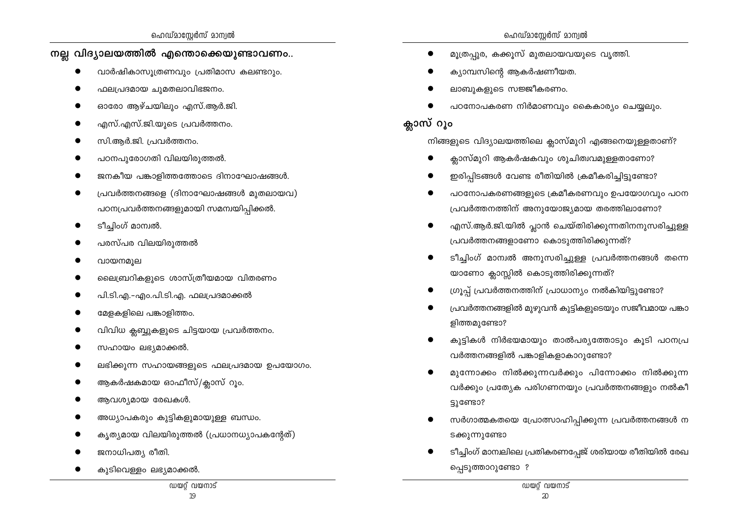#### നല്ല വിദ്യാലയത്തിൽ എന്തൊക്കെയുണ്ടാവണം..

- വാർഷികാസുത്രണവും പ്രതിമാസ കലണ്ടറും.
- ഫലപ്രദമായ ചുമതലാവിഭജനം.
- ഓരോ ആഴ്ചയിലും എസ്.ആർ.ജി.
- എസ്.എസ്.ജി.യുടെ പ്രവർത്തനം.
- സി.ആർ.ജി. പ്രവർത്തനം.
- പഠനപുരോഗതി വിലയിരുത്തൽ.
- ജനകീയ പങ്കാളിത്തത്തോടെ ദിനാഘോഷങ്ങൾ.
- പ്രവർത്തനങ്ങളെ (ദിനാഘോഷങ്ങൾ മുതലായവ) പഠനപ്രവർത്തനങ്ങളുമായി സമന്വയിപ്പിക്കൽ.
- ടീച്ചിംഗ് മാന്വൽ.
- പരസ്പര വിലയിരുത്തൽ
- വായനമൂല
- ലൈബ്രറികളുടെ ശാസ്ത്രീയമായ വിതരണം
- പി.ടി.എ.-എം.പി.ടി.എ. ഫലപ്രദമാക്കൽ
- മേളകളിലെ പങ്കാളിത്തം.
- വിവിധ ക്ലബ്ബുകളുടെ ചിട്ടയായ പ്രവർത്തനം.
- സഹായം ലഭ്യമാക്കൽ.

ജനാധിപത്യ രീതി.

- ലഭിക്കുന്ന സഹായങ്ങളുടെ ഫലപ്രദമായ ഉപയോഗം.
- ആകർഷകമായ ഓഫീസ്/ക്ലാസ് റൂം.
- 
- 

കുടിവെള്ളം ലഭ്യമാക്കൽ.

- 
- 
- 
- 
- 
- 
- 
- 
- 
- 
- 
- ആവശ്യമായ രേഖകൾ.
- 
- 
- 
- 
- 
- 
- 
- 
- 
- 
- 

അധ്യാപകരും കുട്ടികളുമായുള്ള ബന്ധം.

കൃത്യമായ വിലയിരുത്തൽ (പ്രധാനധ്യാപകന്റേത്)

ഡയറ്റ് വയനാട്  $19$ 

- പ്രവർത്തനത്തിന് അനുയോജ്യമായ തരത്തിലാണോ?
	- എസ്.ആർ.ജി.യിൽ പ്ലാൻ ചെയ്തിരിക്കുന്നതിനനുസരിച്ചുള്ള പ്രവർത്തനങ്ങളാണോ കൊടുത്തിരിക്കുന്നത്?

പഠനോപകരണങ്ങളുടെ ക്രമീകരണവും ഉപയോഗവും പഠന

- ടീച്ചിംഗ് മാമ്പൽ അനുസരിച്ചുള്ള പ്രവർത്തനങ്ങൾ തന്നെ യാണോ ക്ലാസ്സിൽ കൊടുത്തിരിക്കുന്നത്?
- ഗ്രൂപ്പ് പ്രവർത്തനത്തിന് പ്രാധാന്യം നൽകിയിട്ടുണ്ടോ?
- പ്രവർത്തനങ്ങളിൽ മുഴുവൻ കുട്ടികളുടെയും സജീവമായ പങ്കാ ളിത്തമുണ്ടോ?
- കുട്ടികൾ നിർഭയമായും താൽപര്യത്തോടും കൂടി പഠനപ്ര വർത്തനങ്ങളിൽ പങ്കാളികളാകാറുണ്ടോ?
- മുന്നോക്കം നിൽക്കുന്നവർക്കും പിന്നോക്കം നിൽക്കുന്ന വർക്കും പ്രത്യേക പരിഗണനയും പ്രവർത്തനങ്ങളും നൽകീ ട്ടുണ്ടോ?
- സർഗാത്മകതയെ പ്രോത്സാഹിപ്പിക്കുന്ന പ്രവർത്തനങ്ങൾ ന ടക്കുന്നുണ്ടോ
- ടീച്ചിംഗ് മാന്ഥലിലെ പ്രതികരണപ്പേജ് ശരിയായ രീതിയിൽ രേഖ പ്പെടുത്താറുണ്ടോ ?
- മുത്രപുര, കക്കുസ് മുതലായവയുടെ വൃത്തി.
- ക്യാമ്പസിന്റെ ആകർഷണീയത.
- ലാബുകളുടെ സജ്ജീകരണം.
- പഠനോപകരണ നിർമാണവും കൈകാര്യം ചെയ്യലും.

നിങ്ങളുടെ വിദ്യാലയത്തിലെ ക്ലാസ്മുറി എങ്ങനെയുള്ളതാണ്?

ക്ലാസ്മുറി ആകർഷകവും ശുചിത്വവമുള്ളതാണോ? ഇരിപ്പിടങ്ങൾ വേണ്ട രീതിയിൽ ക്രമീകരിച്ചിട്ടുണ്ടോ?

## ക്ലാസ് റൂം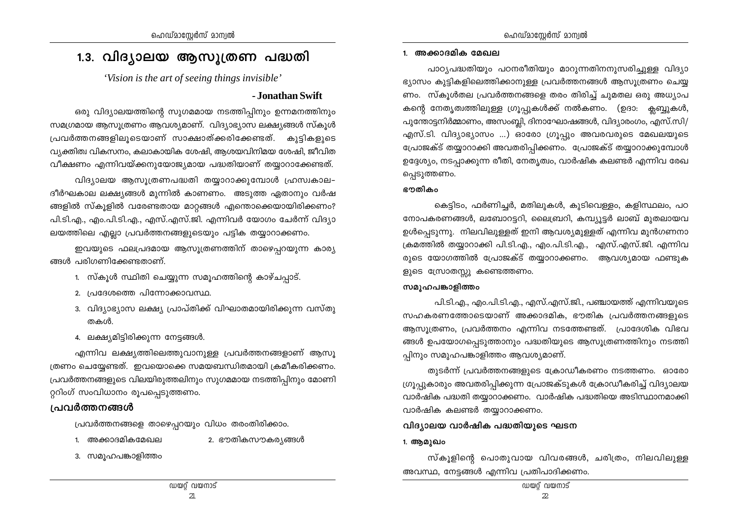## 1.3. വിദ്യാലയ ആസൂത്രണ പദ്ധതി

'Vision is the art of seeing things invisible'

#### - Jonathan Swift

ഒരു വിദ്യാലയത്തിന്റെ സുഗമമായ നടത്തിപ്പിനും ഉന്നമനത്തിനും സമഗ്രമായ ആസുത്രണം ആവശ്യമാണ്. വിദ്യാഭ്യാസ ലക്ഷ്യങ്ങൾ സ്കൂൾ പ്രവർത്തനങ്ങളിലൂടെയാണ് സാക്ഷാത്ക്കരിക്കേണ്ടത്. കൂട്ടികളുടെ വ്യക്തിത്വ വികസനം, കലാകായിക ശേഷി, ആശയവിനിമയ ശേഷി, ജീവിത വീക്ഷണം എന്നിവയ്ക്കനുയോജ്യമായ പദ്ധതിയാണ് തയ്യാറാക്കേണ്ടത്.

വിദ്യാലയ ആസൂത്രണപദ്ധതി തയ്യാറാക്കുമ്പോൾ ഹ്രസ്വകാല– ദീർഘകാല ലക്ഷ്യങ്ങൾ മുന്നിൽ കാണണം. അടുത്ത ഏതാനും വർഷ ങ്ങളിൽ സ്കൂളിൽ വരേണ്ടതായ മാറ്റങ്ങൾ എന്തൊക്കെയായിരിക്കണം? പി.ടി.എ., എം.പി.ടി.എ., എസ്.എസ്.ജി. എന്നിവർ യോഗം ചേർന്ന് വിദ്യാ ലയത്തിലെ എല്ലാ പ്രവർത്തനങ്ങളുടെയും പട്ടിക തയ്യാറാക്കണം.

ഇവയുടെ ഫലപ്രദമായ ആസൂത്രണത്തിന് താഴെപ്പറയുന്ന കാര്യ ങ്ങൾ പരിഗണിക്കേണ്ടതാണ്.

- 1. സ്കൂൾ സ്ഥിതി ചെയ്യുന്ന സമൂഹത്തിന്റെ കാഴ്ചപ്പാട്.
- 2. പ്രദേശത്തെ പിന്നോക്കാവസ്ഥ.
- 3. വിദ്യാഭ്യാസ ലക്ഷ്യ പ്രാപ്തിക്ക് വിഘാതമായിരിക്കുന്ന വസ്തു തകൾ.
- 4. ലക്ഷ്യമിട്ടിരിക്കുന്ന നേട്ടങ്ങൾ.

എന്നിവ ലക്ഷ്യത്തിലെത്തുവാനുള്ള പ്രവർത്തനങ്ങളാണ് ആസു ത്രണം ചെയ്യേണ്ടത്. ഇവയൊക്കെ സമയബന്ധിതമായി ക്രമീകരിക്കണം. പ്രവർത്തനങ്ങളുടെ വിലയിരുത്തലിനും സുഗമമായ നടത്തിപ്പിനും മോണി റ്ററിംഗ് സംവിധാനം രൂപപ്പെടുത്തണം.

### പ്രവർത്തനങ്ങൾ

പ്രവർത്തനങ്ങളെ താഴെപ്പറയും വിധം തരംതിരിക്കാം.

- 1. അക്കാദമികമേഖല
- 2. ഭൗതികസൗകര്യങ്ങൾ
- 3. സമുഹപങ്കാളിത്തം

#### 1. അക്കാദമിക മേഖല

പാഠ്യപദ്ധതിയും പഠനരീതിയും മാറുന്നതിനനുസരിച്ചുള്ള വിദ്യാ ഭ്യാസം കുട്ടികളിലെത്തിക്കാനുള്ള പ്രവർത്തനങ്ങൾ ആസൂത്രണം ചെയ്യ ണം. സ്കൂൾതല പ്രവർത്തനങ്ങളെ തരം തിരിച്ച് ചുമതല ഒരു അധ്യാപ കന്റെ നേതൃത്വത്തിലുള്ള ഗ്രൂപ്പുകൾക്ക് നൽകണം. (ഉദാ: ക്ലബ്ബുകൾ, പുന്തോട്ടനിർമ്മാണം, അസംബ്ലി, ദിനാഘോഷങ്ങൾ, വിദ്യാരംഗം, എസ്.സി/ എസ്.ടി. വിദ്യാഭ്യാസം ...) ഓരോ ഗ്രൂപ്പും അവരവരുടെ മേഖലയുടെ പ്രോജക്ട് തയ്യാറാക്കി അവതരിപ്പിക്കണം. പ്രോജക്ട് തയ്യാറാക്കുമ്പോൾ ഉദ്ദേശ്യം, നടപ്പാക്കുന്ന രീതി, നേതൃത്വം, വാർഷിക കലണ്ടർ എന്നിവ രേഖ പ്പെടുത്തണം.

#### ഭൗതികം

കെട്ടിടം, ഫർണിച്ചർ, മതിലുകൾ, കുടിവെള്ളം, കളിസ്ഥലം, പഠ നോപകരണങ്ങൾ, ലബോറട്ടറി, ലൈബ്രറി, കമ്പ്യൂട്ടർ ലാബ് മുതലായവ ഉൾപ്പെടുന്നു. നിലവിലുള്ളത് ഇനി ആവശ്യമുള്ളത് എന്നിവ മുൻഗണനാ ക്രമത്തിൽ തയ്യാറാക്കി പി.ടി.എ., എം.പി.ടി.എ., എസ്.എസ്.ജി. എന്നിവ രുടെ യോഗത്തിൽ പ്രോജക്ട് തയ്യാറാക്കണം. ആവശ്യമായ ഫണ്ടുക ളുടെ സ്രോതസ്സു കണ്ടെത്തണം.

#### സമൂഹപങ്കാളിത്തം

പി.ടി.എ., എം.പി.ടി.എ., എസ്.എസ്.ജി., പഞ്ചായത്ത് എന്നിവയുടെ സഹകരണത്തോടെയാണ് അക്കാദമിക, ഭൗതിക പ്രവർത്തനങ്ങളുടെ ആസുത്രണം, പ്രവർത്തനം എന്നിവ നടത്തേണ്ടത്. പ്രാദേശിക വിഭവ ങ്ങൾ ഉപയോഗപ്പെടുത്താനും പദ്ധതിയുടെ ആസൂത്രണത്തിനും നടത്തി പ്പിനും സമുഹപങ്കാളിത്തം ആവശ്യമാണ്.

തുടർന്ന് പ്രവർത്തനങ്ങളുടെ ക്രോഡീകരണം നടത്തണം. ഓരോ ഗ്രൂപ്പുകാരും അവതരിപ്പിക്കുന്ന പ്രോജക്ടുകൾ ക്രോഡീകരിച്ച് വിദ്യാലയ വാർഷിക പദ്ധതി തയ്യാറാക്കണം. വാർഷിക പദ്ധതിയെ അടിസ്ഥാനമാക്കി വാർഷിക കലണ്ടർ തയ്യാറാക്കണം.

#### വിദ്യാലയ വാർഷിക പദ്ധതിയുടെ ഘടന

#### 1. ആമുഖം

സ്കൂളിന്റെ പൊതുവായ വിവരങ്ങൾ, ചരിത്രം, നിലവിലുള്ള അവസ്ഥ, നേട്ടങ്ങൾ എന്നിവ പ്രതിപാദിക്കണം.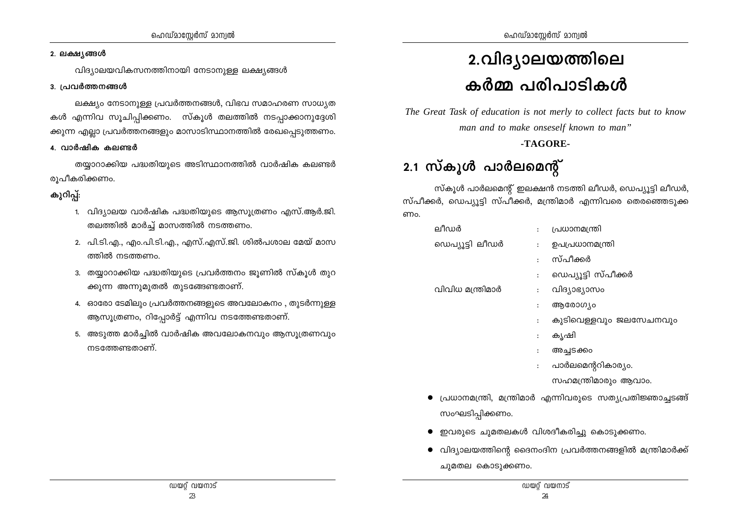#### 2. ലക്ഷ്യങ്ങൾ

വിദ്യാലയവികസനത്തിനായി നേടാനുള്ള ലക്ഷ്യങ്ങൾ

#### 3. പ്രവർത്തനങ്ങൾ

ലക്ഷ്യം നേടാനുള്ള പ്രവർത്തനങ്ങൾ, വിഭവ സമാഹരണ സാധ്യത കൾ എന്നിവ സൂചിപ്പിക്കണം. സ്കൂൾ തലത്തിൽ നടപ്പാക്കാനുദ്ദേശി ക്കുന്ന എല്ലാ പ്രവർത്തനങ്ങളും മാസാടിസ്ഥാനത്തിൽ രേഖപ്പെടുത്തണം.

#### 4. വാർഷിക കലണ്ടർ

തയ്യാറാക്കിയ പദ്ധതിയുടെ അടിസ്ഥാനത്തിൽ വാർഷിക കലണ്ടർ രൂപീകരിക്കണം.

## കുറിപ്പ്:

- 1. വിദ്യാലയ വാർഷിക പദ്ധതിയുടെ ആസുത്രണം എസ്.ആർ.ജി. തലത്തിൽ മാർച്ച് മാസത്തിൽ നടത്തണം.
- 2. പി.ടി.എ., എം.പി.ടി.എ., എസ്.എസ്.ജി. ശിൽപശാല മേയ് മാസ ത്തിൽ നടത്തണം.
- 3. തയ്യാറാക്കിയ പദ്ധതിയുടെ പ്രവർത്തനം ജൂണിൽ സ്കൂൾ തുറ ക്കുന്ന അന്നുമുതൽ തുടങ്ങേണ്ടതാണ്.
- 4. ഓരോ ടേമിലും പ്രവർത്തനങ്ങളുടെ അവലോകനം , തുടർന്നുള്ള ആസൂത്രണം, റിപ്പോർട്ട് എന്നിവ നടത്തേണ്ടതാണ്.
- 5. അടുത്ത മാർച്ചിൽ വാർഷിക അവലോകനവും ആസൂത്രണവും നടത്തേണ്ടതാണ്.

# 2.വിദ്യാലയത്തിലെ കർമ്മ പരിപാടികൾ

The Great Task of education is not merly to collect facts but to know man and to make onseself known to man"

### -TAGORE-

## 2.1 സ്കൂൾ പാർലമെന്റ്

സ്കൂൾ പാർലമെന്റ് ഇലക്ഷൻ നടത്തി ലീഡർ, ഡെപ്യൂട്ടി ലീഡർ, സ്പീക്കർ, ഡെപ്യൂട്ടി സ്പീക്കർ, മന്ത്രിമാർ എന്നിവരെ തെരഞ്ഞെടുക്ക ണം.

| ലീഡർ             |                      | പ്രധാനമന്ത്രി          |
|------------------|----------------------|------------------------|
| ഡെപ്യൂട്ടി ലീഡർ  |                      | ഉപപ്രധാനമന്ത്രി        |
|                  |                      | സ്പീക്കർ               |
|                  | $\ddot{\phantom{a}}$ | ഡെപ്യൂട്ടി സ്പീക്കർ    |
| വിവിധ മന്ത്രിമാർ | $\mathbf{r}$         | വിദ്യാഭ്യാസം           |
|                  | ፡                    | ആരോഗ്യം                |
|                  | $\ddot{\cdot}$       | കുടിവെള്ളവും ജലസേചനവും |
|                  |                      | കൃഷി                   |
|                  |                      | അച്ചടക്കം              |

പാർലമെന്ററികാര്യം.  $\ddot{\cdot}$ 

സഹമന്ത്രിമാരും ആവാം.

- $\bullet$  പ്രധാനമന്ത്രി, മന്ത്രിമാർ എന്നിവരുടെ സത്യപ്രതിജ്ഞാച്ചടങ്ങ് സംഘടിപ്പിക്കണം.
- ഇവരുടെ ചുമതലകൾ വിശദീകരിച്ചു കൊടുക്കണം.
- $\bullet$  വിദ്യാലയത്തിന്റെ ദൈനംദിന പ്രവർത്തനങ്ങളിൽ മന്ത്രിമാർക്ക് ചുമതല കൊടുക്കണം.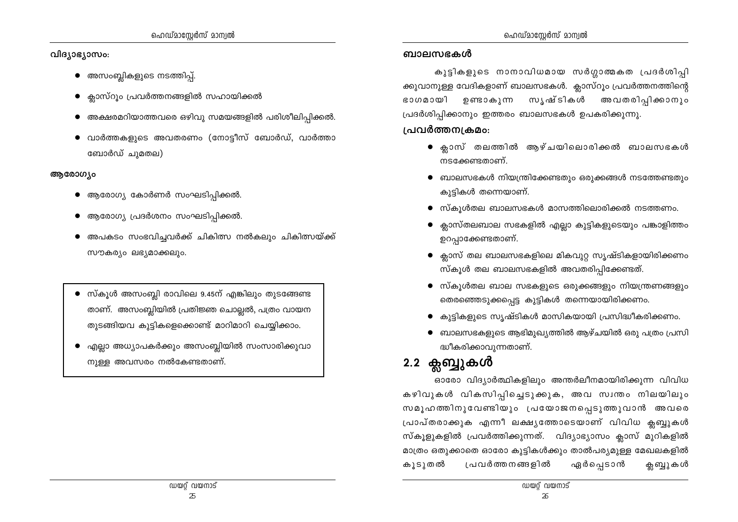- അസംബ്ലികളുടെ നടത്തിപ്പ്.
- $\bullet$  ക്ലാസ്റൂം പ്രവർത്തനങ്ങളിൽ സഹായിക്കൽ
- $\bullet$  അക്ഷരമറിയാത്തവരെ ഒഴിവു സമയങ്ങളിൽ പരിശീലിപ്പിക്കൽ.
- $\bullet$  വാർത്തകളുടെ അവതരണം (നോട്ടീസ് ബോർഡ്, വാർത്താ ബോർഡ് ചുമതല)

## ആരോഗ്യം

- $\bullet$  ആരോഗ്യ കോർണർ സംഘടിപ്പിക്കൽ.
- $\bullet$  ആരോഗ്യ പ്രദർശനം സംഘടിപ്പിക്കൽ.
- അപകടം സംഭവിച്ചവർക്ക് ചികിത്സ നൽകലും ചികിത്സയ്ക്ക് സൗകര്യം ലഭ്യമാക്കലും.
- സ്കൂൾ അസംബ്ലി രാവിലെ 9.45ന് എങ്കിലും തുടങ്ങേണ്ട താണ്. അസംബ്ലിയിൽ പ്രതിജ്ഞ ചൊല്ലൽ, പത്രം വായന തുടങ്ങിയവ കുട്ടികളെക്കൊണ്ട് മാറിമാറി ചെയ്യിക്കാം.
- എല്ലാ അധ്യാപകർക്കും അസംബ്ലിയിൽ സംസാരിക്കുവാ നുള്ള അവസരം നൽകേണ്ടതാണ്.

#### ബാലസഭകൾ

കുട്ടികളുടെ നാനാവിധമായ സർഗ്ഗാത്മകത പ്രദർശിപ്പി ക്കുവാനുള്ള വേദികളാണ് ബാലസഭകൾ. ക്ലാസ്റൂം പ്രവർത്തനത്തിന്റെ ഉണ്ടാകുന്ന സൃഷ്ടികൾ അവതരിപ്പിക്കാനും ഭാഗമായി പ്രദർശിപ്പിക്കാനും ഇത്തരം ബാലസഭകൾ ഉപകരിക്കുന്നു.

## പ്രവർത്തന്വകമം:

- ക്ലാസ് തലത്തിൽ ആഴ്ചയിലൊരിക്കൽ ബാലസഭകൾ നടക്കേണ്ടതാണ്.
- $\bullet$  ബാലസഭകൾ നിയന്ത്രിക്കേണ്ടതും ഒരുക്കങ്ങൾ നടത്തേണ്ടതും കുട്ടികൾ തന്നെയാണ്.
- $\bullet$  സ്കൂൾതല ബാലസഭകൾ മാസത്തിലൊരിക്കൽ നടത്തണം.
- $\bullet$  ക്ലാസ്തലബാല സഭകളിൽ എല്ലാ കുട്ടികളുടെയും പങ്കാളിത്തം ഉറപ്പാക്കേണ്ടതാണ്.
- $\bullet$  ക്ലാസ് തല ബാലസഭകളിലെ മികവുറ്റ സൃഷ്ടികളായിരിക്കണം സ്കൂൾ തല ബാലസഭകളിൽ അവതരിപ്പിക്കേണ്ടത്.
- $\bullet$  സ്കൂൾതല ബാല സഭകളുടെ ഒരുക്കങ്ങളും നിയന്ത്രണങ്ങളും തെരഞ്ഞെടുക്കപ്പെട്ട കുട്ടികൾ തന്നെയായിരിക്കണം.
- കുട്ടികളുടെ സൃഷ്ടികൾ മാസികയായി പ്രസിദ്ധീകരിക്കണം.
- ബാലസഭകളുടെ ആഭിമുഖ്യത്തിൽ ആഴ്ചയിൽ ഒരു പത്രം പ്രസി ദ്ധീകരിക്കാവുന്നതാണ്.

## 2.2 ക്ലബ്ബുകൾ

ഓരോ വിദ്യാർത്ഥികളിലും അന്തർലീനമായിരിക്കുന്ന വിവിധ കഴിവുകൾ വികസിപ്പിച്ചെടുക്കുക, അവ സ്വന്തം നിലയിലും സമൂഹത്തിനുവേണ്ടിയും പ്രയോജനപ്പെടുത്തുവാൻ അവരെ പ്രാപ്തരാക്കുക എന്നീ ലക്ഷ്യത്തോടെയാണ് വിവിധ ക്ലബ്ബുകൾ സ്കൂളുകളിൽ പ്രവർത്തിക്കുന്നത്. വിദ്യാഭ്യാസം ക്ലാസ് മുറികളിൽ മാത്രം ഒതുക്കാതെ ഓരോ കുട്ടികൾക്കും താൽപര്യമുള്ള മേഖലകളിൽ പ്രവർത്തനങ്ങളിൽ ഏർപ്പെടാൻ കൂടുതൽ ക്ലബ്ബുകൾ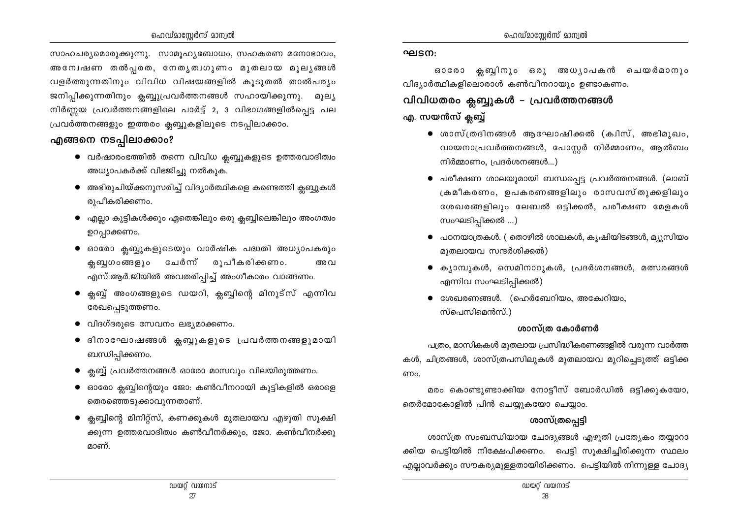സാഹചര്യമൊരുക്കുന്നു. സാമുഹ്യബോധം, സഹകരണ മനോഭാവം, അന്വേഷണ തൽപ്പരത, നേതൃത്വഗുണം മുതലായ മൂല്യങ്ങൾ വളർത്തുന്നതിനും വിവിധ വിഷയങ്ങളിൽ കൂടുതൽ താൽപര്യം ജനിപ്പിക്കുന്നതിനും ക്ലബ്ബുപ്രവർത്തനങ്ങൾ സഹായിക്കുന്നു. മുല്യ നിർണ്ണയ പ്രവർത്തനങ്ങളിലെ പാർട്ട് 2, 3 വിഭാഗങ്ങളിൽപ്പെട്ട പല പ്രവർത്തനങ്ങളും ഇത്തരം ക്ലബ്ബുകളിലൂടെ നടപ്പിലാക്കാം.

#### എങ്ങനെ നടപ്പിലാക്കാം?

- $\bullet$  വർഷാരംഭത്തിൽ തന്നെ വിവിധ ക്ലബ്ബുകളുടെ ഉത്തരവാദിത്വം അധ്യാപകർക്ക് വിഭജിച്ചു നൽകുക.
- $\bullet$  അഭിരുചിയ്ക്കനുസരിച്ച് വിദ്യാർത്ഥികളെ കണ്ടെത്തി ക്ലബ്ബുകൾ രൂപീകരിക്കണം.
- എല്ലാ കുട്ടികൾക്കും ഏതെങ്കിലും ഒരു ക്ലബ്ബിലെങ്കിലും അംഗത്വം ഉറപ്പാക്കണം.
- ഓരോ ക്ലബ്ബുകളുടെയും വാർഷിക പദ്ധതി അധ്യാപകരും രൂപീകരിക്കണം. ക്ലബുഗംങ്ങളും ചേർന്ന് അവ എസ്.ആർ.ജിയിൽ അവതരിപ്പിച്ച് അംഗീകാരം വാങ്ങണം.
- ക്ലബ്ബ് അംഗങ്ങളുടെ ഡയറി, ക്ലബ്ബിന്റെ മിനുട്സ് എന്നിവ രേഖപ്പെടുത്തണം.
- $\bullet$  വിദഗ്ദരുടെ സേവനം ലഭ്യമാക്കണം.
- ദിനാഘോഷങ്ങൾ ക്ലബ്ബുകളുടെ പ്രവർത്തനങ്ങളുമായി ബന്ധിപ്പിക്കണം.
- $\bullet$  ക്ലബ്ബ് പ്രവർത്തനങ്ങൾ ഓരോ മാസവും വിലയിരുത്തണം.
- $\bullet$  ഓരോ ക്ലബ്ബിന്റെയും ജോ: കൺവീനറായി കുട്ടികളിൽ ഒരാളെ തെരഞ്ഞെടുക്കാവുന്നതാണ്.
- ക്ലബ്ബിന്റെ മിനിറ്റ്സ്, കണക്കുകൾ മുതലായവ എഴുതി സൂക്ഷി ക്കുന്ന ഉത്തരവാദിത്വം കൺവീനർക്കും, ജോ. കൺവീനർക്കു മാണ്.

#### ഘടന:

ഓരോ ക്ല ബിനും ഒരു അധ്യാപകൻ ചെയർമാനും വിദ്യാർത്ഥികളിലൊരാൾ കൺവീനറായും ഉണ്ടാകണം.

## വിവിധതരം ക്ലബ്ബുകൾ – പ്രവർത്തനങ്ങൾ എ. സയൻസ് ക്ലബ്ബ്

- $\bullet$  ശാസ്ത്രദിനങ്ങൾ ആഘോഷിക്കൽ (ക്വിസ്, അഭിമുഖം, വായനാപ്രവർത്തനങ്ങൾ, പോസ്റ്റർ നിർമ്മാണം, ആൽബം നിർമ്മാണം, പ്രദർശനങ്ങൾ...)
- പരീക്ഷണ ശാലയുമായി ബന്ധപ്പെട്ട പ്രവർത്തനങ്ങൾ. (ലാബ് ക്രമീകരണം, ഉപകരണങ്ങളിലും രാസവസ്തുക്കളിലും ശേഖരങ്ങളിലും ലേബൽ ഒട്ടിക്കൽ, പരീക്ഷണ മേളകൾ സംഘടിപ്പിക്കൽ ...)
- പഠനയാത്രകൾ. ( തൊഴിൽ ശാലകൾ, കൃഷിയിടങ്ങൾ, മ്യൂസിയം മുതലായവ സന്ദർശിക്കൽ)
- $\bullet$  ക്യാമ്പുകൾ, സെമിനാറുകൾ, പ്രദർശനങ്ങൾ, മത്സരങ്ങൾ എന്നിവ സംഘടിപ്പിക്കൽ)
- $\bullet$  ശേഖരണങ്ങൾ. (ഹെർബേറിയം, അകേഥിയം, സ്പെസിമെൻസ്.)

#### ശാസ്ത്ര കോർണർ

പത്രം, മാസികകൾ മുതലായ പ്രസിദ്ധീകരണങ്ങളിൽ വരുന്ന വാർത്ത കൾ, ചിത്രങ്ങൾ, ശാസ്ത്രപസിലുകൾ മുതലായവ മുറിച്ചെടുത്ത് ഒട്ടിക്ക ണം.

മരം കൊണ്ടുണ്ടാക്കിയ നോട്ടീസ് ബോർഡിൽ ഒട്ടിക്കുകയോ, തെർമോകോളിൽ പിൻ ചെയ്യുകയോ ചെയ്യാം.

## ശാസ്ത്രപ്പെട്ടി

ശാസ്ത്ര സംബന്ധിയായ ചോദ്യങ്ങൾ എഴുതി പ്രത്യേകം തയ്യാറാ ക്കിയ പെട്ടിയിൽ നിക്ഷേപിക്കണം. പെട്ടി സുക്ഷിച്ചിരിക്കുന്ന സ്ഥലം എല്ലാവർക്കും സൗകര്യമുള്ളതായിരിക്കണം. പെട്ടിയിൽ നിന്നുള്ള ചോദ്യ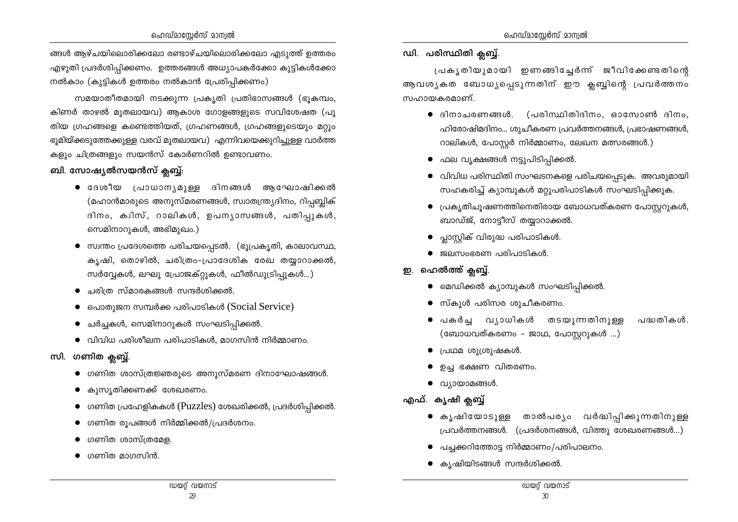ങ്ങൾ ആഴ്ചയിലൊരിക്കലോ രണ്ടാഴ്ചയിലൊരിക്കലോ എടുത്ത് ഉത്തരം എഴുതി പ്രദർശിപ്പിക്കണം. ഉത്തരങ്ങൾ അധ്യാപകർക്കോ കുട്ടികൾക്കോ നൽകാം (കുട്ടികൾ ഉത്തരം നൽകാൻ പ്രേരിപ്പിക്കണം)

സമയാതീതമായി നടക്കുന്ന പ്രകൃതി പ്രതിഭാസങ്ങൾ (ഭൂകമ്പം, കിണർ താഴൽ മുതലായവ) ആകാശ ഗോളങ്ങളുടെ സവിശേഷത (പു തിയ ഗ്രഹങ്ങളെ കണ്ടെത്തിയത്, ഗ്രഹണങ്ങൾ, ഗ്രഹങ്ങളുടെയും മറ്റും ഭൂമിയ്ക്കടുത്തേക്കുള്ള വരവ് മുതലായവ) എന്നിവയെക്കുറിച്ചുള്ള വാർത്ത കളും ചിത്രങ്ങളും സയൻസ് കോർണറിൽ ഉണ്ടാവണം.

#### ബി. സോഷ്യൽസയൻസ് ക്ലബ്ബ്:

- ദേശീയ പ്രാധാന്യമുള്ള ദിനങ്ങൾ ആഘോഷിക്കൽ (മഹാൻമാരുടെ അനുസ്മരണങ്ങൾ, സ്വാതന്ത്ര്യദിനം, റിപ്പബ്ലിക് ദിനം, ക്വിസ്, റാലികൾ, ഉപന്യാസങ്ങൾ, പതിപ്പുകൾ, സെമിനാറുകൾ, അഭിമുഖം.)
- സ്വന്തം പ്രദേശത്തെ പരിചയപ്പെടൽ. (ഭൂപ്രകൃതി, കാലാവസ്ഥ, കൃഷി, തൊഴിൽ, ചരിത്രം-പ്രാദേശിക രേഖ തയ്യാറാക്കൽ, സർവ്വേകൾ, ലഘു പ്രോജക്റ്റുകൾ, ഫീൽഡുട്രിപ്പുകൾ...)
- ചരിത്ര സ്മാരകങ്ങൾ സന്ദർശിക്കൽ.
- പൊതുജന സമ്പർക്ക പരിപാടികൾ (Social Service)
- ചർച്ചകൾ, സെമിനാറുകൾ സംഘടിപ്പിക്കൽ.
- $\bullet$  വിവിധ പരിശീലന പരിപാടികൾ, മാഗസിൻ നിർമ്മാണം.

### സി. ഗണിത ക്ലബ്ബ്.

- $\bullet$  ഗണിത ശാസ്ത്രജ്ഞരുടെ അനുസ്മരണ ദിനാഘോഷങ്ങൾ.
- കുസൃതിക്കണക്ക് ശേഖരണം.
- $\bullet$  ഗണിത പ്രഹേളികകൾ (Puzzles) ശേഖരിക്കൽ, പ്രദർശിപ്പിക്കൽ.
- ഗണിത രൂപങ്ങൾ നിർമ്മിക്കൽ/പ്രദർശനം.
- ഗണിത ശാസ്ത്രമേള.
- $\bullet$  ഗണിത മാഗസിൻ.

#### ഡി. പരിസ്ഥിതി ക്ലബ്ബ്.

പ്രകൃതിയുമായി ഇണങ്ങിച്ചേർന്ന് ജീവിക്കേണ്ടതിന്റെ ആവശ്യകത ബോധ്യപ്പെടുന്നതിന് ഈ ക്ലബ്ബിന്റെ പ്രവർത്തനം സഹായകരമാണ്.

- $\bullet$  ദിനാചരണങ്ങൾ. (പരിസ്ഥിതിദിനം, ഓസോൺ ദിനം, ഹിരോഷിമദിനം... ശുചീകരണ പ്രവർത്തനങ്ങൾ, പ്രഭാഷണങ്ങൾ, റാലികൾ, പോസ്റ്റർ നിർമ്മാണം, ലേഖന മത്സരങ്ങൾ.)
- ഫല വൃക്ഷങ്ങൾ നട്ടുപിടിപ്പിക്കൽ.
- വിവിധ പരിസ്ഥിതി സംഘടനകളെ പരിചയപ്പെടുക. അവരുമായി സഹകരിച്ച് ക്യാമ്പുകൾ മറ്റുപരിപാടികൾ സംഘടിപ്പിക്കുക.
- $\bullet$  പ്രകൃതിചുഷണത്തിനെതിരായ ബോധവത്കരണ പോസ്കറുകൾ, ബാഡ്ജ്, നോട്ടീസ് തയ്യാറാക്കൽ.
- പ്ലാസ്റ്റിക് വിരുദ്ധ പരിപാടികൾ.
- ജലസംഭരണ പരിപാടികൾ.
- ഇ. ഹെൽത്ത് ക്ലബ്ബ്.
	- മെഡിക്കൽ ക്യാമ്പുകൾ സംഘടിപ്പിക്കൽ.
	- $\bullet$  സ്കൂൾ പരിസര ശുചീകരണം.
	- പകർച്ച വ്യാധികൾ തടയുന്നതിനുള്ള പദ്ധതികൾ. (ബോധവത്കരണം - ജാഥ, പോസ്റ്ററുകൾ ...)
	- പ്രഥമ ശുശ്രുഷകൾ.  $\bullet$
	- ഉച്ച ഭക്ഷണ വിതരണം.
	- $\bullet$  വ്യായാമങ്ങൾ.
- എഫ്. കൃഷി ക്ലബ്ബ്
	- കൃഷിയോടുള്ള താൽപര്യം വർദ്ധിപ്പിക്കുന്നതിനുള്ള പ്രവർത്തനങ്ങൾ. (പ്രദർശനങ്ങൾ, വിത്തു ശേഖരണങ്ങൾ...)
	- പച്ചക്കറിത്തോട്ട നിർമ്മാണം/പരിപാലനം.
	- $\bullet$  കൃഷിയിടങ്ങൾ സന്ദർശിക്കൽ.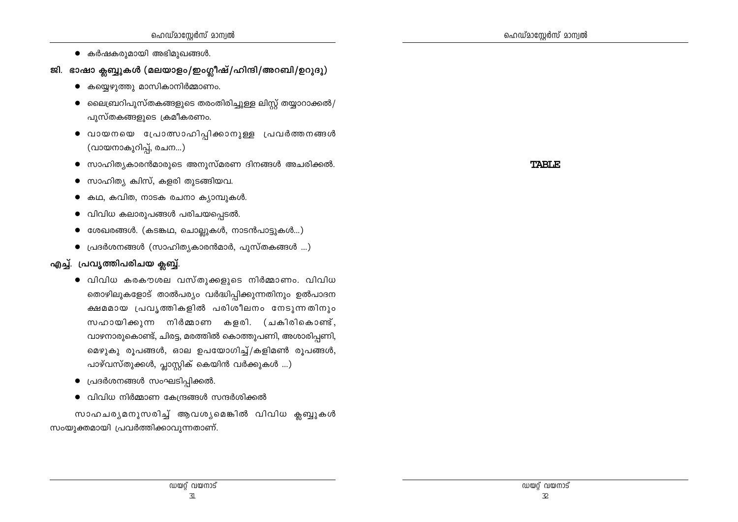- കർഷകരുമായി അഭിമുഖങ്ങൾ.
- ജി. ഭാഷാ ക്ലബ്ബുകൾ (മലയാളം/ഇംഗ്ലീഷ്/ഹിന്ദി/അറബി/ഉറുദു)
	- കയ്യെഴുത്തു മാസികാനിർമ്മാണം.
	- $\bullet$  ലൈബ്രറിപുസ്തകങ്ങളുടെ തരംതിരിച്ചുള്ള ലിസ്റ്റ് തയ്യാറാക്കൽ/ പുസ്തകങ്ങളുടെ ക്രമീകരണം.
	- വായനയെ പ്രോത്സാഹിപ്പിക്കാനുള്ള പ്രവർത്തനങ്ങൾ (വായനാകുറിപ്പ്, രചന...)
	- $\bullet$  സാഹിത്യകാരൻമാരുടെ അനുസ്മരണ ദിനങ്ങൾ അചരിക്കൽ.
	- $\bullet$  സാഹിത്യ ക്വിസ്, കളരി തുടങ്ങിയവ.
	- കഥ, കവിത, നാടക രചനാ ക്യാമ്പുകൾ.
	- വിവിധ കലാരുപങ്ങൾ പരിചയപ്പെടൽ.  $\bullet$
	- ശേഖരങ്ങൾ. (കടങ്കഥ, ചൊല്ലുകൾ, നാടൻപാട്ടുകൾ...)
	- $\bullet$  പ്രദർശനങ്ങൾ (സാഹിത്യകാരൻമാർ, പുസ്തകങ്ങൾ ...)

## എച്ച്. പ്രവൃത്തിപരിചയ ക്ലബ്ബ്.

- $\bullet$  വിവിധ കരകൗശല വസ്തുക്കളുടെ നിർമ്മാണം. വിവിധ തൊഴിലുകളോട് താൽപര്യം വർദ്ധിപ്പിക്കുന്നതിനും ഉൽപാദന ക്ഷമമായ പ്രവൃത്തികളിൽ പരിശീലനം നേടുന്നതിനും സഹായിക്കുന്ന നിർമ്മാണ കളരി. (ചകിരികൊണ്ട്, വാഴനാരുകൊണ്ട്, ചിരട്ട, മരത്തിൽ കൊത്തുപണി, അശാരിപ്പണി, മെഴുകു രൂപങ്ങൾ, ഓല ഉപയോഗിച്ച്/കളിമൺ രൂപങ്ങൾ, പാഴ്വസ്തുക്കൾ, പ്ലാസ്റ്റിക് കെയിൻ വർക്കുകൾ ...)
- $\bullet$  പ്രദർശനങ്ങൾ സംഘടിപ്പിക്കൽ.
- $\bullet$  വിവിധ നിർമ്മാണ കേന്ദ്രങ്ങൾ സന്ദർശിക്കൽ

സാഹചര്യമനുസരിച്ച് ആവശ്യമെങ്കിൽ വിവിധ ക്ലബ്ബുകൾ സംയുക്തമായി പ്രവർത്തിക്കാവുന്നതാണ്.

**TABLE**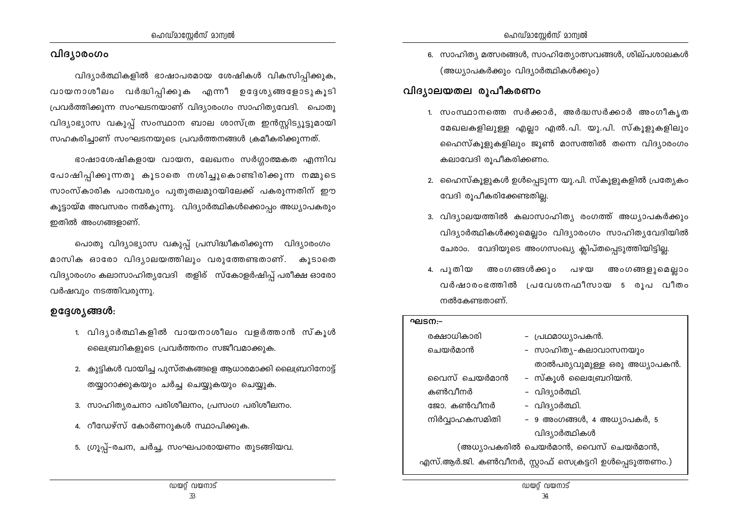#### വിദ്യാരംഗം

വിദ്യാർത്ഥികളിൽ ഭാഷാപരമായ ശേഷികൾ വികസിപ്പിക്കുക, വായനാശീലം വർദ്ധിപ്പിക്കുക എന്നീ ഉദ്ദേശ്യങ്ങളോടുകൂടി പ്രവർത്തിക്കുന്ന സംഘടനയാണ് വിദ്യാരംഗം സാഹിത്യവേദി. പൊതു വിദ്യാഭ്യാസ വകുപ്പ് സംസ്ഥാന ബാല ശാസ്ത്ര ഇൻസ്റ്റിട്യൂട്ടുമായി സഹകരിച്ചാണ് സംഘടനയുടെ പ്രവർത്തനങ്ങൾ ക്രമീകരിക്കുന്നത്.

ഭാഷാശേഷികളായ വായന, ലേഖനം സർഗ്ഗാത്മകത എന്നിവ പോഷിപ്പിക്കുന്നതു കൂടാതെ നശിച്ചുകൊണ്ടിരിക്കുന്ന നമ്മുടെ സാംസ്കാരിക പാരമ്പര്യം പുതുതലമുറയിലേക്ക് പകരുന്നതിന് ഈ കുട്ടായ്മ അവസരം നൽകുന്നു. വിദ്യാർത്ഥികൾക്കൊപ്പം അധ്യാപകരും ഇതിൽ അംഗങ്ങളാണ്.

പൊതു വിദ്യാഭ്യാസ വകുപ്പ് പ്രസിദ്ധീകരിക്കുന്ന വിദ്യാരംഗം മാസിക ഓരോ വിദ്യാലയത്തിലും വരുത്തേണ്ടതാണ്. കൂടാതെ വിദ്യാരംഗം കലാസാഹിത്യവേദി തളിര് സ്കോളർഷിപ്പ് പരീക്ഷ ഓരോ വർഷവും നടത്തിവരുന്നു.

#### ഉദ്ദേശ്യങ്ങൾ:

- 1. വിദൃാർത്ഥികളിൽ വായനാശീലം വളർത്താൻ സ്കൂൾ ലൈബ്രറികളുടെ പ്രവർത്തനം സജീവമാക്കുക.
- 2. കുട്ടികൾ വായിച്ച പുസ്തകങ്ങളെ ആധാരമാക്കി ലൈബ്രറിനോട്ട് തയ്യാറാക്കുകയും ചർച്ച ചെയ്യുകയും ചെയ്യുക.
- 3. സാഹിത്യരചനാ പരിശീലനം, പ്രസംഗ പരിശീലനം.
- 4. റീഡേഴ്സ് കോർണറുകൾ സ്ഥാപിക്കുക.
- 5. ഗ്രൂപ്പ്-രചന, ചർച്ച, സംഘപാരായണം തുടങ്ങിയവ.

6. സാഹിത്യ മത്സരങ്ങൾ, സാഹിത്യോത്സവങ്ങൾ, ശില്പശാലകൾ (അധ്യാപകർക്കും വിദ്യാർത്ഥികൾക്കും)

## വിദ്യാലയതല രൂപീകരണം

- 1. സംസ്ഥാനത്തെ സർക്കാർ, അർദ്ധസർക്കാർ അംഗീകൃത മേഖലകളിലുള്ള എല്ലാ എൽ.പി. യു.പി. സ്കൂളുകളിലും ഹൈസ്കുളുകളിലും ജൂൺ മാസത്തിൽ തന്നെ വിദ്യാരംഗം കലാവേദി രുപീകരിക്കണം.
- 2. ഹൈസ്കൂളുകൾ ഉൾപ്പെടുന്ന യു.പി. സ്കൂളുകളിൽ പ്രത്യേകം വേദി രൂപീകരിക്കേണ്ടതില്ല.
- 3. വിദ്യാലയത്തിൽ കലാസാഹിത്യ രംഗത്ത് അധ്യാപകർക്കും വിദ്യാർത്ഥികൾക്കുമെല്ലാം വിദ്യാരംഗം സാഹിത്യവേദിയിൽ ചേരാം. വേദിയുടെ അംഗസംഖ്യ ക്ലിപ്തപ്പെടുത്തിയിട്ടില്ല.
- 4. പുതിയ അംഗങ്ങൾക്കും പഴയ അംഗങ്ങളുമെല്ലാം വർഷാരംഭത്തിൽ പ്രവേശനഫീസായ 5 രൂപ വീതം നൽകേണ്ടതാണ്.

#### ഘടന:-രക്ഷാധികാരി - പ്രഥമാധ്യാപകൻ. - സാഹിത്യ-കലാവാസനയും ചെയർമാൻ താൽപര്യവുമുള്ള ഒരു അധ്യാപകൻ. – സ്കൂൾ ലൈബ്രേറിയൻ. വൈസ് ചെയർമാൻ കൺവീനർ – വിദ്യാർത്ഥി. - വിദ്യാർത്ഥി. ജോ. കൺവീനർ നിർവ്വാഹകസമിതി - 9 അംഗങ്ങൾ, 4 അധ്യാപകർ, 5 വിദ്യാർത്ഥികൾ (അധ്യാപകരിൽ ചെയർമാൻ, വൈസ് ചെയർമാൻ, എസ്.ആർ.ജി. കൺവീനർ, സ്റ്റാഫ് സെക്രട്ടറി ഉൾപ്പെടുത്തണം.)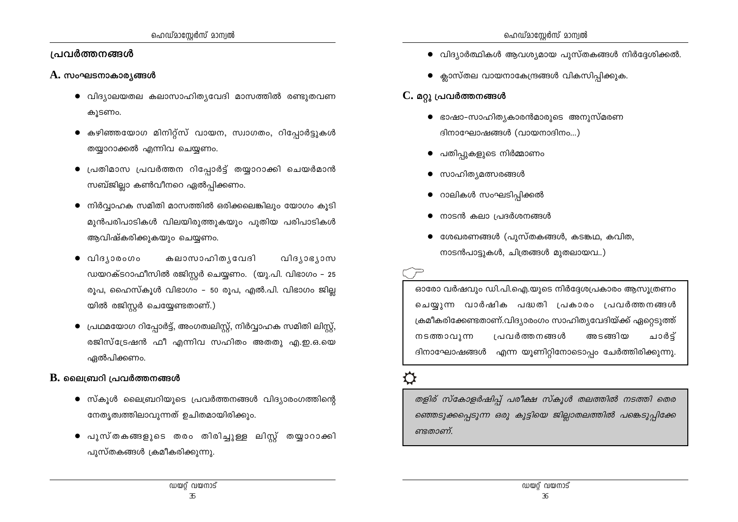### പ്രവർത്തനങ്ങൾ

### $\bf{A.}$  സംഘടനാകാര്യങ്ങൾ

- വിദ്യാലയതല കലാസാഹിത്യവേദി മാസത്തിൽ രണ്ടുതവണ കുടണം.
- $\bullet$  കഴിഞ്ഞയോഗ മിനിറ്റ്സ് വായന, സ്വാഗതം, റിപ്പോർട്ടുകൾ തയ്യാറാക്കൽ എന്നിവ ചെയ്യണം.
- $\bullet$  പ്രതിമാസ പ്രവർത്തന റിപ്പോർട്ട് തയ്യാറാക്കി ചെയർമാൻ സബ്ജില്ലാ കൺവീനറെ ഏൽപ്പിക്കണം.
- $\bullet$  നിർവ്വാഹക സമിതി മാസത്തിൽ ഒരിക്കലെങ്കിലും യോഗം കൂടി മുൻപരിപാടികൾ വിലയിരുത്തുകയും പുതിയ പരിപാടികൾ ആവിഷ്കരിക്കുകയും ചെയ്യണം.
- കലാസാഹിതൃവേദി വിദ്യാരംഗം വിദ്യാഭ്യാസ ഡയറക്ടറാഫീസിൽ രജിസ്റ്റർ ചെയ്യണം. (യു.പി. വിഭാഗം – 25 രുപ, ഹൈസ്കുൾ വിഭാഗം – 50 രുപ, എൽ.പി. വിഭാഗം ജില്ല യിൽ രജിസ്റ്റർ ചെയ്യേണ്ടതാണ്.)
- $\bullet$  പ്രഥമയോഗ റിപ്പോർട്ട്, അംഗത്വലിസ്റ്റ്, നിർവ്വാഹക സമിതി ലിസ്റ്റ്, രജിസ്ട്രേഷൻ ഫീ എന്നിവ സഹിതം അതതു എ.ഇ.ഒ.യെ ഏൽപിക്കണം.

### $\bf{B}$ . ലൈബ്രറി പ്രവർത്തനങ്ങൾ

- $\bullet$  സ്കൂൾ ലൈബ്രറിയുടെ പ്രവർത്തനങ്ങൾ വിദ്യാരംഗത്തിന്റെ നേതൃത്വത്തിലാവുന്നത് ഉചിതമായിരിക്കും.
- പുസ്തകങ്ങളുടെ തരം തിരിച്ചുള്ള ലിസ്റ്റ് തയ്യാറാക്കി പുസ്തകങ്ങൾ ക്രമീകരിക്കുന്നു.
- $\bullet$  വിദ്യാർത്ഥികൾ ആവശ്യമായ പുസ്തകങ്ങൾ നിർദ്ദേശിക്കൽ.
- $\bullet$  ക്ലാസ്തല വായനാകേന്ദ്രങ്ങൾ വികസിപിക്കുക.

## $C$ . മറ്റു പ്രവർത്തനങ്ങൾ

- ഭാഷാ–സാഹിതൃകാരൻമാരുടെ അനുസ്മരണ ദിനാഘോഷങ്ങൾ (വായനാദിനം...)
- പതിപുകളുടെ നിർമ്മാണം
- സാഹിത്യമത്സരങ്ങൾ
- $\bullet$  റാലികൾ സംഘടിപ്പിക്കൽ
- നാടൻ കലാ പ്രദർശനങ്ങൾ
- ശേഖരണങ്ങൾ (പുസ്തകങ്ങൾ, കടങ്കഥ, കവിത, നാടൻപാട്ടുകൾ, ചിത്രങ്ങൾ മുതലായവ..)

ഓരോ വർഷവും ഡി.പി.ഐ.യുടെ നിർദ്ദേശപ്രകാരം ആസൂത്രണം ചെയ്യുന്ന വാർഷിക പദ്ധതി പ്രകാരം പ്രവർത്തനങ്ങൾ ക്രമീകരിക്കേണ്ടതാണ്.വിദ്യാരംഗം സാഹിത്യവേദിയ്ക്ക് ഏറ്റെടുത്ത് നടത്താവുന്ന പ്രവർത്തനങ്ങൾ അടങ്ങിയ ചാർട് ദിനാഘോഷങ്ങൾ എന്ന യൂണിറ്റിനോടൊപ്പം ചേർത്തിരിക്കുന്നു.

## $\boldsymbol{\Omega}$

തളിര് സ്കോളർഷിപ്പ് പരീക്ഷ സ്കൂൾ തലത്തിൽ നടത്തി തെര ഞ്ഞെടുക്കപ്പെടുന്ന ഒരു കുട്ടിയെ ജില്ലാതലത്തിൽ പങ്കെടുപ്പിക്കേ ണ്ടതാണ്.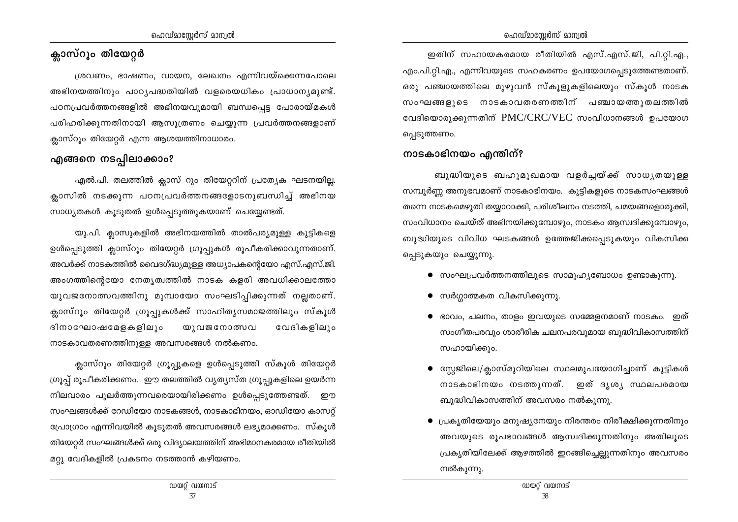## ക്ലാസ്റൂം തിയേറ്റർ

ശ്രവണം, ഭാഷണം, വായന, ലേഖനം എന്നിവയ്ക്കെന്നപോലെ അഭിനയത്തിനും പാഠ്യപദ്ധതിയിൽ വളരെയധികം പ്രാധാന്യമുണ്ട്. പഠനപ്രവർത്തനങ്ങളിൽ അഭിനയവുമായി ബന്ധപ്പെട്ട പോരായ്മകൾ പരിഹരിക്കുന്നതിനായി ആസുത്രണം ചെയ്യുന്ന പ്രവർത്തനങ്ങളാണ് ക്ലാസ്റൂം തിയേറ്റർ എന്ന ആശയത്തിനാധാരം.

## എങ്ങനെ നടപ്പിലാക്കാം?

എൽ.പി. തലത്തിൽ ക്ലാസ് റൂം തിയേറ്ററിന് പ്രത്യേക ഘടനയില്ല. ക്ലാസിൽ നടക്കുന്ന പഠനപ്രവർത്തനങ്ങളോടനുബന്ധിച്ച് അഭിനയ സാധ്യതകൾ കൂടുതൽ ഉൾപ്പെടുത്തുകയാണ് ചെയ്യേണ്ടത്.

യു.പി. ക്ലാസുകളിൽ അഭിനയത്തിൽ താൽപര്യമുള്ള കുട്ടികളെ ഉൾപ്പെടുത്തി ക്ലാസ്റൂം തിയേറ്റർ ഗ്രൂപ്പുകൾ രൂപീകരിക്കാവുന്നതാണ്. അവർക്ക് നാടകത്തിൽ വൈദഗ്ദ്ധ്യമുള്ള അധ്യാപകന്റെയോ എസ്.എസ്.ജി. അംഗത്തിന്റെയോ നേതൃത്വത്തിൽ നാടക കളരി അവധിക്കാലത്തോ യുവജനോത്സവത്തിനു മുമ്പായോ സംഘടിപ്പിക്കുന്നത് നല്ലതാണ്. ക്ലാസ്റൂം തിയേറ്റർ ഗ്രൂപ്പുകൾക്ക് സാഹിതൃസമാജത്തിലും സ്കൂൾ ദിനാഘോഷമേളകളിലും വേദികളിലും യുവജനോത്സവ നാടകാവതരണത്തിനുള്ള അവസരങ്ങൾ നൽകണം.

ക്ലാസ്റൂം തിയേറ്റർ ഗ്രൂപ്പുകളെ ഉൾപ്പെടുത്തി സ്കൂൾ തിയേറ്റർ ഗ്രൂപ്പ് രൂപീകരിക്കണം. ഈ തലത്തിൽ വ്യത്യസ്ത ഗ്രൂപ്പുകളിലെ ഉയർന്ന നിലവാരം പുലർത്തുന്നവരെയായിരിക്കണം ഉൾപ്പെടുത്തേണ്ടത്. ഈ സംഘങ്ങൾക്ക് റേഡിയോ നാടകങ്ങൾ, നാടകാഭിനയം, ഓഡിയോ കാസറ്റ് പ്രോഗ്രാം എന്നിവയിൽ കൂടുതൽ അവസരങ്ങൾ ലഭ്യമാക്കണം. സ്കൂൾ തിയേറ്റർ സംഘങ്ങൾക്ക് ഒരു വിദ്യാലയത്തിന് അഭിമാനകരമായ രീതിയിൽ മറ്റു വേദികളിൽ പ്രകടനം നടത്താൻ കഴിയണം.

ഇതിന് സഹായകരമായ രീതിയിൽ എസ്.എസ്.ജി, പി.റ്റി.എ., എം.പി.റ്റി.എ., എന്നിവയുടെ സഹകരണം ഉപയോഗപ്പെടുത്തേണ്ടതാണ്. ഒരു പഞ്ചായത്തിലെ മുഴുവൻ സ്കൂളുകളിലെയും സ്കൂൾ നാടക സംഘങ്ങളുടെ നാടകാവതരണത്തിന് പഞ്ചായത്തുതലത്തിൽ വേദിയൊരുക്കുന്നതിന് PMC/CRC/VEC സംവിധാനങ്ങൾ ഉപയോഗ പ്പെടുത്തണം.

## നാടകാഭിനയം എന്തിന്?

ബുദ്ധിയുടെ ബഹുമുഖമായ വളർച്ചയ്ക്ക് സാധ്യതയുള്ള സമ്പൂർണ്ണ അനുഭവമാണ് നാടകാഭിനയം. കുട്ടികളുടെ നാടകസംഘങ്ങൾ തന്നെ നാടകമെഴുതി തയ്യാറാക്കി, പരിശീലനം നടത്തി, ചമയങ്ങളൊരുക്കി, സംവിധാനം ചെയ്ത് അഭിനയിക്കുമ്പോഴും, നാടകം ആസ്വദിക്കുമ്പോഴും, ബുദ്ധിയുടെ വിവിധ ഘടകങ്ങൾ ഉത്തേജിക്കപ്പെടുകയും വികസിക്ക പെടുകയും ചെയ്യുന്നു.

- സംഘപ്രവർത്തനത്തിലൂടെ സാമൂഹ്യബോധം ഉണ്ടാകുന്നു.
- $\bullet$  സർഗ്ഗാത്മകത വികസിക്കുന്നു.
- $\bullet$  ഭാവം, ചലനം, താളം ഇവയുടെ സമ്മേളനമാണ് നാടകം. ഇത് സംഗീതപരവും ശാരീരിക ചലനപരവുമായ ബുദ്ധിവികാസത്തിന് സഹായിക്കും.
- സ്റ്റേജിലെ/ക്ലാസ്മുറിയിലെ സ്ഥലമുപയോഗിച്ചാണ് കുട്ടികൾ നാടകാഭിനയം നടത്തുന്നത്. ഇത് ദൃശ്യ സ്ഥലപരമായ ബുദ്ധിവികാസത്തിന് അവസരം നൽകുന്നു.
- പ്രകൃതിയേയും മനുഷ്യനേയും നിരന്തരം നിരീക്ഷിക്കുന്നതിനും അവയുടെ രൂപഭാവങ്ങൾ ആസ്വദിക്കുന്നതിനും അതിലൂടെ പ്രകൃതിയിലേക്ക് ആഴത്തിൽ ഇറങ്ങിച്ചെല്ലുന്നതിനും അവസരം നൽകുന്നു.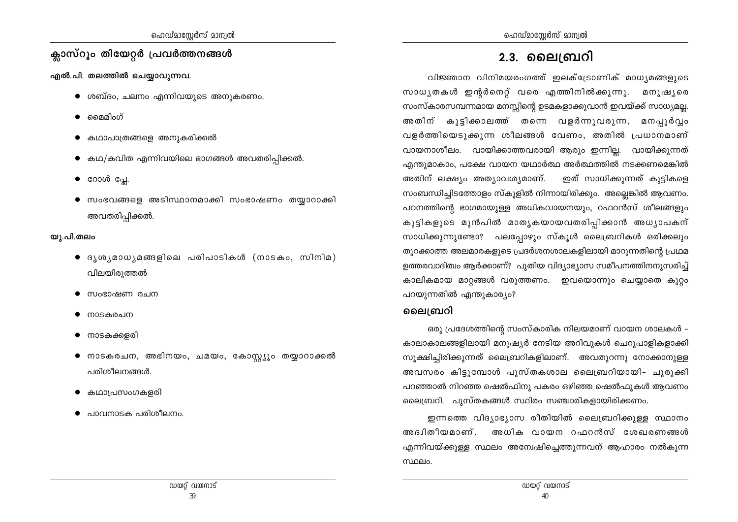## ക്ലാസ്റൂം തിയേറ്റർ പ്രവർത്തനങ്ങൾ

എൽ.പി. തലത്തിൽ ചെയ്യാവുന്നവ.

- $\bullet$  ശബ്ദം, ചലനം എന്നിവയുടെ അനുകരണം.
- മൈമിഹ്
- കഥാപാത്രങ്ങളെ അനുകരിക്കൽ
- $\bullet$  കഥ/കവിത എന്നിവയിലെ ഭാഗങ്ങൾ അവതരിപ്പിക്കൽ.
- $\bullet$  റോൾ പ്ലേ.
- $\bullet$  സംഭവങ്ങളെ അടിസ്ഥാനമാക്കി സംഭാഷണം തയ്യാറാക്കി അവതരിപ്പിക്കൽ.

### യു.പി.തലം

- $\bullet$  ദൃശൃമാധൃമങ്ങളിലെ പരിപാടികൾ (നാടകം, സിനിമ) വിലയിരുത്തൽ
- സംഭാഷണ രചന
- നാടകരചന
- നാടകക്കളരി
- നാടകരചന, അഭിനയം, ചമയം, കോസ്റ്റ്യൂം തയ്യാറാക്കൽ പരിശീലനങ്ങൾ.
- കഥാപ്രസംഗകളരി
- പാവനാടക പരിശീലനം.

## <u>2.3. ലൈബ്രറി</u>

വിജ്ഞാന വിനിമയരംഗത്ത് ഇലക്ട്രോണിക് മാധ്യമങ്ങളുടെ സാധ്യതകൾ ഇന്റർനെറ്റ് വരെ എത്തിനിൽക്കുന്നു. മനുഷ്യരെ സംസ്കാരസമ്പന്നമായ മനസ്സിന്റെ ഉടമകളാക്കുവാൻ ഇവയ്ക്ക് സാധ്യമല്ല. അതിന് കുട്ടിക്കാലത്ത് തന്നെ വളർന്നുവരുന്ന, മനപൂർവ്വം വളർത്തിയെടുക്കുന്ന ശീലങ്ങൾ വേണം, അതിൽ പ്രധാനമാണ് വായനാശീലം. വായിക്കാത്തവരായി ആരും ഇന്നില്ല. വായിക്കുന്നത് എന്തുമാകാം, പക്ഷേ വായന യഥാർത്ഥ അർത്ഥത്തിൽ നടക്കണമെങ്കിൽ ഇത് സാധിക്കുന്നത് കുട്ടികളെ അതിന് ലക്ഷ്യം അത്യാവശ്യമാണ്. സംബന്ധിച്ചിടത്തോളം സ്കൂളിൽ നിന്നായിരിക്കും. അല്ലെങ്കിൽ ആവണം. പഠനത്തിന്റെ ഭാഗമായുള്ള അധികവായനയും, റഫറൻസ് ശീലങ്ങളും കുട്ടികളുടെ മുൻപിൽ മാതൃകയായവതരിപ്പിക്കാൻ അധ്യാപകന് സാധിക്കുന്നുണ്ടോ? പലപ്പോഴും സ്കൂൾ ലൈബ്രറികൾ ഒരിക്കലും തുറക്കാത്ത അലമാരകളുടെ പ്രദർശനശാലകളിലായി മാറുന്നതിന്റെ പ്രഥമ ഉത്തരവാദിത്വം ആർക്കാണ്? പുതിയ വിദ്യാഭ്യാസ സമീപനത്തിനനുസരിച്ച് കാലികമായ മാറ്റങ്ങൾ വരുത്തണം. ഇവയൊന്നും ചെയ്യാതെ കുറ്റം പറയുന്നതിൽ എന്തുകാര്യം?

## ലൈബ്രറി

ഒരു പ്രദേശത്തിന്റെ സംസ്കാരിക നിലയമാണ് വായന ശാലകൾ – കാലാകാലങ്ങളിലായി മനുഷ്യർ നേടിയ അറിവുകൾ ചെറുപാളികളാക്കി സുക്ഷിച്ചിരിക്കുന്നത് ലൈബ്രറികളിലാണ്. അവതുറന്നു നോക്കാനുള്ള അവസരം കിട്ടുമ്പോൾ പുസ്തകശാല ലൈബ്രറിയായി- ചുരുക്കി പറഞ്ഞാൽ നിറഞ്ഞ ഷെൽഫിനു പകരം ഒഴിഞ്ഞ ഷെൽഫുകൾ ആവണം ലൈബ്രറി. പുസ്തകങ്ങൾ സ്ഥിരം സഞ്ചാരികളായിരിക്കണം.

ഇന്നത്തെ വിദ്യാഭ്യാസ രീതിയിൽ ലൈബ്രറിക്കുള്ള സ്ഥാനം അദ്വിതീയമാണ്. അധിക വായന റഫറൻസ് ശേഖരണങ്ങൾ എന്നിവയ്ക്കുള്ള സ്ഥലം അന്വേഷിച്ചെത്തുന്നവന് ആഹാരം നൽകുന്ന സ്ഥലം.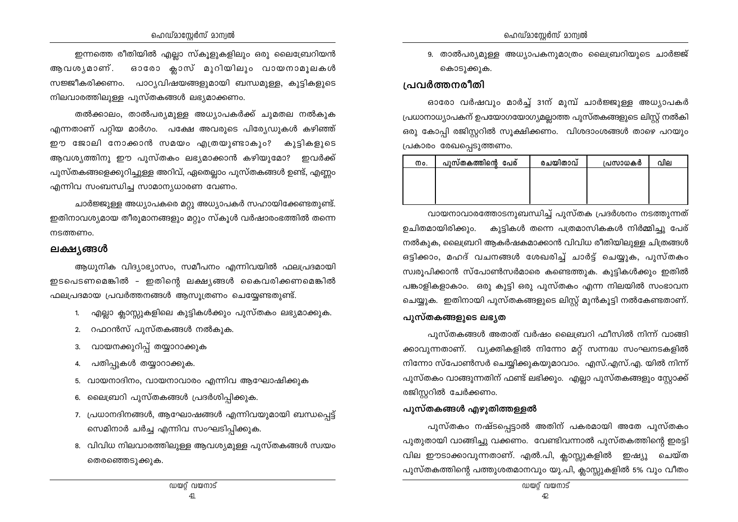ഇന്നത്തെ രീതിയിൽ എല്ലാ സ്കൂളുകളിലും ഒരു ലൈബ്രേറിയൻ ആവശൃമാണ്. ഓരോ ക്ലാസ് മുറിയിലും വായനാമുലകൾ സജ്ജീകരിക്കണം. പാഠ്യവിഷയങ്ങളുമായി ബന്ധമുള്ള, കൂട്ടികളുടെ നിലവാരത്തിലുള്ള പുസ്തകങ്ങൾ ലഭ്യമാക്കണം.

തൽക്കാലം, താൽപര്യമുള്ള അധ്യാപകർക്ക് ചുമതല നൽകുക എന്നതാണ് പറ്റിയ മാർഗം. പക്ഷേ അവരുടെ പിര്യേഡുകൾ കഴിഞ്ഞ് ഈ ജോലി നോക്കാൻ സമയം എത്രയുണ്ടാകും? കുട്ടികളുടെ ആവശ്യത്തിനു ഈ പുസ്തകം ലഭ്യമാക്കാൻ കഴിയുമോ? ഇവർക്ക് പുസ്തകങ്ങളെക്കുറിച്ചുള്ള അറിവ്, ഏതെല്ലാം പുസ്തകങ്ങൾ ഉണ്ട്, എണ്ണം എന്നിവ സംബന്ധിച്ച സാമാന്യധാരണ വേണം.

ചാർജ്ജുള്ള അധ്യാപകരെ മറ്റു അധ്യാപകർ സഹായിക്കേണ്ടതുണ്ട്. ഇതിനാവശ്യമായ തീരുമാനങ്ങളും മറ്റും സ്കൂൾ വർഷാരംഭത്തിൽ തന്നെ നടത്തണം.

#### ലക്ഷ്യങ്ങൾ

ആധുനിക വിദ്യാഭ്യാസം, സമീപനം എന്നിവയിൽ ഫലപ്രദമായി ഇടപെടണമെങ്കിൽ - ഇതിന്റെ ലക്ഷ്യങ്ങൾ കൈവരിക്കണമെങ്കിൽ ഫലപ്രദമായ പ്രവർത്തനങ്ങൾ ആസൂത്രണം ചെയ്യേണ്ടതുണ്ട്.

- 1. എല്ലാ ക്ലാസ്സുകളിലെ കുട്ടികൾക്കും പുസ്തകം ലഭ്യമാക്കുക.
- 2. റഫറൻസ് പുസ്തകങ്ങൾ നൽകുക.
- വായനക്കുറിപ്പ് തയ്യാറാക്കുക  $3.$
- പതിപ്പുകൾ തയ്യാറാക്കുക. 4.
- 5. വായനാദിനം, വായനാവാരം എന്നിവ ആഘോഷിക്കുക
- 6. ലൈബ്രറി പുസ്തകങ്ങൾ പ്രദർശിപ്പിക്കുക.
- 7. പ്രധാനദിനങ്ങൾ, ആഘോഷങ്ങൾ എന്നിവയുമായി ബന്ധപ്പെട്ട് സെമിനാർ ചർച്ച എന്നിവ സംഘടിപ്പിക്കുക.
- 8. വിവിധ നിലവാരത്തിലുള്ള ആവശ്യമുള്ള പുസ്തകങ്ങൾ സ്വയം തെരഞ്ഞെടുക്കുക.

9. താൽപര്യമുള്ള അധ്യാപകനുമാത്രം ലൈബ്രറിയുടെ ചാർജ്ജ് കൊടുക്കുക.

### പ്രവർത്തനരീതി

ഓരോ വർഷവും മാർച്ച് 31ന് മുമ്പ് ചാർജ്ജുള്ള അധ്യാപകർ പ്രധാനാധ്യാപകന് ഉപയോഗയോഗ്യമല്ലാത്ത പുസ്തകങ്ങളുടെ ലിസ്റ്റ് നൽകി ഒരു കോപ്പി രജിസ്റ്ററിൽ സൂക്ഷിക്കണം. വിശദാംശങ്ങൾ താഴെ പറയും പ്രകാരം രേഖപ്പെടുത്തണം.

| Mo. | പുസ്തകത്തിന്റെ പേര് | രചയിതാവ് | പ്രസാധകർ | വില |
|-----|---------------------|----------|----------|-----|
|     |                     |          |          |     |
|     |                     |          |          |     |
|     |                     |          |          |     |

വായനാവാരത്തോടനുബന്ധിച്ച് പുസ്തക പ്രദർശനം നടത്തുന്നത് ഉചിതമായിരിക്കും. കുട്ടികൾ തന്നെ പത്രമാസികകൾ നിർമ്മിച്ചു പേര് നൽകുക, ലൈബ്രറി ആകർഷകമാക്കാൻ വിവിധ രീതിയിലുള്ള ചിത്രങ്ങൾ ഒട്ടിക്കാം, മഹദ് വചനങ്ങൾ ശേഖരിച്ച് ചാർട്ട് ചെയ്യുക, പുസ്തകം സ്വരുപിക്കാൻ സ്പോൺസർമാരെ കണ്ടെത്തുക. കുട്ടികൾക്കും ഇതിൽ പങ്കാളികളാകാം. ഒരു കുട്ടി ഒരു പുസ്തകം എന്ന നിലയിൽ സംഭാവന ചെയ്യുക. ഇതിനായി പുസ്തകങ്ങളുടെ ലിസ്റ്റ് മുൻകുട്ടി നൽകേണ്ടതാണ്.

#### പൂസ്തകങ്ങളുടെ ലഭൃത

പുസ്തകങ്ങൾ അതാത് വർഷം ലൈബ്രറി ഫീസിൽ നിന്ന് വാങ്ങി ക്കാവുന്നതാണ്. വ്യക്തികളിൽ നിന്നോ മറ്റ് സന്നദ്ധ സംഘനടകളിൽ നിന്നോ സ്പോൺസർ ചെയ്യിക്കുകയുമാവാം. എസ്.എസ്.എ. യിൽ നിന്ന് പുസ്തകം വാങ്ങുന്നതിന് ഫണ്ട് ലഭിക്കും. എല്ലാ പുസ്തകങ്ങളും സ്റ്റോക്ക് രജിസ്റ്ററിൽ ചേർക്കണം.

### പുസ്തകങ്ങൾ എഴുതിത്തള്ളൽ

പുസ്തകം നഷ്ടപ്പെട്ടാൽ അതിന് പകരമായി അതേ പുസ്തകം പുതുതായി വാങ്ങിച്ചു വക്കണം. വേണ്ടിവന്നാൽ പുസ്തകത്തിന്റെ ഇരട്ടി വില ഈടാക്കാവുന്നതാണ്. എൽ.പി, ക്ലാസ്സുകളിൽ ഇഷ്യു ചെയ്ത പുസ്തകത്തിന്റെ പത്തുശതമാനവും യു.പി, ക്ലാസ്സുകളിൽ 5% വും വീതം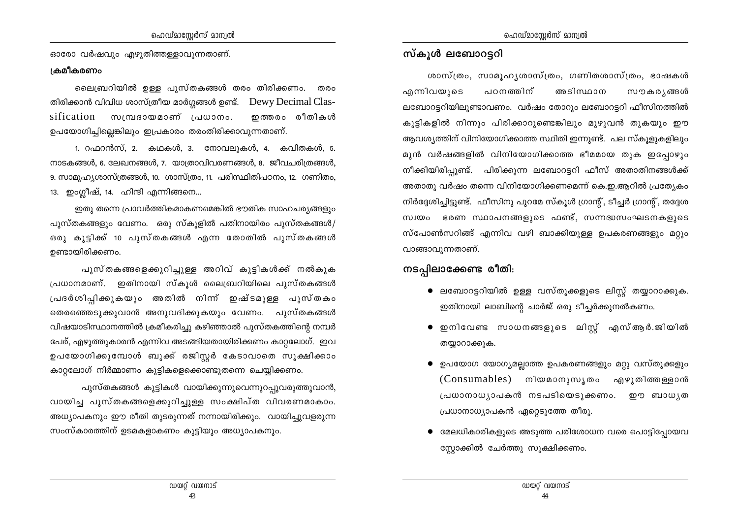ഓരോ വർഷവും എഴുതിത്തള്ളാവുന്നതാണ്.

#### ക്രമീകരണം

ലൈബ്രറിയിൽ ഉള്ള പൂസ്തകങ്ങൾ തരം തിരിക്കണം. തരം തിരിക്കാൻ വിവിധ ശാസ്ത്രീയ മാർഗ്ഗങ്ങൾ ഉണ്ട്. Dewy Decimal Classification സമ്പ്രദായമാണ് പ്രധാനം. ഇത്തരം രീതികൾ ഉപയോഗിച്ചില്ലെങ്കിലും ഇപ്രകാരം തരംതിരിക്കാവുന്നതാണ്.

1. റഫറൻസ്, 2. കഥകൾ, 3. നോവലുകൾ, 4. കവിതകൾ, 5. നാടകങ്ങൾ, 6. ലേഖനങ്ങൾ, 7. യാത്രാവിവരണങ്ങൾ, 8. ജീവചരിത്രങ്ങൾ, 9. സാമൂഹ്യശാസ്ത്രങ്ങൾ, 10. ശാസ്ത്രം, 11. പരിസ്ഥിതിപഠനം, 12. ഗണിതം, 13. ഇംഗ്ലീഷ്, 14. ഹിന്ദി എന്നിങ്ങനെ...

ഇതു തന്നെ പ്രാവർത്തികമാകണമെങ്കിൽ ഭൗതിക സാഹചര്യങ്ങളും പുസ്തകങ്ങളും വേണം. ഒരു സ്കൂളിൽ പതിനായിരം പുസ്തകങ്ങൾ/ ഒരു കുട്ടിക്ക് 10 പുസ്തകങ്ങൾ എന്ന തോതിൽ പുസ്തകങ്ങൾ ഉണ്ടായിരിക്കണം.

പുസ്തകങ്ങളെക്കുറിച്ചുള്ള അറിവ് കുട്ടികൾക്ക് നൽകുക പ്രധാനമാണ്. ഇതിനായി സ്കൂൾ ലൈബ്രറിയിലെ പുസ്തകങ്ങൾ പ്രദർശിപ്പിക്കുകയും അതിൽ നിന്ന് ഇഷ്ടമുള്ള പുസ്തകം തെരഞ്ഞെടുക്കുവാൻ അനുവദിക്കുകയും വേണം. പുസ്തകങ്ങൾ വിഷയാടിസ്ഥാനത്തിൽ ക്രമീകരിച്ചു കഴിഞ്ഞാൽ പുസ്തകത്തിന്റെ നമ്പർ പേര്, എഴുത്തുകാരൻ എന്നിവ അടങ്ങിയതായിരിക്കണം കാറ്റലോഗ്. ഇവ ഉപയോഗിക്കുമ്പോൾ ബുക്ക് രജിസ്റ്റർ കേടാവാതെ സൂക്ഷിക്കാം കാറ്റലോഗ് നിർമ്മാണം കുട്ടികളെക്കൊണ്ടുതന്നെ ചെയ്യിക്കണം.

പുസ്തകങ്ങൾ കുട്ടികൾ വായിക്കുന്നുവെന്നുറപ്പുവരുത്തുവാൻ, വായിച്ച പുസ്തകങ്ങളെക്കുറിച്ചുള്ള സംക്ഷിപ്ത വിവരണമാകാം. അധ്യാപകനും ഈ രീതി തുടരുന്നത് നന്നായിരിക്കും. വായിച്ചുവളരുന്ന സംസ്കാരത്തിന് ഉടമകളാകണം കുട്ടിയും അധ്യാപകനും.

## സ്കൂൾ ലബോറട്ടറി

ശാസ്ത്രം, സാമൂഹൃശാസ്ത്രം, ഗണിതശാസ്ത്രം, ഭാഷകൾ എന്നിവയുടെ പഠനത്തിന് അടിസ്ഥാന സൗകര്യങ്ങൾ ലബോറട്ടറിയിലുണ്ടാവണം. വർഷം തോറും ലബോറട്ടറി ഫീസിനത്തിൽ കുട്ടികളിൽ നിന്നും പിരിക്കാറുണ്ടെങ്കിലും മുഴുവൻ തുകയും ഈ ആവശ്യത്തിന് വിനിയോഗിക്കാത്ത സ്ഥിതി ഇന്നുണ്ട്. പല സ്കുളുകളിലും മുൻ വർഷങ്ങളിൽ വിനിയോഗിക്കാത്ത ഭീമമായ തുക ഇപ്പോഴും നീക്കിയിരിപ്പുണ്ട്. പിരിക്കുന്ന ലബോറട്ടറി ഫീസ് അതാതിനങ്ങൾക്ക് അതാതു വർഷം തന്നെ വിനിയോഗിക്കണമെന്ന് കെ.ഇ.ആറിൽ പ്രത്യേകം നിർദ്ദേശിച്ചിട്ടുണ്ട്. ഫീസിനു പുറമേ സ്കൂൾ ഗ്രാന്റ്, ടീച്ചർ ഗ്രാന്റ്, തദ്ദേശ സ്വയം ഭരണ സ്ഥാപനങ്ങളുടെ ഫണ്ട്, സന്നദ്ധസംഘടനകളുടെ സ്പോൺസറിങ്ങ് എന്നിവ വഴി ബാക്കിയുള്ള ഉപകരണങ്ങളും മറ്റും വാങ്ങാവുന്നതാണ്.

## നടപ്പിലാക്കേണ്ട രീതി:

- $\bullet$  ലബോറട്ടറിയിൽ ഉള്ള വസ്തൂക്കളുടെ ലിസ്റ്റ് തയ്യാറാക്കുക. ഇതിനായി ലാബിന്റെ ചാർജ് ഒരു ടീച്ചർക്കുനൽകണം.
- ഇനിവേണ്ട സാധനങ്ങളുടെ ലിസ്റ്റ് എസ്ആർ.ജിയിൽ തയ്യാറാക്കുക.
- ഉപയോഗ യോഗ്യമല്ലാത്ത ഉപകരണങ്ങളും മറ്റു വസ്തുക്കളും (Consumables) നിയമാനുസൃതം എഴുതിത്തള്ളാൻ പ്രധാനാധ്യാപകൻ നടപടിയെടുക്കണം. ഈ ബാധൃത പ്രധാനാധ്യാപകൻ ഏറ്റെടുത്തേ തീരൂ.
- മേലധികാരികളുടെ അടുത്ത പരിശോധന വരെ പൊട്ടിപ്പോയവ സ്റ്റോക്കിൽ ചേർത്തു സൂക്ഷിക്കണം.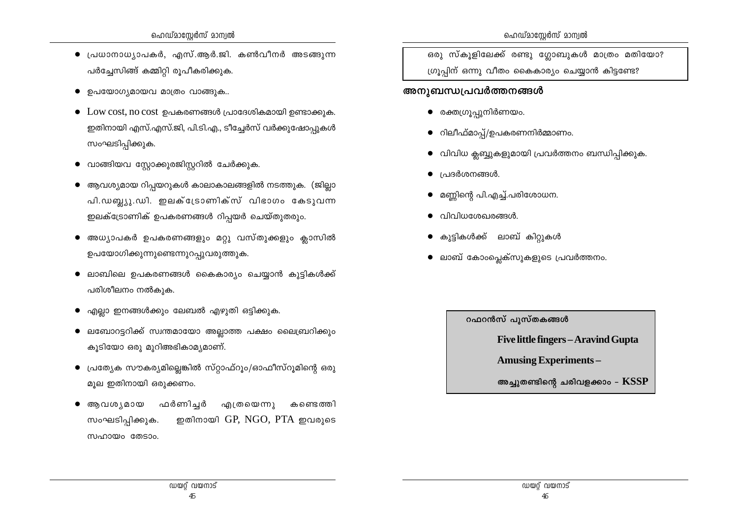- $\bullet$  പ്രധാനാധ്യാപകർ, എസ്.ആർ.ജി. കൺവീനർ അടങ്ങുന്ന പർച്ചേസിങ്ങ് കമ്മിറ്റി രൂപീകരിക്കുക.
- $\bullet$  ഉപയോഗ്യമായവ മാത്രം വാങ്ങുക..
- $\bullet$  Low cost, no cost ഉപകരണങ്ങൾ പ്രാദേശികമായി ഉണ്ടാക്കുക. ഇതിനായി എസ്.എസ്.ജി, പി.ടി.എ., ടീച്ചേർസ് വർക്കുഷോപുകൾ സംഘടിപ്പിക്കുക.
- വാങ്ങിയവ സ്റ്റോക്കുരജിസ്റ്ററിൽ ചേർക്കുക.
- ആവശ്യമായ റിപ്പയറുകൾ കാലാകാലങ്ങളിൽ നടത്തുക. (ജില്ലാ പി.ഡബ്ല്യു.ഡി. ഇലക്ട്രോണിക്സ് വിഭാഗം കേടുവന്ന ഇലക്ട്രോണിക് ഉപകരണങ്ങൾ റിപ്പയർ ചെയ്തുതരും.
- അധ്യാപകർ ഉപകരണങ്ങളും മറ്റു വസ്തുക്കളും ക്ലാസിൽ ഉപയോഗിക്കുന്നുണ്ടെന്നുറപ്പുവരുത്തുക.
- $\bullet$  ലാബിലെ ഉപകരണങ്ങൾ കൈകാര്യം ചെയ്യാൻ കുട്ടികൾക്ക് പരിശീലനം നൽകുക.
- എല്ലാ ഇനങ്ങൾക്കും ലേബൽ എഴുതി ഒട്ടിക്കുക.
- ലബോറട്ടറിക്ക് സ്വന്തമായോ അല്ലാത്ത പക്ഷം ലൈബ്രറിക്കും കുടിയോ ഒരു മുറിഅഭികാമ്യമാണ്.
- $\bullet$  പ്രത്യേക സൗകര്യമില്ലെങ്കിൽ സ്റ്റാഫ്റൂം/ഓഫീസ്റൂമിന്റെ ഒരു മൂല ഇതിനായി ഒരുക്കണം.
- ആവശ്യമായ ഫർണിച്ചർ എത്രയെന്നു കണ്ടെത്തി ഇതിനായി  $GP$ ,  $NGO$ ,  $PTA$  ഇവരുടെ സംഘടിപിക്കുക. സഹായം തേടാം.

ഒരു സ്കൂളിലേക്ക് രണ്ടു ഗ്ലോബുകൾ മാത്രം മതിയോ? ഗ്രൂപ്പിന് ഒന്നു വീതം കൈകാര്യം ചെയ്യാൻ കിട്ടണ്ടേ?

#### അനുബന്ധപ്രവർത്തനങ്ങൾ

- രക്തഗ്രൂപ്പുനിർണയം.
- റിലീഫ്മാപ്പ്/ഉപകരണനിർമ്മാണം.
- വിവിധ ക്ലബ്ബുകളുമായി പ്രവർത്തനം ബന്ധിപ്പിക്കുക.
- $\bullet$  പ്രദർശനങ്ങൾ.
- മണ്ണിന്റെ പി.എച്ച്.പരിശോധന.
- വിവിധശേഖരങ്ങൾ.  $\bullet$
- കുട്ടികൾക്ക് ലാബ് കിറ്റുകൾ
- ലാബ് കോംപ്ലെക്സുകളുടെ പ്രവർത്തനം.

റഫറൻസ് പുസ്തകങ്ങൾ

Five little fingers - Aravind Gupta

**Amusing Experiments -**

അച്ചുതണ്ടിന്റെ ചരിവളക്കാം –  $\operatorname{KSSP}$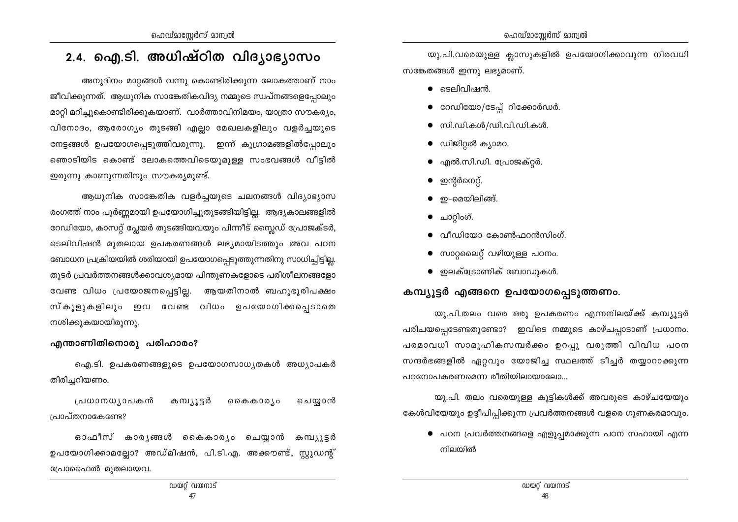## 2.4. ഐ.ടി. അധിഷ്ഠിത വിദ്യാഭ്യാസം

അനുദിനം മാറ്റങ്ങൾ വന്നു കൊണ്ടിരിക്കുന്ന ലോകത്താണ് നാം ജീവിക്കുന്നത്. ആധുനിക സാങ്കേതികവിദ്യ നമ്മുടെ സ്വപ്നങ്ങളെപ്പോലും മാറ്റി മറിച്ചുകൊണ്ടിരിക്കുകയാണ്. വാർത്താവിനിമയം, യാത്രാ സൗകര്യം, വിനോദം, ആരോഗ്യം തുടങ്ങി എല്ലാ മേഖലകളിലും വളർച്ചയുടെ നേട്ടങ്ങൾ ഉപയോഗപ്പെടുത്തിവരുന്നു. ഇന്ന് കുഗ്രാമങ്ങളിൽപ്പോലും ഞൊടിയിട കൊണ്ട് ലോകത്തെവിടെയുമുള്ള സംഭവങ്ങൾ വീട്ടിൽ ഇരുന്നു കാണുന്നതിനും സൗകര്യമുണ്ട്.

ആധുനിക സാങ്കേതിക വളർച്ചയുടെ ചലനങ്ങൾ വിദ്യാഭ്യാസ രംഗത്ത് നാം പൂർണ്ണമായി ഉപയോഗിച്ചുതുടങ്ങിയിട്ടില്ല. ആദ്യകാലങ്ങളിൽ റേഡിയോ, കാസറ്റ് പ്ലേയർ തുടങ്ങിയവയും പിന്നീട് സ്ലൈഡ് പ്രോജക്ടർ, ടെലിവിഷൻ മുതലായ ഉപകരണങ്ങൾ ലഭ്യമായിടത്തും അവ പഠന ബോധന പ്രക്രിയയിൽ ശരിയായി ഉപയോഗപ്പെടുത്തുന്നതിനു സാധിച്ചിട്ടില്ല. തുടർ പ്രവർത്തനങ്ങൾക്കാവശ്യമായ പിന്തുണകളോടെ പരിശീലനങ്ങളോ വേണ്ട വിധം പ്രയോജനപ്പെട്ടില്ല. ആയതിനാൽ ബഹുഭൂരിപക്ഷം സ്കൂളുകളിലും ഇവ വേണ്ട വിധം ഉപയോഗിക്കപ്പെടാതെ നശിക്കുകയായിരുന്നു.

#### എന്താണിതിനൊരു പരിഹാരം?

ഐ.ടി. ഉപകരണങ്ങളുടെ ഉപയോഗസാധ്യതകൾ അധ്യാപകർ തിരിച്ചറിയണം.

പ്രധാനധ്യാപകൻ കമ്പ്യൂട്ടർ കൈകാര്യം ചെയ്യാൻ പ്രാപ്തനാകേണ്ടേ?

ഓഫീസ് കാരൃങ്ങൾ കൈകാരൃം ചെയ്യാൻ കമ്പ്യൂട്ടർ ഉപയോഗിക്കാമല്ലോ? അഡ്മിഷൻ, പി.ടി.എ. അക്കൗണ്ട്, സ്റ്റുഡന്റ് പ്രോഫൈൽ മുതലായവ.

യു.പി.വരെയുള്ള ക്ലാസുകളിൽ ഉപയോഗിക്കാവുന്ന നിരവധി സങ്കേതങ്ങൾ ഇന്നു ലഭ്യമാണ്.

- $\bullet$  ടെലിവിഷൻ.
- റേഡിയോ/ടേപ്പ് റിക്കോർഡർ.
- $\bullet$  സി.ഡി.കൾ/ഡി.വി.ഡി.കൾ.
- $\bullet$  ഡിജിറ്റൽ ക്യാമറ.
- എൽ.സി.ഡി. പ്രോജക്റ്റർ.  $\bullet$
- ഇന്റർനെറ്റ്.
- $\bullet$  ഇ-മെയിലിങ്ങ്.
- ചാറ്റിംഗ്.
- വീഡിയോ കോൺഫറൻസിംഗ്.  $\bullet$
- സാറ്റലൈറ്റ് വഴിയുള്ള പഠനം.
- ഇലക്ട്രോണിക് ബോഡുകൾ.

## കമ്പ്യൂട്ടർ എങ്ങനെ ഉപയോഗപ്പെടുത്തണം.

യു.പി.തലം വരെ ഒരു ഉപകരണം എന്നനിലയ്ക്ക് കമ്പ്യൂട്ടർ പരിചയപ്പെടേണ്ടതുണ്ടോ? ഇവിടെ നമ്മുടെ കാഴ്ചപ്പാടാണ് പ്രധാനം. പരമാവധി സാമുഹികസമ്പർക്കം ഉറപ്പു വരുത്തി വിവിധ പഠന സന്ദർഭങ്ങളിൽ ഏറ്റവും യോജിച്ച സ്ഥലത്ത് ടീച്ചർ തയ്യാറാക്കുന്ന പഠനോപകരണമെന്ന രീതിയിലായാലോ...

യു.പി. തലം വരെയുള്ള കുട്ടികൾക്ക് അവരുടെ കാഴ്ചയേയും കേൾവിയേയും ഉദ്ദീപിപ്പിക്കുന്ന പ്രവർത്തനങ്ങൾ വളരെ ഗുണകരമാവും.

 $\bullet$  പഠന പ്രവർത്തനങ്ങളെ എളുപ്പമാക്കുന്ന പഠന സഹായി എന്ന നിലയിൽ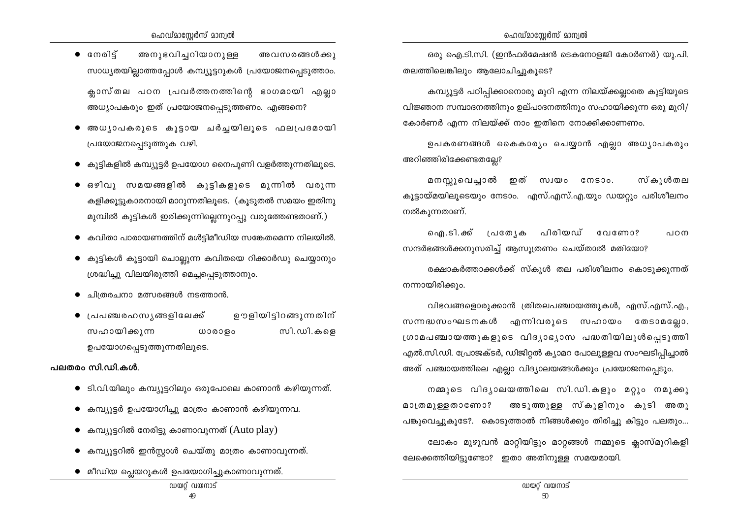- $\bullet$  cmols അനുഭവിച്ചറിയാനുള്ള അവസരങ്ങൾക്കു സാധ്യതയില്ലാത്തപ്പോൾ കമ്പ്യൂട്ടറുകൾ പ്രയോജനപ്പെടുത്താം. ക്ലാസ്തല പഠന പ്രവർത്തനത്തിന്റെ ഭാഗമായി എല്ലാ അധ്യാപകരും ഇത് പ്രയോജനപ്പെടുത്തണം. എങ്ങനെ?
- അധ്യപകരുടെ കൂട്ടായ ചർച്ചയിലുടെ ഫലപ്രദമായി പ്രയോജനപ്പെടുത്തുക വഴി.
- $\bullet$  കൂട്ടികളിൽ കമ്പ്യൂട്ടർ ഉപയോഗ നൈപൂണി വളർത്തുന്നതിലൂടെ.
- ഒഴിവു സമയങ്ങളിൽ കുട്ടികളുടെ മുന്നിൽ വരുന്ന കളിക്കുട്ടുകാരനായി മാറുന്നതിലുടെ. (കുടുതൽ സമയം ഇതിനു മുമ്പിൽ കുട്ടികൾ ഇരിക്കുന്നില്ലെന്നുറപ്പു വരുത്തേണ്ടതാണ്.)
- കവിതാ പാരായണത്തിന് മൾട്ടിമീഡിയ സങ്കേതമെന്ന നിലയിൽ.
- കുട്ടികൾ കൂട്ടായി ചൊല്ലുന്ന കവിതയെ റിക്കാർഡു ചെയ്യാനും ശ്രദ്ധിച്ചു വിലയിരുത്തി മെച്ചപ്പെടുത്താനും.
- ചിത്രരചനാ മത്സരങ്ങൾ നടത്താൻ.
- പ്രപഞ്ചരഹസ്യങ്ങളിലേക്ക് ഊളിയിട്ടിറങ്ങുന്നതിന് സഹായിക്കുന്ന സി.ഡി.കളെ  $W$ 000 $90$ ഉപയോഗപ്പെടുത്തുന്നതിലൂടെ.

#### പലതരം സി.ഡി.കൾ.

- ടി.വി.യിലും കമ്പ്യൂട്ടറിലും ഒരുപോലെ കാണാൻ കഴിയുന്നത്.
- $\bullet$  കമ്പ്യൂട്ടർ ഉപയോഗിച്ചു മാത്രം കാണാൻ കഴിയുന്നവ.
- കമ്പ്യൂട്ടറിൽ നേരിട്ടു കാണാവുന്നത് (Auto play)
- $\bullet$  കമ്പ്യൂട്ടറിൽ ഇൻസ്റ്റാൾ ചെയ്തു മാത്രം കാണാവുന്നത്.
- മീഡിയ പ്ലെയറുകൾ ഉപയോഗിച്ചുകാണാവുന്നത്.

ഒരു ഐ.ടി.സി. (ഇൻഫർമേഷൻ ടെകനോളജി കോർണർ) യു.പി. തലത്തിലെങ്കിലും ആലോചിച്ചുകൂടെ?

കമ്പ്യൂട്ടർ പഠിപ്പിക്കാനൊരു മുറി എന്ന നിലയ്ക്കല്ലാതെ കുട്ടിയുടെ വിജ്ഞാന സമ്പാദനത്തിനും ഉല്പാദനത്തിനും സഹായിക്കുന്ന ഒരു മുറി/ കോർണർ എന്ന നിലയ്ക്ക് നാം ഇതിനെ നോക്കിക്കാണണം.

ഉപകരണങ്ങൾ കൈകാര്യം ചെയ്യാൻ എല്ലാ അധ്യാപകരും അറിഞ്ഞിരിക്കേണ്ടതല്ലേ?

മനസ്സുവെച്ചാൽ ഇത് സ്വയം നേടാം. സ്കൂൾതല കൂട്ടായ്മയിലൂടെയും നേടാം. എസ്.എസ്.എ.യും ഡയറ്റും പരിശീലനം നൽകുന്നതാണ്.

ഐ.ടി.ക്ക് പ്രത്യേക പിരിയഡ് വേണോ? പഠന സന്ദർഭങ്ങൾക്കനുസരിച്ച് ആസുത്രണം ചെയ്താൽ മതിയോ?

രക്ഷാകർത്താക്കൾക്ക് സ്കൂൾ തല പരിശീലനം കൊടുക്കുന്നത് നന്നായിരിക്കും.

വിഭവങ്ങളൊരുക്കാൻ ത്രിതലപഞ്ചായത്തുകൾ, എസ്.എസ്.എ., സന്നദ്ധസംഘടനകൾ എന്നിവരുടെ സഹായം തേടാമല്ലോ. ശ്രാമപഞ്ചായത്തുകളുടെ വിദ്യാഭ്യാസ പദ്ധതിയിലുൾപ്പെടുത്തി എൽ.സി.ഡി. പ്രോജക്ടർ, ഡിജിറ്റൽ ക്യാമറ പോലുള്ളവ സംഘടിപ്പിച്ചാൽ അത് പഞ്ചായത്തിലെ എല്ലാ വിദ്യാലയങ്ങൾക്കും പ്രയോജനപ്പെടും.

നമ്മുടെ വിദൃാലയത്തിലെ സി.ഡി.കളും മറ്റും നമുക്കു അടുത്തുള്ള സ്കൂളിനും കൂടി അതു മാത്രമുള്ളതാണോ? പങ്കുവെച്ചുകൂടേ?. കൊടുത്താൽ നിങ്ങൾക്കും തിരിച്ചു കിട്ടും പലതും... ലോകം മുഴുവൻ മാറ്റിയിട്ടും മാറ്റങ്ങൾ നമ്മുടെ ക്ലാസ്മുറികളി ലേക്കെത്തിയിട്ടുണ്ടോ? ഇതാ അതിനുള്ള സമയമായി.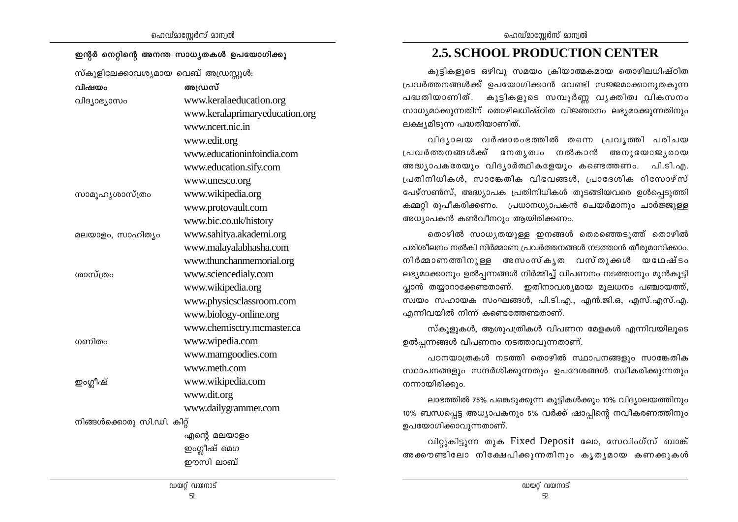| ഹെഡ്മാസ്റ്റേർസ് മാന്വൽ |  |
|------------------------|--|
|------------------------|--|

#### ഇന്റർ നെറ്റിന്റെ അനന്ത സാധ്യതകൾ ഉപയോഗിക്കൂ

 $m\lambda$ 

| വിഷയം                      | അഡ്രസ്                         |
|----------------------------|--------------------------------|
| വിദ്യാഭ്യാസം               | www.keralaeducation.org        |
|                            | www.keralaprimaryeducation.org |
|                            | www.ncert.nic.in               |
|                            | www.edit.org                   |
|                            | www.educationinfoindia.com     |
|                            | www.education.sify.com         |
|                            | www.unesco.org                 |
| സാമൂഹൃശാസ്ത്രം             | www.wikipedia.org              |
|                            | www.protovault.com             |
|                            | www.bic.co.uk/history          |
| മലയാളം, സാഹിത്യം           | www.sahitya.akademi.org        |
|                            | www.malayalabhasha.com         |
|                            | www.thunchanmemorial.org       |
| ശാസ്ത്രം                   | www.sciencedialy.com           |
|                            | www.wikipedia.org              |
|                            | www.physicsclassroom.com       |
|                            | www.biology-online.org         |
|                            | www.chemisctry.mcmaster.ca     |
| ഗണിതം                      | www.wipedia.com                |
|                            | www.mamgoodies.com             |
|                            | www.meth.com                   |
| ഇംഗ്ലീഷ്                   | www.wikipedia.com              |
|                            | www.dit.org                    |
|                            | www.dailygrammer.com           |
| നിങ്ങൾക്കൊരു സി.ഡി. കിറ്റ് |                                |
|                            | എന്റെ മലയാളം                   |
|                            | ഇംഗ്ലീഷ് മെഗ                   |
|                            | ഈസി ലാബ്                       |

## **2.5. SCHOOL PRODUCTION CENTER**

കുട്ടികളുടെ ഒഴിവു സമയം ക്രിയാത്മകമായ തൊഴിലധിഷ്ഠിത പ്രവർത്തനങ്ങൾക്ക് ഉപയോഗിക്കാൻ വേണ്ടി സജ്ജമാക്കാനുതകുന്ന പദ്ധതിയാണിത്. കുട്ടികളുടെ സമ്പൂർണ്ണ വൃക്തിത്വ വികസനം സാധ്യമാക്കുന്നതിന് തൊഴിലധിഷ്ഠിത വിജ്ഞാനം ലഭ്യമാക്കുന്നതിനും ലക്ഷ്യമിടുന്ന പദ്ധതിയാണിത്.

വിദൃാലയ വർഷാരംഭത്തിൽ തന്നെ പ്രവൃത്തി പരിചയ പ്രവർത്തനങ്ങൾക്ക് നേതൃത്വം നൽകാൻ അനുയോജ്യരായ അദ്ധ്യാപകരേയും വിദ്യാർത്ഥികളേയും കണ്ടെത്തണം. പി.ടി.എ. പ്രതിനിധികൾ, സാങ്കേതിക വിഭവങ്ങൾ, പ്രാദേശിക റിസോഴ്സ് പേഴ്സൺസ്, അദ്ധ്യാപക പ്രതിനിധികൾ തുടങ്ങിയവരെ ഉൾപ്പെടുത്തി കമ്മറ്റി രൂപീകരിക്കണം. പ്രധാനധ്യാപകൻ ചെയർമാനും ചാർജ്ജുള്ള അധ്യാപകൻ കൺവീനറും ആയിരിക്കണം.

തൊഴിൽ സാധ്യതയുള്ള ഇനങ്ങൾ തെരഞ്ഞെടുത്ത് തൊഴിൽ പരിശീലനം നൽകി നിർമ്മാണ പ്രവർത്തനങ്ങൾ നടത്താൻ തീരുമാനിക്കാം. നിർമ്മാണത്തിനുള്ള അസംസ്കൃത വസ്തുക്കൾ യഥേഷ്ടം ലഭ്യമാക്കാനും ഉൽപ്പന്നങ്ങൾ നിർമ്മിച്ച് വിപണനം നടത്താനും മുൻകൂട്ടി പ്ലാൻ തയ്യാറാക്കേണ്ടതാണ്. ഇതിനാവശ്യമായ മൂലധനം പഞ്ചായത്ത്, സ്വയം സഹായക സംഘങ്ങൾ, പി.ടി.എ., എൻ.ജി.ഒ, എസ്.എസ്.എ. എന്നിവയിൽ നിന്ന് കണ്ടെത്തേണ്ടതാണ്.

സ്കൂളുകൾ, ആശുപത്രികൾ വിപണന മേളകൾ എന്നിവയിലൂടെ ഉൽപ്പന്നങ്ങൾ വിപണനം നടത്താവുന്നതാണ്.

പഠനയാത്രകൾ നടത്തി തൊഴിൽ സ്ഥാപനങ്ങളും സാങ്കേതിക സ്ഥാപനങ്ങളും സന്ദർശിക്കുന്നതും ഉപദേശങ്ങൾ സ്വീകരിക്കുന്നതും നന്നായിരിക്കും.

ലാഭത്തിൽ 75% പങ്കെടുക്കുന്ന കുട്ടികൾക്കും 10% വിദ്യാലയത്തിനും 10% ബന്ധപ്പെട്ട അധ്യാപകനും 5% വർക്ക് ഷാപ്പിന്റെ നവീകരണത്തിനും ഉപയോഗിക്കാവുന്നതാണ്.

വിറ്റുകിട്ടുന്ന തുക Fixed Deposit ലോ, സേവിംഗ്സ് ബാങ്ക് അക്കൗണ്ടിലോ നിക്ഷേപിക്കുന്നതിനും കൃതൃമായ കണക്കുകൾ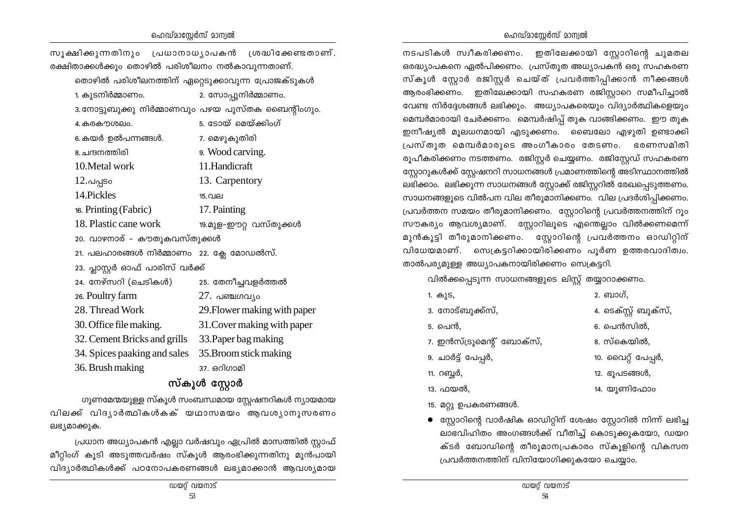#### ഹെഡ്മാസ്റ്റേർസ് മാന്വൽ

#### ഹെഡ്മാസ്റ്റേർസ് മാന്വൽ

| സൂക്ഷിക്കുന്നതിനും പ്രധാനാധ്യാപകൻ ശ്രദ്ധിക്കേണ്ടതാണ്. |                                                   |
|-------------------------------------------------------|---------------------------------------------------|
| രക്ഷിതാക്കൾക്കും തൊഴിൽ പരിശീലനം നൽകാവുന്നതാണ്.        |                                                   |
| തൊഴിൽ പരിശീലനത്തിന് ഏറ്റെടുക്കാവുന്ന പ്രോജക്ടുകൾ      |                                                   |
| 1. കുടനിർമ്മാണം.                                      | 2. സോപ്പുനിർമ്മാണം.                               |
|                                                       | 3.നോട്ടുബുക്കു നിർമ്മാണവും പഴയ പുസ്തക ബൈന്റിംഗും. |
| 4. കരകൗശലം.                                           | 5. ടോയ് മെയ്ക്കിംഗ്                               |
| 6.കയർ ഉൽപന്നങ്ങൾ.                                     | 7. മെഴുകുതിരി                                     |
| 8. ചന്ദനത്തിരി                                        | 9. Wood carving.                                  |
| 10. Metal work                                        | 11.Handicraft                                     |
| $12.$ പപ്പടം                                          | 13. Carpentory                                    |
| 14. Pickles                                           | 15.വല                                             |
| 16. Printing (Fabric)                                 | 17. Painting                                      |
| 18. Plastic cane work                                 | 19.മുള-ഈറ്റ വസ്തുക്കൾ                             |
| 20. വാഴനാര് - കൗതുകവസ്തുക്കൾ                          |                                                   |
| 21. പലഹാരങ്ങൾ നിർമ്മാണം  22. ക്ലേ മോഡൽസ്.             |                                                   |
| 23. പ്ലാസ്റ്റർ ഓഫ് പാരിസ് വർക്ക്                      |                                                   |
| 24. നേഴ്സറി (ചെടികൾ)                                  | 25. തേനീച്ചവളർത്തൽ                                |
| 26. Poultry farm                                      | $27.$ പഞ്ചഗവ്യം                                   |
| 28. Thread Work                                       | 29. Flower making with paper                      |
| 30. Office file making.                               | 31. Cover making with paper                       |
| 32. Cement Bricks and grills 33. Paper bag making     |                                                   |
| 34. Spices paaking and sales 35. Broom stick making   |                                                   |
| 36. Brush making                                      | 37. ഒറിഗാമി                                       |
|                                                       | സ്കൂൾ സ്റ്റോർ                                     |

ഗുണമേന്മയുള്ള സ്കൂൾ സംബന്ധമായ സ്റ്റേഷനറികൾ ന്യായമായ വിലക്ക് വിദൃാർത്ഥികൾകക് യഥാസമയം ആവശൃാനുസരണം ലഭ്യമാക്കുക.

(പധാന അധ്യാപകൻ എല്ലാ വർഷവും ഏപ്രിൽ മാസത്തിൽ സ്റ്റാഫ് മീറ്റിംഗ് കൂടി അടുത്തവർഷം സ്കൂൾ ആരംഭിക്കുന്നതിനു മുൻപായി വിദ്യാർത്ഥികൾക്ക് പഠനോപകരണങ്ങൾ ലഭ്യമാക്കാൻ ആവശ്യമായ

നടപടികൾ സ്വീകരിക്കണം. ഇതിലേക്കായി സ്റ്റോറിന്റെ ചുമതല ഒരദ്ധ്യാപകനെ ഏൽപിക്കണം. പ്രസ്തുത അധ്യാപകൻ ഒരു സഹകരണ സ്കൂൾ സ്റ്റോർ രജിസ്റ്റർ ചെയ്ത് പ്രവർത്തിപ്പിക്കാൻ നീക്കങ്ങൾ ആരംഭിക്കണം. ഇതിലേക്കായി സഹകരണ രജിസ്കാറെ സമീപിച്ചാൽ വേണ്ട നിർദ്ദേശങ്ങൾ ലഭിക്കും. അധ്യാപകരെയും വിദ്യാർത്ഥികളെയും മെമ്പർമാരായി ചേർക്കണം. മെമ്പർഷിപ് തുക വാങ്ങിക്കണം. ഈ തുക ഇനീഷ്യൽ മുലധനമായി എടുക്കണം. ബൈലോ എഴുതി ഉണ്ടാക്കി പ്രസ്തുത മെമ്പർമാരുടെ അംഗീകാരം തേടണം. ഭരണസമിതി രൂപീകരിക്കണം നടത്തണം. രജിസ്റ്റർ ചെയ്യണം. രജിസ്റ്റേഡ് സഹകരണ ന്യോറുകൾക്ക് സ്റ്റേഷനറി സാധനങ്ങൾ പ്രമാണത്തിന്റെ അടിസ്ഥാനത്തിൽ ലഭിക്കാം. ലഭിക്കുന്ന സാധനങ്ങൾ സ്റ്റോക്ക് രജിസ്റ്ററിൽ രേഖപ്പെടുത്തണം. സാധനങ്ങളുടെ വിൽപന വില തീരുമാനിക്കണം. വില പ്രദർശിപ്പിക്കണം. (പവർത്തന സമയം തീരുമാനിക്കണം. സ്റ്റോറിന്റെ പ്രവർത്തനത്തിന് റൂം സൗകര്യം ആവശ്യമാണ്. സ്റ്റോറിലൂടെ എന്തെല്ലാം വിൽക്കണമെന്ന് മുൻകൂട്ടി തീരുമാനിക്കണം. സ്റ്റോറിന്റെ പ്രവർത്തനം ഓഡിറ്റിന് വിധേയമാണ്. സെക്രട്ടറിക്കായിരിക്കണം പൂർണ ഉത്തരവാദിത്വം. താൽപര്യമുള്ള അധ്യാപകനായിരിക്കണം സെക്രട്ടറി.

വിൽക്കപ്പെടുന്ന സാധനങ്ങളുടെ ലിസ്റ്റ് തയ്യാറാക്കണം.

| 1. കുട,                   | 2. ബാഗ്.              |
|---------------------------|-----------------------|
| 3. നോട്ബുക്ക്സ്,          | 4. ടെക്സ്റ്റ് ബുക്സ്, |
| 5. പെൻ,                   | 6. പെൻസിൽ,            |
| 7. ഇൻസ്ട്രുമെന്റ് ബോക്സ്, | 8. സ്കെയിൽ,           |
| 9. ചാർട്ട് പേപ്പർ,        | 10. വൈറ്റ് പേപ്പർ,    |
| 11. റബ്ബർ,                | 12. ഭൂപടങ്ങൾ,         |
| 13. ഫയൽ,                  | 14. യൂണിഫോം           |
|                           |                       |

15. മറ്റു ഉപകരണങ്ങൾ.

 $\bullet$  സ്റ്റോറിന്റെ വാർഷിക ഓഡിറ്റിന് ശേഷം സ്റ്റോറിൽ നിന്ന് ലഭിച്ച ലാഭവിഹിതം അംഗങ്ങൾക്ക് വീതിച്ച് കൊടുക്കുകയോ, ഡയറ ക്ടർ ബോഡിന്റെ തീരുമാനപ്രകാരം സ്കൂളിന്റെ വികസന പ്രവർത്തനത്തിന് വിനിയോഗിക്കുകയോ ചെയ്യാം.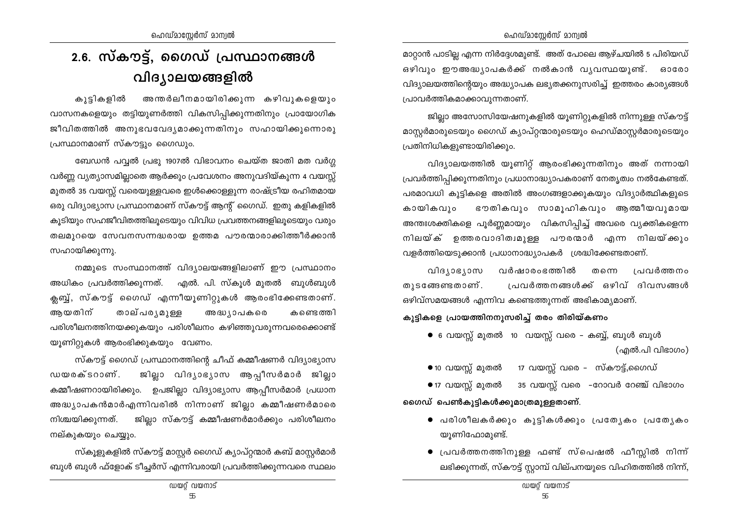## 2.6. സ്കൗട്ട്, ഗൈഡ് പ്രസ്ഥാനങ്ങൾ വിദ്യാലയങ്ങളിൽ

കൂടികളിൽ അന്തർലീനമായിരിക്കുന്ന കഴിവുകളെയും വാസനകളെയും തട്ടിയുണർത്തി വികസിപ്പിക്കുന്നതിനും പ്രായോഗിക ജീവിതത്തിൽ അനുഭവവേദ്യമാക്കുന്നതിനും സഹായിക്കുന്നൊരു പ്രസ്ഥാനമാണ് സ്കൗട്ടും ഗൈഡും.

ബേഡൻ പവ്വൽ പ്രഭു 1907ൽ വിഭാവനം ചെയ്ത ജാതി മത വർഗ്ഗ വർണ്ണ വ്യത്യാസമില്ലാതെ ആർക്കും പ്രവേശനം അനുവദിയ്കുന്ന 4 വയസ്സ് മുതൽ 35 വയസ്സ് വരെയുള്ളവരെ ഇൾക്കൊള്ളുന്ന രാഷ്ട്രീയ രഹിതമായ ഒരു വിദ്യാഭ്യാസ പ്രസ്ഥാനമാണ് സ്കൗട്ട് ആന്റ് ഗൈഡ്. ഇതു കളികളിൽ കുടിയും സഹജീവിതത്തിലുടെയും വിവിധ പ്രവത്തനങ്ങളിലുടെയും വരും തലമുറയെ സേവനസന്നദ്ധരായ ഉത്തമ പൗരന്മാരാക്കിത്തീർക്കാൻ സഹായിക്കുന്നു.

നമ്മുടെ സംസ്ഥാനത്ത് വിദ്യാലയങ്ങളിലാണ് ഈ പ്രസ്ഥാനം അധികം പ്രവർത്തിക്കുന്നത്. എൽ. പി. സ്കൂൾ മുതൽ ബുൾബുൾ ക്ലബ്ബ്, സ്കൗട്ട് ഗൈഡ് എന്നീയൂണിറ്റുകൾ ആരംഭിക്കേണ്ടതാണ്. ആയതിന് താല്പരൃമുള്ള അദ്ധ്യാപകരെ കണ്ടെത്തി പരിശീലനത്തിനയക്കുകയും പരിശീലനം കഴിഞ്ഞുവരുന്നവരെക്കൊണ്ട് യൂണിറ്റുകൾ ആരംഭിക്കുകയും വേണം.

സ്കൗട്ട് ഗൈഡ് പ്രസ്ഥാനത്തിന്റെ ചീഫ് കമ്മീഷണർ വിദ്യാഭ്യാസ ഡയരക്ടറാണ്. ജില്ലാ വിദൃാഭൃാസ ആപ്പീസർമാർ ജില്ലാ കമ്മീഷണറായിരിക്കും. ഉപജില്ലാ വിദ്യാഭ്യാസ ആപ്പീസർമാർ പ്രധാന അദ്ധ്യാപകൻമാർഎന്നിവരിൽ നിന്നാണ് ജില്ലാ കമ്മീഷണർമാരെ നിശ്ചയിക്കുന്നത്. ജില്ലാ സ്കൗട്ട് കമ്മീഷണർമാർക്കും പരിശീലനം നല്കുകയും ചെയ്യും.

സ്കൂളുകളിൽ സ്കൗട്ട് മാസ്റ്റർ ഗൈഡ് ക്യാപ്റ്റന്മാർ കബ് മാസ്റ്റർമാർ ബുൾ ബുൾ ഫ്ളോക് ടീച്ചർസ് എന്നിവരായി പ്രവർത്തിക്കുന്നവരെ സ്ഥലം മാറ്റാൻ പാടില്ല എന്ന നിർദ്ദേശമുണ്ട്. അത് പോലെ ആഴ്ചയിൽ 5 പിരിയഡ് ഒഴിവും ഈഅദ്ധ്യാപകർക്ക് നൽകാൻ വൃവസ്ഥയുണ്ട്. ഓരോ വിദ്യാലയത്തിന്റെയും അദ്ധ്യാപക ലഭ്യതക്കനുസരിച്ച് ഇത്തരം കാര്യങ്ങൾ പ്രാവർത്തികമാക്കാവുന്നതാണ്.

ജില്ലാ അസോസിയേഷനുകളിൽ യൂണിറ്റുകളിൽ നിന്നുള്ള സ്കൗട്ട് മാസ്റ്റർമാരുടെയും ഗൈഡ് ക്യാപ്റ്റന്മാരുടെയും ഹെഡ്മാസ്റ്റർമാരുടെയും പ്രതിനിധികളുണ്ടായിരിക്കും.

വിദ്യാലയത്തിൽ യൂണിറ്റ് ആരംഭിക്കുന്നതിനും അത് നന്നായി പ്രവർത്തിപിക്കുന്നതിനും പ്രധാനാദ്ധ്യാപകരാണ് നേതൃത്വം നൽകേണ്ടത്. പരമാവധി കുട്ടികളെ അതിൽ അംഗങ്ങളാക്കുകയും വിദ്യാർത്ഥികളുടെ ഭൗതികവും സാമുഹികവും ആത്മീയവുമായ കായികവും അന്തഃശക്തികളെ പൂർണ്ണമായും വികസിപ്പിച്ച് അവരെ വ്യക്തികളെന്ന നിലയ്ക് ഉത്തരവാദിത്വമുള്ള പൗരന്മാർ എന്ന നിലയ്ക്കും വളർത്തിയെടുക്കാൻ പ്രധാനാദ്ധ്യാപകർ ശ്രദ്ധിക്കേണ്ടതാണ്.

വിദൃാഭൃാസ വർഷാരംഭത്തിൽ തന്നെ ്പവർത്തനം പ്രവർത്തനങ്ങൾക്ക് ഒഴിവ് ദിവസങ്ങൾ തുടങ്ങേണ്ടതാണ്. ഒഴിവ്സമയങ്ങൾ എന്നിവ കണ്ടെത്തുന്നത് അഭികാമൃമാണ്.

### കുട്ടികളെ പ്രായത്തിനനുസരിച്ച് തരം തിരിയ്കണം

 $\bullet$  6 വയസ്സ് മുതൽ 10 വയസ്സ് വരെ – കബ്ബ്, ബുൾ ബുൾ (എൽ.പി വിഭാഗം)

 $\bullet$  10 വയസ്സ് മുതൽ 17 വയസ്സ് വരെ – സ്കൗട്ട്,ഗൈഡ്  $\bullet$  17 വയസ്സ് മുതൽ 35 വയസ്സ് വരെ -റോവർ റേഞ്ച് വിഭാഗം ഗൈഡ് പെൺകുട്ടികൾക്കുമാത്രമുള്ളതാണ്.

- $\bullet$  പരിശീലകർക്കും കുട്ടികൾക്കും പ്രത്യേകം പ്രത്യേകം യൂണിഫോമുണ്ട്.
- പ്രവർത്തനത്തിനുള്ള ഫണ്ട് സ്പെഷൽ ഫീസ്റ്റിൽ നിന്ന് ലഭിക്കുന്നത്, സ്കൗട്ട് സ്റ്റാമ്പ് വില്പനയുടെ വിഹിതത്തിൽ നിന്ന്,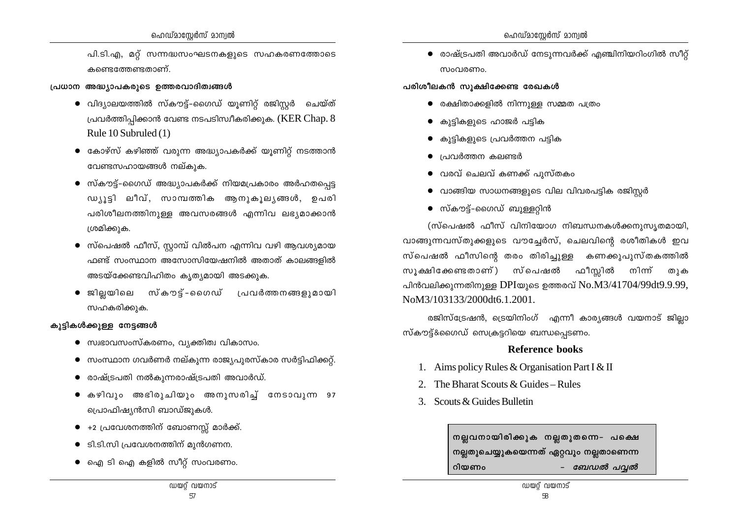പി.ടി.എ, മറ്റ് സന്നദ്ധസംഘടനകളുടെ സഹകരണത്തോടെ കണ്ടെത്തേണ്ടതാണ്.

#### പ്രധാന അദ്ധ്യാപകരുടെ ഉത്തരവാദിത്വങ്ങൾ

- വിദ്യാലയത്തിൽ സ്കൗട്ട്–ഗൈഡ് യൂണിറ്റ് രജിസ്റ്റർ ചെയ്ത് പ്രവർത്തിപിക്കാൻ വേണ്ട നടപടിസ്വീകരിക്കുക. ( $KER Chap. 8$ Rule 10 Subruled (1)
- $\bullet$  കോഴ്സ് കഴിഞ്ഞ് വരുന്ന അദ്ധ്യാപകർക്ക് യുണിറ്റ് നടത്താൻ വേണ്ടസഹായങ്ങൾ നല്കുക.
- സ്കൗട്ട്-ഗൈഡ് അദ്ധ്യാപകർക്ക് നിയമപ്രകാരം അർഹതപ്പെട്ട  $wy_{12}$ ടി ലീവ്, സാമ്പത്തിക ആനുകുലൃങ്ങൾ, ഉപരി പരിശീലനത്തിനുള്ള അവസരങ്ങൾ എന്നിവ ലഭ്യമാക്കാൻ ശ്രമിക്കുക.
- $\bullet$  സ്പെഷൽ ഫീസ്, സ്റ്റാമ്പ് വിൽപന എന്നിവ വഴി ആവശ്യമായ ഫണ്ട് സംസ്ഥാന അസോസിയേഷനിൽ അതാത് കാലങ്ങളിൽ അടയ്ക്കേണ്ടവിഹിതം കൃത്യമായി അടക്കുക.
- ജിലയിലെ സ്കൗട്-ഗൈഡ് പ്രവർത്തനങ്ങളുമായി സഹകരിക്കുക.

#### കുട്ടികൾക്കുള്ള നേട്ടങ്ങൾ

- സ്വഭാവസംസ്കരണം, വൃക്തിത്വ വികാസം.
- സംസ്ഥാന ഗവർണർ നല്കുന്ന രാജ്യപുരസ്കാര സർട്ടിഫിക്കറ്റ്.
- രാഷ്ട്രപതി നൽകുന്നരാഷ്ട്രപതി അവാർഡ്.
- കഴിവും അഭിരുചിയും അനുസരിച്ച് നേടാവുന്ന 97 പ്രൊഫിഷ്യൻസി ബാഡ്ജുകൾ.
- +2 പ്രവേശനത്തിന് ബോണസ്സ് മാർക്ക്.
- $\bullet$   $\,$  ടി.ടി.സി പ്രവേശനത്തിന് മുൻഗണന.
- $\bullet$  ഐ ടി ഐ കളിൽ സീറ്റ് സംവരണം.

 $\bullet$  രാഷ്ട്രപതി അവാർഡ് നേടുന്നവർക്ക് എഞ്ചിനിയറിംഗിൽ സീറ്റ് സഹത്തെപ

#### പരിശീലകൻ സുക്ഷിക്കേണ്ട രേഖകൾ

- $\bullet$  രക്ഷിതാക്കളിൽ നിന്നുള്ള സമ്മത പത്രം
- കുട്ടികളുടെ ഹാജർ പട്ടിക
- കൂട്ടികളുടെ പ്രവർത്തന പട്ടിക
- ്പവർത്തന കലണ്ടർ
- $\bullet$  വരവ് ചെലവ് കണക്ക് പുസ്തകം
- $\bullet$  വാങ്ങിയ സാധനങ്ങളുടെ വില വിവരപട്ടിക രജിസ്റ്റർ
- സ്കൗട്ട്–ഗൈഡ് ബുള്ളറ്റിൻ

(സ്പെഷൽ ഫീസ് വിനിയോഗ നിബന്ധനകൾക്കനുസൃതമായി, വാങ്ങുന്നവസ്തുക്കളുടെ വൗച്ചേർസ്, ചെലവിന്റെ രശീതികൾ ഇവ സ്പെഷൽ ഫീസിന്റെ തരം തിരിച്ചുള്ള കണക്കുപുസ്തകത്തിൽ സൂക്ഷിക്കേണ്ടതാണ്) സ്പെഷൽ ഫീസ്റ്റിൽ നിന്ന് തുക പിൻവലിക്കുന്നതിനുള്ള DPIയുടെ ഉത്തരവ്  $No.M3/41704/99dt9.9.99$ , NoM3/103133/2000dt6.1.2001.

രജിസ്ട്രേഷൻ, ട്രെയിനിംഗ് എന്നീ കാര്യങ്ങൾ വയനാട് ജില്ലാ സ്കൗട്ട്&ഗൈഡ് സെക്രട്ടറിയെ ബന്ധപ്പെടണം.

#### **Reference books**

- 1. Aims policy Rules & Organisation Part I & II
- 2. The Bharat Scouts  $&$  Guides Rules
- 3. Scouts & Guides Bulletin

നല്ലവനായിരിക്കുക നല്ലതുതന്നെ- പക്ഷെ നല്ലതുചെയ്യുകയെന്നത് ഏറ്റവും നല്ലതാണെന്ന - ബേഡൽ പവ്വൽ റിയണം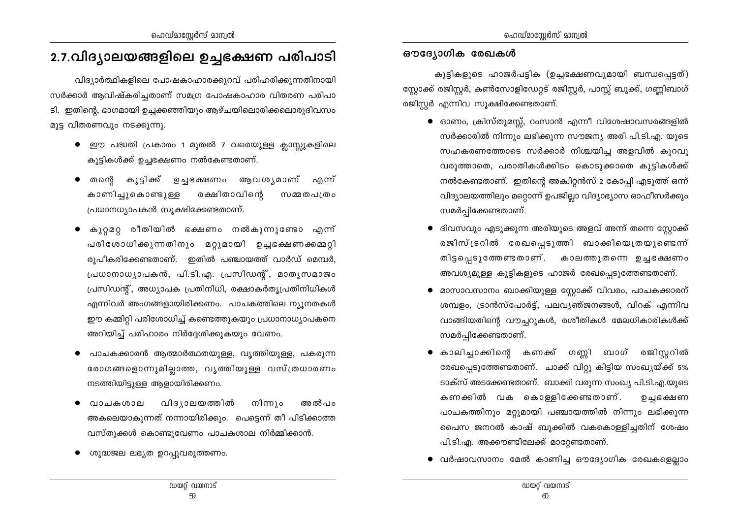## 2.7.വിദ്യാലയങ്ങളിലെ ഉച്ചഭക്ഷണ പരിപാടി

വിദ്യാർത്ഥികളിലെ പോഷകാഹാരക്കുറവ് പരിഹരിക്കുന്നതിനായി സർക്കാർ ആവിഷ്കരിച്ചതാണ് സമഗ്ര പോഷകാഹാര വിതരണ പരിപാ ടി. ഇതിന്റെ, ഭാഗമായി ഉച്ചക്കഞ്ഞിയും ആഴ്ചയിലൊരിക്കലൊരുദിവസം മുട്ട വിതരണവും നടക്കുന്നു.

- ഈ പദ്ധതി പ്രകാരം 1 മുതൽ 7 വരെയുള്ള ക്ലാസ്സുകളിലെ കുട്ടികൾക്ക് ഉച്ചഭക്ഷണം നൽകേണ്ടതാണ്.
- തന്റെ കുട്ടിക്ക് ഉച്ചഭക്ഷണം ആവശൃമാണ് എന്ന് കാണിച്ചുകൊണ്ടുള്ള രക്ഷിതാവിന്റെ സമ്മതപത്രം പ്രധാനധ്യാപകൻ സുക്ഷിക്കേണ്ടതാണ്.
- കുറ്റമറ്റ രീതിയിൽ ഭക്ഷണം നൽകുന്നുണ്ടോ എന്ന് പരിശോധിക്കുന്നതിനും മറ്റുമായി ഉച്ചഭക്ഷണക്കമ്മറ്റി രൂപീകരിക്കേണ്ടതാണ്. ഇതിൽ പഞ്ചായത്ത് വാർഡ് മെമ്പർ, പ്രധാനാധ്യാപകൻ, പി.ടി.എ. പ്രസിഡന്റ്, മാതൃസമാജം പ്രസിഡന്റ്, അധ്യാപക പ്രതിനിധി, രക്ഷാകർത്യപ്രതിനിധികൾ എന്നിവർ അംഗങ്ങളായിരിക്കണം. പാചകത്തിലെ ന്യൂനതകൾ ഈ കമ്മിറ്റി പരിശോധിച്ച് കണ്ടെത്തുകയും പ്രധാനാധ്യാപകനെ അറിയിച്ച് പരിഹാരം നിർദ്ദേശിക്കുകയും വേണം.
- പാചകക്കാരൻ ആത്മാർത്ഥതയുള്ള, വൃത്തിയുള്ള, പകരുന്ന രോഗങ്ങളൊന്നുമില്ലാത്ത, വൃത്തിയുള്ള വസ്ത്രധാരണം നടത്തിയിട്ടുള്ള ആളായിരിക്കണം.
- വിദ്യാലയത്തിൽ വാചകശാല നിന്നും അൽപറ അകലെയാകുന്നത് നന്നായിരിക്കും. പെട്ടെന്ന് തീ പിടിക്കാത്ത വസ്തുക്കൾ കൊണ്ടുവേണം പാചകശാല നിർമ്മിക്കാൻ.
- ശുദ്ധജല ലഭ്യത ഉറപ്പുവരുത്തണം.

#### ഔദ്യോഗിക രേഖകൾ

കുട്ടികളുടെ ഹാജർപട്ടിക (ഉച്ചഭക്ഷണവുമായി ബന്ധപ്പെട്ടത്) സ്റ്റോക്ക് രജിസ്റ്റർ, കൺസോളിഡേറ്റട് രജിസ്റ്റർ, പാസ്സ് ബുക്ക്, ഗണ്ണിബാഗ് രജിസ്റ്റർ എന്നിവ സൂക്ഷിക്കേണ്ടതാണ്.

- $\bullet$  ഓണം, ക്രിസ്തുമസ്സ്, റംസാൻ എന്നീ വിശേഷാവസരങ്ങളിൽ സർക്കാരിൽ നിന്നും ലഭിക്കുന്ന സൗജന്യ അരി പി.ടി.എ. യുടെ സഹകരണത്തോടെ സർക്കാർ നിശ്ചയിച്ച അളവിൽ കുറവു വരുത്താതെ, പരാതികൾക്കിടം കൊടുക്കാതെ കുട്ടികൾക്ക് നൽകേണ്ടതാണ്. ഇതിന്റെ അക്വിറ്റൻസ് 2 കോപ്പി എടുത്ത് ഒന്ന് വിദ്യാലയത്തിലും മറ്റൊന്ന് ഉപജില്ലാ വിദ്യാഭ്യാസ ഓഫീസർക്കും സമർപ്പിക്കേണ്ടതാണ്.
- ദിവസവും എടുക്കുന്ന അരിയുടെ അളവ് അന്ന് തന്നെ സ്റ്റോക്ക് രജിസ്ട്രറിൽ രേഖപ്പെടുത്തി ബാക്കിയെത്രയുണ്ടെന്ന് തിട്ടപ്പെടുത്തേണ്ടതാണ്. കാലത്തുതന്നെ ഉച്ചഭക്ഷണം അവശ്യമുള്ള കുട്ടികളുടെ ഹാജർ രേഖപ്പെടുത്തേണ്ടതാണ്.
- മാസാവസാനം ബാക്കിയുള്ള സ്റ്റോക്ക് വിവരം, പാചകക്കാരന് ശമ്പളം, ട്രാൻസ്പോർട്ട്, പലവൃഞ്ജനങ്ങൾ, വിറക് എന്നിവ വാങ്ങിയതിന്റെ വൗച്ചറുകൾ, രശീതികൾ മേലധികാരികൾക്ക് സമർപ്പിക്കേണ്ടതാണ്.
- കാലിച്ചാക്കിന്റെ കണക്ക് ഗണ്ണി ബാഗ് രജിസ്റ്ററിൽ രേഖപ്പെടുത്തേണ്ടതാണ്. ചാക്ക് വിറ്റു കിട്ടിയ സംഖ്യയ്ക്ക് 5% ടാക്സ് അടക്കേണ്ടതാണ്. ബാക്കി വരുന്ന സംഖ്യ പി.ടി.എ.യുടെ കണക്കിൽ വക കൊള്ളിക്കേണ്ടതാണ്. ഉച്ചഭക്ഷണ പാചകത്തിനും മറ്റുമായി പഞ്ചായത്തിൽ നിന്നും ലഭിക്കുന്ന പൈസ ജനറൽ കാഷ് ബുക്കിൽ വകകൊള്ളിച്ചതിന് ശേഷം പി.ടി.എ. അക്കൗണ്ടിലേക്ക് മാറ്റേണ്ടതാണ്.
- $\bullet$  വർഷാവസാനം മേൽ കാണിച്ച ഔദ്യോഗിക രേഖകളെല്ലാം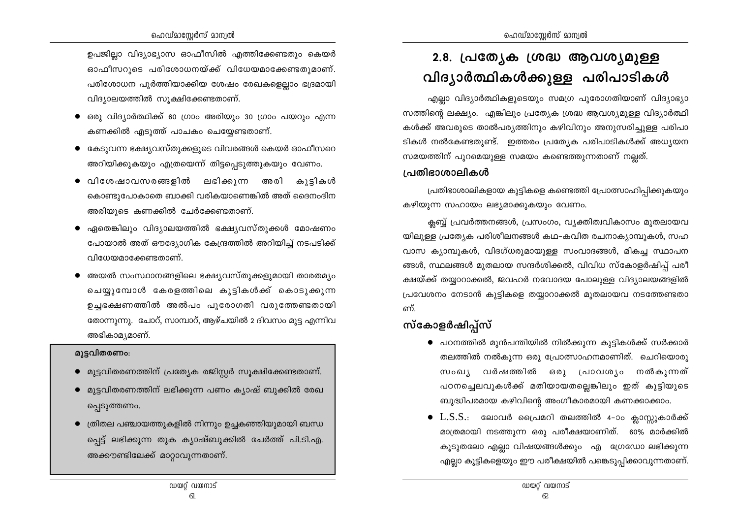ഉപജില്ലാ വിദ്യാഭ്യാസ ഓഫീസിൽ എത്തിക്കേണ്ടതും കെയർ ഓഫീസറുടെ പരിശോധനയ്ക്ക് വിധേയമാക്കേണ്ടതുമാണ്. പരിശോധന പൂർത്തിയാക്കിയ ശേഷം രേഖകളെല്ലാം ഭദ്രമായി വിദ്യാലയത്തിൽ സുക്ഷിക്കേണ്ടതാണ്.

- ഒരു വിദ്യാർത്ഥിക്ക് 60 ഗ്രാം അരിയും 30 ഗ്രാം പയറും എന്ന കണക്കിൽ എടുത്ത് പാചകം ചെയ്യേണ്ടതാണ്.
- കേടുവന്ന ഭക്ഷ്യവസ്തുക്കളുടെ വിവരങ്ങൾ കെയർ ഓഫീസറെ അറിയിക്കുകയും എത്രയെന്ന് തിട്ടപ്പെടുത്തുകയും വേണം.
- വിശേഷാവസരങ്ങളിൽ ലഭിക്കുന്ന അരി കുട്ടികൾ കൊണ്ടുപോകാതെ ബാക്കി വരികയാണെങ്കിൽ അത് ദൈനംദിന അരിയുടെ കണക്കിൽ ചേർക്കേണ്ടതാണ്.
- ഏതെങ്കിലും വിദ്യാലയത്തിൽ ഭക്ഷ്യവസ്തുക്കൾ മോഷണം പോയാൽ അത് ഔദ്യോഗിക കേന്ദ്രത്തിൽ അറിയിച്ച് നടപടിക്ക് വിധേയമാക്കേണ്ടതാണ്.
- അയൽ സംസ്ഥാനങ്ങളിലെ ഭക്ഷ്യവസ്തുക്കളുമായി താരതമ്യം ചെയ്യുമ്പോൾ കേരളത്തിലെ കുട്ടികൾക്ക് കൊടുക്കുന്ന ഉച്ചഭക്ഷണത്തിൽ അൽപം പുരോഗതി വരുത്തേണ്ടതായി തോന്നുന്നു. ചോറ്, സാമ്പാറ്, ആഴ്ചയിൽ 2 ദിവസം മുട്ട എന്നിവ അഭികാമ്യമാണ്.

#### മുട്ടവിതരണം:

- $\bullet$  മുട്ടവിതരണത്തിന് പ്രത്യേക രജിസ്റ്റർ സൂക്ഷിക്കേണ്ടതാണ്.
- മുട്ടവിതരണത്തിന് ലഭിക്കുന്ന പണം ക്യാഷ് ബുക്കിൽ രേഖ പ്പെടുത്തണം.
- $\bullet$  ത്രിതല പഞ്ചായത്തുകളിൽ നിന്നും ഉച്ചകഞ്ഞിയുമായി ബന്ധ പ്പെട്ട് ലഭിക്കുന്ന തുക ക്യാഷ്ബുക്കിൽ ചേർത്ത് പി.ടി.എ. അക്കൗണ്ടിലേക്ക് മാറ്റാവുന്നതാണ്.

## 2.8. പ്രത്യേക ശ്രദ്ധ ആവശ്യമുള്ള വിദ്യാർത്ഥികൾക്കുള്ള പരിപാടികൾ

എല്ലാ വിദ്യാർത്ഥികളുടെയും സമഗ്ര പുരോഗതിയാണ് വിദ്യാഭ്യാ സത്തിന്റെ ലക്ഷ്യം. എങ്കിലും പ്രത്യേക ശ്രദ്ധ ആവശ്യമുള്ള വിദ്യാർത്ഥി കൾക്ക് അവരുടെ താൽപര്യത്തിനും കഴിവിനും അനുസരിച്ചുള്ള പരിപാ ടികൾ നൽകേണ്ടതുണ്ട്. ഇത്തരം പ്രത്യേക പരിപാടികൾക്ക് അധ്യയന സമയത്തിന് പുറമെയുള്ള സമയം കണ്ടെത്തുന്നതാണ് നല്ലത്.

#### പ്രതിഭാശാലികൾ

പ്രതിഭാശാലികളായ കുട്ടികളെ കണ്ടെത്തി പ്രോത്സാഹിപ്പിക്കുകയും കഴിയുന്ന സഹായം ലഭ്യമാക്കുകയും വേണം.

ക്ലബ്ബ് പ്രവർത്തനങ്ങൾ, പ്രസംഗം, വ്യക്തിത്വവികാസം മുതലായവ യിലുള്ള പ്രത്യേക പരിശീലനങ്ങൾ കഥ-കവിത രചനാക്യാമ്പുകൾ, സഹ വാസ ക്യാമ്പുകൾ, വിദഗ്ധരുമായുള്ള സംവാദങ്ങൾ, മികച്ച സ്ഥാപന ങ്ങൾ, സ്ഥലങ്ങൾ മുതലായ സന്ദർശിക്കൽ, വിവിധ സ്കോളർഷിപ്പ് പരീ ക്ഷയ്ക്ക് തയ്യാറാക്കൽ, ജവഹർ നവോദയ പോലുള്ള വിദ്യാലയങ്ങളിൽ പ്രവേശനം നേടാൻ കുട്ടികളെ തയ്യാറാക്കൽ മുതലായവ നടത്തേണ്ടതാ ണ്.

## സ്കോളർഷിപ്പ്സ്

- $\bullet$  പഠനത്തിൽ മുൻപന്തിയിൽ നിൽക്കുന്ന കുട്ടികൾക്ക് സർക്കാർ തലത്തിൽ നൽകുന്ന ഒരു പ്രോത്സാഹനമാണിത്. ചെറിയൊരു സംഖ്യ വർഷത്തിൽ ഒരു പ്രാവശ്യം നൽകുന്നത് പഠനച്ചെലവുകൾക്ക് മതിയായതല്ലെങ്കിലും ഇത് കുട്ടിയുടെ ബുദ്ധിപരമായ കഴിവിന്റെ അംഗീകാരമായി കണക്കാക്കാം.
- $\bullet$   $\rm L.S.S.:$  ലോവർ പ്രൈമറി തലത്തിൽ 4-ാം ക്ലാസ്ക്കുകാർക്ക് മാത്രമായി നടത്തുന്ന ഒരു പരീക്ഷയാണിത്. 60% മാർക്കിൽ കൂടുതലോ എല്ലാ വിഷയങ്ങൾക്കും എ ഗ്രേഡോ ലഭിക്കുന്ന എല്ലാ കുട്ടികളെയും ഈ പരീക്ഷയിൽ പങ്കെടുപ്പിക്കാവുന്നതാണ്.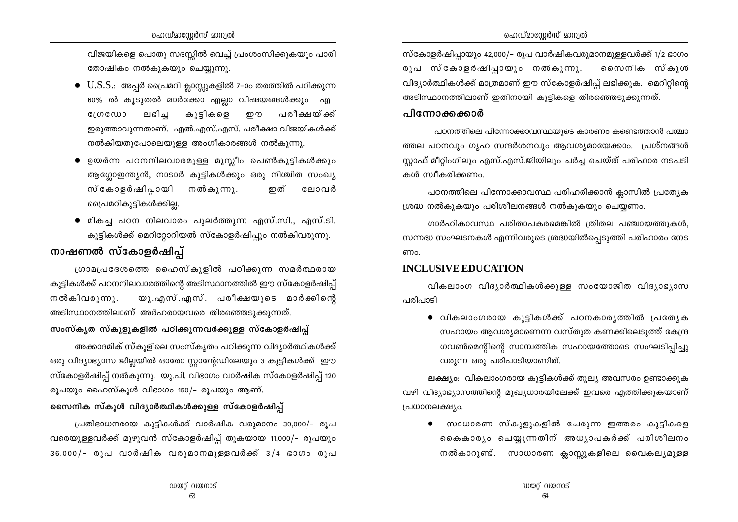വിജയികളെ പൊതു സദസ്സിൽ വെച്ച് പ്രംശംസിക്കുകയും പാരി തോഷികം നൽകുകയും ചെയ്യുന്നു.

- 60% ൽ കൂടുതൽ മാർക്കോ എല്ലാ വിഷയങ്ങൾക്കും എ ലഭിച കുട്ടികളെ **GINGWO** ഇ ത പരീക്ഷയ്ക്ക് ഇരുത്താവുന്നതാണ്. എൽ.എസ്.എസ്. പരീക്ഷാ വിജയികൾക്ക് നൽകിയതുപോലെയുള്ള അംഗീകാരങ്ങൾ നൽകുന്നു.
- $\bullet$  ഉയർന്ന പഠനനിലവാരമുള്ള മുസ്ലീം പെൺകുട്ടികൾക്കും ആഗ്ലോഇന്ത്യൻ, നാടാർ കുട്ടികൾക്കും ഒരു നിശ്ചിത സംഖ്യ സ്കോളർഷിപ്പായി നൽകുന്നു. ഇത് ലോവർ പ്രൈമറികുട്ടികൾക്കില്ല.
- മികച്ച പഠന നിലവാരം പുലർത്തുന്ന എസ്.സി., എസ്.ടി. കുട്ടികൾക്ക് മെറിറ്റോറിയൽ സ്കോളർഷിപ്പും നൽകിവരുന്നു.

## നാഷണൽ സ്കോളർഷിപ്പ്

ഗ്രാമപ്രദേശത്തെ ഹൈസ്കൂളിൽ പഠിക്കുന്ന സമർത്ഥരായ കുട്ടികൾക്ക് പഠനനിലവാരത്തിന്റെ അടിസ്ഥാനത്തിൽ ഈ സ്കോളർഷിപ്പ് യു.എസ്.എസ്. പരീക്ഷയുടെ മാർക്കിന്റെ നൽകിവരുന്നു. അടിസ്ഥാനത്തിലാണ് അർഹരായവരെ തിരഞ്ഞെടുക്കുന്നത്.

## സംസ്കൃത സ്കൂളുകളിൽ പഠിക്കുന്നവർക്കുള്ള സ്കോളർഷിപ്പ്

അക്കാദമിക് സ്കൂളിലെ സംസ്കൃതം പഠിക്കുന്ന വിദ്യാർത്ഥികൾക്ക് ഒരു വിദ്യാഭ്യാസ ജില്ലയിൽ ഓരോ സ്റ്റാന്റേഡിലേയും 3 കുട്ടികൾക്ക് ഈ സ്കോളർഷിപ്പ് നൽകുന്നു. യു.പി. വിഭാഗം വാർഷിക സ്കോളർഷിപ്പ് 120 രുപയും ഹൈസ്കുൾ വിഭാഗം 150/– രൂപയും ആണ്.

## സൈനിക സ്കൂൾ വിദ്യാർത്ഥികൾക്കുള്ള സ്കോളർഷിപ്പ്

പ്രതിഭാധനരായ കുട്ടികൾക്ക് വാർഷിക വരുമാനം 30,000/– രൂപ വരെയുള്ളവർക്ക് മുഴുവൻ സ്കോളർഷിപ്പ് തുകയായ 11,000/- രൂപയും 36,000/- രൂപ വാർഷിക വരുമാനമുള്ളവർക്ക് 3/4 ഭാഗം രൂപ സ്കോളർഷിപ്പായും 42,000/– രൂപ വാർഷികവരുമാനമുള്ളവർക്ക് 1/2 ഭാഗം രൂപ സ്കോളർഷിപ്പായും നൽകുന്നു. സൈനിക സ്കൂൾ വിദ്യാർത്ഥികൾക്ക് മാത്രമാണ് ഈ സ്കോളർഷിപ് ലഭിക്കുക. മെറിറ്റിന്റെ അടിസ്ഥാനത്തിലാണ് ഇതിനായി കൂട്ടികളെ തിരഞ്ഞെടുക്കുന്നത്.

## പിന്നോക്കക്കാർ

പഠനത്തിലെ പിന്നോക്കാവസ്ഥയുടെ കാരണം കണ്ടെത്താൻ പശ്ചാ ത്തല പഠനവും ഗൃഹ സന്ദർശനവും ആവശ്യമായേക്കാം. പ്രശ്നങ്ങൾ സ്റ്റാഫ് മീറ്റിംഗിലും എസ്.എസ്.ജിയിലും ചർച്ച ചെയ്ത് പരിഹാര നടപടി കൾ സ്വീകരിക്കണം.

പഠനത്തിലെ പിന്നോക്കാവസ്ഥ പരിഹരിക്കാൻ ക്ലാസിൽ പ്രത്യേക ശ്രദ്ധ നൽകുകയും പരിശീലനങ്ങൾ നൽകുകയും ചെയ്യണം.

ഗാർഹികാവസ്ഥ പരിതാപകരമെങ്കിൽ ത്രിതല പഞ്ചായത്തുകൾ, സന്നദ്ധ സംഘടനകൾ എന്നിവരുടെ ശ്രദ്ധയിൽപ്പെടുത്തി പരിഹാരം നേട ണം.

## **INCLUSIVE EDUCATION**

വികലാംഗ വിദ്യാർത്ഥികൾക്കുള്ള സംയോജിത വിദ്യാഭ്യാസ പരിപാടി

● വികലാംഗരായ കുട്ടികൾക്ക് പഠനകാരൃത്തിൽ പ്രത്യേക സഹായം ആവശ്യമാണെന്ന വസ്തുത കണക്കിലെടുത്ത് കേന്ദ്ര ഗവൺമെന്റിന്റെ സാമ്പത്തിക സഹായത്തോടെ സംഘടിപിച്ചു വരുന്ന ഒരു പരിപാടിയാണിത്.

ലക്ഷ്യം: വികലാംഗരായ കുട്ടികൾക്ക് തുല്യ അവസരം ഉണ്ടാക്കുക വഴി വിദ്യാഭ്യാസത്തിന്റെ മുഖ്യധാരയിലേക്ക് ഇവരെ എത്തിക്കുകയാണ് പ്രധാനലക്ഷ്യം.

 $\bullet$  സാധാരണ സ്കുളുകളിൽ ചേരുന്ന ഇത്തരം കുട്ടികളെ കൈകാര്യം ചെയ്യുന്നതിന് അധ്യാപകർക്ക് പരിശീലനം നൽകാറുണ്ട്. സാധാരണ ക്ലാസ്സുകളിലെ വൈകല്യമുള്ള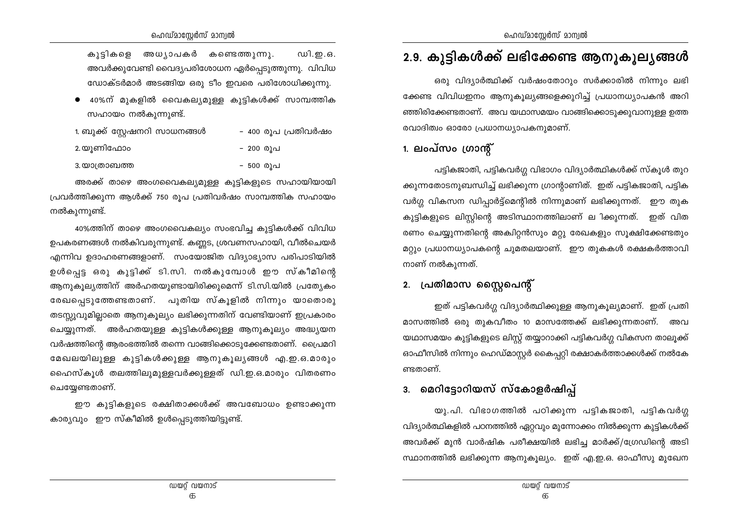ഡി.ഇ.ഒ. കൂട്ടികളെ അധ്യാപകർ കണ്ടെത്തുന്നു. അവർക്കുവേണ്ടി വൈദ്യപരിശോധന ഏർപ്പെടുത്തുന്നു. വിവിധ ഡോക്ടർമാർ അടങ്ങിയ ഒരു ടീം ഇവരെ പരിശോധിക്കുന്നു.

40%ന് മുകളിൽ വൈകല്യമുള്ള കൂട്ടികൾക്ക് സാമ്പത്തിക സഹായം നൽകുന്നുണ്ട്.

| 1. ബുക്ക് സ്റ്റേഷനറി സാധനങ്ങൾ | – 400 രൂപ പ്രതിവർഷം |
|-------------------------------|---------------------|
| 2.യുണിഫോം                     | - 200 രൂപ           |

- 500 രൂപ 3. യാത്രാബത്ത

അരക്ക് താഴെ അംഗവൈകല്യമുള്ള കുട്ടികളുടെ സഹായിയായി പ്രവർത്തിക്കുന്ന ആൾക്ക് 750 രൂപ പ്രതിവർഷം സാമ്പത്തിക സഹായം നൽകുന്നുണ്ട്.

40%ത്തിന് താഴെ അംഗവൈകല്യം സംഭവിച്ച കുട്ടികൾക്ക് വിവിധ ഉപകരണങ്ങൾ നൽകിവരുന്നുണ്ട്. കണ്ണട, ശ്രവണസഹായി, വീൽചെയർ എന്നിവ ഉദാഹരണങ്ങളാണ്. സംയോജിത വിദ്യാഭ്യാസ പരിപാടിയിൽ ഉൾപെട്ട ഒരു കുട്ടിക്ക് ടി.സി. നൽകുമ്പോൾ ഈ സ്കീമിന്റെ ആനുകുല്യത്തിന് അർഹതയുണ്ടായിരിക്കുമെന്ന് ടി.സി.യിൽ പ്രത്യേകം രേഖപ്പെടുത്തേണ്ടതാണ്. പുതിയ സ്കൂളിൽ നിന്നും യാതൊരു തടസ്സുവുമില്ലാതെ ആനുകൂല്യം ലഭിക്കുന്നതിന് വേണ്ടിയാണ് ഇപ്രകാരം ചെയ്യുന്നത്. അർഹതയുള്ള കുട്ടികൾക്കുള്ള ആനുകൂല്യം അദ്ധ്യയന വർഷത്തിന്റെ ആരംഭത്തിൽ തന്നെ വാങ്ങിക്കൊടുക്കേണ്ടതാണ്. പ്രൈമറി മേഖലയിലുള്ള കുട്ടികൾക്കുള്ള ആനുകുല്യങ്ങൾ എ.ഇ.ഒ.മാരും ഹൈസ്കൂൾ തലത്തിലുമുള്ളവർക്കുള്ളത് ഡി.ഇ.ഒ.മാരും വിതരണം ചെയ്യേണ്ടതാണ്.

ഈ കൂട്ടികളുടെ രക്ഷിതാക്കൾക്ക് അവബോധം ഉണ്ടാക്കുന്ന കാര്യവും ഈ സ്കീമിൽ ഉൾപ്പെടുത്തിയിട്ടുണ്ട്.

## 2.9. കുട്ടികൾക്ക് ലഭിക്കേണ്ട ആനൂകൂല്യങ്ങൾ

ഒരു വിദ്യാർത്ഥിക്ക് വർഷംതോറും സർക്കാരിൽ നിന്നും ലഭി ക്കേണ്ട വിവിധഇനം ആനുകുല്യങ്ങളെക്കുറിച്ച് പ്രധാനധ്യാപകൻ അറി ഞ്ഞിരിക്കേണ്ടതാണ്. അവ യഥാസമയം വാങ്ങിക്കൊട്ടുക്കുവാനുള്ള ഉത്ത രവാദിത്വം ഓരോ പ്രധാനധ്യാപകനുമാണ്.

## 1. ലംപ്സം ഗ്രാന്റ്

പട്ടികജാതി, പട്ടികവർഗ്ഗ വിഭാഗം വിദ്യാർത്ഥികൾക്ക് സ്കൂൾ തുറ ക്കുന്നതോടനുബന്ധിച്ച് ലഭിക്കുന്ന ഗ്രാന്റാണിത്. ഇത് പട്ടികജാതി, പട്ടിക വർഗ്ഗ വികസന ഡിപ്പാർട്ട്മെന്റിൽ നിന്നുമാണ് ലഭിക്കുന്നത്. ഈ തുക കുട്ടികളുടെ ലിസ്റ്റിന്റെ അടിസ്ഥാനത്തിലാണ് ല ിക്കുന്നത്. ഇത് വിത രണം ചെയ്യുന്നതിന്റെ അക്വിറ്റൻസും മറ്റു രേഖകളും സൂക്ഷിക്കേണ്ടതും മറ്റും പ്രധാനധ്യാപകന്റെ ചുമതലയാണ്. ഈ തുകകൾ രക്ഷകർത്താവി നാണ് നൽകുന്നത്.

## 2. പ്രതിമാസ സ്റ്റൈപെന്റ്

ഇത് പട്ടികവർഗ്ഗ വിദ്യാർത്ഥിക്കുള്ള ആനുകൂല്യമാണ്. ഇത് പ്രതി മാസത്തിൽ ഒരു തുകവീതം 10 മാസത്തേക്ക് ലഭിക്കുന്നതാണ്. അവ യഥാസമയം കുട്ടികളുടെ ലിസ്റ്റ് തയ്യാറാക്കി പട്ടികവർഗ്ഗ വികസന താലൂക്ക് ഓഫീസിൽ നിന്നും ഹെഡ്മാസ്റ്റർ കൈപ്പറ്റി രക്ഷാകർത്താക്കൾക്ക് നൽകേ ണ്ടതാണ്.

## 3. മെറിട്ടോറിയസ് സ്കോളർഷിപ്പ്

യു.പി. വിഭാഗത്തിൽ പഠിക്കുന്ന പട്ടികജാതി, പട്ടികവർഗ്ഗ വിദ്യാർത്ഥികളിൽ പഠനത്തിൽ ഏറ്റവും മുന്നോക്കം നിൽക്കുന്ന കുട്ടികൾക്ക് അവർക്ക് മുൻ വാർഷിക പരീക്ഷയിൽ ലഭിച്ച മാർക്ക്/ഗ്രേഡിന്റെ അടി സ്ഥാനത്തിൽ ലഭിക്കുന്ന ആനുകൂല്യം. ഇത് എ.ഇ.ഒ. ഓഫീസു മുഖേന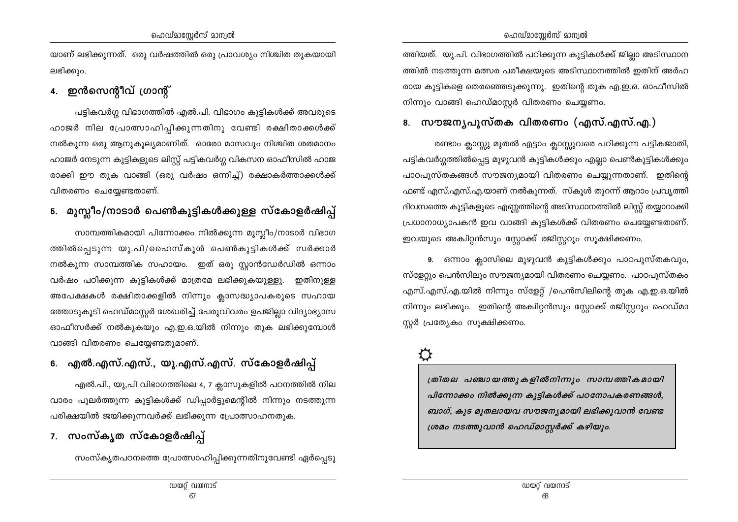യാണ് ലഭിക്കുന്നത്. ഒരു വർഷത്തിൽ ഒരു പ്രാവശ്യം നിശ്ചിത തുകയായി ലഭിക്കും.

## 4. ഇൻസെന്റീവ് ഗ്രാന്റ്

പട്ടികവർഗ്ഗ വിഭാഗത്തിൽ എൽ.പി. വിഭാഗം കുട്ടികൾക്ക് അവരുടെ ഹാജർ നില പ്രോത്സാഹിപ്പിക്കുന്നതിനു വേണ്ടി രക്ഷിതാക്കൾക്ക് നൽകുന്ന ഒരു ആനുകുല്യമാണിത്. ഓരോ മാസവും നിശ്ചിത ശതമാനം ഹാജർ നേടുന്ന കുട്ടികളുടെ ലിസ്റ്റ് പട്ടികവർഗ്ഗ വികസന ഓഫീസിൽ ഹാജ രാക്കി ഈ തുക വാങ്ങി (ഒരു വർഷം ഒന്നിച്ച്) രക്ഷാകർത്താക്കൾക്ക് വിതരണം ചെയ്യേണ്ടതാണ്.

## 5. മുസ്ലീം/നാടാർ പെൺകുട്ടികൾക്കുള്ള സ്കോളർഷിപ്പ്

സാമ്പത്തികമായി പിന്നോക്കം നിൽക്കുന്ന മുസ്ലീം/നാടാർ വിഭാഗ ത്തിൽപ്പെടുന്ന യു.പി/ഹൈസ്കൂൾ പെൺകുട്ടികൾക്ക് സർക്കാർ നൽകുന്ന സാമ്പത്തിക സഹായം. ഇത് ഒരു സ്ലാൻഡേർഡിൽ ഒന്നാം വർഷം പഠിക്കുന്ന കുട്ടികൾക്ക് മാത്രമേ ലഭിക്കുകയുള്ളൂ. ഇതിനുള്ള അപേക്ഷകൾ രക്ഷിതാക്കളിൽ നിന്നും ക്ലാസദ്ധ്യാപകരുടെ സഹായ ത്തോടുകൂടി ഹെഡ്മാസ്റ്റർ ശേഖരിച്ച് പേരുവിവരം ഉപജില്ലാ വിദ്യാഭ്യാസ ഓഫീസർക്ക് നൽകുകയും എ.ഇ.ഒ.യിൽ നിന്നും തുക ലഭിക്കുമ്പോൾ വാങ്ങി വിതരണം ചെയ്യേണ്ടതുമാണ്.

## 6. എൽ.എസ്.എസ്., യു.എസ്.എസ്. സ്കോളർഷിപ്പ്

എൽ.പി., യു,പി വിഭാഗത്തിലെ 4, 7 ക്ലാസുകളിൽ പഠനത്തിൽ നില വാരം പുലർത്തുന്ന കുട്ടികൾക്ക് ഡിപ്പാർട്ടുമെന്റിൽ നിന്നും നടത്തുന്ന പരിക്ഷയിൽ ജയിക്കുന്നവർക്ക് ലഭിക്കുന്ന പ്രോത്സാഹനതുക.

## 7. സംസ്കൃത സ്കോളർഷിപ്പ്

സംസ്കൃതപഠനത്തെ പ്രോത്സാഹിപ്പിക്കുന്നതിനുവേണ്ടി ഏർപ്പെടു

ത്തിയത്. യു.പി. വിഭാഗത്തിൽ പഠിക്കുന്ന കുട്ടികൾക്ക് ജില്ലാ അടിസ്ഥാന ത്തിൽ നടത്തുന്ന മത്സര പരീക്ഷയുടെ അടിസ്ഥാനത്തിൽ ഇതിന് അർഹ രായ കുട്ടികളെ തെരഞ്ഞെടുക്കുന്നു. ഇതിന്റെ തുക എ.ഇ.ഒ. ഓഫീസിൽ നിന്നും വാങ്ങി ഹെഡ്മാസ്റ്റർ വിതരണം ചെയ്യണം.

## 8. സൗജനൃപൂസ്തക വിതരണം (എസ്.എസ്.എ.)

രണ്ടാം ക്ലാസ്സു മുതൽ എട്ടാം ക്ലാസ്സുവരെ പഠിക്കുന്ന പട്ടികജാതി, പട്ടികവർഗ്ഗത്തിൽപ്പെട്ട മുഴുവൻ കുട്ടികൾക്കും എല്ലാ പെൺകുട്ടികൾക്കും പാഠപുസ്തകങ്ങൾ സൗജന്യമായി വിതരണം ചെയ്യുന്നതാണ്. ഇതിന്റെ ഫണ്ട് എസ്.എസ്.എ.യാണ് നൽകുന്നത്. സ്കൂൾ തുറന്ന് ആറാം പ്രവൃത്തി ദിവസത്തെ കുട്ടികളുടെ എണ്ണത്തിന്റെ അടിസ്ഥാനത്തിൽ ലിസ്റ്റ് തയ്യാറാക്കി പ്രധാനാധ്യാപകൻ ഇവ വാങ്ങി കുട്ടികൾക്ക് വിതരണം ചെയ്യേണ്ടതാണ്. ഇവയുടെ അകിറ്റൻസും സ്റ്റോക്ക് രജിസ്റ്ററും സൂക്ഷിക്കണം.

9. ഒന്നാം ക്ലാസിലെ മുഴുവൻ കുട്ടികൾക്കും പാഠപുസ്തകവും, സ്ളേറ്റും പെൻസിലും സൗജന്യമായി വിതരണം ചെയ്യണം. പാഠപുസ്തകം എസ്.എസ്.എ.യിൽ നിന്നും സ്ളേറ്റ് /പെൻസിലിന്റെ തുക എ.ഇ.ഒ.യിൽ നിന്നും ലഭിക്കും. ഇതിന്റെ അകിറ്റൻസും സ്റ്റോക്ക് രജിസ്റ്ററും ഹെഡ്മാ സ്റ്റർ പ്രത്യേകം സൂക്ഷിക്കണം.

## ♦

ത്രിതല പഞ്ചായത്തുകളിൽനിന്നും സാമ്പത്തികമായി പിന്നോക്കം നിൽക്കുന്ന കുട്ടികൾക്ക് പഠനോപകരണങ്ങൾ, ബാഗ്, കുട മുതലായവ സൗജനൃമായി ലഭിക്കുവാൻ വേണ്ട ശ്രമം നടത്തുവാൻ ഹെഡ്മാസ്റ്റർക്ക് കഴിയും.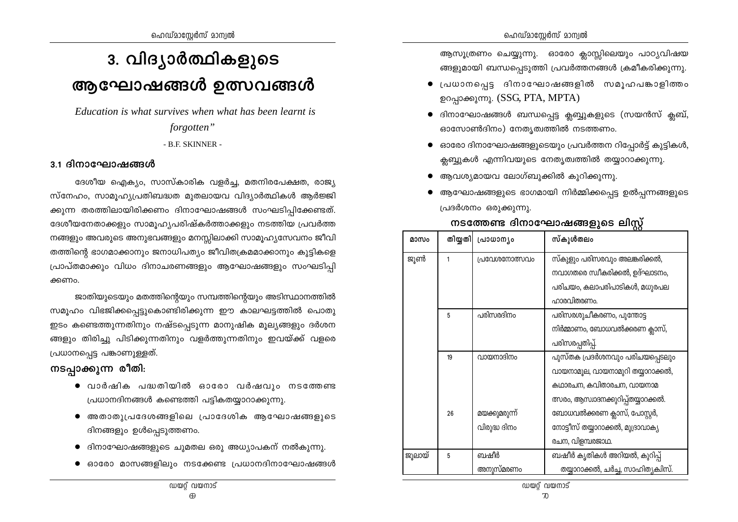# 3. വിദ്യാർത്ഥികളുടെ ആഘോഷങ്ങൾ ഉത്സവങ്ങൾ

Education is what survives when what has been learnt is forgotten"

#### - B.F. SKINNER -

#### 3.1 ദിനാഘോഷങ്ങൾ

ദേശീയ ഐക്യം, സാസ്കാരിക വളർച്ച, മതനിരപേക്ഷത, രാജ്യ സ്നേഹം, സാമൂഹ്യപ്രതിബദ്ധത മുതലായവ വിദ്യാർത്ഥികൾ ആർജ്ജി ക്കുന്ന തരത്തിലായിരിക്കണം ദിനാഘോഷങ്ങൾ സംഘടിപ്പിക്കേണ്ടത്. ദേശീയനേതാക്കളും സാമൂഹ്യപരിഷ്കർത്താക്കളും നടത്തിയ പ്രവർത്ത നങ്ങളും അവരുടെ അനുഭവങ്ങളും മനസ്സിലാക്കി സാമൂഹ്യസേവനം ജീവി തത്തിന്റെ ഭാഗമാക്കാനും ജനാധിപത്യം ജീവിതക്രമമാക്കാനും കുട്ടികളെ പ്രാപ്തമാക്കും വിധം ദിനാചരണങ്ങളും ആഘോഷങ്ങളും സംഘടിപ്പി ക്കണം.

ജാതിയുടെയും മതത്തിന്റെയും സമ്പത്തിന്റെയും അടിസ്ഥാനത്തിൽ സമൂഹം വിഭജിക്കപ്പെട്ടുകൊണ്ടിരിക്കുന്ന ഈ കാലഘട്ടത്തിൽ പൊതു ഇടം കണ്ടെത്തുന്നതിനും നഷ്ടപ്പെടുന്ന മാനുഷിക മൂല്യങ്ങളും ദർശന ങ്ങളും തിരിച്ചു പിടിക്കുന്നതിനും വളർത്തുന്നതിനും ഇവയ്ക്ക് വളരെ പ്രധാനപ്പെട്ട പങ്കാണുള്ളത്.

## നടപ്പാക്കുന്ന രീതി:

- $\bullet$  വാർഷിക പദ്ധതിയിൽ ഓരോ വർഷവും നടത്തേണ്ട പ്രധാനദിനങ്ങൾ കണ്ടെത്തി പട്ടികതയ്യാറാക്കുന്നു.
- അതാതുപ്രദേശങ്ങളിലെ പ്രാദേശിക ആഘോഷങ്ങളുടെ ദിനങ്ങളും ഉൾപ്പെടുത്തണം.
- ദിനാഘോഷങ്ങളുടെ ചുമതല ഒരു അധ്യാപകന് നൽകുന്നു.
- $\bullet$  ഓരോ മാസങ്ങളിലും നടക്കേണ്ട പ്രധാനദിനാഘോഷങ്ങൾ

ആസൂത്രണം ചെയ്യുന്നു. ഓരോ ക്ലാസ്സിലെയും പാഠ്യവിഷയ ങ്ങളുമായി ബന്ധപ്പെടുത്തി പ്രവർത്തനങ്ങൾ ക്രമീകരിക്കുന്നു.

- പ്രധാനപെട്ട ദിനാഘോഷങ്ങളിൽ സമൂഹപങ്കാളിത്തം ഉറപ്പാക്കുന്നു. (SSG, PTA, MPTA)
- ദിനാഘോഷങ്ങൾ ബന്ധപ്പെട്ട ക്ലബ്ബുകളുടെ (സയൻസ് ക്ലബ്, ഓസോൺദിനം) നേതൃത്വത്തിൽ നടത്തണം.
- ഓരോ ദിനാഘോഷങ്ങളുടെയും പ്രവർത്തന റിപ്പോർട്ട് കുട്ടികൾ, ക്ലബ്ബുകൾ എന്നിവയുടെ നേതൃത്വത്തിൽ തയ്യാറാക്കുന്നു.
- ആവശ്യമായവ ലോഗ്ബുക്കിൽ കുറിക്കുന്നു.
- ആഘോഷങ്ങളുടെ ഭാഗമായി നിർമ്മിക്കപ്പെട്ട ഉൽപ്പന്നങ്ങളുടെ പ്രദർശനം ഒരുക്കുന്നു.

## നടത്തേണ്ട ദിനാഘോഷങ്ങളുടെ ലിസ്റ്റ്

| മാസം   |    | തിയ്യതി  പ്രാധാന്യം | സ്കുൾതലം                            |
|--------|----|---------------------|-------------------------------------|
| ജൂൺ    | 1  | പ്രവേശനോത്സവം       | സ്കുളും പരിസരവും അലങ്കരിക്കൽ,       |
|        |    |                     | നവാഗതരെ സ്വീകരിക്കൽ, ഉദ്ഘാടനം,      |
|        |    |                     | പരിചയം, കലാപരിപാടികൾ, മധുരപല        |
|        |    |                     | ഹാരവിതരണം.                          |
|        | 5  | പരിസരദിനം           | പരിസരശുചീകരണം, പുന്തോട്ട            |
|        |    |                     | നിർമ്മാണം, ബോധവൽക്കരണ ക്ലാസ്,       |
|        |    |                     | പരിസരപ്പതിപ്പ്.                     |
|        | 19 | വായനാദിനം           | പുസ്തക പ്രദർശനവും പരിചയപ്പെടലും     |
|        |    |                     | വായനാമൂല, വായനാമുറി തയ്യാറാക്കൽ,    |
|        |    |                     | കഥാരചന, കവിതാരചന, വായനാമ            |
|        |    |                     | ത്സരം, ആസ്വാദനക്കുറിപ്പ്തയ്യാറക്കൽ. |
|        | 26 | മയക്കുമരുന്ന്       | ബോധവൽക്കരണ ക്ലാസ്, പോസ്റ്റർ,        |
|        |    | വിരുദ്ധ ദിനം        | നോട്ടീസ് തയ്യാറാക്കൽ, മുദ്രാവാക്യ   |
|        |    |                     | രചന, വിളമ്പരജാഥ.                    |
| ജൂലായ് | 5  | ബഷീർ                | ബഷീർ കൃതികൾ അറിയൽ, കുറിപ്പ്         |
|        |    | അനുസ്മരണം           | തയ്യാറാക്കൽ, ചർച്ച, സാഹിത്യക്വിസ്.  |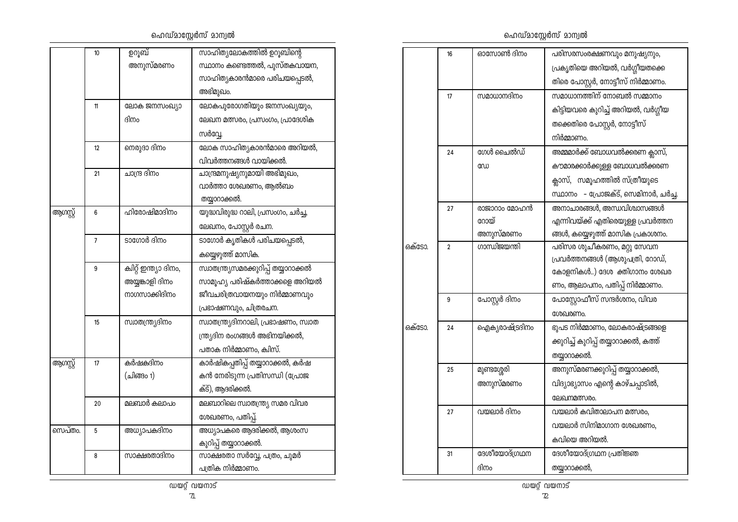## ഹെഡ്മാസ്റ്റേർസ് മാന്വൽ

|          | 10 | ഉറൂബ്                  | സാഹിത്യലോകത്തിൽ ഉറൂബിന്റെ             |
|----------|----|------------------------|---------------------------------------|
|          |    | അനുസ്മരണം              | സ്ഥാനം കണ്ടെത്തൽ, പുസ്തകവായന,         |
|          |    |                        | സാഹിത്യകാരൻമാരെ പരിചയപ്പെടൽ,          |
|          |    |                        | അഭിമുഖം.                              |
|          | 11 | ലോക ജനസംഖ്യാ           | ലോകപുരോഗതിയും ജനസംഖ്യയും,             |
|          |    | ദിനം                   | ലേഖന മത്സരം, പ്രസംഗം, പ്രാദേശിക       |
|          |    |                        | സർവ്വേ.                               |
|          | 12 | നെരുദാ ദിനം            | ലോക സാഹിത്യകാരൻമാരെ അറിയൽ,            |
|          |    |                        | വിവർത്തനങ്ങൾ വായിക്കൽ.                |
|          | 21 | ചാന്ദ്ര ദിനം           | ചാന്ദ്രമനുഷ്യനുമായി അഭിമുഖം,          |
|          |    |                        | വാർത്താ ശേഖരണം, ആൽബം                  |
|          |    |                        | തയ്യാറാക്കൽ.                          |
| ആഗസ്റ്റ് | 6  | ഹിരോഷിമാദിനം           | യുദ്ധവിരുദ്ധ റാലി, പ്രസംഗം, ചർച്ച,    |
|          |    |                        | ലേഖനം, പോസ്റ്റർ രചന.                  |
|          | 7  | ടാഗോർ ദിനം             | ടാഗോർ കൃതികൾ പരിചയപ്പെടൽ,             |
|          |    |                        | കയ്യെഴുത്ത് മാസിക.                    |
|          | 9  | ക്വിറ്റ് ഇന്ത്യാ ദിനം, | സ്വാതന്ത്ര്യസമരക്കുറിപ്പ് തയ്യാറാക്കൽ |
|          |    | അയ്യങ്കാളി ദിനം        | സാമൂഹ്യ പരിഷ്കർത്താക്കളെ അറിയൽ        |
|          |    | നാഗസാക്കിദിനം          | ജീവചരിത്രവായനയും നിർമ്മാണവും          |
|          |    |                        | പ്രഭാഷണവും, ചിത്രരചന.                 |
|          | 15 | സ്ഥാതന്ത്ര്യദിനം       | സ്വാതന്ത്ര്യദിനറാലി, പ്രഭാഷണം, സ്വാത  |
|          |    |                        | ന്ത്ര്യദിന രംഗങ്ങൾ അഭിനയിക്കൽ,        |
|          |    |                        | പതാക നിർമ്മാണം, ക്വിസ്.               |
| ആഗസ്റ്റ് | 17 | കർഷകദിനം               | കാർഷികപ്പതിപ്പ് തയ്യാറാക്കൽ, കർഷ      |
|          |    | (ചിങ്ങം 1)             | കൻ നേരിടുന്ന പ്രതിസന്ധി (പ്രോജ        |
|          |    |                        | ക്ട്), ആദരിക്കൽ.                      |
|          | 20 | മലബാർ കലാപം            | മലബാറിലെ സ്വാതന്ത്ര്യ സമര വിവര        |
|          |    |                        | ശേഖരണം, പതിപ്പ്.                      |
| സെപ്തം.  | 5  | അധ്യാപകദിനം            | അധ്യാപകരെ ആദരിക്കൽ, ആശംസ              |
|          |    |                        | കുറിപ്പ് തയ്യാറാക്കൽ.                 |
|          | 8  | സാക്ഷരതാദിനം           | സാക്ഷരതാ സർവ്വേ, പത്രം, ചുമർ          |
|          |    |                        | പത്രിക നിർമ്മാണം.                     |

ഹെഡ്മാസ്റ്റേർസ് മാന്വൽ

|        | 16           | ഓസോൺ ദിനം                   | പരിസരസംരക്ഷണവും മനുഷ്യനും,             |
|--------|--------------|-----------------------------|----------------------------------------|
|        |              |                             | പ്രകൃതിയെ അറിയൽ, വർഗ്ഗീയതക്കെ          |
|        |              |                             |                                        |
|        |              |                             | തിരെ പോസ്റ്റർ, നോട്ടീസ് നിർമ്മാണം.     |
|        | 17           | സമാധാനദിനം                  | സമാധാനത്തിന് നോബൽ സമ്മാനം              |
|        |              |                             | കിട്ടിയവരെ കുറിച്ച് അറിയൽ, വർഗ്ഗീയ     |
|        |              |                             | തക്കെതിരെ പോസ്റ്റർ, നോട്ടീസ്           |
|        |              |                             | നിർമ്മാണം.                             |
|        | 24           | ഗേൾ ചൈൽഡ്                   | അമ്മമാർക്ക് ബോധവൽക്കരണ ക്ലാസ്,         |
|        |              | ഡേ                          | കൗമാരക്കാർക്കുള്ള ബോധവൽക്കരണ           |
|        |              |                             | ക്ലാസ്, സമൂഹത്തിൽ സ്ത്രീയുടെ           |
|        |              |                             | സ്ഥാനം - പ്രോജക്ട്, സെമിനാർ, ചർച്ച.    |
|        | 27           | രാജാറാം മോഹൻ                | അനാചാരങ്ങൾ, അന്ധവിശ്വാസങ്ങൾ            |
|        |              | റോയ്                        | എന്നിവയ്ക്ക് എതിരെയുള്ള പ്രവർത്തന      |
|        |              | അനുസ്മരണം                   | ങ്ങൾ, കയ്യെഴുത്ത് മാസിക പ്രകാശനം.      |
| ഒക്ടോ. | $\mathbf{2}$ | ഗാന്ധിജയന്തി                | പരിസര ശുചീകരണം, മറ്റു സേവന             |
|        |              |                             | പ്രവർത്തനങ്ങൾ (ആശുപത്രി, റോഡ്,         |
|        |              |                             | കോളനികൾ) ദേശ ക്തിഗാനം ശേഖര             |
|        |              |                             | ണം, ആലാപനം, പതിപ്പ് നിർമ്മാണം.         |
|        | 9            | പോസ്റ്റർ <mark>ദിന</mark> ം | പോസ്റ്റോഫീസ് സന്ദർശനം, വിവര            |
|        |              |                             | ശേഖരണം.                                |
| ഒക്ടോ. | 24           | ഐക്യരാഷ്ട്രദിനം             | ഭുപട നിർമ്മാണം, ലോകരാഷ്ട്രങ്ങളെ        |
|        |              |                             | ക്കുറിച്ച് കുറിപ്പ് തയ്യാറാക്കൽ, കത്ത് |
|        |              |                             | തയ്യാറാക്കൽ.                           |
|        | 25           | മുണ്ടശ്ശേരി                 | അനുസ്മരണക്കുറിപ്പ് തയ്യാറാക്കൽ,        |
|        |              | അനുസ്മരണം                   | വിദ്യാഭ്യാസം എന്റെ കാഴ്ചപ്പാടിൽ,       |
|        |              |                             | ലേഖനമത്സരം.                            |
|        | 27           | വയലാർ ദിനം                  | വയലാർ കവിതാലാപന മത്സരം,                |
|        |              |                             | വയലാർ സിനിമാഗാന ശേഖരണം,                |
|        |              |                             | കവിയെ അറിയൽ.                           |
|        | 31           | ദേശീയോദ്ഗ്രഥന               | ദേശീയോദ്ഗ്രഥന പ്രതിജ്ഞ                 |
|        |              | ദിനം                        | തയ്യാറാക്കൽ,                           |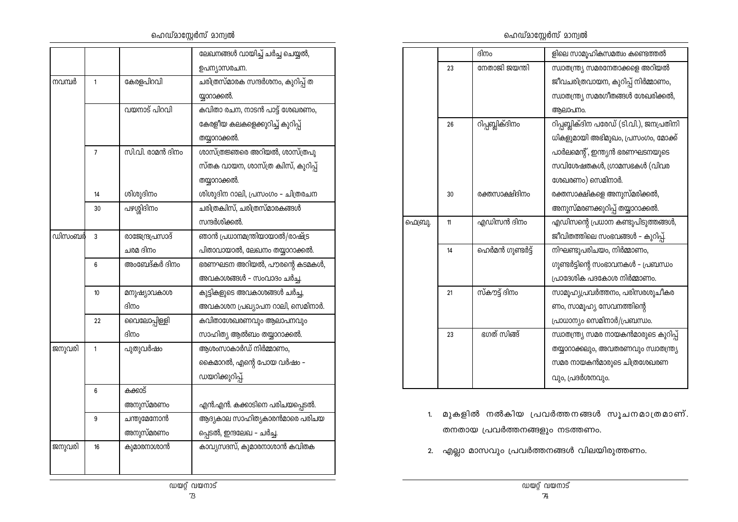ഹെഡ്മാസ്റ്റേർസ് മാന്വൽ

|        |    |                  | ലേഖനങ്ങൾ വായിച്ച് ചർച്ച ചെയ്യൽ,   |
|--------|----|------------------|-----------------------------------|
|        |    |                  | ഉപന്യാസരചന.                       |
| നവമ്പർ | 1  | കേരളപിറവി        | ചരിത്രസ്മാരക സന്ദർശനം, കുറിപ്പ് ത |
|        |    |                  | യ്യാറാക്കൽ.                       |
|        |    | വയനാട് പിറവി     | കവിതാ രചന, നാടൻ പാട്ട് ശേഖരണം,    |
|        |    |                  | കേരളീയ കലകളെക്കുറിച്ച് കുറിപ്പ്   |
|        |    |                  | തയ്യാറാക്കൽ.                      |
|        | 7  | സി.വി. രാമൻ ദിനം | ശാസ്ത്രജ്ഞരെ അറിയൽ, ശാസ്ത്രപു     |
|        |    |                  | സ്തക വായന, ശാസ്ത്ര കിസ്, കുറിപ്പ് |
|        |    |                  | തയ്യാറാക്കൽ.                      |
|        | 14 | ശിശുദിനം         | ശിശുദിന റാലി, പ്രസംഗം – ചിത്രരചന  |
|        | 30 | പഴശ്ശിദിനം       | ചരിത്രക്വിസ്, ചരിത്രസ്മാരകങ്ങൾ    |
|        |    |                  | സന്ദർശിക്കൽ.                      |
| ഡിസംബർ | 3  | രാജേന്ദ്രപ്രസാദ് | ഞാൻ പ്രധാനമന്ത്രിയായാൽ/രാഷ്ട്ര    |
|        |    | ചരമ ദിനം         | പിതാവായാൽ, ലേഖനം തയ്യാറാക്കൽ.     |
|        | 6  | അംബേദ്കർ ദിനം    | ഭരണഘടന അറിയൽ, പൗരന്റെ കടമകൾ,      |
|        |    |                  | അവകാശങ്ങൾ - സംവാദം ചർച്ച.         |
|        | 10 | മനുഷ്യാവകാശ      | കുട്ടികളുടെ അവകാശങ്ങൾ ചർച്ച,      |
|        |    | ദിനം             | അവകാശന പ്രഖ്യാപന റാലി, സെമിനാർ.   |
|        | 22 | വൈലോപ്പിള്ളി     | കവിതാശേഖരണവും ആലാപനവും            |
|        |    | ദിനം             | സാഹിത്യ ആൽബം തയ്യാറാക്കൽ.         |
| ജനുവരി | 1  | പുതുവർഷം         | ആശംസാകാർഡ് നിർമ്മാണം,             |
|        |    |                  | കൈമാറൽ, എന്റെ പോയ വർഷം –          |
|        |    |                  | ഡയറിക്കുറിപ്പ്.                   |
|        | 6  | കക്കാട്          |                                   |
|        |    | അനുസ്മരണം        | എൻ.എൻ. കക്കാടിനെ പരിചയപ്പെടൽ.     |
|        | 9  | ചന്തുമേനോൻ       | ആദ്യകാല സാഹിത്യകാരൻമാരെ പരിചയ     |
|        |    | അനുസ്മരണം        | പ്പെടൽ, ഇന്ദലേഖ - ചർച്ച.          |
| ജനുവരി | 16 | കുമാരനാശാൻ       | കാവ്യസദസ്, കുമാരനാശാൻ കവിതക       |
|        |    |                  |                                   |
|        |    |                  |                                   |

ഹെഡ്മാസ്റ്റേർസ് മാന്വൽ

|         |    | ദിനം             | ളിലെ സാമൂഹികസമത്വം കണ്ടെത്തൽ             |
|---------|----|------------------|------------------------------------------|
|         | 23 | നേതാജി ജയന്തി    | സ്വാതന്ത്ര്യ സമരനേതാക്കളെ അറിയൽ          |
|         |    |                  | ജീവചരിത്രവായന, കുറിപ്പ് നിർമ്മാണം,       |
|         |    |                  | സ്വാതന്ത്ര്യ സമരഗീതങ്ങൾ ശേഖരിക്കൽ,       |
|         |    |                  | ആലാപനം.                                  |
|         | 26 | റിപ്പബ്ലിക്ദിനം  | റിപ്പബ്ലിക്ദിന പരേഡ് (ടി.വി.), ജനപ്രതിനി |
|         |    |                  | ധികളുമായി അഭിമുഖം, പ്രസംഗം, മോക്ക്       |
|         |    |                  | പാർലമെന്റ്, ഇന്ത്യൻ ഭരണഘടനയുടെ           |
|         |    |                  | സവിശേഷതകൾ, ഗ്രാമസഭകൾ (വിവര               |
|         |    |                  | ശേഖരണം) സെമിനാർ.                         |
|         | 30 | രക്തസാക്ഷിദിനം   | രക്തസാക്ഷികളെ അനുസ്മരിക്കൽ,              |
|         |    |                  | അനുസ്മരണക്കുറിപ്പ് തയ്യാറാക്കൽ.          |
| ഫെബ്രു. | 11 | എഡിസൻ ദിനം       | എഡിസന്റെ പ്രധാന കണ്ടുപിടുത്തങ്ങൾ,        |
|         |    |                  | ജീവിതത്തിലെ സംഭവങ്ങൾ - കുറിപ്പ്.         |
|         | 14 | ഹെർമൻ ഗുണ്ടർട്ട് | നിഘണ്ടുപരിചയം, നിർമ്മാണം,                |
|         |    |                  | ഗുണ്ടർട്ടിന്റെ സംഭാവനകൾ - പ്രബന്ധം       |
|         |    |                  | പ്രാദേശിക പദകോശ നിർമ്മാണം.               |
|         | 21 | സ്കൗട്ട് ദിനം    | സാമൂഹ്യപ്രവർത്തനം, പരിസരശുചീകര           |
|         |    |                  | ണം, സാമൂഹ്യ സേവനത്തിന്റെ                 |
|         |    |                  | പ്രാധാന്യം സെമിനാർ/പ്രബന്ധം.             |
|         | 23 | ഭഗത് സിങ്ങ്      | സ്വാതന്ത്ര്യ സമര നായകൻമാരുടെ കുറിപ്പ്    |
|         |    |                  | തയ്യാറാക്കലും, അവതരണവും സ്വാതന്ത്ര്യ     |
|         |    |                  | സമര നായകൻമാരുടെ ചിത്രശേഖരണ               |
|         |    |                  | വും, പ്രദർശനവും.                         |

- 1. മുകളിൽ നൽകിയ പ്രവർത്തനങ്ങൾ സൂചനമാത്രമാണ്. തനതായ പ്രവർത്തനങ്ങളും നടത്തണം.
- 2. എല്ലാ മാസവും പ്രവർത്തനങ്ങൾ വിലയിരുത്തണം.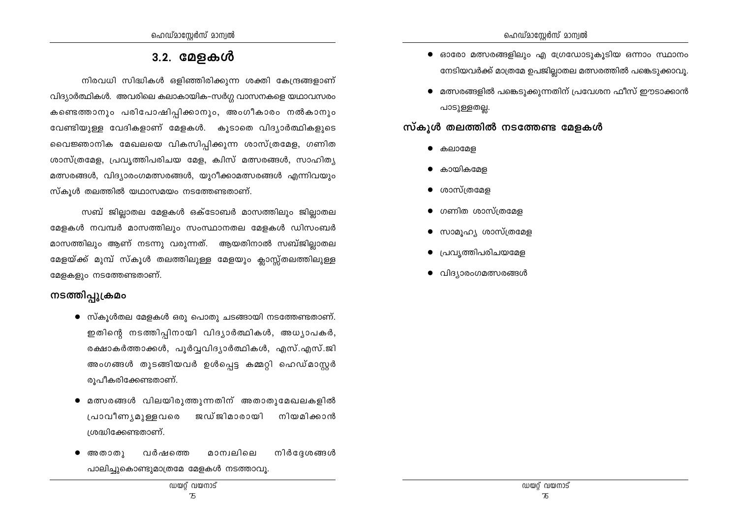## 3.2. മേളകൾ

നിരവധി സിദ്ധികൾ ഒളിഞ്ഞിരിക്കുന്ന ശക്തി കേന്ദ്രങ്ങളാണ് വിദ്യാർത്ഥികൾ. അവരിലെ കലാകായിക-സർഗ്ഗ വാസനകളെ യഥാവസരം കണ്ടെത്താനും പരിപോഷിപ്പിക്കാനും, അംഗീകാരം നൽകാനും വേണ്ടിയുള്ള വേദികളാണ് മേളകൾ. കൂടാതെ വിദ്യാർത്ഥികളുടെ വൈജ്ഞാനിക മേഖലയെ വികസിപ്പിക്കുന്ന ശാസ്ത്രമേള, ഗണിത ശാസ്ത്രമേള, പ്രവൃത്തിപരിചയ മേള, ക്വിസ് മത്സരങ്ങൾ, സാഹിതൃ മത്സരങ്ങൾ, വിദ്യാരംഗമത്സരങ്ങൾ, യുറീക്കാമത്സരങ്ങൾ എന്നിവയും സ്കൂൾ തലത്തിൽ യഥാസമയം നടത്തേണ്ടതാണ്.

സബ് ജില്ലാതല മേളകൾ ഒക്ടോബർ മാസത്തിലും ജില്ലാതല മേളകൾ നവമ്പർ മാസത്തിലും സംസ്ഥാനതല മേളകൾ ഡിസംബർ മാസത്തിലും ആണ് നടന്നു വരുന്നത്. ആയതിനാൽ സബ്ജില്ലാതല മേളയ്ക്ക് മുമ്പ് സ്കൂൾ തലത്തിലുള്ള മേളയും ക്ലാസ്സ്തലത്തിലുള്ള മേളകളും നടത്തേണ്ടതാണ്.

## നടത്തിപ്പുക്രമം

- $\bullet$  സ്കുൾതല മേളകൾ ഒരു പൊതു ചടങ്ങായി നടത്തേണ്ടതാണ്. ഇതിന്റെ നടത്തിപ്പിനായി വിദ്യാർത്ഥികൾ, അധ്യാപകർ, രക്ഷാകർത്താക്കൾ, പൂർവ്വവിദ്യാർത്ഥികൾ, എസ്.എസ്.ജി അംഗങ്ങൾ തുടങ്ങിയവർ ഉൾപ്പെട്ട കമ്മറ്റി ഹെഡ്മാസ്റ്റർ രുപീകരിക്കേണ്ടതാണ്.
- മത്സരങ്ങൾ വിലയിരുത്തുന്നതിന് അതാതുമേഖലകളിൽ പ്രാവീണ്യമുള്ളവരെ ജഡ്ജിമാരായി നിയമിക്കാൻ ശ്രദ്ധിക്കേണ്ടതാണ്.
- മാന്വലിലെ അതാതു വർഷത്തെ നിർദേശങ്ങൾ പാലിച്ചുകൊണ്ടുമാത്രമേ മേളകൾ നടത്താവു.
- $\bullet$  ഓരോ മത്സരങ്ങളിലും എ ഗ്രേഡോടുകൂടിയ ഒന്നാം സ്ഥാനം നേടിയവർക്ക് മാത്രമേ ഉപജില്ലാതല മത്സരത്തിൽ പങ്കെടുക്കാവൂ.
- മത്സരങ്ങളിൽ പങ്കെടുക്കുന്നതിന് പ്രവേശന ഫീസ് ഈടാക്കാൻ പാടുള്ളതല്ല.

### സ്കൂൾ തലത്തിൽ നടത്തേണ്ട മേളകൾ

- കലാമേള
- കായികമേള  $\bullet$
- ശാസ്ത്രമേള  $\bullet$
- ഗണിത ശാസ്ത്രമേള  $\bullet$
- സാമൂഹ്യ ശാസ്ത്രമേള  $\bullet$
- പ്രവൃത്തിപരിചയമേള  $\bullet$
- വിദ്യാരംഗമത്സരങ്ങൾ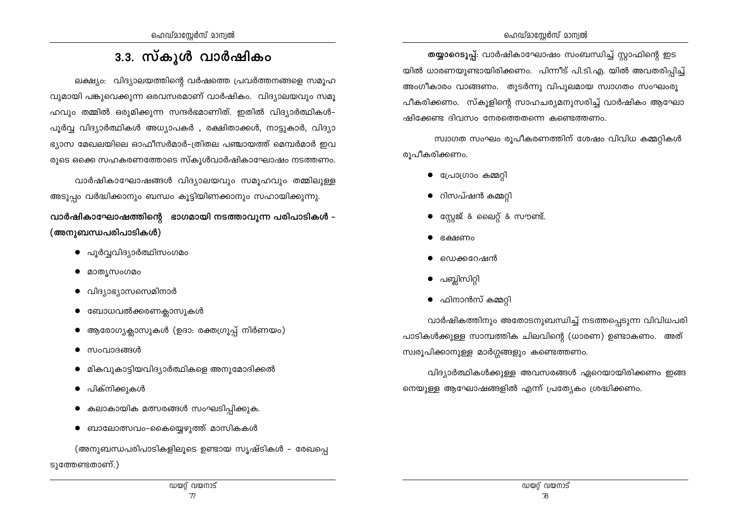## 3.3. സ്കൂൾ വാർഷികം

ലക്ഷ്യം: വിദ്യാലയത്തിന്റെ വർഷത്തെ പ്രവർത്തനങ്ങളെ സമൂഹ വുമായി പങ്കുവെക്കുന്ന ഒരവസരമാണ് വാർഷികം. വിദ്യാലയവും സമു ഹവും തമ്മിൽ ഒരുമിക്കുന്ന സന്ദർഭമാണിത്. ഇതിൽ വിദ്യാർത്ഥികൾ– പൂർവ്വ വിദ്യാർത്ഥികൾ അധ്യാപകർ , രക്ഷിതാക്കൾ, നാട്ടുകാർ, വിദ്യാ ഭ്യാസ മേഖലയിലെ ഓഫീസർമാർ-ത്രിതല പഞ്ചായത്ത് മെമ്പർമാർ ഇവ രുടെ ഒക്കെ സഹകരണത്തോടെ സ്കൂൾവാർഷികാഘോഷം നടത്തണം.

വാർഷികാഘോഷങ്ങൾ വിദ്യാലയവും സമുഹവും തമ്മിലുള്ള അടുപ്പം വർദ്ധിക്കാനും ബന്ധം കൂട്ടിയിണക്കാനും സഹായിക്കുന്നു.

വാർഷികാഘോഷത്തിന്റെ ഭാഗമായി നടത്താവുന്ന പരിപാടികൾ – (അനുബന്ധപരിപാടികൾ)

- പുർവ്വവിദ്യാർത്ഥിസംഗമം
- മാത്യസംഗമം
- വിദ്യാഭ്യാസസെമിനാർ
- $\bullet$  ബോധവൽക്കരണക്ലാസുകൾ
- ആരോഗ്യക്ലാസുകൾ (ഉദാ: രക്തഗ്രൂപ്പ് നിർണയം)
- സംവാദങ്ങൾ
- മികവുകാട്ടിയവിദ്യാർത്ഥികളെ അനുമോദിക്കൽ
- പിക്നിക്കുകൾ
- കലാകായിക മത്സരങ്ങൾ സംഘടിപ്പിക്കുക.
- ബാലോത്സവം–കൈയ്യെഴുത്ത് മാസികകൾ

(അനുബന്ധപരിപാടികളിലൂടെ ഉണ്ടായ സൃഷ്ടികൾ – രേഖപ്പെ ടുത്തേണ്ടതാണ്.)

തയ്യാറെടുപ്പ്: വാർഷികാഘോഷം സംബന്ധിച്ച് സ്റ്റാഫിന്റെ ഇട യിൽ ധാരണയുണ്ടായിരിക്കണം. പിന്നീട് പി.ടി.എ. യിൽ അവതരിപ്പിച്ച് അംഗീകാരം വാങ്ങണം. തുടർന്നു വിപുലമായ സ്വാഗതം സംഘംരൂ പീകരിക്കണം. സ്കൂളിന്റെ സാഹചര്യമനുസരിച്ച് വാർഷികം ആഘോ ഷിക്കേണ്ട ദിവസം നേരത്തെതന്നെ കണ്ടെത്തണം.

സ്വാഗത സംഘം രുപീകരണത്തിന് ശേഷം വിവിധ കമ്മറ്റികൾ രുപീകരിക്കണം.

- $\bullet$  പ്രോഗ്രാം കമ്മറ്റി
- $\bullet$  റിസപ്ഷൻ കമ്മറ്റി
- $\bullet$  സ്റ്റേജ് & ലൈറ്റ് & സൗണ്ട്.
- ഭക്ഷണം
- ഡെക്കറേഷൻ
- പബ്ലിസിറ്റി  $\bullet$
- $\bullet$  ഫിനാൻസ് കമ്മറ്റി

വാർഷികത്തിനും അതോടനുബന്ധിച്ച് നടത്തപ്പെടുന്ന വിവിധപരി പാടികൾക്കുള്ള സാമ്പത്തിക ചിലവിന്റെ (ധാരണ) ഉണ്ടാകണം. അത് സ്വരൂപിക്കാനുള്ള മാർഗ്ഗങ്ങളും കണ്ടെത്തണം.

വിദ്യാർത്ഥികൾക്കുള്ള അവസരങ്ങൾ ഏറെയായിരിക്കണം ഇങ്ങ നെയുള്ള ആഘോഷങ്ങളിൽ എന്ന് പ്രത്യേകം ശ്രദ്ധിക്കണം.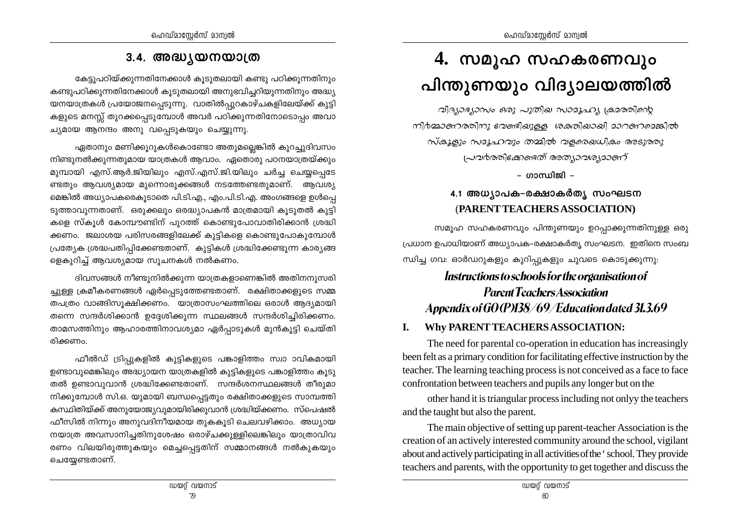## 3.4. അദ്ധ്യയനയാത്ര

കേട്ടുപഠിയ്ക്കുന്നതിനേക്കാൾ കുടുതലായി കണ്ടു പഠിക്കുന്നതിനും കണ്ടുപഠിക്കുന്നതിനേക്കാൾ കൂടുതലായി അനുഭവിച്ചറിയുന്നതിനും അദ്ധ്യ യനയാത്രകൾ പ്രയോജനപ്പെടുന്നു. വാതിൽപ്പുറകാഴ്ചകളിലേയ്ക്ക് കുട്ടി കളുടെ മനസ്സ് തുറക്കപ്പെടുമ്പോൾ അവർ പഠിക്കുന്നതിനോടൊപ്പം അവാ ച്യമായ ആനന്ദം അനു വപ്പെടുകയും ചെയ്യുന്നു.

ഏതാനും മണിക്കൂറുകൾകൊണ്ടോ അതുമല്ലെങ്കിൽ കുറച്ചുദിവസം നിണ്ടുനൽക്കുന്നതുമായ യാത്രകൾ ആവാം. ഏതൊരു പഠനയാത്രയ്ക്കും മുമ്പായി എസ്.ആർ.ജിയിലും എസ്.എസ്.ജി.യിലും ചർച്ച ചെയ്യപ്പെടേ ണ്ടതും ആവശ്യമായ മുന്നൊരുക്കങ്ങൾ നടത്തേണ്ടതുമാണ്. ആവശ്യ മെങ്കിൽ അധ്യാപകരെകൂടാതെ പി.ടി.എ., എം.പി.ടി.എ. അംഗങ്ങളെ ഉൾപ്പെ ടുത്താവുന്നതാണ്. ഒരുക്കലും ഒരദ്ധ്യാപകൻ മാത്രമായി കൂടുതൽ കുട്ടി കളെ സ്കുൾ കോമ്പൗണ്ടിന് പുറത്ത് കൊണ്ടുപോവാതിരിക്കാൻ ശ്രദ്ധി ക്കണം. ജലാശയ പരിസരങ്ങളിലേക്ക് കുട്ടികളെ കൊണ്ടുപോകുമ്പോൾ പ്രത്യേക ശ്രദ്ധപതിപ്പിക്കേണ്ടതാണ്. കുട്ടികൾ ശ്രദ്ധിക്കേണ്ടുന്ന കാര്യങ്ങ ളെകൂറിച്ച് ആവശ്യമായ സൂചനകൾ നൽകണം.

ദിവസങ്ങൾ നീണ്ടുനിൽക്കുന്ന യാത്രകളാണെങ്കിൽ അതിനനുസരി ച്ചുള്ള ക്രമീകരണങ്ങൾ ഏർപ്പെടുത്തേണ്ടതാണ്. രക്ഷിതാക്കളുടെ സമ്മ തപത്രം വാങ്ങിസൂക്ഷിക്കണം. യാത്രാസംഘത്തിലെ ഒരാൾ ആദ്യമായി തന്നെ സന്ദർശിക്കാൻ ഉദേശിക്കുന്ന സ്ഥലങ്ങൾ സന്ദർശിചിരിക്കണം. താമസത്തിനും ആഹാരത്തിനാവശ്യമാ ഏർപാടുകൾ മുൻകുട്ടി ചെയ്തി രിക്കണം.

ഫീൽഡ് ട്രിപ്പുകളിൽ കുട്ടികളുടെ പങ്കാളിത്തം സ്വാ ാവികമായി ഉണ്ടാവുമെങ്കിലും അദ്ധ്യായന യാത്രകളിൽ കുട്ടികളുടെ പങ്കാളിത്തം കൂടു തൽ ഉണ്ടാവുവാൻ ശ്രദ്ധിക്കേണ്ടതാണ്. സന്ദർശനസ്ഥലങ്ങൾ തീരുമാ നിക്കുമ്പോൾ സി.ഒ. യുമായി ബന്ധപ്പെട്ടതും രക്ഷിതാക്കളുടെ സാമ്പത്തി കസ്ഥിതിയ്ക്ക് അനുയോജ്യവുമായിരിക്കുവാൻ ശ്രദ്ധിയ്ക്കണം. സ്പെഷൽ ഫീസിൽ നിന്നും അനുവദിനീയമായ തുകകുടി ചെലവഴിക്കാം. അധ്യായ നയാത്ര അവസാനിച്ചതിനുശേഷം ഒരാഴ്ചക്കുള്ളിലെങ്കിലും യാത്രാവിവ രണം വിലയിരുത്തുകയും മെച്ചപ്പെട്ടതിന് സമ്മാനങ്ങൾ നൽകുകയും ചെയ്യേണ്ടതാണ്.

# 4. സമൂഹ സഹകരണവും പിന്തുണയും വിദ്യാലയത്തിൽ

വിദ്യാഭ്യാസം ഒരു പുതില സാമൂഹ്യ ക്രമരതിന്റെ നിർമ്മാണരതിനു ഭവണ്ടിക്കുള്ള ശക്തികാകി മാറണമെങ്കിൽ സ്കൂളും സമൂഹവും തമ്മിൽ വളരെഖധികം അടുരതു പ്രവർരതിക്കേണ്ടത് അത്യാവശ്യമാണ്

– ഗാസ്വിജി –

## 4.1 അധ്യാപക-രക്ഷാകർത്യ സംഘടന (PARENT TEACHERS ASSOCIATION)

സമൂഹ സഹകരണവും പിന്തുണയും ഉറപ്പാക്കുന്നതിനുള്ള ഒരു പ്രധാന ഉപാധിയാണ് അധ്യാപക–രക്ഷാകർത്യ സംഘടന. ഇതിനെ സംബ ന്ധിച്ച ഗവ: ഓർഡറുകളും കുറിപ്പുകളും ചുവടെ കൊടുക്കുന്നു:

## Instructions to schools for the organisation of **Parent Teachers Association** Appendix of GO(P)138/69/Education dated 31.3.69

#### Why PARENT TEACHERS ASSOCIATION: L.

The need for parental co-operation in education has increasingly been felt as a primary condition for facilitating effective instruction by the teacher. The learning teaching process is not conceived as a face to face confrontation between teachers and pupils any longer but on the

other hand it is triangular process including not only the teachers and the taught but also the parent.

The main objective of setting up parent-teacher Association is the creation of an actively interested community around the school, vigilant about and actively participating in all activities of the 'school. They provide teachers and parents, with the opportunity to get together and discuss the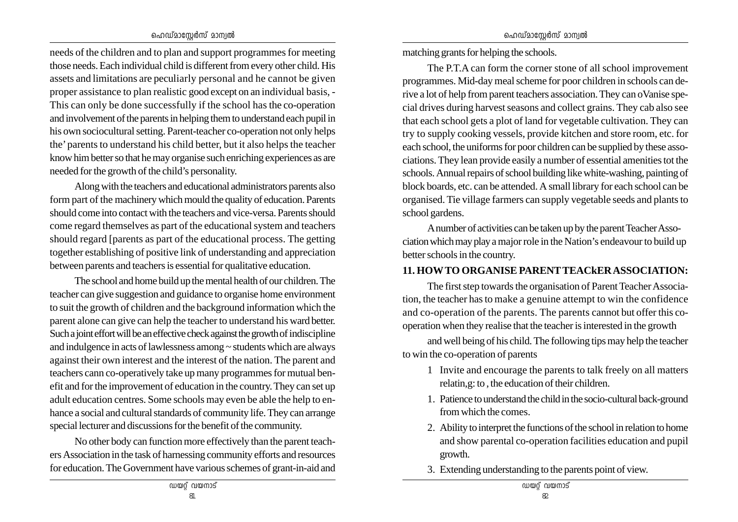#### ഹെഡ്മാസേർസ് മാന്വൽ

needs of the children and to plan and support programmes for meeting those needs. Each individual child is different from every other child. His assets and limitations are peculiarly personal and he cannot be given proper assistance to plan realistic good except on an individual basis, - This can only be done successfully if the school has the co-operation and involvement of the parents in helping them to understand each pupil in his own sociocultural setting. Parent-teacher co-operation not only helps the' parents to understand his child better, but it also helps the teacher know him better so that he may organise such enriching experiences as are needed for the growth of the child's personality.

Along with the teachers and educational administrators parents also form part of the machinery which mould the quality of education. Parents should come into contact with the teachers and vice-versa. Parents should come regard themselves as part of the educational system and teachers should regard [parents as part of the educational process. The getting together establishing of positive link of understanding and appreciation between parents and teachers is essential for qualitative education.

The school and home build up the mental health of our children. The teacher can give suggestion and guidance to organise home environment to suit the growth of children and the background information which the parent alone can give can help the teacher to understand his ward better. Such a joint effort will be an effective check against the growth of indiscipline and indulgence in acts of lawlessness among ~ students which are always against their own interest and the interest of the nation. The parent and teachers cann co-operatively take up many programmes for mutual benefit and for the improvement of education in the country. They can set up adult education centres. Some schools may even be able the help to enhance a social and cultural standards of community life. They can arrange special lecturer and discussions for the benefit of the community.

No other body can function more effectively than the parent teachers Association in the task of harnessing community efforts and resources for education. The Government have various schemes of grant-in-aid and matching grants for helping the schools.

The P.T.A can form the corner stone of all school improvement programmes. Mid-day meal scheme for poor children in schools can derive a lot of help from parent teachers association. They can oVanise special drives during harvest seasons and collect grains. They cab also see that each school gets a plot of land for vegetable cultivation. They can try to supply cooking vessels, provide kitchen and store room, etc. for each school, the uniforms for poor children can be supplied by these associations. They lean provide easily a number of essential amenities tot the schools. Annual repairs of school building like white-washing, painting of block boards, etc. can be attended. A small library for each school can be organised. Tie village farmers can supply vegetable seeds and plants to school gardens.

A number of activities can be taken up by the parent Teacher Association which may play a major role in the Nation's endeavour to build up better schools in the country.

#### **11. HOW TO ORGANISE PARENT TEACkER ASSOCIATION:**

The first step towards the organisation of Parent Teacher Association, the teacher has to make a genuine attempt to win the confidence and co-operation of the parents. The parents cannot but offer this cooperation when they realise that the teacher is interested in the growth

and well being of his child. The following tips may help the teacher to win the co-operation of parents

- 1 Invite and encourage the parents to talk freely on all matters relatin,g: to , the education of their children.
- 1. Patience to understand the child in the socio-cultural back-ground from which the comes.
- 2. Ability to interpret the functions of the school in relation to home and show parental co-operation facilities education and pupil growth.
- 3. Extending understanding to the parents point of view.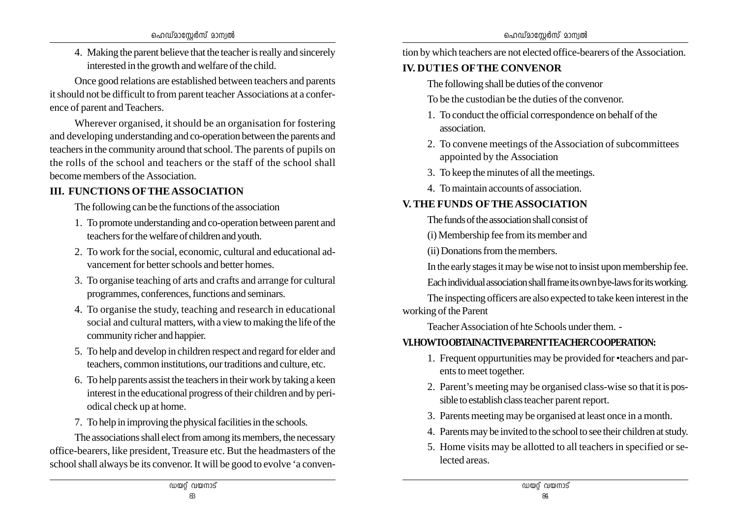4. Making the parent believe that the teacher is really and sincerely interested in the growth and welfare of the child.

Once good relations are established between teachers and parents it should not be difficult to from parent teacher Associations at a conference of parent and Teachers.

Wherever organised, it should be an organisation for fostering and developing understanding and co-operation between the parents and teachers in the community around that school. The parents of pupils on the rolls of the school and teachers or the staff of the school shall become members of the Association.

## **III. FUNCTIONS OF THE ASSOCIATION**

The following can be the functions of the association

- 1. To promote understanding and co-operation between parent and teachers for the welfare of children and youth.
- 2. To work for the social, economic, cultural and educational advancement for better schools and better homes.
- 3. To organise teaching of arts and crafts and arrange for cultural programmes, conferences, functions and seminars.
- 4. To organise the study, teaching and research in educational social and cultural matters, with a view to making the life of the community richer and happier.
- 5. To help and develop in children respect and regard for elder and teachers, common institutions, our traditions and culture, etc.
- 6. To help parents assist the teachers in their work by taking a keen interest in the educational progress of their children and by periodical check up at home.
- 7. To help in improving the physical facilities in the schools.

The associations shall elect from among its members, the necessary office-bearers, like president, Treasure etc. But the headmasters of the school shall always be its convenor. It will be good to evolve 'a convention by which teachers are not elected office-bearers of the Association.

## **IV. DUTIES OF THE CONVENOR**

The following shall be duties of the convenor

To be the custodian be the duties of the convenor.

- 1. To conduct the official correspondence on behalf of the association.
- 2. To convene meetings of the Association of subcommittees appointed by the Association
- 3. To keep the minutes of all the meetings.
- 4. To maintain accounts of association.

## **V. THE FUNDS OF THE ASSOCIATION**

- The funds of the association shall consist of
- (i) Membership fee from its member and
- (ii) Donations from the members.

In the early stages it may be wise not to insist upon membership fee.

Each individual association shall frame its own bye-laws for its working.

The inspecting officers are also expected to take keen interest in the working of the Parent

Teacher Association of hte Schools under them. -

## **VI. HOW TO OBTAIN ACTIVE PARENT TEACHER CO,OPERATION:**

- 1. Frequent oppurtunities may be provided for •teachers and par ents to meet together.
- 2. Parent's meeting may be organised class-wise so that it is pos sible to establish class teacher parent report.
- 3. Parents meeting may be organised at least once in a month.
- 4. Parents may be invited to the school to see their children at study.
- 5. Home visits may be allotted to all teachers in specified or se lected areas.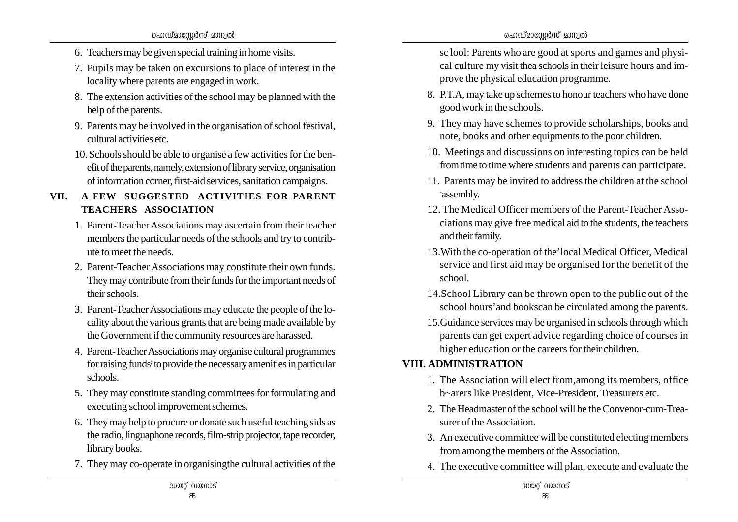- 6. Teachers may be given special training in home visits.
- 7. Pupils may be taken on excursions to place of interest in the locality where parents are engaged in work.
- 8. The extension activities of the school may be planned with the help of the parents.
- 9. Parents may be involved in the organisation of school festival, cultural activities etc.
- 10. Schools should be able to organise a few activities for the benefit of the parents, namely, extension of library service, organisation of information corner, first-aid services, sanitation campaigns.

### **VII. A FEW SUGGESTED ACTIVITIES FOR PARENT TEACHERS ASSOCIATION**

- 1. Parent-Teacher Associations may ascertain from their teacher members the particular needs of the schools and try to contribute to meet the needs.
- 2. Parent-Teacher Associations may constitute their own funds. They may contribute from their funds for the important needs of their schools.
- 3. Parent-Teacher Associations may educate the people of the locality about the various grants that are being made available by the Government if the community resources are harassed.
- 4. Parent-Teacher Associations may organise cultural programmes for raising funds; to provide the necessary amenities in particular schools.
- 5. They may constitute standing committees for formulating and executing school improvement schemes.
- 6. They may help to procure or donate such useful teaching sids as the radio, linguaphone records, film-strip projector, tape recorder, library books.
- 7. They may co-operate in organisingthe cultural activities of the

sc lool: Parents who are good at sports and games and physical culture my visit thea schools in their leisure hours and improve the physical education programme.

- 8. P.T.A, may take up schemes to honour teachers who have done good work in the schools.
- 9. They may have schemes to provide scholarships, books and note, books and other equipments to the poor children.
- 10. Meetings and discussions on interesting topics can be held from time to time where students and parents can participate.
- 11. Parents may be invited to address the children at the school -assembly.
- 12. The Medical Officer members of the Parent-Teacher Associations may give free medical aid to the students, the teachers and their family.
- 13.With the co-operation of the'local Medical Officer, Medical service and first aid may be organised for the benefit of the school.
- 14.School Library can be thrown open to the public out of the school hours'and bookscan be circulated among the parents.
- 15.Guidance services may be organised in schools through which parents can get expert advice regarding choice of courses in higher education or the careers for their children.

### **VIII. ADMINISTRATION**

- 1. The Association will elect from,among its members, office b~arers like President, Vice-President, Treasurers etc.
- 2. The Headmaster of the school will be the Convenor-cum-Treasurer of the Association.
- 3. An executive committee will be constituted electing members from among the members of the Association.
- 4. The executive committee will plan, execute and evaluate the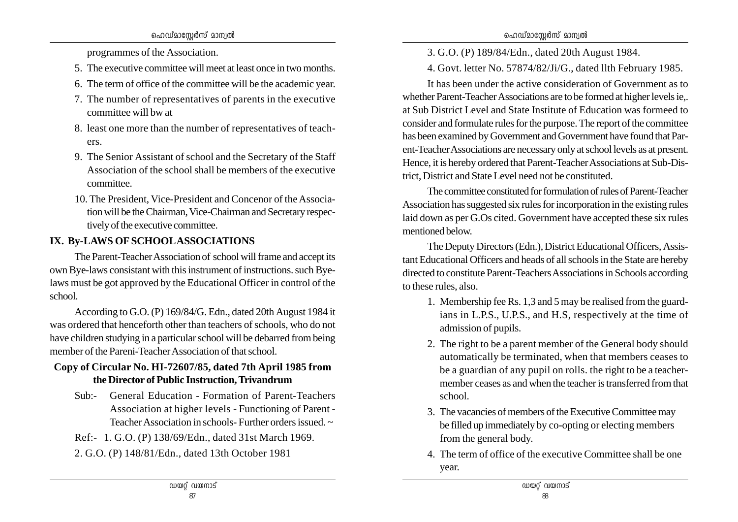programmes of the Association.

- 5. The executive committee will meet at least once in two months.
- 6. The term of office of the committee will be the academic year.
- 7. The number of representatives of parents in the executive committee will bw at
- 8. least one more than the number of representatives of teachers.
- 9. The Senior Assistant of school and the Secretary of the Staff Association of the school shall be members of the executive committee.
- 10. The President, Vice-President and Concenor of the Association will be the Chairman, Vice-Chairman and Secretary respectively of the executive committee.

## **IX. By-LAWS OF SCHOOL ASSOCIATIONS**

The Parent-Teacher Association of school will frame and accept its own Bye-laws consistant with this instrument of instructions. such Byelaws must be got approved by the Educational Officer in control of the school.

According to G.O. (P) 169/84/G. Edn., dated 20th August 1984 it was ordered that henceforth other than teachers of schools, who do not have children studying in a particular school will be debarred from being member of the Pareni-Teacher Association of that school.

### **Copy of Circular No. HI-72607/85, dated 7th April 1985 from the Director of Public Instruction, Trivandrum**

- Sub:- General Education Formation of Parent-Teachers Association at higher levels - Functioning of Parent - Teacher Association in schools- Further orders issued. ~
- Ref:- 1. G.O. (P) 138/69/Edn., dated 31st March 1969.
- 2. G.O. (P) 148/81/Edn., dated 13th October 1981

3. G.O. (P) 189/84/Edn., dated 20th August 1984.

4. Govt. letter No. 57874/82/Ji/G., dated llth February 1985.

It has been under the active consideration of Government as to whether Parent-Teacher Associations are to be formed at higher levels ie,. at Sub District Level and State Institute of Education was formeed to consider and formulate rules for the purpose. The report of the committee has been examined by Government and Government have found that Parent-Teacher Associations are necessary only at school levels as at present. Hence, it is hereby ordered that Parent-Teacher Associations at Sub-District, District and State Level need not be constituted.

The committee constituted for formulation of rules of Parent-Teacher Association has suggested six rules for incorporation in the existing rules laid down as per G.Os cited. Government have accepted these six rules mentioned below.

The Deputy Directors (Edn.), District Educational Officers, Assistant Educational Officers and heads of all schools in the State are hereby directed to constitute Parent-Teachers Associations in Schools according to these rules, also.

- 1. Membership fee Rs. 1,3 and 5 may be realised from the guardians in L.P.S., U.P.S., and H.S, respectively at the time of admission of pupils.
- 2. The right to be a parent member of the General body should automatically be terminated, when that members ceases to be a guardian of any pupil on rolls. the right to be a teachermember ceases as and when the teacher is transferred from that school.
- 3. The vacancies of members of the Executive Committee may be filled up immediately by co-opting or electing members from the general body.
- 4. The term of office of the executive Committee shall be one year.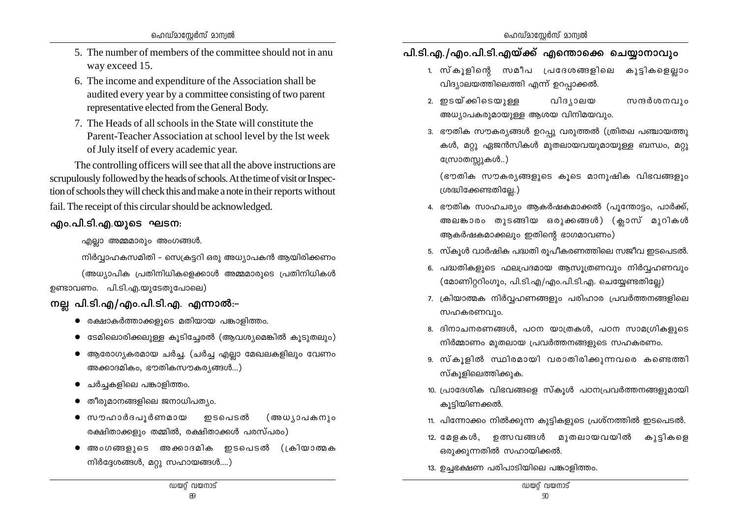- 5. The number of members of the committee should not in anu way exceed 15.
- 6. The income and expenditure of the Association shall be audited every year by a committee consisting of two parent representative elected from the General Body.
- 7. The Heads of all schools in the State will constitute the Parent-Teacher Association at school level by the lst week of July itself of every academic year.

The controlling officers will see that all the above instructions are scrupulously followed by the heads of schools. At the time of visit or Inspection of schools they will check this and make a note in their reports without fail. The receipt of this circular should be acknowledged.

### <u>എം.പി.ടി.എ.യൂടെ ഘടന:</u>

 $\alpha$ എല്ലാ അമ്മമാരും അംഗങ്ങൾ.

mിർവ്വാഹകസമിതി – സെക്രട്ടറി ഒരു അധ്യാപകൻ ആയിരിക്കണം

(അധ്യാപിക പ്രതിനിധികളെക്കാൾ അമ്മമാരുടെ പ്രതിനിധികൾ  $p$ ണ്ടാവണം. പി.ടി.എ.യുടേതുപോലെ)

## **നല്ല പി.ടി.എ/എം.പി.ടി.എ. എന്നാൽ:−**

- $\bullet$  രക്ഷാകർത്താക്കളുടെ മതിയായ പങ്കാളിത്തം.
- $\bullet$  ഭടമിലൊരിക്കലുള്ള കൂടിച്ചേരൽ (ആവശ്യമെങ്കിൽ കൂടുതലും)
- $\bullet$  ആരോഗ്യകരമായ ചർച്ച. (ചർച്ച എല്ലാ മേഖലകളിലും വേണം  $\omega$  അക്കാദമികം, ഭൗതികസൗകര്യങ്ങൾ...)
- ചർച്ചകളിലെ പങ്കാളിത്തം.
- $\bullet$  തീരുമാനങ്ങളിലെ ജനാധിപത്യം.
- $\bullet$  സൗഹാർദപുർണമായ ഇടപെടൽ (അധ്യാപകനും രക്ഷിതാക്കളും തമ്മിൽ, രക്ഷിതാക്കൾ പരസ്പരം)
- അംഗങ്ങളുടെ അക്കാദമിക ഇടപെടൽ (ക്രിയാത്മക  $m$ ിർദ്ദേശങ്ങൾ, മറ്റു സഹായങ്ങൾ....)

## പി.ടി.എ./എം.പി.ടി.എയ്ക്ക് എന്തൊക്കെ ചെയ്യാനാവും

- 1. സ്കുളിന്റെ സമീപ പ്രദേശങ്ങളിലെ കുട്ടികളെല്ലാം  $\Omega$ ിദ്യാലയത്തിലെത്തി എന്ന് ഉറപ്പാക്കൽ.
- 2. ഇടയ്ക്കിടെയുളള വിദൃാലയ സന്ദർശനവും അധ്യാപകരുമായുള്ള ആശയ വിനിമയവും.
- 3. ഭൗതിക സൗകര്യങ്ങൾ ഉറപു വരുത്തൽ (ത്രിതല പഞ്ചായത്തു കൾ, മറ്റു ഏജൻസികൾ മുതലായവയുമായുള്ള ബന്ധം, മറ്റു ഡ്രോതസ്സുകൾ..)
	- (ഭൗതിക സൗകര്യങ്ങളുടെ കുടെ മാനുഷിക വിഭവങ്ങളും {i≤nt°≠Xnt√.)
- 4. ഭൗതിക സാഹചര്യം ആകർഷകമാക്കൽ (പുന്തോട്ടം, പാർക്ക്, അലങ്കാരം തുടങ്ങിയ ഒരുക്കങ്ങൾ) (ക്ലാസ് മുറികൾ ആകർഷകമാക്കലും ഇതിന്റെ ഭാഗമാവണം)
- 5. സ്കൂൾ വാർഷിക പദ്ധതി രുപീകരണത്തിലെ സജീവ ഇടപെടൽ.
- 6. പദ്ധതികളുടെ ഫലപ്രദമായ ആസുത്രണവും നിർവ്വഹണവും  $($ മോണിറ്ററിംഗൂം, പി.ടി.എ/എം.പി.ടി.എ. ചെയ്യേണ്ടതില്ലേ)
- 7. ക്രിയാത്മക നിർവ്വഹണങ്ങളും പരിഹാര പ്രവർത്തനങ്ങളിലെ സഹകരണവും.
- 8. ദിനാചനരണങ്ങൾ, പഠന യാത്രകൾ, പഠന സാമഗ്രികളുടെ  $\Omega$ നിർമ്മാണം മുതലായ പ്രവർത്തനങ്ങളുടെ സഹകരണം.
- 9. സ്കൂളിൽ സ്ഥിരമായി വരാതിരിക്കുന്നവരെ കണ്ടെത്തി സ്കുളിലെത്തിക്കുക.
- 10. പ്രാദേശിക വിഭവങ്ങളെ സ്കൂൾ പഠനപ്രവർത്തനങ്ങളുമായി കൂട്ടിയിണക്കൽ.
- 11. പിന്നോക്കം നിൽക്കുന്ന കുട്ടികളുടെ പ്രശ്നത്തിൽ ഇടപെടൽ.
- 12. മേളകൾ, ഉത്സവങ്ങൾ മൂതലായവയിൽ കൂട്ടികളെ ഒരുക്കുന്നതിൽ സഹായിക്കൽ.
- 13. ഉച്ചഭക്ഷണ പരിപാടിയിലെ പങ്കാളിത്തം.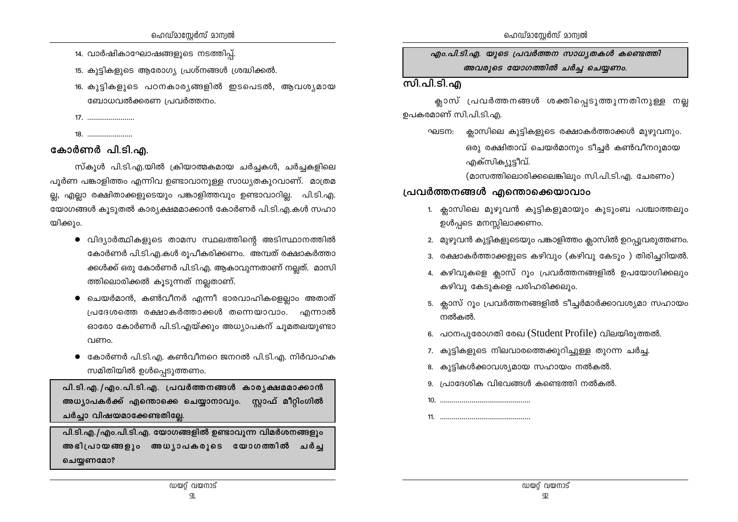14. വാർഷികാഘോഷങ്ങളുടെ നടത്തിപ്പ്.

15. കുട്ടികളുടെ ആരോഗ്യ പ്രശ്നങ്ങൾ ശ്രദ്ധിക്കൽ.

- 16. കൂട്ടികളുടെ പഠനകാര്യങ്ങളിൽ ഇടപെടൽ, ആവശ്യമായ ബോധവൽക്കരണ പ്രവർത്തനം.
- 
- 

## കോർണർ പി.ടി.എ.

സ്കൂൾ പി.ടി.എ.യിൽ ക്രിയാത്മകമായ ചർച്ചകൾ, ചർച്ചകളിലെ പൂർണ പങ്കാളിത്തം എന്നിവ ഉണ്ടാവാനുള്ള സാധ്യതകുറവാണ്. മാത്രമ ല്ല, എല്ലാ രക്ഷിതാക്കളുടെയും പങ്കാളിത്തവും ഉണ്ടാവാറില്ല. പി.ടി.എ. യോഗങ്ങൾ കൂടുതൽ കാര്യക്ഷമമാക്കാൻ കോർണർ പി.ടി.എ.കൾ സഹാ യിക്കും.

- വിദ്യാർത്ഥികളുടെ താമസ സ്ഥലത്തിന്റെ അടിസ്ഥാനത്തിൽ കോർണർ പി.ടി.എ.കൾ രുപീകരിക്കണം. അമ്പത് രക്ഷാകർത്താ ക്കൾക്ക് ഒരു കോർണർ പി.ടി.എ. ആകാവുന്നതാണ് നല്ലത്. മാസി ത്തിലൊരിക്കൽ കൂടുന്നത് നല്ലതാണ്.
- ചെയർമാൻ, കൺവീനർ എന്നീ ഭാരവാഹികളെല്ലാം അതാത് പ്രദേശത്തെ രക്ഷാകർത്താക്കൾ തന്നെയാവാം. എന്നാൽ ഓരോ കോർണർ പി.ടി.എയ്ക്കും അധ്യാപകന് ചുമതലയുണ്ടാ വണം.
- കോർണർ പി.ടി.എ. കൺവീനറെ ജനറൽ പി.ടി.എ. നിർവാഹക സമിതിയിൽ ഉൾപ്പെടുത്തണം.

പി.ടി.എ./എം.പി.ടി.എ. പ്രവർത്തനങ്ങൾ കാര്യക്ഷമമാക്കാൻ അധ്യാപകർക്ക് എന്തൊക്കെ ചെയ്യാനാവും. സ്റ്റാഫ് മീറ്റിംഗിൽ ചർച്ചാ വിഷയമാക്കേണ്ടതില്ലേ.

പി.ടി.എ./എം.പി.ടി.എ. യോഗങ്ങളിൽ ഉണ്ടാവുന്ന വിമർശനങ്ങളും അഭിപ്രായങ്ങളും അധ്യാപകരുടെ യോഗത്തിൽ ചർച്ച ചെയ്യണമോ?

എം.പി.ടി.എ. യുടെ പ്രവർത്തന സാധ്യതകൾ കണ്ടെത്തി അവരുടെ യോഗത്തിൽ ചർച്ച ചെയ്യണം.

### <u>സി.പി.ടി.എ</u>

ക്ലാസ് പ്രവർത്തനങ്ങൾ ശക്തിപ്പെടുത്തുന്നതിനുള്ള നല്ല ഉപകരമാണ് സി.പി.ടി.എ.

ക്ലാസിലെ കുട്ടികളുടെ രക്ഷാകർത്താക്കൾ മുഴുവനും. ഘടന: ഒരു രക്ഷിതാവ് ചെയർമാനും ടീച്ചർ കൺവീനറുമായ എക്സികുുട്ടീവ്.

(മാസത്തിലൊരിക്കലെങ്കിലും സി.പി.ടി.എ. ചേരണം)

### പ്രവർത്തനങ്ങൾ എന്തൊക്കെയാവാം

- 1. ക്ലാസിലെ മുഴുവൻ കുട്ടികളുമായും കൂടുംബ പശ്ചാത്തലും ഉൾപ്പടെ മനസ്സിലാക്കണം.
- 2. മുഴുവൻ കുട്ടികളുടെയും പങ്കാളിത്തം ക്ലാസിൽ ഉറപ്പുവരുത്തണം.
- 3. രക്ഷാകർത്താക്കളുടെ കഴിവും (കഴിവു കേടും ) തിരിച്ചറിയൽ.
- 4. കഴിവുകളെ ക്ലാസ് റൂം പ്രവർത്തനങ്ങളിൽ ഉപയോഗിക്കലും കഴിവു കേടുകളെ പരിഹരിക്കലും.
- 5. ക്ലാസ് റൂം പ്രവർത്തനങ്ങളിൽ ടീച്ചർമാർക്കാവശ്യമാ സഹായം നൽകൽ.
- 6. പഠനപുരോഗതി രേഖ (Student Profile) വിലയിരുത്തൽ.
- 7. കുട്ടികളുടെ നിലവാരത്തെക്കുറിച്ചുള്ള തുറന്ന ചർച്ച.
- 8. കുട്ടികൾക്കാവശ്യമായ സഹായം നൽകൽ.
- 9. പ്രാദേശിക വിഭവങ്ങൾ കണ്ടെത്തി നൽകൽ.
- 
-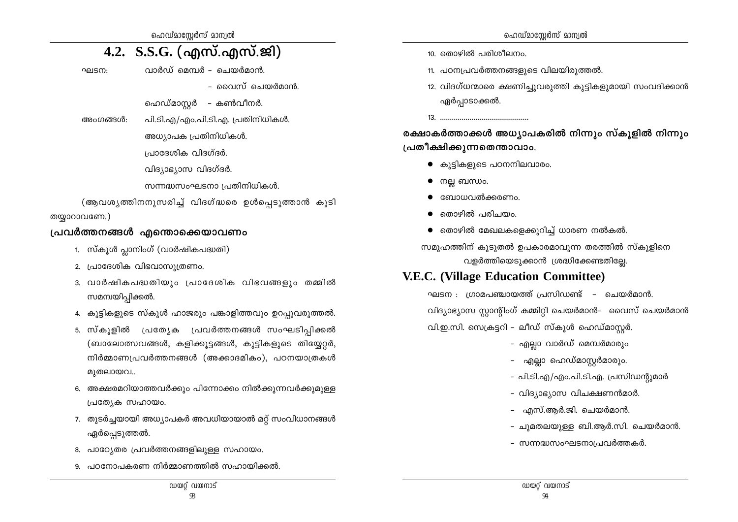ഹെഡ്മാസ്റ്റേർസ് മാന്വൽ

## 4.2. S.S.G. (എസ്.എസ്.ജി)

വാർഡ് മെമ്പർ – ചെയർമാൻ. ഘടന:

- വൈസ് ചെയർമാൻ
- ഹെഡ്മാസ്ലർ കൺവീനർ.
- പി.ടി.എ/എം.പി.ടി.എ. പ്രതിനിധികൾ. അഫനങ്ങൾ
	- അധ്യാപക പ്രതിനിധികൾ.
	- പ്രാദേശിക വിദഗ്ദർ.
	- വിദ്യാഭ്യാസ വിദഗ്ദർ.
	- സന്നദ്ധസംഘടനാ പ്രതിനിധികൾ.

(ആവശ്യത്തിനനുസരിച്ച് വിദഗ്ദ്ധരെ ഉൾപെടുത്താൻ കൂടി

#### തയ്യാറാവണേ.)

#### പ്രവർത്തനങ്ങൾ എന്തൊക്കെയാവണം

- 1. സ്കൂൾ പ്ലാനിംഗ് (വാർഷികപദ്ധതി)
- 2. പ്രാദേശിക വിഭവാസുത്രണം.
- 3. വാർഷികപദ്ധതിയും പ്രാദേശിക വിഭവങ്ങളും തമ്മിൽ സമന്വയിപ്പിക്കൽ.
- 4. കുട്ടികളുടെ സ്കൂൾ ഹാജരും പങ്കാളിത്തവും ഉറപ്പുവരുത്തൽ.
- 5. സ്കൂളിൽ പ്രത്യേക പ്രവർത്തനങ്ങൾ സംഘടിപ്പിക്കൽ (ബാലോത്സവങ്ങൾ, കളിക്കുട്ടങ്ങൾ, കുട്ടികളുടെ തിയ്യേറ്റർ, നിർമ്മാണപ്രവർത്തനങ്ങൾ (അക്കാദമികം), പഠനയാത്രകൾ മുതലായവ..
- 6. അക്ഷരമറിയാത്തവർക്കും പിന്നോക്കം നിൽക്കുന്നവർക്കുമുള്ള പ്രത്യേക സഹായം.
- 7. തുടർച്ചയായി അധ്യാപകർ അവധിയായാൽ മറ്റ് സംവിധാനങ്ങൾ ഏർപ്പെടുത്തൽ.
- 8. പാഠ്യേതര പ്രവർത്തനങ്ങളിലുള്ള സഹായം.
- 9. പഠനോപകരണ നിർമ്മാണത്തിൽ സഹായിക്കൽ.
- 10. തൊഴിൽ പരിശീലനം.
- 11. പഠനപ്രവർത്തനങ്ങളുടെ വിലയിരുത്തൽ.
- 12. വിദഗ്ധന്മാരെ ക്ഷണിച്ചുവരുത്തി കൂട്ടികളുമായി സംവദിക്കാൻ ഏർപ്പാടാക്കൽ.

രക്ഷാകർത്താക്കൾ അധ്യാപകരിൽ നിന്നും സ്കൂളിൽ നിന്നും പ്രതീക്ഷിക്കുന്നതെന്താവാം.

- കുട്ടികളുടെ പഠനനിലവാരം.
- $\bullet$  meg mumuo.
- ബോധവൽക്കരണം.
- തൊഴിൽ പരിചയപ
- $\bullet$  തൊഴിൽ മേഖലകളെക്കുറിച്ച് ധാരണ നൽകൽ.

സമുഹത്തിന് കുടുതൽ ഉപകാരമാവുന്ന തരത്തിൽ സ്കുളിനെ വളർത്തിയെടുക്കാൻ ശ്രദ്ധിക്കേണ്ടതില്ലേ.

## **V.E.C.** (Village Education Committee)

ഘടന : ഗ്രാമപഞ്ചായത്ത് പ്രസിഡണ്ട് – ചെയർമാൻ. വിദ്യാഭ്യാസ സ്റ്റാന്റിംഗ് കമ്മിറ്റി ചെയർമാൻ– വൈസ് ചെയർമാൻ വി.ഇ.സി. സെക്രട്ടറി – ലീഡ് സ്കൂൾ ഹെഡ്മാസ്റ്റർ.

- എല്ലാ വാർഡ് മെമ്പർമാരും
- എല്ലാ ഹെഡ്മാസ്റ്റർമാരും.
- പി.ടി.എ/എം.പി.ടി.എ. പ്രസിഡന്റുമാർ
- വിദ്യാഭ്യാസ വിചക്ഷണൻമാർ.
- എസ്.ആർ.ജി. ചെയർമാൻ.
- ചുമതലയുള്ള ബി.ആർ.സി. ചെയർമാൻ.
- സന്നദ്ധസംഘടനാപ്രവർത്തകർ.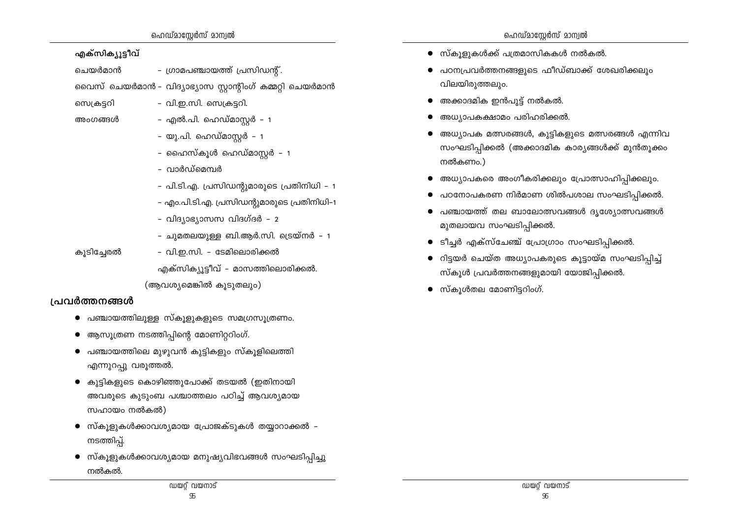- 
- 
- ഹൈസ്കൂൾ ഹെഡ്മാസ്റ്റർ 1 – വാർഡ്മെമ്പർ
- പി.ടി.എ. പ്രസിഡന്റുമാരുടെ പ്രതിനിധി 1
- എം.പി.ടി.എ. പ്രസിഡന്റുമാരുടെ പ്രതിനിധി–1
- വിദ്യാഭ്യാസസ വിദഗ്ദർ 2

- ഗ്രാമപഞ്ചായത്ത് പ്രസിഡന്റ്.

- ചുമതലയുള്ള ബി.ആർ.സി. ട്രെയ്നർ 1
- കൂടിച്ചേരൽ - വി.ഇ.സി. - ടേമിലൊരിക്കൽ

എക്സിക്യൂട്ടീവ് - മാസത്തിലൊരിക്കൽ.

(ആവശ്യമെങ്കിൽ കൂടുതലും)

## പ്രവർത്തനങ്ങൾ

എക്സിക്യൂട്ടീവ്

ചെയർമാൻ

സെക്രട്ടറി

അഹരങ്ങൾ

- $\bullet$  പഞ്ചായത്തിലുള്ള സ്കുളുകളുടെ സമഗ്രസുത്രണം.
- ആസൂത്രണ നടത്തിപ്പിന്റെ മോണിറ്ററിംഗ്.
- $\bullet$  പഞ്ചായത്തിലെ മുഴുവൻ കുട്ടികളും സ്കൂളിലെത്തി എന്നുറപ്പു വരുത്തൽ.
- കുട്ടികളുടെ കൊഴിഞ്ഞുപോക്ക് തടയൽ (ഇതിനായി അവരുടെ കുടുംബ പശ്ചാത്തലം പഠിച്ച് ആവശ്യമായ സഹായം നൽകൽ)
- സ്കൂളുകൾക്കാവശ്യമായ പ്രോജക്ടുകൾ തയ്യാറാക്കൽ -നടത്തിപ്.
- സ്കൂളുകൾക്കാവശ്യമായ മനുഷ്യവിഭവങ്ങൾ സംഘടിപ്പിച്ചു നൽകൽ.
- $\bullet$  സ്കുളുകൾക്ക് പത്രമാസികകൾ നൽകൽ.
- പഠനപ്രവർത്തനങ്ങളുടെ ഫീഡ്ബാക്ക് ശേഖരിക്കലും വിലയിരുത്തലും.
- അക്കാദമിക ഇൻപുട്ട് നൽകൽ.
- അധ്യാപകക്ഷാമം പരിഹരിക്കൽ.
- അധ്യാപക മത്സരങ്ങൾ, കുട്ടികളുടെ മത്സരങ്ങൾ എന്നിവ സംഘടിപ്പിക്കൽ (അക്കാദമിക കാര്യങ്ങൾക്ക് മുൻതൂക്കം നൽകണപ്
- അധ്യാപകരെ അംഗീകരിക്കലും പ്രോത്സാഹിപ്പിക്കലും.
- പഠനോപകരണ നിർമാണ ശിൽപശാല സംഘടിപ്പിക്കൽ.
- പഞ്ചായത്ത് തല ബാലോത്സവങ്ങൾ ദൃശ്യോത്സവങ്ങൾ മുതലായവ സംഘടിപ്പിക്കൽ.
- ടീച്ചർ എക്സ്ചേഞ്ച് പ്രോഗ്രാം സംഘടിപ്പിക്കൽ.
- റിട്ടയർ ചെയ്ത അധ്യാപകരുടെ കൂട്ടായ്മ സംഘടിപ്പിച്ച് സ്കൂൾ പ്രവർത്തനങ്ങളുമായി യോജിപ്പിക്കൽ.
- $\bullet$  സ്കൂൾതല മോണിട്ടറിംഗ്.

വൈസ് ചെയർമാൻ – വിദ്യാഭ്യാസ സ്റ്റാന്റിംഗ് കമ്മറ്റി ചെയർമാൻ

- വി.ഇ.സി. സെക്രട്ടറി.

- എൽ.പി. ഹെഡ്മാസ്പർ – 1

– യു.പി. ഹെഡ്മാസ്റ്റർ – 1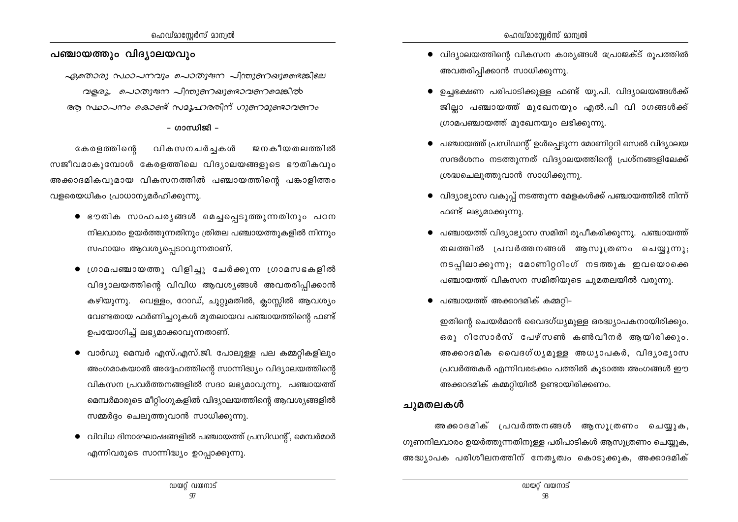#### പഞ്ചായത്തും വിദ്യാലയവും

ഏതൊരു സ്ഥാപനവും പൊതുജന പിന്തുണഖുണ്ടെങ്കിലേ വളരൂ. പൊതുജന പിന്തുണഖുണ്ടാവണമെങ്കിൽ ആ സ്ഥാപനം കൊണ്ട് സമൂഹരരിന് ഗുണമുണ്ടാവണം

– ഗാന്ധിജി –

കേരളത്തിന്റെ വികസനചർച്ചകൾ ജനകീയതലത്തിൽ സജീവമാകൂമ്പോൾ കേരളത്തിലെ വിദ്യാലയങ്ങളുടെ ഭൗതികവും അക്കാദമികവുമായ വികസനത്തിൽ പഞ്ചായത്തിന്റെ പങ്കാളിത്തം വളരെയധികം പ്രാധാന്യമർഹിക്കുന്നു.

- ഭൗതിക സാഹചരൃങ്ങൾ മെച്ചപ്പെടുത്തുന്നതിനും പഠന നിലവാരം ഉയർത്തുന്നതിനും ത്രിതല പഞ്ചായത്തുകളിൽ നിന്നും സഹായം ആവശ്യപ്പെടാവുന്നതാണ്.
- ശ്രാമപഞ്ചായത്തു വിളിച്ചു ചേർക്കുന്ന ഗ്രാമസഭകളിൽ വിദ്യാലയത്തിന്റെ വിവിധ ആവശ്യങ്ങൾ അവതരിപ്പിക്കാൻ കഴിയുന്നു. വെള്ളം, റോഡ്, ചുറ്റുമതിൽ, ക്ലാസ്സിൽ ആവശ്യം വേണ്ടതായ ഫർണിച്ചറുകൾ മുതലായവ പഞ്ചായത്തിന്റെ ഫണ്ട് ഉപയോഗിച്ച് ലഭ്യമാക്കാവുന്നതാണ്.
- വാർഡു മെമ്പർ എസ്.എസ്.ജി. പോലുള്ള പല കമ്മറ്റികളിലും അംഗമാകയാൽ അദ്ദേഹത്തിന്റെ സാന്നിദ്ധ്യം വിദ്യാലയത്തിന്റെ വികസന പ്രവർത്തനങ്ങളിൽ സദാ ലഭ്യമാവുന്നു. പഞ്ചായത്ത് മെമ്പർമാരുടെ മീറ്റിംഗുകളിൽ വിദ്യാലയത്തിന്റെ ആവശ്യങ്ങളിൽ സമ്മർദ്ദം ചെലുത്തുവാൻ സാധിക്കുന്നു.
- $\bullet$  വിവിധ ദിനാഘോഷങ്ങളിൽ പഞ്ചായത്ത് പ്രസിഡന്റ്, മെമ്പർമാർ എന്നിവരുടെ സാന്നിദ്ധ്യം ഉറപ്പാക്കുന്നു.
- $\bullet$  വിദ്യാലയത്തിന്റെ വികസന കാര്യങ്ങൾ പ്രോജക്ട് രൂപത്തിൽ അവതരിപ്പിക്കാൻ സാധിക്കുന്നു.
- ഉച്ചഭക്ഷണ പരിപാടിക്കുള്ള ഫണ്ട് യു.പി. വിദ്യാലയങ്ങൾക്ക് ജില്ലാ പഞ്ചായത്ത് മുഖേനയും എൽ.പി വി ാഗങ്ങൾക്ക് ഗ്രാമപഞ്ചായത്ത് മുഖേനയും ലഭിക്കുന്നു.
- പഞ്ചായത്ത് പ്രസിഡന്റ് ഉൾപ്പെടുന്ന മോണിറ്ററി സെൽ വിദ്യാലയ സന്ദർശനം നടത്തുന്നത് വിദ്യാലയത്തിന്റെ പ്രശ്നങ്ങളിലേക്ക് ശ്രദ്ധചെലുത്തുവാൻ സാധിക്കുന്നു.
- വിദ്യാഭ്യാസ വകുപ്പ് നടത്തുന്ന മേളകൾക്ക് പഞ്ചായത്തിൽ നിന്ന് ഫണ്ട് ലഭ്യമാക്കുന്നു.
- പഞ്ചായത്ത് വിദ്യാഭ്യാസ സമിതി രൂപീകരിക്കുന്നു. പഞ്ചായത്ത് തലത്തിൽ പ്രവർത്തനങ്ങൾ ആസുത്രണം ചെയ്യുന്നു; നടപ്പിലാക്കുന്നു; മോണിറ്ററിംഗ് നടത്തുക ഇവയൊക്കെ പഞ്ചായത്ത് വികസന സമിതിയുടെ ചുമതലയിൽ വരുന്നു.
- പഞ്ചായത്ത് അക്കാദമിക് കമ്മറ്റി–

ഇതിന്റെ ചെയർമാൻ വൈദഗ്ധ്യമുള്ള ഒരദ്ധ്യാപകനായിരിക്കും. ഒരു റിസോർസ് പേഴ്സൺ കൺവീനർ ആയിരിക്കും. അക്കാദമിക വൈദഗ്ധ്യമുള്ള അധ്യാപകർ, വിദ്യാഭ്യാസ പ്രവർത്തകർ എന്നിവരടക്കം പത്തിൽ കൂടാത്ത അംഗങ്ങൾ ഈ അക്കാദമിക് കമ്മറ്റിയിൽ ഉണ്ടായിരിക്കണം.

#### ചുമതലകൾ

അക്കാദമിക് പ്രവർത്തനങ്ങൾ ആസുത്രണം ചെയ്യുക, ഗുണനിലവാരം ഉയർത്തുന്നതിനുള്ള പരിപാടികൾ ആസുത്രണം ചെയ്യുക, അദ്ധ്യാപക പരിശീലനത്തിന് നേതൃത്വം കൊടുക്കുക, അക്കാദമിക്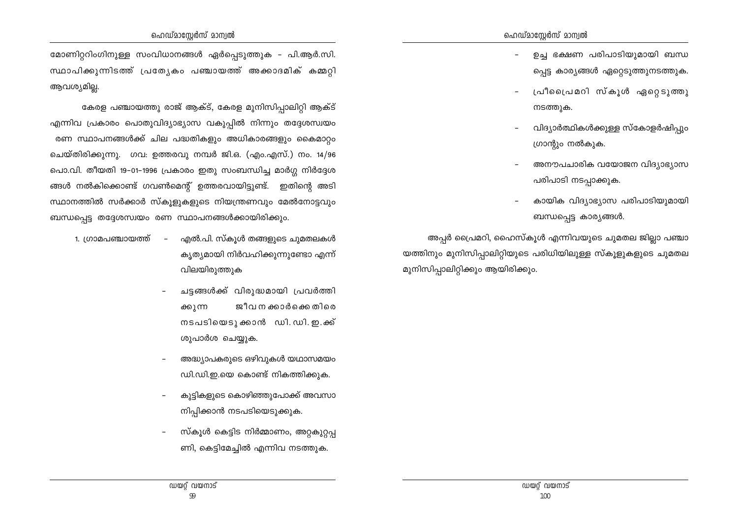മോണിറ്ററിംഗിനുള്ള സംവിധാനങ്ങൾ ഏർപ്പെടുത്തുക - പി.ആർ.സി. സ്ഥാപിക്കുന്നിടത്ത് പ്രത്യേകം പഞ്ചായത്ത് അക്കാദമിക് കമ്മറ്റി ആവശ്യമില്ല.

കേരള പഞ്ചായത്തു രാജ് ആക്ട്, കേരള മുനിസിപ്പാലിറ്റി ആക്ട് എന്നിവ പ്രകാരം പൊതുവിദ്യാഭ്യാസ വകുപ്പിൽ നിന്നും തദ്ദേശസ്വയം രണ സ്ഥാപനങ്ങൾക്ക് ചില പദ്ധതികളും അധികാരങ്ങളും കൈമാറ്റം ചെയ്തിരിക്കുന്നു. ഗവ: ഉത്തരവു നമ്പർ ജി.ഒ. (എം.എസ്.) നം. 14/96 പൊ.വി. തീയതി 19–01–1996 പ്രകാരം ഇതു സംബന്ധിച്ച മാർഗ്ഗ നിർദ്ദേശ ങ്ങൾ നൽകിക്കൊണ്ട് ഗവൺമെന്റ് ഉത്തരവായിട്ടുണ്ട്. ഇതിന്റെ അടി സ്ഥാനത്തിൽ സർക്കാർ സ്കൂളുകളുടെ നിയന്ത്രണവും മേൽനോട്ടവും ബന്ധപ്പെട്ട തദ്ദേശസ്വയം രണ സ്ഥാപനങ്ങൾക്കായിരിക്കും.

- എൽ.പി. സ്കൂൾ തങ്ങളുടെ ചുമതലകൾ 1. ഗ്രാമപഞ്ചായത്ത് – ക്യത്യമായി നിർവഹിക്കുന്നുണ്ടോ എന്ന് വിലയിരുത്തുക
	- ചട്ടങ്ങൾക്ക് വിരുദ്ധമായി പ്രവർത്തി ജീവ ന ക്കാർക്കെ തിരെ ക്കുന്ന നടപടിയെടുക്കാൻ ഡി. ഡി. ഇ.ക്ക് ശുപാർശ ചെയ്യുക.
	- അദ്ധ്യാപകരുടെ ഒഴിവുകൾ യഥാസമയം ഡി.ഡി.ഇ.യെ കൊണ്ട് നികത്തിക്കുക.
	- കുട്ടികളുടെ കൊഴിഞ്ഞുപോക്ക് അവസാ നിപ്പിക്കാൻ നടപടിയെടുക്കുക.
	- സ്കൂൾ കെട്ടിട നിർമ്മാണം, അറ്റകുറ്റപ്പ ണി, കെട്ടിമേച്ചിൽ എന്നിവ നടത്തുക.
- ഉച്ച ഭക്ഷണ പരിപാടിയുമായി ബന്ധ പ്പെട്ട കാര്യങ്ങൾ ഏറ്റെടുത്തുനടത്തുക.
- പ്രീപ്രൈമറി സ്കൂൾ ഏറ്റെടുത്തു നടത്തുക.
- വിദ്യാർത്ഥികൾക്കുള്ള സ്കോളർഷിപും ഗ്രാന്റും നൽകുക.
- അനൗപചാരിക വയോജന വിദ്യാഭ്യാസ പരിപാടി നടപ്പാക്കുക.
- കായിക വിദ്യാഭ്യാസ പരിപാടിയുമായി ബന്ധപ്പെട്ട കാര്യങ്ങൾ.

അപ്പർ പ്രൈമറി, ഹൈസ്കൂൾ എന്നിവയുടെ ചുമതല ജില്ലാ പഞ്ചാ യത്തിനും മുനിസിപ്പാലിറ്റിയുടെ പരിധിയിലുള്ള സ്കൂളുകളുടെ ചുമതല മുനിസിപ്പാലിറ്റിക്കും ആയിരിക്കും.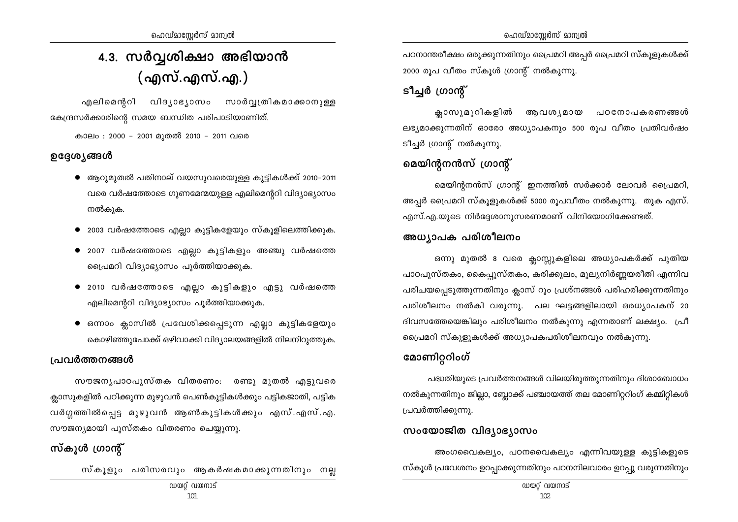## 4.3. സർവ്വശിക്ഷാ അഭിയാൻ (എസ്.എസ്.എ.)

എലിമെന്ററി വിദൃാഭൃാസം സാർവ്വത്രികമാക്കാനുള്ള കേന്ദ്രസർക്കാരിന്റെ സമയ ബന്ധിത പരിപാടിയാണിത്.

കാലം : 2000 - 2001 മുതൽ 2010 - 2011 വരെ

### ഉദ്ദേശ്യങ്ങൾ

- $\bullet$  ആറുമുതൽ പതിനാല് വയസുവരെയുള്ള കുട്ടികൾക്ക് 2010−2011 വരെ വർഷത്തോടെ ഗുണമേന്മയുള്ള എലിമെന്ററി വിദ്യാഭ്യാസം നൽകുക.
- $\bullet$  2003 വർഷത്തോടെ എല്ലാ കുട്ടികളേയും സ്കൂളിലെത്തിക്കുക.
- $\bullet$  2007 വർഷത്തോടെ എല്ലാ കുട്ടികളും അഞ്ചു വർഷത്തെ പ്രൈമറി വിദ്യാഭ്യാസം പൂർത്തിയാക്കുക.
- $\bullet$  2010 വർഷത്തോടെ എല്ലാ കുട്ടികളും എട്ടു വർഷത്തെ  $\alpha$ എലിമെന്ററി വിദ്യാഭ്യാസം പുർത്തിയാക്കുക.
- $\bullet$  ഒന്നാം ക്ലാസിൽ പ്രവേശിക്കപ്പെടുന്ന എല്ലാ കുട്ടികളേയും കൊഴിഞ്ഞുപോക്ക് ഒഴിവാക്കി വിദ്യാലയങ്ങളിൽ നിലനിറുത്തുക.

## <u>പ്രവർത്തനങ്ങൾ</u>

സൗജനൃപാഠപുസ്തക വിതരണം: രണ്ടു മുതൽ എട്ടുവരെ ക്ലാസുകളിൽ പഠിക്കുന്ന മുഴുവൻ പെൺകുട്ടികൾക്കും പട്ടികജാതി, പട്ടിക വർഗ്ഗത്തിൽപ്പെട്ട മുഴുവൻ ആൺകുട്ടികൾക്കും എസ്.എസ്.എ. സൗജന്യമായി പുസ്തകം വിതരണം ചെയ്യുന്നു.

## **kvIqƒ {Km' <sup>v</sup>**

സ്കൂളും പരിസരവും ആകർഷകമാക്കുന്നതിനും നല്ല

പഠനാന്തരീക്ഷം ഒരുക്കുന്നതിനും പ്രൈമറി അപ്പർ പ്രൈമറി സ്കൂളുകൾക്ക് 2000 രൂപ വീതം സ്കൂൾ ഗ്രാന്റ് നൽകുന്നു.

## $S^{\prime}$ ച്ചർ ഗ്രാന്റ്

ക്ലാസുമുറികളിൽ ആവശ്യമായ പഠനോപകരണങ്ങൾ ലഭ്യമാക്കുന്നതിന് ഓരോ അധ്യാപകനും 500 രൂപ വീതം പ്രതിവർഷം ടീച്ചർ ഗ്രാന്റ് നൽകുന്നു.

## **മെയിന്റനൻസ് ഗ്രാന്റ്**

മെയിന്റനൻസ് ഗ്രാന്റ് ഇനത്തിൽ സർക്കാർ ലോവർ പ്രൈമറി, അപ്പർ പ്രൈമറി സ്കൂളുകൾക്ക് 5000 രൂപവീതം നൽകുന്നു. തുക എസ്. എസ്.എ.യുടെ നിർദ്ദേശാനുസരണമാണ് വിനിയോഗിക്കേണ്ടത്.

#### അധ്യാപക പരിശീലനം

ഒന്നു മുതൽ 8 വരെ ക്ലാസ്സുകളിലെ അധ്യാപകർക്ക് പുതിയ പാഠപുസ്തകം, കൈപ്പുസ്തകം, കരിക്കുലം, മുല്യനിർണ്ണയരീതി എന്നിവ പരിചയപെടുത്തുന്നതിനും ക്ലാസ് റും പ്രശ്നങ്ങൾ പരിഹരിക്കുന്നതിനും പരിശീലനം നൽകി വരുന്നു. പല ഘട്ടങ്ങളിലായി ഒരധ്യാപകന് 20 ദിവസത്തേയെങ്കിലും പരിശീലനം നൽകുന്നു എന്നതാണ് ലക്ഷ്യം.  $\lceil$ പീ പ്രൈമറി സ്കൂളുകൾക്ക് അധ്യാപകപരിശീലനവും നൽകുന്നു.

## **മോണിറ്ററിംഗ്**

 $\Delta$ ദ്ധതിയുടെ പ്രവർത്തനങ്ങൾ വിലയിരുത്തുന്നതിനും ദിശാബോധം നൽകുന്നതിനും ജില്ലാ, ബ്ലോക്ക് പഞ്ചായത്ത് തല മോണിറ്ററിംഗ് കമ്മിറ്റികൾ  $[$ പവർത്തിക്കുന്നു.

## സംയോജിത വിദ്യാഭ്യാസം

അംഗവൈകല്യം, പഠനവൈകല്യം എന്നിവയുള്ള കുട്ടികളുടെ സ്കൂൾ പ്രവേശനം ഉറപ്പാക്കുന്നതിനും പഠനനിലവാരം ഉറപ്പു വരുന്നതിനും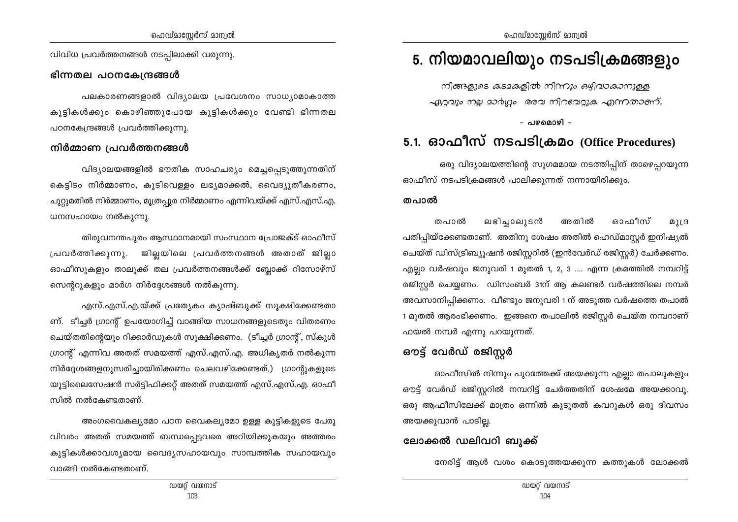വിവിധ പ്രവർത്തനങ്ങൾ നടപ്പിലാക്കി വരുന്നു.

#### ഭിന്നതല പഠനകേന്ദ്രങ്ങൾ

പലകാരണങ്ങളാൽ വിദ്യാലയ പ്രവേശനം സാധ്യാമാകാത്ത കുട്ടികൾക്കും കൊഴിഞ്ഞുപോയ കുട്ടികൾക്കും വേണ്ടി ഭിന്നതല പഠനകേന്ദ്രങ്ങൾ പ്രവർത്തിക്കുന്നു.

#### നിർമ്മാണ പ്രവർത്തനങ്ങൾ

വിദ്യാലയങ്ങളിൽ ഭൗതിക സാഹചര്യം മെച്ചപ്പെടുത്തുന്നതിന് കെട്ടിടം നിർമ്മാണം, കുടിവെള്ളം ലഭ്യമാക്കൽ, വൈദ്യുതീകരണം, ചുറ്റുമതിൽ നിർമ്മാണം, മൂത്രപ്പുര നിർമ്മാണം എന്നിവയ്ക്ക് എസ്.എസ്.എ. ധനസഹായം നൽകുന്നു.

തിരുവനന്തപുരം ആസ്ഥാനമായി സംസ്ഥാന പ്രോജക്ട് ഓഫീസ് പ്രവർത്തിക്കുന്നു. ജില്ലയിലെ പ്രവർത്തനങ്ങൾ അതാത് ജില്ലാ ഓഫീസുകളും താലൂക്ക് തല പ്രവർത്തനങ്ങൾക്ക് ബ്ലോക്ക് റിസോഴ്സ് സെന്ററുകളും മാർഗ നിർദ്ദേശങ്ങൾ നൽകുന്നു.

എസ്.എസ്.എ.യ്ക്ക് പ്രത്യേകം ക്യാഷ്ബുക്ക് സുക്ഷിക്കേണ്ടതാ ണ്. ടീച്ചർ ഗ്രാന്റ് ഉപയോഗിച്ച് വാങ്ങിയ സാധനങ്ങളുടെതും വിതരണം ചെയ്തതിന്റെയും റിക്കാർഡുകൾ സൂക്ഷിക്കണം. (ടീച്ചർ ഗ്രാന്റ്, സ്കൂൾ ഗ്രാന്റ് എന്നിവ അതത് സമയത്ത് എസ്.എസ്.എ. അധികൃതർ നൽകുന്ന നിർദ്ദേശങ്ങളനുസരിച്ചായിരിക്കണം ചെലവഴിക്കേണ്ടത്.) ഗ്രാന്റുകളുടെ യൂട്ടിലൈസേഷൻ സർട്ടിഫിക്കറ്റ് അതത് സമയത്ത് എസ്.എസ്.എ. ഓഫീ സിൽ നൽകേണ്ടതാണ്.

അംഗവൈകല്യമോ പഠന വൈകല്യമോ ഉള്ള കുട്ടികളുടെ പേരു വിവരം അതത് സമയത്ത് ബന്ധപ്പെട്ടവരെ അറിയിക്കുകയും അത്തരം കുട്ടികൾക്കാവശ്യമായ വൈദ്യസഹായവും സാമ്പത്തിക സഹായവും വാങ്ങി നൽകേണ്ടതാണ്.

## 5. നിയമാവലിയും നടപടിക്രമങ്ങളും

നിങ്ങളുടെ കുടമകളിൽ നിന്നും ഒഴിവാകാനുള്ള ഏറ്റവും നല്ല മാർഗ്ഗം അവ നിറവേറ്റുക എന്നതാണ്.

– പഴമൊഴി –

## 5.1. ഓഫീസ് നടപടിക്രമം (Office Procedures)

ഒരു വിദ്യാലയത്തിന്റെ സുഗമമായ നടത്തിപ്പിന് താഴെപ്പറയുന്ന ഓഫീസ് നടപടിക്രമങ്ങൾ പാലിക്കുന്നത് നന്നായിരിക്കും.

#### തപാൽ

ലഭിച്ചാലുടൻ അതിൽ ഓഫീസ് തപാൽ  $011B$ പതിപ്പിയ്ക്കേണ്ടതാണ്. അതിനു ശേഷം അതിൽ ഹെഡ്മാസ്റ്റർ ഇനിഷ്യൽ ചെയ്ത് ഡിസ്ട്രിബ്യൂഷൻ രജിസ്റ്ററിൽ (ഇൻവേർഡ് രജിസ്റ്റർ) ചേർക്കണം. എല്ലാ വർഷവും ജനുവരി 1 മുതൽ 1, 2, 3 .... എന്ന ക്രമത്തിൽ നമ്പറിട്ട് രജിസ്റ്റർ ചെയ്യണം. ഡിസംബർ 31ന് ആ കലണ്ടർ വർഷത്തിലെ നമ്പർ അവസാനിപ്പിക്കണം. വീണ്ടും ജനുവരി 1 ന് അടുത്ത വർഷത്തെ തപാൽ 1 മുതൽ ആരംഭിക്കണം. ഇങ്ങനെ തപാലിൽ രജിസ്റ്റർ ചെയ്ത നമ്പറാണ് ഫയൽ നമ്പർ എന്നു പറയുന്നത്.

## ഔട്ട് വേർഡ് രജിസ്റ്റർ

ഓഫീസിൽ നിന്നും പുറത്തേക്ക് അയക്കുന്ന എല്ലാ തപാലുകളും ഔട്ട് വേർഡ് രജിസ്റ്ററിൽ നമ്പറിട്ട് ചേർത്തതിന് ശേഷമേ അയക്കാവൂ. ഒരു ആഫീസിലേക്ക് മാത്രം ഒന്നിൽ കുടുതൽ കവറുകൾ ഒരു ദിവസം അയക്കുവാൻ പാടില്ല.

## ലോക്കൽ ഡലിവറി ബുക്ക്

നേരിട്ട് ആൾ വശം കൊടുത്തയക്കുന്ന കത്തുകൾ ലോക്കൽ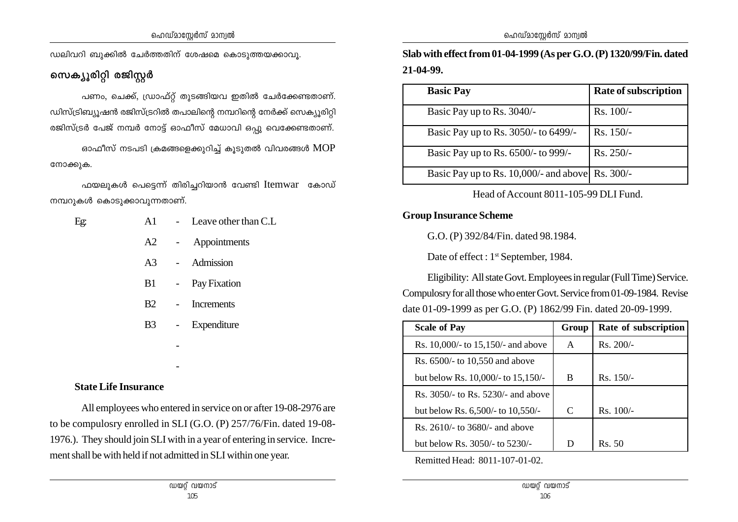ഡലിവറി ബുക്കിൽ ചേർത്തതിന് ശേഷമെ കൊടുത്തയക്കാവൂ.

സെക്യൂരിറ്റി രജിസ്റ്റ**ർ** 

പണം, ചെക്ക്, ഡ്രാഫ്റ്റ് തുടങ്ങിയവ ഇതിൽ ചേർക്കേണ്ടതാണ്.  $\omega$ ിസ്ട്രിബ്യുഷൻ രജിസ്ട്രറിൽ തപാലിന്റെ നമ്പറിന്റെ നേർക്ക് സെക്യുരിറ്റി  $\alpha$ ജിസ്ട്രർ പേജ് നമ്പർ നോട്ട് ഓഫീസ് മേധാവി ഒപു വെക്കേണ്ടതാണ്. ഓഫീസ് നടപടി ക്രമങ്ങളെക്കുറിച്ച് കൂടുതൽ വിവരങ്ങൾ  $\mathop{\mathrm{MOP}}$ നോക്കുക.

 $\Delta$ ഫയലുകൾ പെട്ടെന്ന് തിരിച്ചറിയാൻ വേണ്ടി  $\Delta$ Itemwar കോഡ്  $\omega$  സമ്പറുകൾ കൊടുക്കാവുന്നതാണ്.

| Eg: | A1                                                                                                                                                                                                                             | - Leave other than C.L |
|-----|--------------------------------------------------------------------------------------------------------------------------------------------------------------------------------------------------------------------------------|------------------------|
|     |                                                                                                                                                                                                                                | A2 - Appointments      |
|     |                                                                                                                                                                                                                                | A3 - Admission         |
|     | B1 and the state of the state of the state of the state of the state of the state of the state of the state of the state of the state of the state of the state of the state of the state of the state of the state of the sta | - Pay Fixation         |
|     |                                                                                                                                                                                                                                | B2 - Increments        |
|     | B3 -                                                                                                                                                                                                                           | Expenditure            |
|     |                                                                                                                                                                                                                                |                        |
|     |                                                                                                                                                                                                                                |                        |

#### **State Life Insurance**

All employees who entered in service on or after 19-08-2976 are to be compulosry enrolled in SLI (G.O. (P) 257/76/Fin. dated 19-08- 1976.). They should join SLI with in a year of entering in service. Increment shall be with held if not admitted in SLI within one year.

**Slab with effect from 01-04-1999 (As per G.O. (P) 1320/99/Fin. dated 21-04-99.**

| <b>Basic Pay</b>                                 | Rate of subscription |
|--------------------------------------------------|----------------------|
| Basic Pay up to Rs. 3040/-                       | Rs. 100/-            |
| Basic Pay up to Rs. 3050/- to 6499/-             | $Rs. 150/-$          |
| Basic Pay up to Rs. 6500/- to 999/-              | $Rs. 250/-$          |
| Basic Pay up to Rs. 10,000/- and above Rs. 300/- |                      |

Head of Account 8011-105-99 DLI Fund.

#### **Group Insurance Scheme**

G.O. (P) 392/84/Fin. dated 98.1984.

Date of effect : 1<sup>st</sup> September, 1984.

Eligibility: All state Govt. Employees in regular (Full Time) Service. Compulosry for all those who enter Govt. Service from 01-09-1984. Revise date 01-09-1999 as per G.O. (P) 1862/99 Fin. dated 20-09-1999.

| <b>Scale of Pay</b>                | Group | Rate of subscription |
|------------------------------------|-------|----------------------|
| Rs. 10,000/- to 15,150/- and above | A     | $Rs. 200/-$          |
| Rs. 6500/- to 10,550 and above     |       |                      |
| but below Rs. 10,000/- to 15,150/- | B     | $Rs. 150/-$          |
| Rs. 3050/- to Rs. 5230/- and above |       |                      |
| but below Rs. 6,500/- to 10,550/-  | C     | $Rs. 100/-$          |
| Rs. $2610/-$ to $3680/-$ and above |       |                      |
| but below Rs. $3050/1$ to $5230/1$ | D     | R <sub>s</sub> 50    |

Remitted Head: 8011-107-01-02.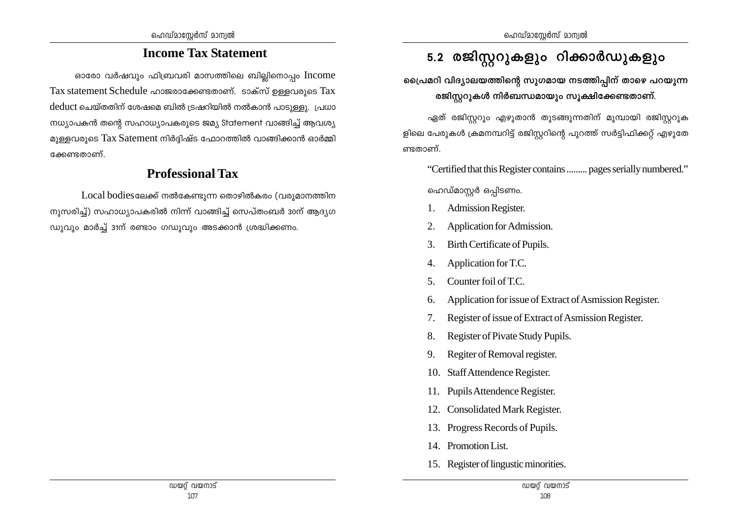## **Income Tax Statement**

ഓരോ വർഷവും ഫിബ്രവരി മാസത്തിലെ ബില്ലിനൊപ്പം  $Income$ Tax statement Schedule ഹാജരാക്കേണ്ടതാണ്. ടാക്സ് ഉള്ളവരുടെ Tax deduct ചെയ്തതിന് ശേഷമെ ബിൽ ട്രഷറിയിൽ നൽകാൻ പാടുള്ളു. പ്രധാ  $\langle \rangle$ സ്ര്യാപകൻ തന്റെ സഹാധ്യാപകരുടെ ജമ്യ Statement വാങ്ങിച്ച് ആവശ്യ മുള്ളവരുടെ  $\text{Tax Statement}$  നിർദ്ദിഷ്ട ഫോറത്തിൽ വാങ്ങിക്കാൻ ഓർമ്മി ഭക്കണ്ടതാണ്

## **Professional Tax**

 $Local \ bodies$ ലേക്ക് നൽകേണ്ടുന്ന തൊഴിൽകരം (വരുമാനത്തിന  $\varphi$ നുസരിച്ച്) സഹാധ്യാപകരിൽ നിന്ന് വാങ്ങിച്ച് സെപ്തംബർ 30ന് ആദ്യഗ  $\omega$ ുവും മാർച്ച് 31ന് രണ്ടാം ഗഡുവും അടക്കാൻ ശ്രദ്ധിക്കണം.

## 5.2 രജിസ്റ്ററുകളും റിക്കാർഡുകളും

്ട്ടൈപമറി വിദ്യാലയത്തിന്റെ സുഗമായ നടത്തിപ്പിന് താഴെ പറയുന്ന രജിസ്റ്ററുകൾ നിർബന്ധമായും സൂക്ഷിക്കേണ്ടതാണ്.

ഏത് രജിസ്ലറും എഴുതാൻ തുടങ്ങുന്നതിന് മുമ്പായി രജിസ്ലറുക ളിലെ പേരുകൾ ക്രമനമ്പറിട്ട് രജിസ്റ്ററിന്റെ പുറത്ത് സർട്ടിഫിക്കറ്റ് എഴുതേ ണ്ടതാണ്.

"Certified that this Register contains ......... pages serially numbered."

ഹെഡ്മാസ്റ്റർ ഒപ്പിടണം.

- 1. Admission Register.
- 2. Application for Admission.
- 3. Birth Certificate of Pupils.
- 4. Application for T.C.
- 5. Counter foil of T.C.
- 6. Application for issue of Extract of Asmission Register.
- 7. Register of issue of Extract of Asmission Register.
- 8. Register of Pivate Study Pupils.
- 9. Regiter of Removal register.
- 10. Staff Attendence Register.
- 11. Pupils Attendence Register.
- 12. Consolidated Mark Register.
- 13. Progress Records of Pupils.
- 14. Promotion List.
- 15. Register of lingustic minorities.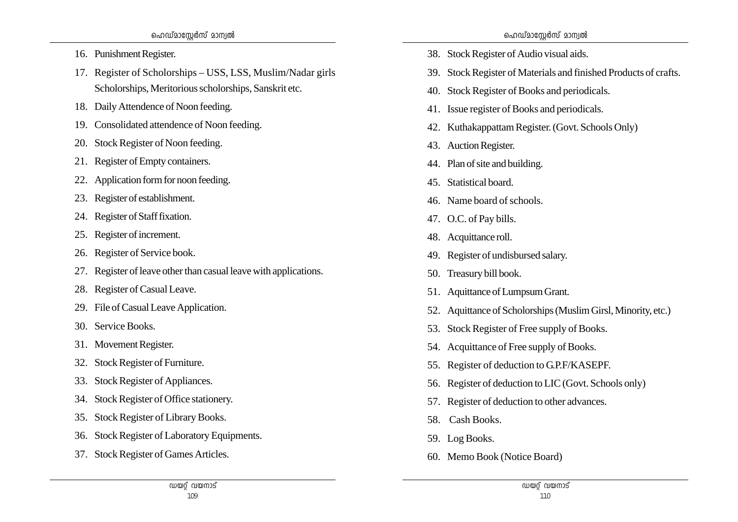- 16. Punishment Register.
- 17. Register of Scholorships USS, LSS, Muslim/Nadar girls Scholorships, Meritorious scholorships, Sanskrit etc.
- 18. Daily Attendence of Noon feeding.
- 19. Consolidated attendence of Noon feeding.
- 20. Stock Register of Noon feeding.
- 21. Register of Empty containers.
- 22. Application form for noon feeding.
- 23. Register of establishment.
- 24. Register of Staff fixation.
- 25. Register of increment.
- 26. Register of Service book.
- 27. Register of leave other than casual leave with applications.
- 28. Register of Casual Leave.
- 29. File of Casual Leave Application.
- 30. Service Books.
- 31. Movement Register.
- 32. Stock Register of Furniture.
- 33. Stock Register of Appliances.
- 34. Stock Register of Office stationery.
- 35. Stock Register of Library Books.
- 36. Stock Register of Laboratory Equipments.
- 37. Stock Register of Games Articles.
- 38. Stock Register of Audio visual aids.
- 39. Stock Register of Materials and finished Products of crafts.
- 40. Stock Register of Books and periodicals.
- 41. Issue register of Books and periodicals.
- 42. Kuthakappattam Register. (Govt. Schools Only)
- 43. Auction Register.
- 44. Plan of site and building.
- 45. Statistical board.
- 46. Name board of schools.
- 47. O.C. of Pay bills.
- 48. Acquittance roll.
- 49. Register of undisbursed salary.
- 50. Treasury bill book.
- 51. Aquittance of Lumpsum Grant.
- 52. Aquittance of Scholorships (Muslim Girsl, Minority, etc.)
- 53. Stock Register of Free supply of Books.
- 54. Acquittance of Free supply of Books.
- 55. Register of deduction to G.P.F/KASEPF.
- 56. Register of deduction to LIC (Govt. Schools only)
- 57. Register of deduction to other advances.
- 58. Cash Books.
- 59. Log Books.
- 60. Memo Book (Notice Board)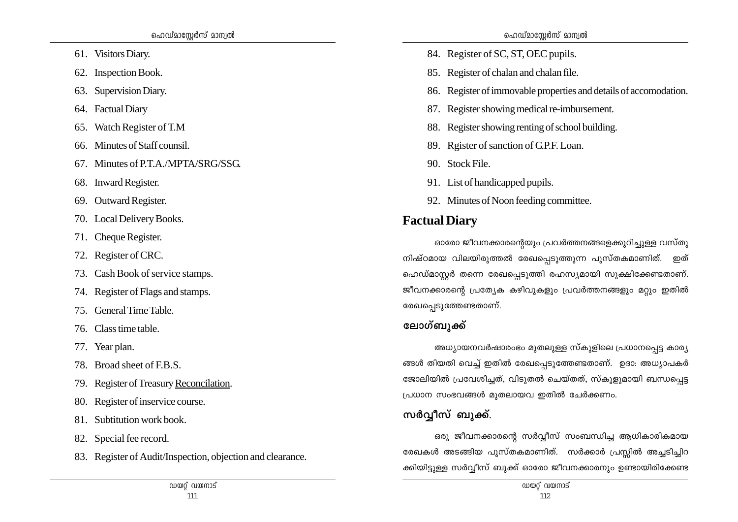- 61. Visitors Diary.
- 62. Inspection Book.
- 63. Supervision Diary.
- 64. Factual Diary
- 65. Watch Register of T.M
- 66. Minutes of Staff counsil.
- 67. Minutes of P.T.A./MPTA/SRG/SSG.
- 68. Inward Register.
- 69. Outward Register.
- 70. Local Delivery Books.
- 71. Cheque Register.
- 72. Register of CRC.
- 73. Cash Book of service stamps.
- 74. Register of Flags and stamps.
- 75. General Time Table.
- 76 Class time table
- 77. Year plan.
- 78. Broad sheet of F.B.S.
- 79. Register of Treasury Reconcilation.
- 80. Register of inservice course.
- 81. Subtitution work book.
- 82. Special fee record.
- 83. Register of Audit/Inspection, objection and clearance.
- 84. Register of SC, ST, OEC pupils.
- 85. Register of chalan and chalan file.
- 86. Register of immovable properties and details of accomodation.
- 87. Register showing medical re-imbursement.
- 88. Register showing renting of school building.
- 89. Reister of sanction of G.P.F. Loan.
- 90. Stock File.
- 91. List of handicapped pupils.
- 92. Minutes of Noon feeding committee.

## **Factual Diary**

ഓരോ ജീവനക്കാരന്റെയും പ്രവർത്തനങ്ങളെക്കുറിച്ചുള്ള വസ്തു നിഷ്ഠമായ വിലയിരുത്തൽ രേഖപ്പെടുത്തുന്ന പുസ്തകമാണിത്. ഇത് ഹെഡ്മാസ്റ്റർ തന്നെ രേഖപ്പെടുത്തി രഹസ്യമായി സൂക്ഷിക്കേണ്ടതാണ്. ജീവനക്കാരന്റെ പ്രത്യേക കഴിവുകളും പ്രവർത്തനങ്ങളും മറ്റും ഇതിൽ രേഖപ്പെടുത്തേണ്ടതാണ്.

## ലോഗ്ബുക്ക്

അധ്യായനവർഷാരംഭം മുതലുള്ള സ്കുളിലെ പ്രധാനപ്പെട്ട കാര്യ ങ്ങൾ തിയതി വെച്ച് ഇതിൽ രേഖപ്പെടുത്തേണ്ടതാണ്. ഉദാ: അധ്യാപകർ ജോലിയിൽ പ്രവേശിച്ചത്, വിടുതൽ ചെയ്തത്, സ്കൂളുമായി ബന്ധപ്പെട്ട പ്രധാന സംഭവങ്ങൾ മുതലായവ ഇതിൽ ചേർക്കണം.

## സർവ്വീസ് ബുക്ക്.

ഒരു ജീവനക്കാരന്റെ സർവ്വീസ് സംബന്ധിച്ച ആധികാരികമായ രേഖകൾ അടങ്ങിയ പുസ്തകമാണിത്. സർക്കാർ പ്രസ്സിൽ അച്ചടിച്ചിറ ക്കിയിട്ടുള്ള സർവ്വീസ് ബുക്ക് ഓരോ ജീവനക്കാരനും ഉണ്ടായിരിക്കേണ്ട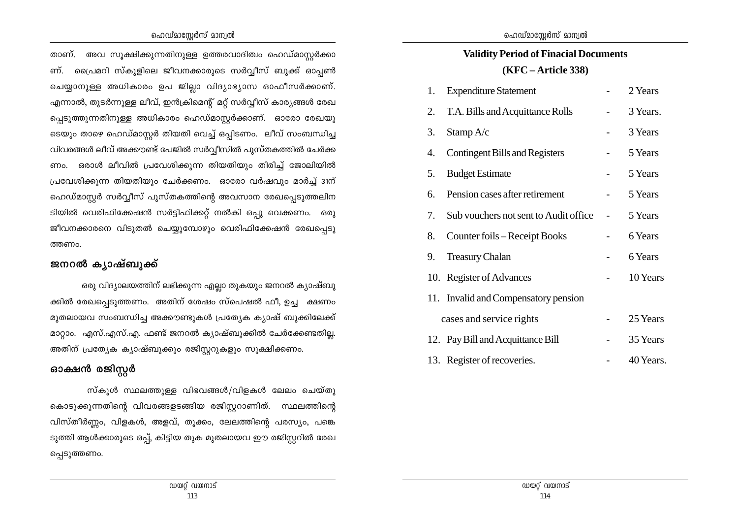#### ഹെഡ്മാസ്റ്റേർസ് മാന്വൽ

താണ്. അവ സൂക്ഷിക്കുന്നതിനുള്ള ഉത്തരവാദിത്വം ഹെഡ്മാസ്റ്റർക്കാ ണ്. പ്രൈമറി സ്കുളിലെ ജീവനക്കാരുടെ സർവ്വീസ് ബുക്ക് ഓപ്പൺ ചെയ്യാനുള്ള അധികാരം ഉപ ജില്ലാ വിദ്യാഭ്യാസ ഓഫീസർക്കാണ്. എന്നാൽ, തുടർന്നുള്ള ലീവ്, ഇൻക്രിമെന്റ് മറ്റ് സർവ്വീസ് കാര്യങ്ങൾ രേഖ പ്പെടുത്തുന്നതിനുള്ള അധികാരം ഹെഡ്മാസ്റ്റർക്കാണ്. ഓരോ രേഖയു ടെയും താഴെ ഹെഡ്മാസ്റ്റർ തിയതി വെച്ച് ഒപ്പിടണം. ലീവ് സംബന്ധിച്ച വിവരങ്ങൾ ലീവ് അക്കൗണ്ട് പേജിൽ സർവ്വീസിൽ പുസ്തകത്തിൽ ചേർക്ക ണം. ഒരാൾ ലീവിൽ പ്രവേശിക്കുന്ന തിയതിയും തിരിച്ച് ജോലിയിൽ പ്രവേശിക്കുന്ന തിയതിയും ചേർക്കണം. ഓരോ വർഷവും മാർച്ച് 31ന് ഹെഡ്മാസ്റ്റർ സർവ്വീസ് പുസ്തകത്തിന്റെ അവസാന രേഖപ്പെടുത്തലിന ടിയിൽ വെരിഫിക്കേഷൻ സർട്ടിഫിക്കറ്റ് നൽകി ഒപ്പു വെക്കണം. ഒരു ജീവനക്കാരനെ വിടുതൽ ചെയ്യുമ്പോഴും വെരിഫിക്കേഷൻ രേഖപ്പെടു ത്തണം.

#### ജനറൽ കൃാഷ്ബുക്ക്

ഒരു വിദ്യാലയത്തിന് ലഭിക്കുന്ന എല്ലാ തുകയും ജനറൽ ക്യാഷ്ബു ക്കിൽ രേഖപ്പെടുത്തണം. അതിന് ശേഷം സ്പെഷൽ ഫീ, ഉച്ച ക്ഷണം മുതലായവ സംബന്ധിച്ച അക്കൗണ്ടുകൾ പ്രത്യേക ക്യാഷ് ബുക്കിലേക്ക് മാറ്റാം. എസ്.എസ്.എ. ഫണ്ട് ജനറൽ ക്യാഷ്ബുക്കിൽ ചേർക്കേണ്ടതില്ല. അതിന് പ്രത്യേക ക്യാഷ്ബുക്കും രജിസ്റ്ററുകളും സൂക്ഷിക്കണം.

### ഓക്ഷൻ രജിസ്റ്റർ

സ്കൂൾ സ്ഥലത്തുള്ള വിഭവങ്ങൾ/വിളകൾ ലേലം ചെയ്തു കൊടുക്കുന്നതിന്റെ വിവരങ്ങളടങ്ങിയ രജിസ്റ്ററാണിത്. സ്ഥലത്തിന്റെ വിസ്തീർണ്ണം, വിളകൾ, അളവ്, തൂക്കം, ലേലത്തിന്റെ പരസ്യം, പങ്കെ ടുത്തി ആൾക്കാരുടെ ഒപ്പ്, കിട്ടിയ തുക മുതലായവ ഈ രജിസ്റ്ററിൽ രേഖ പ്പെടുത്തണം.

## **Validity Period of Finacial Documents** (KFC – Article 338)

| 1. | <b>Expenditure Statement</b>          | 2 Years   |
|----|---------------------------------------|-----------|
| 2. | T.A. Bills and Acquittance Rolls      | 3 Years.  |
| 3. | Stamp A/c                             | 3 Years   |
| 4. | <b>Contingent Bills and Registers</b> | 5 Years   |
| 5. | <b>Budget Estimate</b>                | 5 Years   |
| 6. | Pension cases after retirement        | 5 Years   |
| 7. | Sub vouchers not sent to Audit office | 5 Years   |
| 8. | Counter foils – Receipt Books         | 6 Years   |
| 9. | <b>Treasury Chalan</b>                | 6 Years   |
|    | 10. Register of Advances              | 10 Years  |
|    | 11. Invalid and Compensatory pension  |           |
|    | cases and service rights              | 25 Years  |
|    | 12. Pay Bill and Acquittance Bill     | 35 Years  |
|    | 13. Register of recoveries.           | 40 Years. |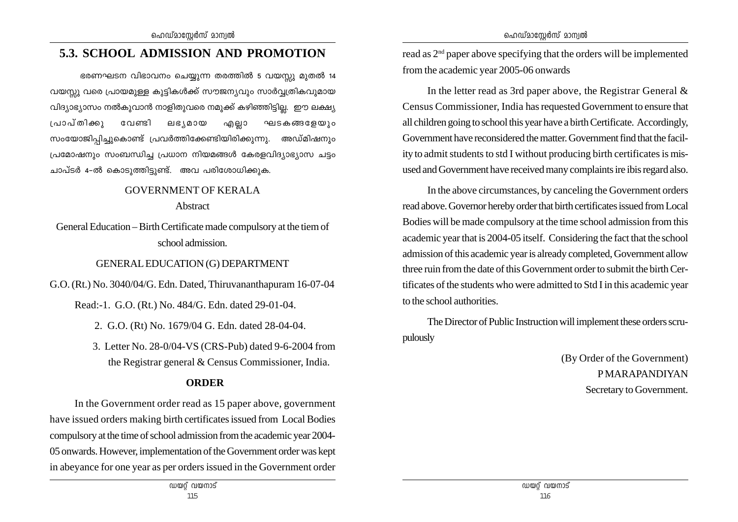## **5.3. SCHOOL ADMISSION AND PROMOTION**

 $\epsilon$ ഭരണഘടന വിഭാവനം ചെയ്യുന്ന തരത്തിൽ 5 വയസ്സു മുതൽ 14 വയസ്സു വരെ പ്രായമുള്ള കുട്ടികൾക്ക് സൗജന്യവും സാർവ്വത്രികവുമായ വിദ്യാഭ്യാസം നൽകുവാൻ നാളിതുവരെ നമുക്ക് കഴിഞ്ഞിട്ടില്ല. ഈ ലക്ഷ്യ (പാപ്തിക്കു വേണ്ടി ലഭൃമായ എല്ലാ ഘടകങ്ങളേയും സംയോജിപിച്ചുകൊണ്ട് പ്രവർത്തിക്കേണ്ടിയിരിക്കുന്നു. അഡ്മിഷനും പ്രമോഷനും സംബന്ധിച്ച പ്രധാന നിയമങ്ങൾ കേരളവിദ്യാഭ്യാസ ചട്ടം ചാപ്ടർ 4-ൽ കൊടുത്തിട്ടുണ്ട്. അവ പരിശോധിക്കുക.

#### GOVERNMENT OF KERALA

#### Abstract

General Education – Birth Certificate made compulsory at the tiem of school admission.

### GENERAL EDUCATION (G) DEPARTMENT

G.O. (Rt.) No. 3040/04/G. Edn. Dated, Thiruvananthapuram 16-07-04

Read:-1. G.O. (Rt.) No. 484/G. Edn. dated 29-01-04.

- 2. G.O. (Rt) No. 1679/04 G. Edn. dated 28-04-04.
- 3. Letter No. 28-0/04-VS (CRS-Pub) dated 9-6-2004 from the Registrar general & Census Commissioner, India.

## **ORDER**

In the Government order read as 15 paper above, government have issued orders making birth certificates issued from Local Bodies compulsory at the time of school admission from the academic year 2004- 05 onwards. However, implementation of the Government order was kept in abeyance for one year as per orders issued in the Government order read as 2nd paper above specifying that the orders will be implemented from the academic year 2005-06 onwards

In the letter read as 3rd paper above, the Registrar General & Census Commissioner, India has requested Government to ensure that all children going to school this year have a birth Certificate. Accordingly, Government have reconsidered the matter. Government find that the facility to admit students to std I without producing birth certificates is misused and Government have received many complaints ire ibis regard also.

In the above circumstances, by canceling the Government orders read above. Governor hereby order that birth certificates issued from Local Bodies will be made compulsory at the time school admission from this academic year that is 2004-05 itself. Considering the fact that the school admission of this academic year is already completed, Government allow three ruin from the date of this Government order to submit the birth Certificates of the students who were admitted to Std I in this academic year to the school authorities.

The Director of Public Instruction will implement these orders scrupulously

> (By Order of the Government) P MARAPANDIYAN Secretary to Government.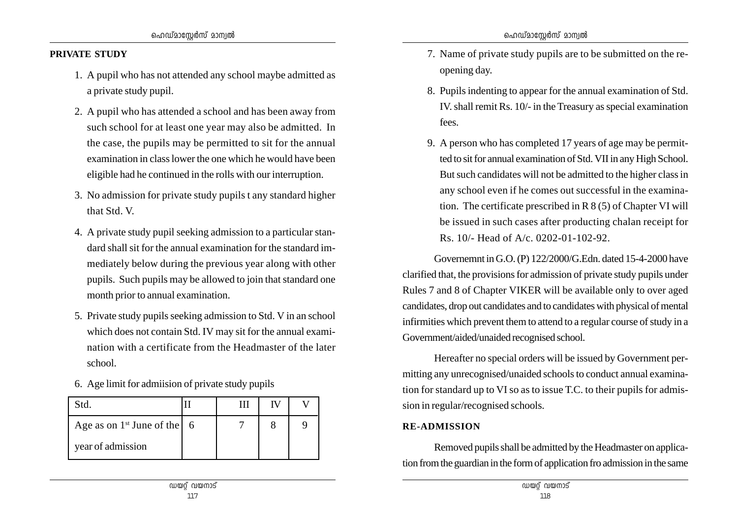#### **PRIVATE STUDY**

- 1. A pupil who has not attended any school maybe admitted as a private study pupil.
- 2. A pupil who has attended a school and has been away from such school for at least one year may also be admitted. In the case, the pupils may be permitted to sit for the annual examination in class lower the one which he would have been eligible had he continued in the rolls with our interruption.
- 3. No admission for private study pupils t any standard higher that Std. V.
- 4. A private study pupil seeking admission to a particular standard shall sit for the annual examination for the standard immediately below during the previous year along with other pupils. Such pupils may be allowed to join that standard one month prior to annual examination.
- 5. Private study pupils seeking admission to Std. V in an school which does not contain Std. IV may sit for the annual examination with a certificate from the Headmaster of the later school.
- 6. Age limit for admiision of private study pupils

| Std.                                           |  |  |
|------------------------------------------------|--|--|
| Age as on $1^{st}$ June of the $\vert 6 \vert$ |  |  |
| year of admission                              |  |  |

- 7. Name of private study pupils are to be submitted on the reopening day.
- 8. Pupils indenting to appear for the annual examination of Std. IV. shall remit Rs. 10/- in the Treasury as special examination fees.
- 9. A person who has completed 17 years of age may be permitted to sit for annual examination of Std. VII in any High School. But such candidates will not be admitted to the higher class in any school even if he comes out successful in the examination. The certificate prescribed in R 8 (5) of Chapter VI will be issued in such cases after producting chalan receipt for Rs. 10/- Head of A/c. 0202-01-102-92.

Governemnt in G.O. (P) 122/2000/G.Edn. dated 15-4-2000 have clarified that, the provisions for admission of private study pupils under Rules 7 and 8 of Chapter VIKER will be available only to over aged candidates, drop out candidates and to candidates with physical of mental infirmities which prevent them to attend to a regular course of study in a Government/aided/unaided recognised school.

Hereafter no special orders will be issued by Government permitting any unrecognised/unaided schools to conduct annual examination for standard up to VI so as to issue T.C. to their pupils for admission in regular/recognised schools.

#### **RE-ADMISSION**

Removed pupils shall be admitted by the Headmaster on application from the guardian in the form of application fro admission in the same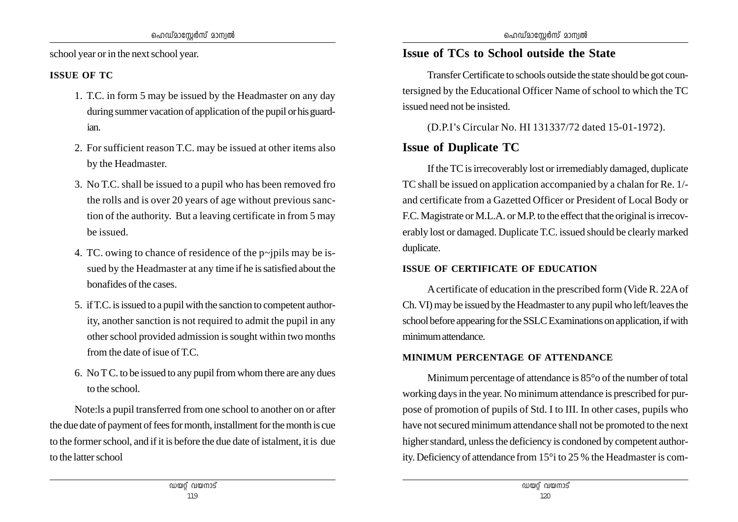school year or in the next school year.

#### **ISSUE OF TC**

- 1. T.C. in form 5 may be issued by the Headmaster on any day during summer vacation of application of the pupil or his guardian.
- 2. For sufficient reason T.C. may be issued at other items also by the Headmaster.
- 3. No T.C. shall be issued to a pupil who has been removed fro the rolls and is over 20 years of age without previous sanction of the authority. But a leaving certificate in from 5 may be issued.
- 4. TC. owing to chance of residence of the  $p$ -jpils may be issued by the Headmaster at any time if he is satisfied about the bonafides of the cases.
- 5. if T.C. is issued to a pupil with the sanction to competent authority, another sanction is not required to admit the pupil in any other school provided admission is sought within two months from the date of isue of T.C.
- 6. No T C. to be issued to any pupil from whom there are any dues to the school.

Note:ls a pupil transferred from one school to another on or after the due date of payment of fees for month, installment for the month is cue to the former school, and if it is before the due date of istalment, it is due to the latter school

## **Issue of TCs to School outside the State**

Transfer Certificate to schools outside the state should be got countersigned by the Educational Officer Name of school to which the TC issued need not be insisted.

(D.P.I's Circular No. HI 131337/72 dated 15-01-1972).

## **Issue of Duplicate TC**

If the TC is irrecoverably lost or irremediably damaged, duplicate TC shall be issued on application accompanied by a chalan for Re. 1/ and certificate from a Gazetted Officer or President of Local Body or F.C. Magistrate or M.L.A. or M.P. to the effect that the original is irrecoverably lost or damaged. Duplicate T.C. issued should be clearly marked duplicate.

#### **ISSUE OF CERTIFICATE OF EDUCATION**

A certificate of education in the prescribed form (Vide R. 22A of Ch. VI) may be issued by the Headmaster to any pupil who left/leaves the school before appearing for the SSLC Examinations on application, if with minimum attendance.

#### **MINIMUM PERCENTAGE OF ATTENDANCE**

Minimum percentage of attendance is 85°o of the number of total working days in the year. No minimum attendance is prescribed for purpose of promotion of pupils of Std. I to III. In other cases, pupils who have not secured minimum attendance shall not be promoted to the next higher standard, unless the deficiency is condoned by competent authority. Deficiency of attendance from 15°i to 25 % the Headmaster is com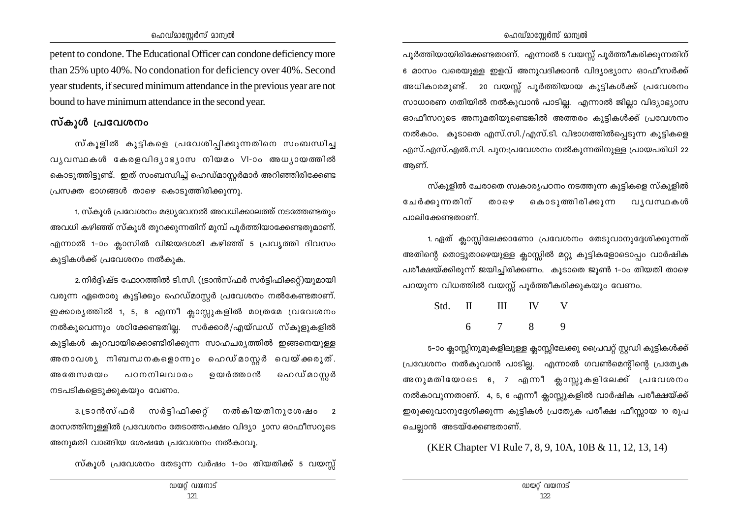petent to condone. The Educational Officer can condone deficiency more than 25% upto 40%. No condonation for deficiency over 40%. Second year students, if secured minimum attendance in the previous year are not bound to have minimum attendance in the second year.

### സ്കൂൾ പ്രവേശനം

സ്കൂളിൽ കുട്ടികളെ പ്രവേശിപ്പിക്കുന്നതിനെ സംബന്ധിച്ച വൃവസ്ഥകൾ കേരളവിദൃാഭൃാസ നിയമം VI-ാം അധൃായത്തിൽ കൊടുത്തിട്ടുണ്ട്. ഇത് സംബന്ധിച്ച് ഹെഡ്മാസ്ലർമാർ അറിഞ്ഞിരിക്കേണ്ട  ${\mu}$ പ്രസക്ത ഭാഗങ്ങൾ താഴെ കൊടുത്തിരിക്കുന്നു.

1. സ്കൂൾ പ്രവേശനം മദ്ധ്യവേനൽ അവധിക്കാലത്ത് നടത്തേണ്ടതും അവധി കഴിഞ്ഞ് സ്കൂൾ തുറക്കുന്നതിന് മുമ്പ് പൂർത്തിയാക്കേണ്ടതുമാണ്. എന്നാൽ 1-ാം ക്ലാസിൽ വിജയദശമി കഴിഞ്ഞ് 5 പ്രവൃത്തി ദിവസം കുട്ടികൾക്ക് പ്രവേശനം നൽകുക.

2.നിർദ്ദിഷ്ട ഫോറത്തിൽ ടി.സി. (ട്രാൻസ്ഫർ സർട്ടിഫിക്കറ്റ്)യുമായി വരുന്ന ഏതൊരു കുട്ടിക്കും ഹെഡ്മാസ്റ്റർ പ്രവേശനം നൽകേണ്ടതാണ്. ഇക്കാരൃത്തിൽ 1, 5, 8 എന്നീ ക്ലാസ്റ്റുകളിൽ മാത്രമേ വ്രവേശനം നൽകുവെന്നും ശഠിക്കേണ്ടതില്ല. സർക്കാർ/എയ്ഡഡ് സ്കൂളുകളിൽ കുട്ടികൾ കുറവായിക്കൊണ്ടിരിക്കുന്ന സാഹചര്യത്തിൽ ഇങ്ങനെയുള്ള അനാവശൃ നിബന്ധനകളൊന്നും ഹെഡ്മാസൂർ വെയ്ക്കരുത്. അതേസമയം പഠനനിലവാരം ഉയർത്താൻ ഹെഡ്മാസ<u>്</u>ലർ നടപടികളെടുക്കുകയും വേണം.

3. (ടാൻസ്ഫർ സർട്ടിഫിക്കറ്റ് നൽകിയതിനുശേഷം 2 മാസത്തിനുള്ളിൽ പ്രവേശനം തേടാത്തപക്ഷം വിദ്യാ ൃാസ ഓഫീസറുടെ അനുമതി വാങ്ങിയ ശേഷമേ പ്രവേശനം നൽകാവൂ.

സ്കൂൾ പ്രവേശനം തേടുന്ന വർഷം 1–ാം തിയതിക്ക് 5 വയസ്സ്

പൂർത്തിയായിരിക്കേണ്ടതാണ്. എന്നാൽ 5 വയസ്സ് പൂർത്തീകരിക്കുന്നതിന് 6 മാസം വരെയുള്ള ഇളവ് അനുവദിക്കാൻ വിദ്യാഭ്യാസ ഓഫീസർക്ക് അധികാരമുണ്ട്. 20 വയസ്സ് പൂർത്തിയായ കുട്ടികൾക്ക് പ്രവേശനം സാധാരണ ഗതിയിൽ നൽകുവാൻ പാടില്ല. എന്നാൽ ജില്ലാ വിദ്യാഭ്യാസ ഓഫീസറുടെ അനുമതിയുണ്ടെങ്കിൽ അത്തരം കുട്ടികൾക്ക് പ്രവേശനം നൽകാം. കൂടാതെ എസ്.സി./എസ്.ടി. വിഭാഗത്തിൽപ്പെടുന്ന കുട്ടികളെ എസ്.എസ്.എൽ.സി. പുന:പ്രവേശനം നൽകുന്നതിനുള്ള പ്രായപരിധി 22 അണ്.

സ്കുളിൽ ചേരാതെ സ്വകാരൃപഠനം നടത്തുന്ന കൂട്ടികളെ സ്കുളിൽ ചേർക്കുന്നതിന് താഴെ കൊടുത്തിരിക്കുന്ന വൃവസ്ഥകൾ  $\circ$  !ാലിക്കേണ്ടതാണ്.

1. ഏത് ക്ലാസ്സിലേക്കാണോ പ്രവേശനം തേടുവാനുദ്ദേശിക്കുന്നത് അതിന്റെ തൊട്ടുതാഴെയുള്ള ക്ലാസ്സിൽ മറ്റു കുട്ടികളോടൊപ്പം വാർഷിക പരീക്ഷയ്ക്കിരുന്ന് ജയിച്ചിരിക്കണം. കൂടാതെ ജൂൺ 1-ാം തിയതി താഴെ പറയുന്ന വിധത്തിൽ വയസ്സ് പൂർത്തീകരിക്കുകയും വേണം.

| Std. II | $\mathbf{H}$ | <b>IV</b> | V |
|---------|--------------|-----------|---|
|         |              |           | Q |

5-ാം ക്ലാസ്സിനുമുകളിലുള്ള ക്ലാസ്സിലേക്കു പ്രൈവറ്റ് സ്റ്റഡി കുട്ടികൾക്ക് (പവേശനം നൽകുവാൻ പാടില്ല. എന്നാൽ ഗവൺമെന്റിന്റെ പ്രത്യേക അനുമതിയോടെ 6, 7 എന്നീ ക്ലാസ്റ്റുകളിലേക്ക് പ്രവേശനം നൽകാവുന്നതാണ്. 4, 5, 6 എന്നീ ക്ലാസ്റ്റുകളിൽ വാർഷിക പരീക്ഷയ്ക്ക് ഇരുക്കുവാനുദ്ദേശിക്കുന്ന കുട്ടികൾ പ്രത്യേക പരീക്ഷ ഫീസ്സായ 10 രൂപ ചെല്ലാൻ അടയ്ക്കേണ്ടതാണ്.

(KER Chapter VI Rule 7, 8, 9, 10A, 10B & 11, 12, 13, 14)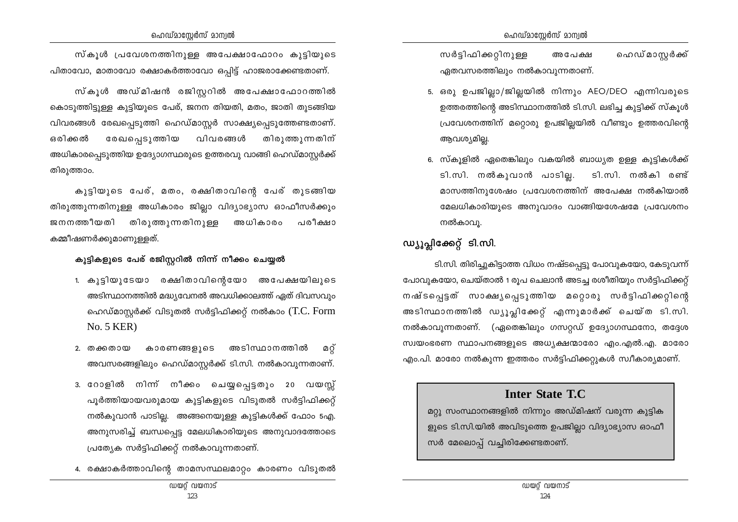ഹെഡ് മാസ്റ്റർക്ക് സർട്ടിഫിക്കറ്റിനുള്ള അപേക്ഷ ഏതവസരത്തിലും നൽകാവുന്നതാണ്.

- 5. ഒരു ഉപജില്ലാ/ജില്ലയിൽ നിന്നും AEO/DEO എന്നിവരുടെ ഉത്തരത്തിന്റെ അടിസ്ഥാനത്തിൽ ടി.സി. ലഭിച്ച കുട്ടിക്ക് സ്കൂൾ പ്രവേശനത്തിന് മറ്റൊരു ഉപജില്ലയിൽ വീണ്ടും ഉത്തരവിന്റെ ആവശ്യമില്ല.
- 6. സ്കൂളിൽ ഏതെങ്കിലും വകയിൽ ബാധ്യത ഉള്ള കുട്ടികൾക്ക് ടി.സി. നൽകുവാൻ പാടില്ല. ടി.സി. നൽകി രണ്ട് മാസത്തിനുശേഷം പ്രവേശനത്തിന് അപേക്ഷ നൽകിയാൽ മേലധികാരിയുടെ അനുവാദം വാങ്ങിയശേഷമേ പ്രവേശനം നൽകാവു.

## ഡ്യൂപ്ലിക്കേറ്റ് ടി.സി.

ടി.സി. തിരിച്ചുകിട്ടാത്ത വിധം നഷ്ടപ്പെട്ടു പോവുകയോ, കേടുവന്ന് പോവുകയോ, ചെയ്താൽ 1 രുപ ചെലാൻ അടച്ച രശീതിയും സർട്ടിഫിക്കറ്റ് നഷ്ടപ്പെട്ടത് സാക്ഷ്യപ്പെടുത്തിയ മറ്റൊരു സർട്ടിഫിക്കറ്റിന്റെ അടിസ്ഥാനത്തിൽ ഡ്യൂപ്ലിക്കേറ്റ് എന്നുമാർക്ക് ചെയ്ത ടി.സി. നൽകാവുന്നതാണ്. (ഏതെങ്കിലും ഗസറ്റഡ് ഉദ്യോഗസ്ഥനോ, തദ്ദേശ സ്വയംഭരണ സ്ഥാപനങ്ങളുടെ അധ്യക്ഷന്മാരോ എം.എൽ.എ. മാരോ എം.പി. മാരോ നൽകുന്ന ഇത്തരം സർട്ടിഫിക്കറ്റുകൾ സ്വീകാര്യമാണ്.

## **Inter State T.C**

മറ്റു സംസ്ഥാനങ്ങളിൽ നിന്നും അഡ്മിഷന് വരുന്ന കുട്ടിക ളുടെ ടി.സി.യിൽ അവിടുത്തെ ഉപജില്ലാ വിദ്യാഭ്യാസ ഓഫീ സർ മേലൊപ്പ് വച്ചിരിക്കേണ്ടതാണ്.

സ്കൂൾ അഡ്മിഷൻ രജിസ്റ്ററിൽ അപേക്ഷാഫോറത്തിൽ കൊടുത്തിട്ടുള്ള കുട്ടിയുടെ പേര്, ജനന തിയതി, മതം, ജാതി തുടങ്ങിയ വിവരങ്ങൾ രേഖപ്പെടുത്തി ഹെഡ്മാസ്റ്റർ സാക്ഷ്യപ്പെടുത്തേണ്ടതാണ്. രേഖപ്പെടുത്തിയ ഒരിക്കൽ വിവരങ്ങൾ തിരുത്തുന്നതിന് അധികാരപ്പെടുത്തിയ ഉദ്യോഗസ്ഥരുടെ ഉത്തരവു വാങ്ങി ഹെഡ്മാസ്റ്റർക്ക് തിരുത്താം.

കൂടിയുടെ പേര്, മതം, രക്ഷിതാവിന്റെ പേര് തുടങ്ങിയ തിരുത്തുന്നതിനുള്ള അധികാരം ജില്ലാ വിദ്യാഭ്യാസ ഓഫീസർക്കും ജനനത്തീയതി തിരുത്തുന്നതിനുള്ള അധികാരം പരീക്ഷാ കമ്മീഷണർക്കുമാണുള്ളത്.

#### കുട്ടികളുടെ പേര് രജിസ്റ്ററിൽ നിന്ന് നീക്കം ചെയ്യൽ

- 1. കുട്ടിയുടേയാ രക്ഷിതാവിന്റെയോ അപേക്ഷയിലുടെ അടിസ്ഥാനത്തിൽ മദ്ധ്യവേനൽ അവധിക്കാലത്ത് ഏത് ദിവസവും ഹെഡ്മാസ്റ്റർക്ക് വിടുതൽ സർട്ടിഫിക്കറ്റ് നൽകാം (T.C. Form  $No. 5 KER$
- 2. തക്കതായ കാരണങ്ങളുടെ അടിസ്ഥാനത്തിൽ മറ് അവസരങ്ങളിലും ഹെഡ്മാസ്റ്റർക്ക് ടി.സി. നൽകാവുന്നതാണ്.
- 3. റോളിൽ നിന്ന് നീക്കം ചെയ്യപ്പെട്ടതും 20 വയസ്സ് പൂർത്തിയായവരുമായ കുട്ടികളുടെ വിടുതൽ സർട്ടിഫിക്കറ്റ് നൽകുവാൻ പാടില്ല. അങ്ങനെയുള്ള കുട്ടികൾക്ക് ഫോം 5എ. അനുസരിച്ച് ബന്ധപ്പെട്ട മേലധികാരിയുടെ അനുവാദത്തോടെ പ്രത്യേക സർട്ടിഫിക്കറ്റ് നൽകാവുന്നതാണ്.
- 4. രക്ഷാകർത്താവിന്റെ താമസസ്ഥലമാറ്റം കാരണം വിടുതൽ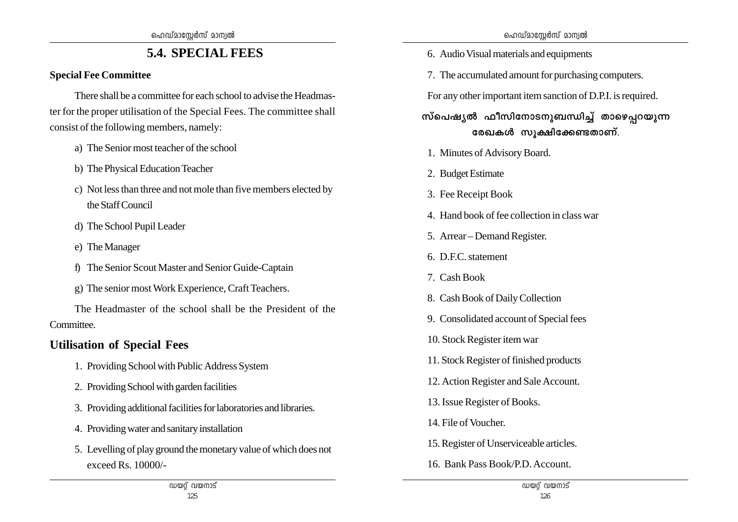## **5.4. SPECIAL FEES**

### **Special Fee Committee**

There shall be a committee for each school to advise the Headmaster for the proper utilisation of the Special Fees. The committee shall consist of the following members, namely:

- a) The Senior most teacher of the school
- b) The Physical Education Teacher
- c) Not less than three and not mole than five members elected by the Staff Council
- d) The School Pupil Leader
- e) The Manager
- f) The Senior Scout Master and Senior Guide-Captain
- g) The senior most Work Experience, Craft Teachers.

The Headmaster of the school shall be the President of the Committee.

## **Utilisation of Special Fees**

- 1. Providing School with Public Address System
- 2. Providing School with garden facilities
- 3. Providing additional facilities for laboratories and libraries.
- 4. Providing water and sanitary installation
- 5. Levelling of play ground the monetary value of which does not exceed Rs. 10000/-
- 6. Audio Visual materials and equipments
- 7. The accumulated amount for purchasing computers.

For any other important item sanction of D.P.I. is required.

സ്പെഷ**്യൽ ഫീസിനോടനൂബന്ധിച്ച് താഴെപറയൂന്ന**  $\cos\theta$  സ്വക്ഷിക്കേണ്ടതാണ്.

- 1. Minutes of Advisory Board.
- 2. Budget Estimate
- 3. Fee Receipt Book
- 4. Hand book of fee collection in class war
- 5. Arrear Demand Register.
- 6. D.F.C. statement
- 7. Cash Book
- 8. Cash Book of Daily Collection
- 9. Consolidated account of Special fees
- 10. Stock Register item war
- 11. Stock Register of finished products
- 12. Action Register and Sale Account.
- 13. Issue Register of Books.
- 14. File of Voucher.
- 15. Register of Unserviceable articles.
- 16. Bank Pass Book/P.D. Account.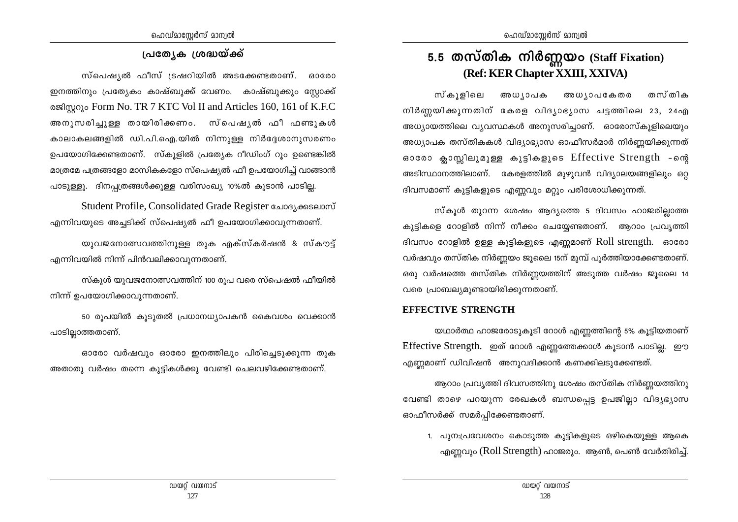## **പ്രത്യേക ശ്രദ്ധയ്ക്ക്**

സ്പെഷ്യൽ ഫീസ് ട്രഷറിയിൽ അടക്കേണ്ടതാണ്. ഓരോ ഇനത്തിനും പ്രത്യേകം കാഷ്ബുക്ക് വേണം. കാഷ്ബുക്കും സ്കോക്ക് oജിസ്റ്ററും Form No. TR 7 KTC Vol II and Articles 160, 161 of K.F.C അനുസരിച്ചുള്ള തായിരിക്കണം. സ്പെഷൃൽ ഫീ ഫണ്ടുകൾ കാലാകലങ്ങളിൽ ഡി.പി.ഐ.യിൽ നിന്നുള്ള നിർദ്ദേശാനുസരണം ഉപയോഗിക്കേണ്ടതാണ്. സ്കൂളിൽ പ്രത്യേക റീഡിംഗ് റൂം ഉണ്ടെങ്കിൽ മാത്രമേ പത്രങ്ങളോ മാസികകളോ സ്പെഷ്യൽ ഫീ ഉപയോഗിച്ച് വാങ്ങാൻ പാടുള്ളു. ദിനപ്യത്രങ്ങൾക്കുള്ള വരിസംഖ്യ 10%ൽ കൂടാൻ പാടി<u>ല</u>്ല.

Student Profile, Consolidated Grade Register GAI363699000 എന്നിവയുടെ അച്ചടിക്ക് സ്പെഷ്യൽ ഫീ ഉപയോഗിക്കാവുന്നതാണ്.

യുവജനോത്സവത്തിനുളള തുക എക്സ്കർഷൻ & സ്കൗട്ട് എന്നിവയിൽ നിന്ന് പിൻവലിക്കാവുന്നതാണ്.

സ്കൂൾ യുവജനോത്സവത്തിന് 100 രുപ വരെ സ്പെഷൽ ഫീയിൽ നിന്ന് ഉപയോഗിക്കാവുന്നതാണ്.

50 രൂപയിൽ കൂടുതൽ പ്രധാനധ്യാപകൻ കൈവശം വെക്കാൻ പാടില്ലാത്തതാണ്.

ദാരോ വർഷവും ഓരോ ഇനത്തിലും പിരിച്ചെടുക്കുന്ന തുക അതാതു വർഷം തന്നെ കൂട്ടികൾക്കു വേണ്ടി ചെലവഴിക്കേണ്ടതാണ്.

## **5.5 തസ്തിക നിർണ്ണയ**o (Staff Fixation) **(Ref: KER Chapter XXIII, XXIVA)**

സ്കൂളിലെ അധൃാപക അധൃാപകേതര തസ്തിക നിർണ്ണയിക്കുന്നതിന് കേരള വിദ്യാഭ്യാസ ചട്ടത്തിലെ 23, 24എ അധ്യായത്തിലെ വ്യവസ്ഥകൾ അനുസരിച്ചാണ്. ഓരോസ്കൂളിലെയും അധ്യാപക തസ്തികകൾ വിദ്യാഭ്യാസ ഓഫീസർമാർ നിർണ്ണയിക്കുന്നത് ഓരോ ക്ലാസ്സിലുമുള്ള കൂട്ടികളുടെ Effective Strength -ന്റെ അടിസ്ഥാനത്തിലാണ്. കേരളത്തിൽ മുഴുവൻ വിദ്യാലയങ്ങളിലും ഒറ്റ ദിവസമാണ് കുട്ടികളുടെ എണ്ണവും മറ്റും പരിശോധിക്കുന്നത്.

സ്കൂൾ തുറന്ന ശേഷം ആദ്യത്തെ 5 ദിവസം ഹാജരില്ലാത്ത കുട്ടികളെ റോളിൽ നിന്ന് നീക്കം ചെയ്യേണ്ടതാണ്. ആറാം പ്രവൃത്തി ദിവസം റോളിൽ ഉള്ള കുട്ടികളുടെ എണ്ണമാണ്  $Roll$  strength.  $\$ aാരോ വർഷവും തസ്തിക നിർണ്ണയം ജൂലൈ 15ന് മുമ്പ് പൂർത്തിയാക്കേണ്ടതാണ്. ഒരു വർഷത്തെ തസ്തിക നിർണ്ണയത്തിന് അടുത്ത വർഷം ജൂലൈ 14 വരെ പ്രാബല്യമുണ്ടായിരിക്കുന്നതാണ്.

#### **EFFECTIVE STRENGTH**

യഥാർത്ഥ ഹാജരോടുകൂടി റോൾ എണ്ണത്തിന്റെ 5% കൂട്ടിയതാണ് Effective Strength. ഇത് റോൾ എണ്ണത്തേക്കാൾ കൂടാൻ പാടില്ല. ഈ  $\alpha$ എണ്ണമാണ് ഡിവിഷൻ അനുവദിക്കാൻ കണക്കിലടുക്കേണ്ടത്.

ആറാം പ്രവൃത്തി ദിവസത്തിനു ശേഷം തസ്തിക നിർണ്ണയത്തിനു വേണ്ടി താഴെ പറയുന്ന രേഖകൾ ബന്ധപ്പെട്ട ഉപജില്ലാ വിദൃഭ്യാസ ഓഫീസർക്ക് സമർപ്പിക്കേണ്ടതാണ്.

1. പുന:പ്രവേശനം കൊടുത്ത കുട്ടികളുടെ ഒഴികെയുള്ള ആകെ എണ്ണവും (Roll Strength) ഹാജരും. ആൺ, പെൺ വേർതിരിച്ച്.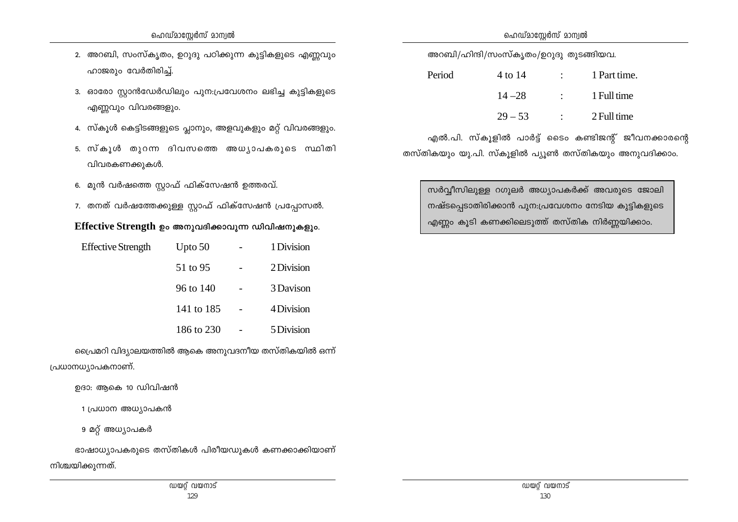- 3. ഓരോ സ്റ്റാൻഡേർഡിലും പുന:പ്രവേശനം ലഭിച്ച കുട്ടികളുടെ എണ്ണവും വിവരങ്ങളും.
- 4. സ്കൂൾ കെട്ടിടങ്ങളുടെ പ്ലാനും, അളവുകളും മറ്റ് വിവരങ്ങളും.
- 5. സ്കൂൾ തൂറന്ന ദിവസത്തെ അധ്യാപകരൂടെ സ്ഥിതി വിവരകണക്കുകൾ.
- 6. മുൻ വർഷത്തെ സ്റ്റാഫ് ഫിക്സേഷൻ ഉത്തരവ്.
- 7. തനത് വർഷത്തേക്കുള്ള സ്റ്റാഫ് ഫിക്സേഷൻ പ്രപ്പോസൽ.

#### **Effective Strength** ഉം അനുവദിക്കാവുന്ന ഡിവിഷനുകളും.

| Effective Strength | Upto $50$  | 1 Division |
|--------------------|------------|------------|
|                    | 51 to 95   | 2 Division |
|                    | 96 to 140  | 3 Davison  |
|                    | 141 to 185 | 4 Division |
|                    | 186 to 230 | 5 Division |

ക്രപ്രമറി വിദ്യാലയത്തിൽ ആകെ അനുവദനീയ തസ്തികയിൽ ഒന്ന് പ്രധാനധ്യാപകനാണ്.

ഉദാ: ആകെ 10 ഡിവിഷൻ

1 പ്രധാന അധ്യാപകൻ

9 മറ്റ് അധ്യാപകർ

ഭാഷാധ്യാപകരുടെ തസ്തികൾ പിരീയഡുകൾ കണക്കാക്കിയാണ് നിശ്ചയിക്കുന്നത്.

അറബി/ഹിന്ദി/സംസ്കൃതം/ഉറുദു തുടങ്ങിയവ.

| Period | 4 to 14   |                          | 1 Part time. |
|--------|-----------|--------------------------|--------------|
|        | $14 - 28$ | <b>Contract Contract</b> | 1 Full time  |
|        | $29 - 53$ |                          | 2 Full time  |

ഹെഡ്മാസ്റ്റേർസ് മാന്വൽ

എൽ.പി. സ്കൂളിൽ പാർട്ട് ടൈം കണ്ടിജന്റ് ജീവനക്കാരന്റെ തസ്തികയും യു.പി. സ്കുളിൽ പ്യൂൺ തസ്തികയും അനുവദിക്കാം.

സർവ്വീസിലുള്ള റഗുലർ അധ്യാപകർക്ക് അവരുടെ ജോലി നഷ്ടപ്പെടാതിരിക്കാൻ പുന:പ്രവേശനം നേടിയ കുട്ടികളുടെ എണ്ണം കൂടി കണക്കിലെടുത്ത് തസ്തിക നിർണ്ണയിക്കാം.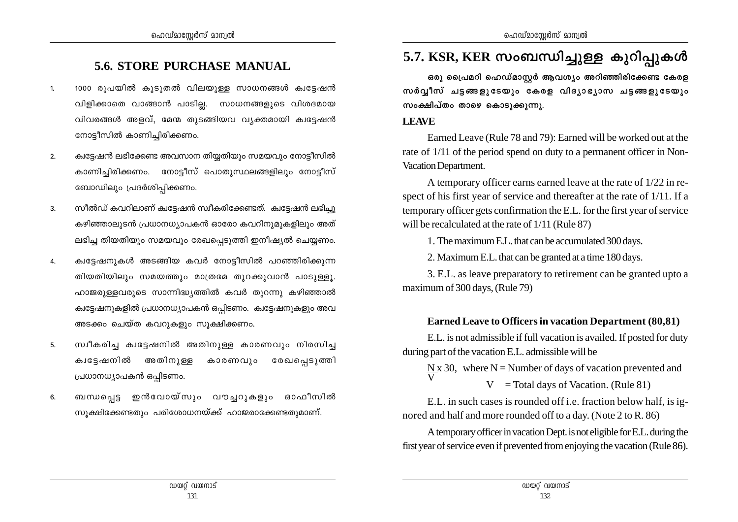## **5.6. STORE PURCHASE MANUAL**

- 1000 രൂപയിൽ കൂടുതൽ വിലയുള്ള സാധനങ്ങൾ ക്വട്ടേഷൻ  $1<sub>1</sub>$ വിളിക്കാതെ വാങ്ങാൻ പാടില്ല. സാധനങ്ങളുടെ വിശദമായ വിവരങ്ങൾ അളവ്, മേന്മ തുടങ്ങിയവ വ്യക്തമായി ക്വട്ടേഷൻ നോട്ടീസിൽ കാണിച്ചിരിക്കണം.
- ക്വട്ടേഷൻ ലഭിക്കേണ്ട അവസാന തിയ്യതിയും സമയവും നോട്ടീസിൽ  $2.$ കാണിച്ചിരിക്കണം. നോട്ടീസ് പൊതുസ്ഥലങ്ങളിലും നോട്ടീസ് ബോഡിലും പ്രദർശിപ്പിക്കണം.
- സീൽഡ് കവറിലാണ് ക്വട്ടേഷൻ സ്വീകരിക്കേണ്ടത്. ക്വട്ടേഷൻ ലഭിച്ചു  $3.$ കഴിഞ്ഞാലുടൻ പ്രധാനധ്യാപകൻ ഓരോ കവറിനുമുകളിലും അത് ലഭിച്ച തിയതിയും സമയവും രേഖപ്പെടുത്തി ഇനീഷ്യൽ ചെയ്യണം.
- ക്വട്ടേഷനുകൾ അടങ്ങിയ കവർ നോട്ടീസിൽ പറഞ്ഞിരിക്കുന്ന 4. തിയതിയിലും സമയത്തും മാത്രമേ തുറക്കുവാൻ പാടുള്ളൂ. ഹാജരുള്ളവരുടെ സാന്നിദ്ധ്യത്തിൽ കവർ തുറന്നു കഴിഞ്ഞാൽ ക്വട്ടേഷനുകളിൽ പ്രധാനധ്യാപകൻ ഒപ്പിടണം. ക്വട്ടേഷനുകളും അവ അടക്കം ചെയ്ത കവറുകളും സുക്ഷിക്കണം.
- സ്വീകരിച്ച ക്വട്ടേഷനിൽ അതിനുള്ള കാരണവും നിരസിച്ച 5. ക്വട്ടേഷനിൽ അതിനുള്ള കാരണവും രേഖപ്പെടുത്തി പ്രധാനധ്യാപകൻ ഒപ്പിടണം.
- ബന്ധപ്പെട്ട ഇൻവോയ്സും വൗച്ചറുകളും ഓഫീസിൽ 6. സൂക്ഷിക്കേണ്ടതും പരിശോധനയ്ക്ക് ഹാജരാക്കേണ്ടതുമാണ്.

## 5.7. KSR, KER സംബന്ധിച്ചുള്ള കുറിപ്പുകൾ

ഒരു പ്രൈമറി ഹെഡ്മാസ്റ്റർ ആവശ്യം അറിഞ്ഞിരിക്കേണ്ട കേരള സർവ്വീസ് ചട്ടങ്ങളുടേയും കേരള വിദ്യാഭ്യാസ ചട്ടങ്ങളുടേയും സംക്ഷിപ്തം താഴെ കൊടുക്കുന്നു.

#### **LEAVE**

Earned Leave (Rule 78 and 79): Earned will be worked out at the rate of 1/11 of the period spend on duty to a permanent officer in Non-Vacation Department.

A temporary officer earns earned leave at the rate of 1/22 in respect of his first year of service and thereafter at the rate of 1/11. If a temporary officer gets confirmation the E.L. for the first year of service will be recalculated at the rate of 1/11 (Rule 87)

1. The maximum E.L. that can be accumulated 300 days.

2. Maximum E.L. that can be granted at a time 180 days.

3. E.L. as leave preparatory to retirement can be granted upto a maximum of 300 days, (Rule 79)

#### **Earned Leave to Officers in vacation Department (80,81)**

E.L. is not admissible if full vacation is availed. If posted for duty during part of the vacation E.L. admissible will be

 $\Delta x$  30, where N = Number of days of vacation prevented and  $V = Total days of Vacation. (Rule 81)$ 

E.L. in such cases is rounded off i.e. fraction below half, is ignored and half and more rounded off to a day. (Note 2 to R. 86)

A temporary officer in vacation Dept. is not eligible for E.L. during the first year of service even if prevented from enjoying the vacation (Rule 86).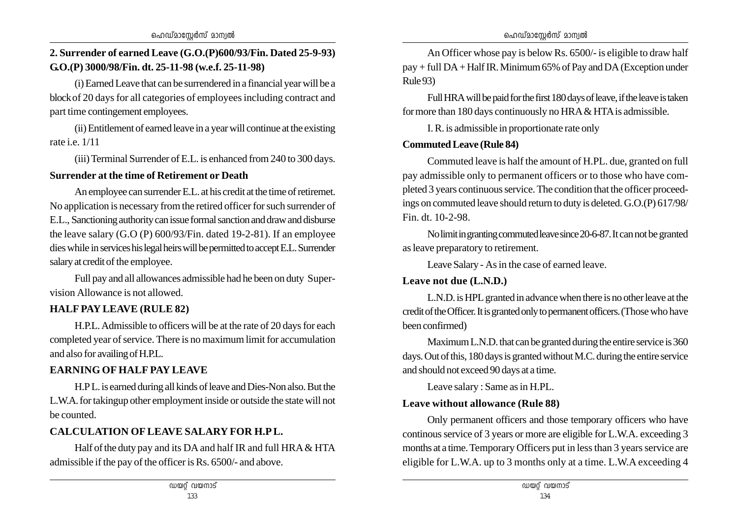### **2. Surrender of earned Leave (G.O.(P)600/93/Fin. Dated 25-9-93) G.O.(P) 3000/98/Fin. dt. 25-11-98 (w.e.f. 25-11-98)**

(i) Earned Leave that can be surrendered in a financial year will be a block of 20 days for all categories of employees including contract and part time contingement employees.

(ii) Entitlement of earned leave in a year will continue at the existing rate i.e.  $1/11$ 

(iii) Terminal Surrender of E.L. is enhanced from 240 to 300 days.

#### **Surrender at the time of Retirement or Death**

An employee can surrender E.L. at his credit at the time of retiremet. No application is necessary from the retired officer for such surrender of E.L., Sanctioning authority can issue formal sanction and draw and disburse the leave salary (G.O (P) 600/93/Fin. dated 19-2-81). If an employee dies while in services his legal heirs will be permitted to accept E.L. Surrender salary at credit of the employee.

Full pay and all allowances admissible had he been on duty Supervision Allowance is not allowed.

## **HALF PAY LEAVE (RULE 82)**

H.P.L. Admissible to officers will be at the rate of 20 days for each completed year of service. There is no maximum limit for accumulation and also for availing of H.P.L.

### **EARNING OF HALF PAY LEAVE**

H.P L. is earned during all kinds of leave and Dies-Non also. But the L.W.A. for takingup other employment inside or outside the state will not be counted.

## **CALCULATION OF LEAVE SALARY FOR H.P L.**

Half of the duty pay and its DA and half IR and full HRA & HTA admissible if the pay of the officer is Rs. 6500/- and above.

An Officer whose pay is below Rs. 6500/- is eligible to draw half pay + full DA + Half IR. Minimum 65% of Pay and DA (Exception under Rule 93)

Full HRA will be paid for the first 180 days of leave, if the leave is taken for more than 180 days continuously no HRA & HTA is admissible.

I. R. is admissible in proportionate rate only

#### **Commuted Leave (Rule 84)**

Commuted leave is half the amount of H.PL. due, granted on full pay admissible only to permanent officers or to those who have completed 3 years continuous service. The condition that the officer proceedings on commuted leave should return to duty is deleted. G.O.(P) 617/98/ Fin. dt. 10-2-98.

No limit in granting commuted leave since 20-6-87. It can not be granted as leave preparatory to retirement.

Leave Salary - As in the case of earned leave.

### **Leave not due (L.N.D.)**

L.N.D. is HPL granted in advance when there is no other leave at the credit of the Officer. It is granted only to permanent officers. (Those who have been confirmed)

Maximum L.N.D. that can be granted during the entire service is 360 days. Out of this, 180 days is granted without M.C. during the entire service and should not exceed 90 days at a time.

Leave salary : Same as in H.PL.

#### **Leave without allowance (Rule 88)**

Only permanent officers and those temporary officers who have continous service of 3 years or more are eligible for L.W.A. exceeding 3 months at a time. Temporary Officers put in less than 3 years service are eligible for L.W.A. up to 3 months only at a time. L.W.A exceeding 4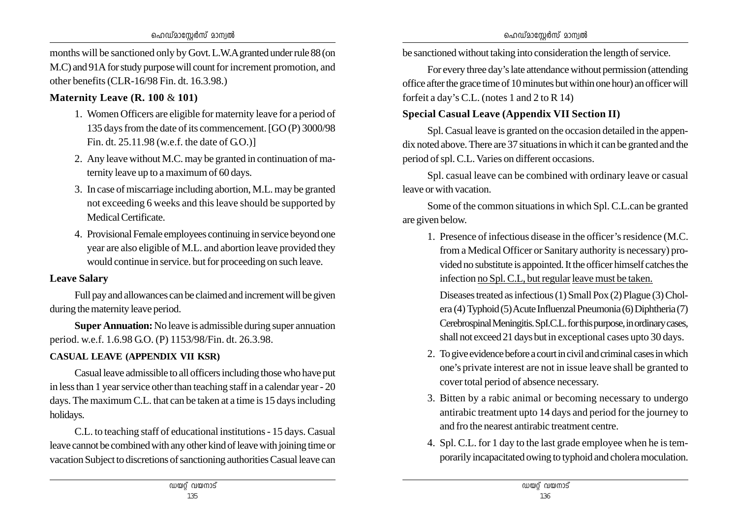ഹെഡ്മാസ്റ്റേർസ് മാന്വൽ

months will be sanctioned only by Govt. L.W.A granted under rule 88 (on M.C) and 91A for study purpose will count for increment promotion, and other benefits (CLR-16/98 Fin. dt. 16.3.98.)

#### **Maternity Leave (R. 100** & **101)**

- 1. Women Officers are eligible for maternity leave for a period of 135 days from the date of its commencement. [GO (P) 3000/98 Fin. dt. 25.11.98 (w.e.f. the date of G.O.)]
- 2. Any leave without M.C. may be granted in continuation of maternity leave up to a maximum of 60 days.
- 3. In case of miscarriage including abortion, M.L. may be granted not exceeding 6 weeks and this leave should be supported by Medical Certificate.
- 4. Provisional Female employees continuing in service beyond one year are also eligible of M.L. and abortion leave provided they would continue in service. but for proceeding on such leave.

#### **Leave Salary**

Full pay and allowances can be claimed and increment will be given during the maternity leave period.

**Super Annuation:** No leave is admissible during super annuation period. w.e.f. 1.6.98 G.O. (P) 1153/98/Fin. dt. 26.3.98.

## **CASUAL LEAVE (APPENDIX VII KSR)**

Casual leave admissible to all officers including those who have put in less than 1 year service other than teaching staff in a calendar year - 20 days. The maximum C.L. that can be taken at a time is 15 days including holidays.

C.L. to teaching staff of educational institutions - 15 days. Casual leave cannot be combined with any other kind of leave with joining time or vacation Subject to discretions of sanctioning authorities Casual leave can

be sanctioned without taking into consideration the length of service.

For every three day's late attendance without permission (attending office after the grace time of 10 minutes but within one hour) an officer will forfeit a day's C.L. (notes 1 and 2 to R 14)

### **Special Casual Leave (Appendix VII Section II)**

Spl. Casual leave is granted on the occasion detailed in the appendix noted above. There are 37 situations in which it can be granted and the period of spl. C.L. Varies on different occasions.

Spl. casual leave can be combined with ordinary leave or casual leave or with vacation.

Some of the common situations in which Spl. C.L.can be granted are given below.

1. Presence of infectious disease in the officer's residence (M.C. from a Medical Officer or Sanitary authority is necessary) provided no substitute is appointed. It the officer himself catches the infection no Spl. C.L, but regular leave must be taken.

Diseases treated as infectious (1) Small Pox (2) Plague (3) Cholera (4) Typhoid (5) Acute Influenzal Pneumonia (6) Diphtheria (7) Cerebrospinal Meningitis. SpI.C.L. for this purpose, in ordinary cases, shall not exceed 21 days but in exceptional cases upto 30 days.

- 2. To give evidence before a court in civil and criminal cases in which one's private interest are not in issue leave shall be granted to cover total period of absence necessary.
- 3. Bitten by a rabic animal or becoming necessary to undergo antirabic treatment upto 14 days and period for the journey to and fro the nearest antirabic treatment centre.
- 4. Spl. C.L. for 1 day to the last grade employee when he is temporarily incapacitated owing to typhoid and cholera moculation.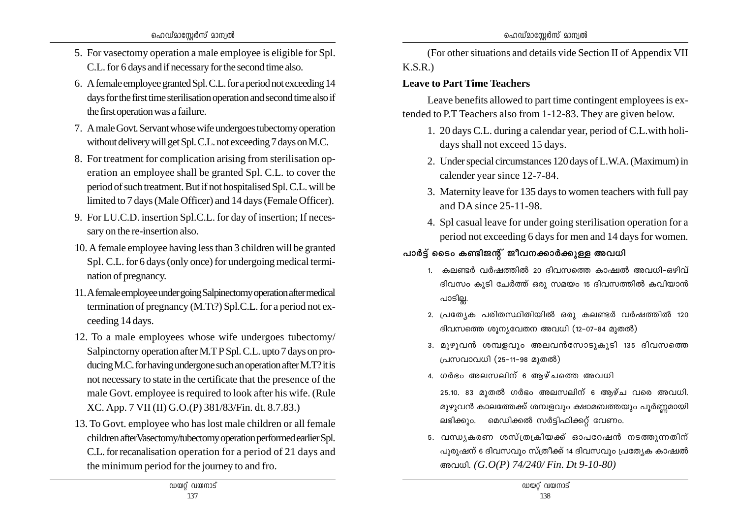- 5. For vasectomy operation a male employee is eligible for Spl. C.L. for 6 days and if necessary for the second time also.
- 6. A female employee granted Spl. C.L. for a period not exceeding 14 days for the first time sterilisation operation and second time also if the first operation was a failure.
- 7. A male Govt. Servant whose wife undergoes tubectomy operation without delivery will get Spl. C.L. not exceeding 7 days on M.C.
- 8. For treatment for complication arising from sterilisation operation an employee shall be granted Spl. C.L. to cover the period of such treatment. But if not hospitalised Spl. C.L. will be limited to 7 days (Male Officer) and 14 days (Female Officer).
- 9. For LU.C.D. insertion Spl.C.L. for day of insertion; If necessary on the re-insertion also.
- 10. A female employee having less than 3 children will be granted Spl. C.L. for 6 days (only once) for undergoing medical termination of pregnancy.
- 11.A female employee under going Salpinectomy operation after medical termination of pregnancy (M.Tt?) Spl.C.L. for a period not exceeding 14 days.
- 12. To a male employees whose wife undergoes tubectomy/ Salpinctorny operation after M.T P Spl. C.L. upto 7 days on producing M.C. for having undergone such an operation after M.T? it is not necessary to state in the certificate that the presence of the male Govt. employee is required to look after his wife. (Rule XC. App. 7 VII (II) G.O.(P) 381/83/Fin. dt. 8.7.83.)
- 13. To Govt. employee who has lost male children or all female children afterVasectomy/tubectomy operation performed earlier Spl. C.L. for recanalisation operation for a period of 21 days and the minimum period for the journey to and fro.

(For other situations and details vide Section II of Appendix VII K.S.R.)

### **Leave to Part Time Teachers**

Leave benefits allowed to part time contingent employees is extended to P.T Teachers also from 1-12-83. They are given below.

- 1. 20 days C.L. during a calendar year, period of C.L.with holidays shall not exceed 15 days.
- 2. Under special circumstances 120 days of L.W.A. (Maximum) in calender year since 12-7-84.
- 3. Maternity leave for 135 days to women teachers with full pay and DA since 25-11-98.
- 4. Spl casual leave for under going sterilisation operation for a period not exceeding 6 days for men and 14 days for women.
- പാർട്ട് ടൈം കണ്ടിജന്റ് ജീവനക്കാർക്കുള്ള അവധി
	- 1. കലണ്ടർ വർഷത്തിൽ 20 ദിവസത്തെ കാഷ്വൽ അവധി–ഒഴിവ് ദിവസം കൂടി ചേർത്ത് ഒരു സമയം 15 ദിവസത്തിൽ കവിയാൻ പാടില്ല.
	- 2. പ്രത്യേക പരിതസ്ഥിതിയിൽ ഒരു കലണ്ടർ വർഷത്തിൽ 120 ദിവസത്തെ ശുന്യവേതന അവധി (12-07-84 മുതൽ)
	- 3. മുഴുവൻ ശമ്പളവും അലവൻസോടുകൂടി 135 ദിവസത്തെ പ്രസവാവധി (25–11–98 മൂതൽ)
	- 4. ഗർഭം അലസലിന് 6 ആഴ്ചത്തെ അവധി
		- $25.10$ . 83 മുതൽ ഗർഭം അലസലിന് 6 ആഴ്ച വരെ അവധി. മുഴുവൻ കാലത്തേക്ക് ശമ്പളവും ക്ഷാമബത്തയും പൂർണ്ണമായി ലഭിക്കും. മെഡിക്കൽ സർട്ടിഫിക്കറ്റ് വേണം.
	- 5. വന്ധ്യകരണ ശസ്ത്രക്രിയക്ക് ഓപറേഷൻ നടത്തുന്നതിന് പുരുഷന് 6 ദിവസവും സ്ത്രീക്ക് 14 ദിവസവും പ്രത്യേക കാഷ്വൽ Ah[n. *(G.O(P) 74/240/ Fin. Dt 9-10-80)*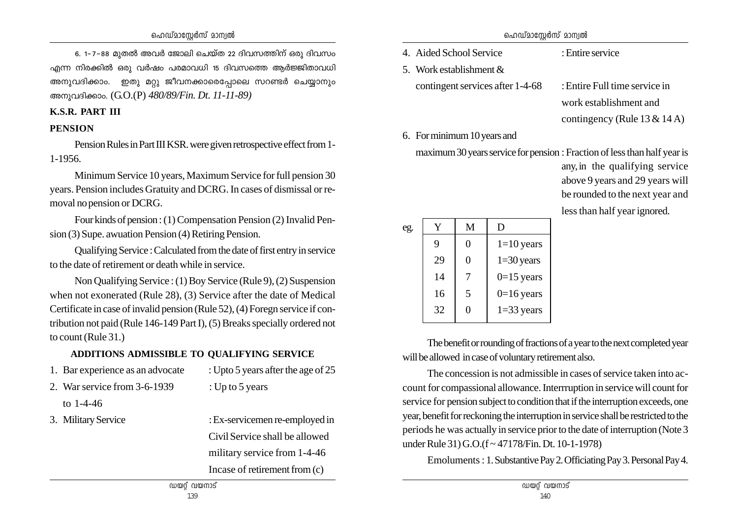6. 1-7-88 മുതൽ അവർ ജോലി ചെയ്ത 22 ദിവസത്തിന് ഒരു ദിവസം എന്ന നിരക്കിൽ ഒരു വർഷം പരമാവധി 15 ദിവസത്തെ ആർജ്ജിതാവധി അനുവദിക്കാം. ഇതു മറ്റു ജീവനക്കാരെപ്പോലെ സറണ്ടർ ചെയ്യാനും അനുവദിക്കാം. (G.O.(P) *480/89/Fin. Dt. 11-11-89*)

#### **K.S.R. PART III**

#### **PENSION**

Pension Rules in Part III KSR. were given retrospective effect from 1- 1-1956.

Minimum Service 10 years, Maximum Service for full pension 30 years. Pension includes Gratuity and DCRG. In cases of dismissal or removal no pension or DCRG.

Four kinds of pension : (1) Compensation Pension (2) Invalid Pension (3) Supe. awuation Pension (4) Retiring Pension.

Qualifying Service : Calculated from the date of first entry in service to the date of retirement or death while in service.

Non Qualifying Service : (1) Boy Service (Rule 9), (2) Suspension when not exonerated (Rule 28), (3) Service after the date of Medical Certificate in case of invalid pension (Rule 52), (4) Foregn service if contribution not paid (Rule 146-149 Part I), (5) Breaks specially ordered not to count (Rule 31.)

## **ADDITIONS ADMISSIBLE TO QUALIFYING SERVICE**

- 1. Bar experience as an advocate : Upto 5 years after the age of 25
- 
- 2. War service from 3-6-1939 : Up to 5 years
	- to 1-4-46
- 
- 3. Military Service : Ex-servicemen re-employed in Civil Service shall be allowed military service from 1-4-46 Incase of retirement from (c)

| ഹെഡ്മാസ്റ്റേർസ് മാന്വൽ |  |
|------------------------|--|
|------------------------|--|

- 4. Aided School Service : Entire service
- 5. Work establishment &
	- contingent services after 1-4-68 : Entire Full time service in

work establishment and contingency (Rule 13 & 14 A)

6. For minimum 10 years and

maximum 30 years service for pension : Fraction of less than half year is

|     |    |                |              | 100000   |
|-----|----|----------------|--------------|----------|
|     |    |                |              | be roui  |
|     |    |                |              | less tha |
| eg. | Y  | M              | D            |          |
|     | 9  | $\overline{0}$ | $1=10$ years |          |
|     | 29 | $\overline{0}$ | $1=30$ years |          |
|     | 14 | 7              | $0=15$ years |          |
|     | 16 | 5              | $0=16$ years |          |
|     | 32 | 0              | $1=33$ years |          |
|     |    |                |              |          |

any, in the qualifying service above 9 years and 29 years will nded to the next year and an half year ignored.

The benefit or rounding of fractions of a year to the next completed year will be allowed in case of voluntary retirement also.

The concession is not admissible in cases of service taken into account for compassional allowance. Interrruption in service will count for service for pension subject to condition that if the interruption exceeds, one year, benefit for reckoning the interruption in service shall be restricted to the periods he was actually in service prior to the date of interruption (Note 3 under Rule 31) G.O.(f ~ 47178/Fin. Dt. 10-1-1978)

Emoluments : 1. Substantive Pay 2. Officiating Pay 3. Personal Pay 4.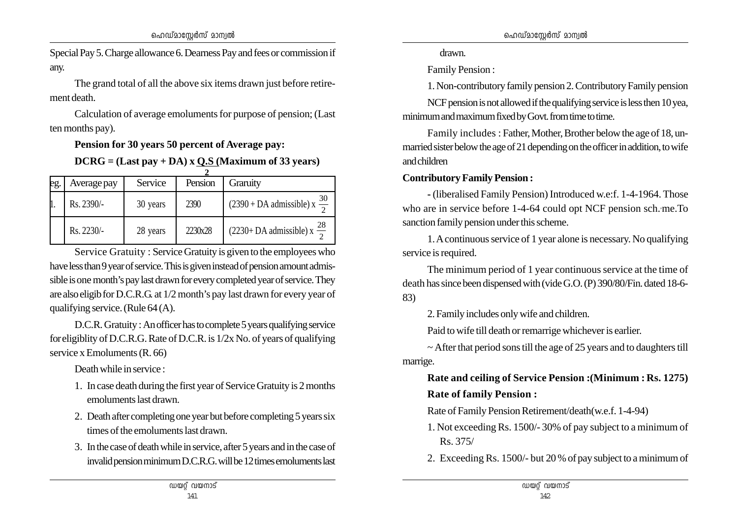Special Pay 5. Charge allowance 6. Dearness Pay and fees or commission if any.

The grand total of all the above six items drawn just before retirement death.

Calculation of average emoluments for purpose of pension; (Last ten months pay).

**Pension for 30 years 50 percent of Average pay:**

**DCRG = (Last pay + DA) x Q.S (Maximum of 33 years)**

| eg. | Average pay | Service  | Pension | Graruity                                             |
|-----|-------------|----------|---------|------------------------------------------------------|
|     | Rs. 2390/-  | 30 years | 2390    | $\frac{30}{2}$<br>$(2390 + DA$ admissible) x         |
|     | Rs. 2230/-  | 28 years | 2230x28 | $(2230 + DA \text{ admissible}) \times \frac{28}{2}$ |

Service Gratuity : Service Gratuity is given to the employees who have less than 9 year of service. This is given instead of pension amount admissible is one month's pay last drawn for every completed year of service. They are also eligib for D.C.R.G. at 1/2 month's pay last drawn for every year of qualifying service. (Rule 64 (A).

D.C.R. Gratuity : An officer has to complete 5 years qualifying service for eligiblity of D.C.R.G. Rate of D.C.R. is 1/2x No. of years of qualifying service x Emoluments (R. 66)

Death while in service :

- 1. In case death during the first year of Service Gratuity is 2 months emoluments last drawn.
- 2. Death after completing one year but before completing 5 years six times of the emoluments last drawn.
- 3. In the case of death while in service, after 5 years and in the case of invalid pension minimum D.C.R.G. will be 12 times emoluments last

drawn.

Family Pension :

1. Non-contributory family pension 2. Contributory Family pension

NCF pension is not allowed if the qualifying service is less then 10 yea, minimum and maximum fixed by Govt. from time to time.

Family includes : Father, Mother, Brother below the age of 18, unmarried sister below the age of 21 depending on the officer in addition, to wife and children

#### **Contributory Family Pension :**

**-** (liberalised Family Pension) Introduced w.e:f. 1-4-1964. Those who are in service before 1-4-64 could opt NCF pension sch. me. To sanction family pension under this scheme.

1. A continuous service of 1 year alone is necessary. No qualifying service is required.

The minimum period of 1 year continuous service at the time of death has since been dispensed with (vide G.O. (P) 390/80/Fin. dated 18-6- 83)

2. Family includes only wife and children.

Paid to wife till death or remarrige whichever is earlier.

 $\sim$  After that period sons till the age of 25 years and to daughters till marrige.

**Rate and ceiling of Service Pension :(Minimum : Rs. 1275) Rate of family Pension :**

Rate of Family Pension Retirement/death(w.e.f. 1-4-94)

- 1. Not exceeding Rs. 1500/- 30% of pay subject to a minimum of Rs. 375/
- 2. Exceeding Rs. 1500/- but 20 % of pay subject to a minimum of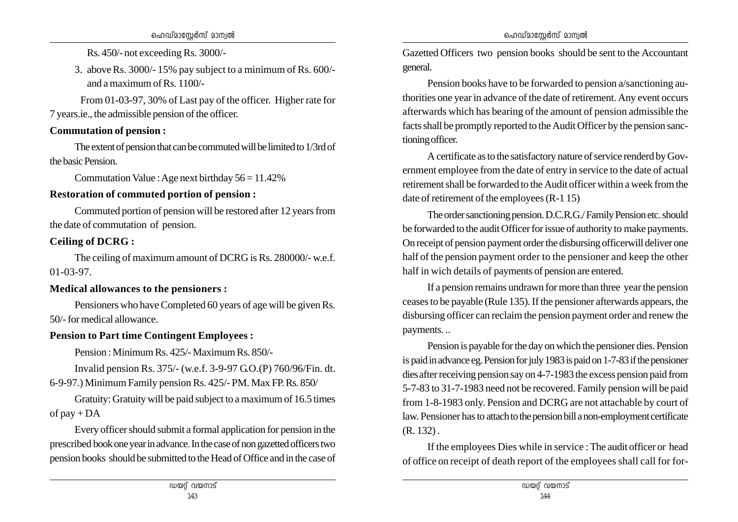Rs. 450/- not exceeding Rs. 3000/-

3. aboveRs. 3000/- 15% pay subject to a minimum of Rs. 600/ and a maximum of Rs. 1100/-

 From 01-03-97, 30% of Last pay of the officer. Higher rate for 7 years.ie., the admissible pension of the officer.

#### **Commutation of pension :**

The extent of pension that can be commuted will be limited to 1/3rd of the basic Pension.

Commutation Value : Age next birthday  $56 = 11.42\%$ 

## **Restoration of commuted portion of pension :**

Commuted portion of pension will be restored after 12 years from the date of commutation of pension.

## **Ceiling of DCRG :**

The ceiling of maximum amount of DCRG is Rs. 280000/- w.e.f. 01-03-97.

### **Medical allowances to the pensioners :**

Pensioners who have Completed 60 years of age will be given Rs. 50/- for medical allowance.

## **Pension to Part time Contingent Employees :**

Pension : Minimum Rs. 425/- Maximum Rs. 850/-

Invalid pension Rs. 375/- (w.e.f. 3-9-97 G.O.(P) 760/96/Fin. dt. 6-9-97.) Minimum Family pension Rs. 425/- PM. Max FP. Rs. 850/

Gratuity: Gratuity will be paid subject to a maximum of 16.5 times of  $pay + DA$ 

Every officer should submit a formal application for pension in the prescribed book one year in advance. In the case of non gazetted officers two pension books should be submitted to the Head of Office and in the case of

Gazetted Officers two pension books should be sent to the Accountant general.

Pension books have to be forwarded to pension a/sanctioning authorities one year in advance of the date of retirement. Any event occurs afterwards which has bearing of the amount of pension admissible the facts shall be promptly reported to the Audit Officer by the pension sanctioning officer.

A certificate as to the satisfactory nature of service renderd by Government employee from the date of entry in service to the date of actual retirement shall be forwarded to the Audit officer within a week from the date of retirement of the employees (R-1 15)

The order sanctioning pension. D.C.R.G./ Family Pension etc. should be forwarded to the audit Officer for issue of authority to make payments. On receipt of pension payment order the disbursing officerwill deliver one half of the pension payment order to the pensioner and keep the other half in wich details of payments of pension are entered.

If a pension remains undrawn for more than three year the pension ceases to be payable (Rule 135). If the pensioner afterwards appears, the disbursing officer can reclaim the pension payment order and renew the payments. ..

Pension is payable for the day on which the pensioner dies. Pension is paid in advance eg. Pension for july 1983 is paid on 1-7-83 if the pensioner dies after receiving pension say on 4-7-1983 the excess pension paid from 5-7-83 to 31-7-1983 need not be recovered. Family pension will be paid from 1-8-1983 only. Pension and DCRG are not attachable by court of law. Pensioner has to attach to the pension bill a non-employment certificate (R. 132) .

If the employees Dies while in service : The audit officer or head of office on receipt of death report of the employees shall call for for-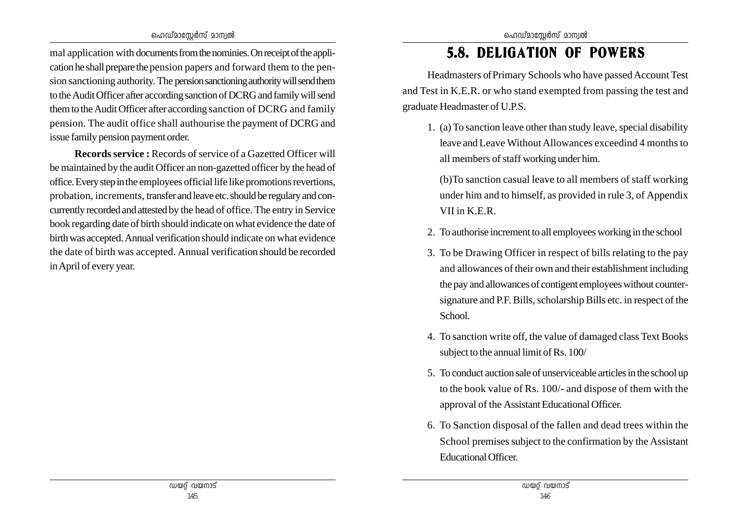mal application with documents from the nominies. On receipt of the application he shall prepare the pension papers and forward them to the pension sanctioning authority. The pension sanctioning authority will send them to the Audit Officer after according sanction of DCRG and family will send them to the Audit Officer after according sanction of DCRG and family pension. The audit office shall authourise the payment of DCRG and issue family pension payment order.

**Records service :** Records of service of a Gazetted Officer will be maintained by the audit Officer an non-gazetted officer by the head of office. Every step in the employees official life like promotions revertions, probation, increments, transfer and leave etc. should be regulary and concurrently recorded and attested by the head of office. The entry in Service book regarding date of birth should indicate on what evidence the date of birth was accepted. Annual verification should indicate on what evidence the date of birth was accepted. Annual verification should be recorded in April of every year.

# 5.8. DELIGATION OF POWERS

Headmasters of Primary Schools who have passed Account Test and Test in K.E.R. or who stand exempted from passing the test and graduate Headmaster of U.P.S.

1. (a) To sanction leave other than study leave, special disability leave and Leave Without Allowances exceedind 4 months to all members of staff working under him.

(b)To sanction casual leave to all members of staff working under him and to himself, as provided in rule 3, of Appendix VII in K.E.R.

- 2. To authorise increment to all employees working in the school
- 3. To be Drawing Officer in respect of bills relating to the pay and allowances of their own and their establishment including the pay and allowances of contigent employees without countersignature and P.F. Bills, scholarship Bills etc. in respect of the School.
- 4. To sanction write off, the value of damaged class Text Books subject to the annual limit of Rs. 100/
- 5. To conduct auction sale of unserviceable articles in the school up to the book value of Rs. 100/- and dispose of them with the approval of the Assistant Educational Officer.
- 6. To Sanction disposal of the fallen and dead trees within the School premises subject to the confirmation by the Assistant Educational Officer.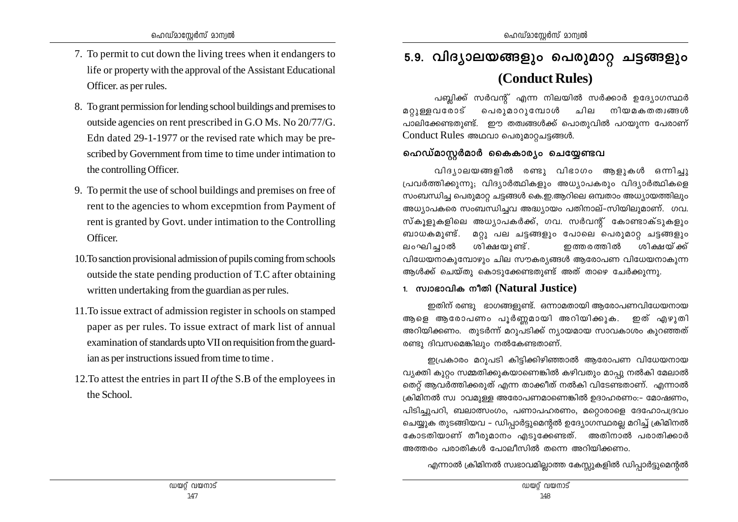- 7. To permit to cut down the living trees when it endangers to life or property with the approval of the Assistant Educational Officer, as per rules.
- 8. To grant permission for lending school buildings and premises to outside agencies on rent prescribed in G.O Ms. No 20/77/G. Edn dated 29-1-1977 or the revised rate which may be prescribed by Government from time to time under intimation to the controlling Officer.
- 9. To permit the use of school buildings and premises on free of rent to the agencies to whom excepmtion from Payment of rent is granted by Govt. under intimation to the Controlling Officer.
- 10. To sanction provisional admission of pupils coming from schools outside the state pending production of T.C after obtaining written undertaking from the guardian as per rules.
- 11. To issue extract of admission register in schools on stamped paper as per rules. To issue extract of mark list of annual examination of standards upto VII on requisition from the guardian as per instructions issued from time to time.
- 12. To attest the entries in part II of the S.B of the employees in the School.

# 5.9. വിദ്യാലയങ്ങളും പെരുമാറ്റ ചട്ടങ്ങളും (Conduct Rules)

പബ്ലിക്ക് സർവന്റ് എന്ന നിലയിൽ സർക്കാർ ഉദ്യോഗസ്ഥർ മറുള്ളവരോട് പെരുമാറുമ്പോൾ ചില നിയമകതത്വങ്ങൾ പാലിക്കേണ്ടതുണ്ട്. ഈ തത്വങ്ങൾക്ക് പൊതുവിൽ പറയുന്ന പേരാണ് Conduct Rules അഥവാ പെരുമാറ്റചട്ടങ്ങൾ.

## ഹെഡ്മാസ്ലർമാർ കൈകാര്യം ചെയ്യേണ്ടവ

വിദ്യാലയങ്ങളിൽ രണ്ടു വിഭാഗം ആളുകൾ ഒന്നിച്ചു പ്രവർത്തിക്കുന്നു; വിദ്യാർത്ഥികളും അധ്യാപകരും വിദ്യാർത്ഥികളെ സംബന്ധിച്ച പെരുമാറ്റ ചട്ടങ്ങൾ കെ.ഇ.ആറിലെ ഒമ്പതാം അധ്യായത്തിലും അധ്യാപകരെ സംബന്ധിച്ചവ അദ്ധ്യായം പതിനാല്–സിയിലുമാണ്. ഗവ. സ്കൂളുകളിലെ അധ്യാപകർക്ക്, ഗവ. സർവന്റ് കോണ്ടാക്ടുകളും ബാധകമൂണ്ട്. മറ്റു പല ചട്ടങ്ങളും പോലെ പെരുമാറ്റ ചട്ടങ്ങളും ശിക്ഷയുണ്ട്. ലംഘിച്ചാൽ ഇത്തരത്തിൽ ശിക്ഷയ്ക്ക് വിധേയനാകുമ്പോഴും ചില സൗകര്യങ്ങൾ ആരോപണ വിധേയനാകുന്ന ആൾക്ക് ചെയ്തു കൊടുക്കേണ്ടതുണ്ട് അത് താഴെ ചേർക്കുന്നു.

## 1. സ്വാഭാവിക നീതി (Natural Justice)

ഇതിന് രണ്ടു ഭാഗങ്ങളുണ്ട്. ഒന്നാമതായി ആരോപണവിധേയനായ ആളെ ആരോപണം പൂർണ്ണമായി അറിയിക്കുക. ഇത് എഴുതി അറിയിക്കണം. തുടർന്ന് മറുപടിക്ക് ന്യായമായ സാവകാശം കുറഞ്ഞത് രണ്ടു ദിവസമെങ്കിലും നൽകേണ്ടതാണ്.

ഇപ്രകാരം മറുപടി കിട്ടിക്കിഴിഞ്ഞാൽ ആരോപണ വിധേയനായ വ്യക്തി കുറ്റം സമ്മതിക്കുകയാണെങ്കിൽ കഴിവതും മാപ്പു നൽകി മേലാൽ തെറ്റ് ആവർത്തിക്കരുത് എന്ന താക്കീത് നൽകി വിടേണ്ടതാണ്. എന്നാൽ ക്രിമിനൽ സ്വ ാവമുള്ള അരോപണമാണെങ്കിൽ ഉദാഹരണം:– മോഷണം, പിടിച്ചുപറി, ബലാത്സംഗം, പണാപഹരണം, മറ്റൊരാളെ ദേഹോപദ്രവം ചെയ്യുക തുടങ്ങിയവ – ഡിപ്പാർട്ടുമെന്റൽ ഉദ്യോഗസ്ഥരല്ല മറിച്ച് ക്രിമിനൽ കോടതിയാണ് തീരുമാനം എടുക്കേണ്ടത്. അതിനാൽ പരാതിക്കാർ അത്തരം പരാതികൾ പോലീസിൽ തന്നെ അറിയിക്കണം.

എന്നാൽ ക്രിമിനൽ സ്വഭാവമില്ലാത്ത കേസ്റ്റുകളിൽ ഡിപ്പാർട്ടുമെന്റൽ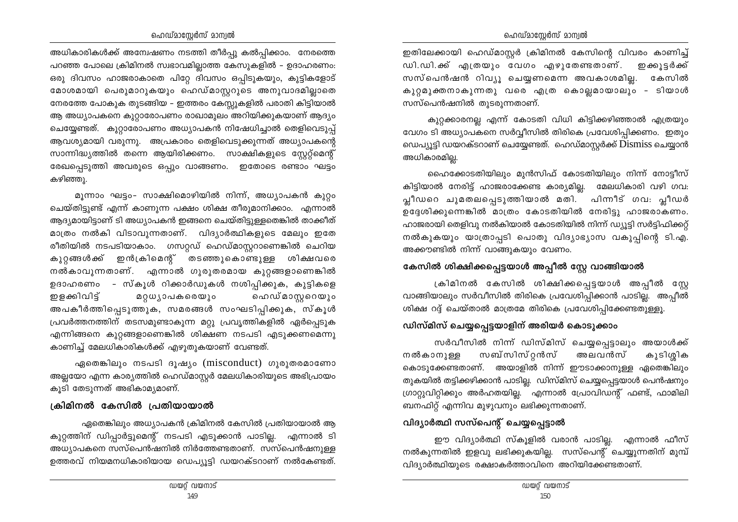#### ഹെഡ്മാസ്റ്റേർസ് മാന്വൽ

#### ഹെഡ്മാസ്റ്റേർസ് മാന്വൽ

അധികാരികൾക്ക് അമ്പേഷണം നടത്തി തീർപ്പു കൽപ്പിക്കാം. നേരത്തെ പറഞ്ഞ പോലെ ക്രിമിനൽ സ്വഭാവമില്ലാത്ത കേസുകളിൽ – ഉദാഹരണം: ഒരു ദിവസം ഹാജരാകാതെ പിറ്റേ ദിവസം ഒപ്പിടുകയും, കുട്ടികളോട് മോശമായി പെരുമാറുകയും ഹെഡ്മാസ്ലറുടെ അനുവാദമില്ലാതെ നേരത്തേ പോകുക തുടങ്ങിയ – ഇത്തരം കേസ്സുകളിൽ പരാതി കിട്ടിയാൽ ആ അധ്യാപകനെ കുറ്റാരോപണം രാഖാമുലം അറിയിക്കുകയാണ് ആദ്യം ചെയ്യേണ്ടത്. കുറ്റാരോപണം അധ്യാപകൻ നിഷേധിച്ചാൽ തെളിവെടുപ്പ് ആവശ്യമായി വരുന്നു. അപ്രകാരം തെളിവെടുക്കുന്നത് അധ്യാപകന്റെ സാന്നിദ്ധ്യത്തിൽ തന്നെ ആയിരിക്കണം. സാക്ഷികളുടെ സ്കേറ്റ്മെന്റ് രേഖപ്പെടുത്തി അവരുടെ ഒപ്പും വാങ്ങണം. ഇതോടെ രണ്ടാം ഘട്ടം കഴിഞ്ഞു.

മൂന്നാം ഘട്ടം- സാക്ഷിമൊഴിയിൽ നിന്ന്, അധ്യാപകൻ കുറ്റം ചെയ്തിട്ടുണ്ട് എന്ന് കാണുന്ന പക്ഷം ശിക്ഷ തീരുമാനിക്കാം. എന്നാൽ ആദ്യമായിട്ടാണ് ടി അധ്യാപകൻ ഇങ്ങനെ ചെയ്തിട്ടുള്ളതെങ്കിൽ താക്കീത് മാത്രം നൽകി വിടാവുന്നതാണ്. വിദ്യാർത്ഥികളുടെ മേലും ഇതേ രീതിയിൽ നടപടിയാകാം. ഗസറ്റഡ് ഹെഡ്മാസ്റ്ററാണെങ്കിൽ ചെറിയ കുറ്റങ്ങൾക്ക് ഇൻക്രിമെന്റ് തടഞ്ഞുകൊണ്ടുള്ള ശിക്ഷവരെ നൽകാവുന്നതാണ്. എന്നാൽ ഗുരുതരമായ കുറ്റങ്ങളാണെങ്കിൽ ഉദാഹരണം - സ്കൂൾ റിക്കാർഡുകൾ നശിപ്പിക്കുക, കുട്ടികളെ മറ്റധൃാപകരെയും ഹെഡ്മാസ്റ്ററെയും ഇളക്കിവിട് അപകീർത്തിപ്പെടുത്തുക, സമരങ്ങൾ സംഘടിപ്പിക്കുക, സ്കൂൾ പ്രവർത്തനത്തിന് തടസമുണ്ടാകുന്ന മറ്റു പ്രവൃത്തികളിൽ ഏർപ്പെടുക എന്നിങ്ങനെ കുറ്റങ്ങളാണെങ്കിൽ ശിക്ഷണ നടപടി എടുക്കണമെന്നു കാണിച്ച് മേലധികാരികൾക്ക് എഴുതുകയാണ് വേണ്ടത്.

ഏതെങ്കിലും നടപടി ദൂഷ്യം (misconduct) ഗുരുതരമാണോ അല്ലയോ എന്ന കാര്യത്തിൽ ഹെഡ്മാസ്റ്റർ മേലധികാരിയുടെ അഭിപ്രായം കുടി തേടുന്നത് അഭികാമ്യമാണ്.

#### ക്രിമിനൽ കേസിൽ പ്രതിയായാൽ

ഏതെങ്കിലും അധ്യാപകൻ ക്രിമിനൽ കേസിൽ പ്രതിയായാൽ ആ കുറ്റത്തിന് ഡിപ്പാർട്ടുമെന്റ് നടപടി എടുക്കാൻ പാടില്ല. എന്നാൽ ടി അധ്യാപകനെ സസ്പെൻഷനിൽ നിർത്തേണ്ടതാണ്. സസ്പെൻഷനുള്ള ഉത്തരവ് നിയമനധികാരിയായ ഡെപ്യൂട്ടി ഡയറക്ടറാണ് നൽകേണ്ടത്.

ഇതിലേക്കായി ഹെഡ്മാസ്റ്റർ ക്രിമിനൽ കേസിന്റെ വിവരം കാണിച്ച് ഡി.ഡി.ക്ക് എത്രയും വേഗം എഴുതേണ്ടതാണ്. ഇക്കൂട്ടർക്ക് സസ്പെൻഷൻ റിവ്യു ചെയ്യണമെന്ന അവകാശമില്ല. കേസിൽ കുറ്റമുക്തനാകുന്നതു വരെ എത്ര കൊല്ലമായാലും - ടിയാൾ സസ്പെൻഷനിൽ തുടരുന്നതാണ്.

കുറ്റക്കാരനല്ല എന്ന് കോടതി വിധി കിട്ടിക്കഴിഞ്ഞാൽ എത്രയും വേഗം ടി അധ്യാപകനെ സർവ്വീസിൽ തിരികെ പ്രവേശിപ്പിക്കണം. ഇതും ഡെപ്യൂട്ടി ഡയറക്ടറാണ് ചെയ്യേണ്ടത്. ഹെഡ്മാസ്റ്റർക്ക് Dismiss ചെയ്യാൻ അധികാരമില്ല.

ഹൈക്കോടതിയിലും മുൻസിഫ് കോടതിയിലും നിന്ന് നോട്ടീസ് കിട്ടിയാൽ നേരിട്ട് ഹാജരാക്കേണ്ട കാര്യമില്ല. മേലധികാരി വഴി ഗവ: പ്ലീഡറെ ചുമതലപ്പെടുത്തിയാൽ മതി. പിന്നീട് ഗവ: പ്ലീഡർ ഉദ്ദേശിക്കുന്നെങ്കിൽ മാത്രം കോടതിയിൽ നേരിട്ടു ഹാജരാകണം. ഹാജരായി തെളിവു നൽകിയാൽ കോടതിയിൽ നിന്ന് ഡ്യൂട്ടി സർട്ടിഫിക്കറ്റ് നൽകുകയും യാത്രാപ്പടി പൊതു വിദ്യാഭ്യാസ വകുപ്പിന്റെ ടി.എ. അക്കൗണ്ടിൽ നിന്ന് വാങ്ങുകയും വേണം.

### കേസിൽ ശിക്ഷിക്കപ്പെട്ടയാൾ അപ്പീൽ സ്റ്റേ വാങ്ങിയാൽ

ക്രിമിനൽ കേസിൽ ശിക്ഷിക്കപ്പെട്ടയാൾ അപ്പീൽ സ്റ്റേ വാങ്ങിയാലും സർവീസിൽ തിരികെ പ്രവേശിപ്പിക്കാൻ പാടില്ല. അപ്പീൽ ശിക്ഷ റദ്ദ് ചെയ്താൽ മാത്രമേ തിരികെ പ്രവേശിപ്പിക്കേണ്ടതുള്ളൂ.

## ഡിസ്മിസ് ചെയ്യപ്പെട്ടയാളിന് അരിയർ കൊടുക്കാം

സർവീസിൽ നിന്ന് ഡിസ്മിസ് ചെയ്യപ്പെട്ടാലും അയാൾക്ക് സബ്സിസ്റ്റൻസ് നൽകാനുള്ള അലവൻസ് കുടിശ്ശിക കൊടുക്കേണ്ടതാണ്. അയാളിൽ നിന്ന് ഈടാക്കാനുള്ള ഏതെങ്കിലും തുകയിൽ തട്ടിക്കഴിക്കാൻ പാടില്ല. ഡിസ്മിസ് ചെയ്യപ്പെട്ടയാൾ പെൻഷനും ഗ്രാറ്റുവിറ്റിക്കും അർഹതയില്ല. എന്നാൽ പ്രോവിഡന്റ് ഫണ്ട്, ഫാമിലി ബനഫിറ്റ് എന്നിവ മുഴുവനും ലഭിക്കുന്നതാണ്.

## വിദ്യാർത്ഥി സസ്പെന്റ് ചെയ്യപ്പെട്ടാൽ

ഈ വിദ്യാർത്ഥി സ്കൂളിൽ വരാൻ പാടില്ല. എന്നാൽ ഫീസ് നൽകുന്നതിൽ ഇളവു ലഭിക്കുകയില്ല. സസ്പെന്റ് ചെയ്യുന്നതിന് മുമ്പ് വിദ്യാർത്ഥിയുടെ രക്ഷാകർത്താവിനെ അറിയിക്കേണ്ടതാണ്.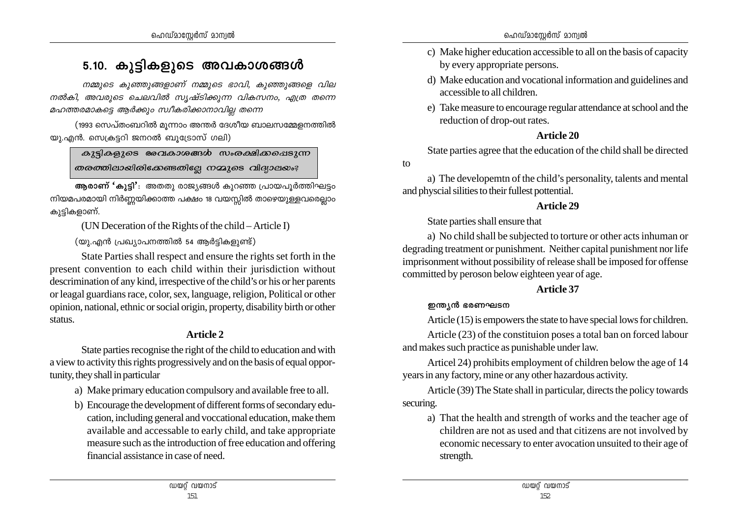# 5.10. കുട്ടികളുടെ അവകാശങ്ങൾ

*\ΩpsS Ip™pßfmWv \ΩpsS `mhn, Ip™pßsf hne നൽകി, അവരുടെ ചെലവിൽ സൃഷ്ടിക്കുന്ന വികസനം, എത്ര തന്നെ* മഹത്തരമാകട്ടെ ആർക്കും സ്ഥീകരിക്കാനാവില്ല തന്നെ

(1993 സെപ്തംബറിൽ മൂന്നാം അന്തർ ദേശീയ ബാലസമ്മേളനത്തിൽ യു.എൻ. സെക്രട്ടറി ജനറൽ ബൂട്രോസ് ഗലി)

 $\alpha$ 25] $\alpha$ ളുടെ രേവകാശങ്ങൾ സംരക്ഷിക്കപ്പെടുന്ന  $\omega$ രത്തിലായിരിക്കേണ്ടതില്ലേ നമ്മൂടെ വിദ്യാലയം?

 $\mathbf{F}$ **ആരാണ് 'കുട്ടി'**: അതതു രാജ്യങ്ങൾ കുറഞ്ഞ പ്രായപൂർത്തിഘട്ടം നിയമപരമായി നിർണ്ണയിക്കാത്ത പക്ഷം 18 വയസ്സിൽ താഴെയുള്ളവരെല്ലാം കുട്ടികളാണ്.

(UN Deceration of the Rights of the child – Article I)

 $($ യ).എൻ പ്രഖ്യാപനത്തിൽ 54 ആർട്ടികളുണ്ട്)

State Parties shall respect and ensure the rights set forth in the present convention to each child within their jurisdiction without descrimination of any kind, irrespective of the child's or his or her parents or leagal guardians race, color, sex, language, religion, Political or other opinion, national, ethnic or social origin, property, disability birth or other status.

# **Article 2**

State parties recognise the right of the child to education and with a view to activity this rights progressively and on the basis of equal opportunity, they shall in particular

- a) Make primary education compulsory and available free to all.
- b) Encourage the development of different forms of secondary education, including general and voccational education, make them available and accessable to early child, and take appropriate measure such as the introduction of free education and offering financial assistance in case of need.
- c) Make higher education accessible to all on the basis of capacity by every appropriate persons.
- d) Make education and vocational information and guidelines and accessible to all children.
- e) Take measure to encourage regular attendance at school and the reduction of drop-out rates.

# **Article 20**

State parties agree that the education of the child shall be directed

a) The developemtn of the child's personality, talents and mental and physcial silities to their fullest pottential.

# **Article 29**

State parties shall ensure that

a) No child shall be subjected to torture or other acts inhuman or degrading treatment or punishment. Neither capital punishment nor life imprisonment without possibility of release shall be imposed for offense committed by peroson below eighteen year of age.

# **Article 37**

# **ഇന്ത**്യൻ ഭരണഘടന

to

Article (15) is empowers the state to have special lows for children.

Article (23) of the constituion poses a total ban on forced labour and makes such practice as punishable under law.

Articel 24) prohibits employment of children below the age of 14 years in any factory, mine or any other hazardous activity.

Article (39) The State shall in particular, directs the policy towards securing.

a) That the health and strength of works and the teacher age of children are not as used and that citizens are not involved by economic necessary to enter avocation unsuited to their age of strength.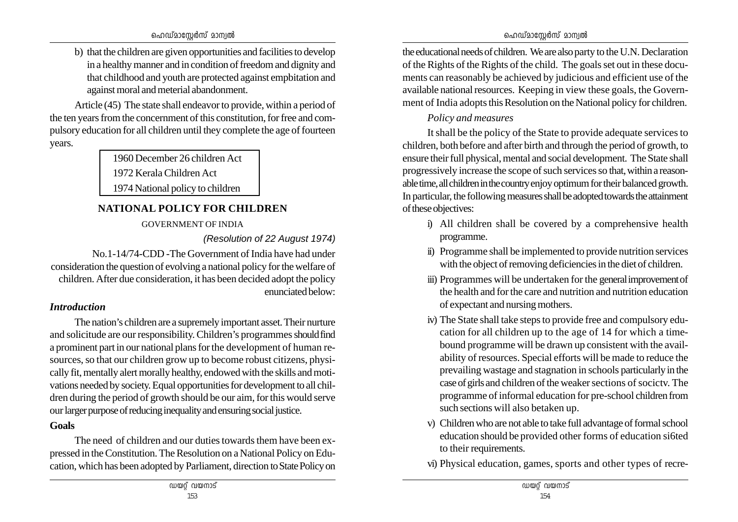b) that the children are given opportunities and facilities to develop in a healthy manner and in condition of freedom and dignity and that childhood and youth are protected against empbitation and against moral and meterial abandonment.

Article (45) The state shall endeavor to provide, within a period of the ten years from the concernment of this constitution, for free and compulsory education for all children until they complete the age of fourteen years.

1960 December 26 children Act

1972 Kerala Children Act

1974 National policy to children

# **NATIONAL POLICY FOR CHILDREN**

GOVERNMENT OF INDIA

*(Resolution of 22 August 1974)*

No.1-14/74-CDD -The Government of India have had under consideration the question of evolving a national policy for the welfare of children. After due consideration, it has been decided adopt the policy enunciated below:

# *Introduction*

The nation's children are a supremely important asset. Their nurture and solicitude are our responsibility. Children's programmes should find a prominent part in our national plans for the development of human resources, so that our children grow up to become robust citizens, physically fit, mentally alert morally healthy, endowed with the skills and motivations needed by society. Equal opportunities for development to all children during the period of growth should be our aim, for this would serve our larger purpose of reducing inequality and ensuring social justice.

# **Goals**

The need of children and our duties towards them have been expressed in the Constitution. The Resolution on a National Policy on Education, which has been adopted by Parliament, direction to State Policy on

the educational needs of children. We are also party to the U.N. Declaration of the Rights of the Rights of the child. The goals set out in these documents can reasonably be achieved by judicious and efficient use of the available national resources. Keeping in view these goals, the Government of India adopts this Resolution on the National policy for children.

# *Policy and measures*

It shall be the policy of the State to provide adequate services to children, both before and after birth and through the period of growth, to ensure their full physical, mental and social development. The State shall progressively increase the scope of such services so that, within a reasonable time, all children in the country enjoy optimum for their balanced growth. In particular, the following measures shall be adopted towards the attainment of these objectives:

- i) All children shall be covered by a comprehensive health programme.
- ii) Programme shall be implemented to provide nutrition services with the object of removing deficiencies in the diet of children.
- iii) Programmes will be undertaken for the general improvement of the health and for the care and nutrition and nutrition education of expectant and nursing mothers.
- iv) The State shall take steps to provide free and compulsory education for all children up to the age of 14 for which a timebound programme will be drawn up consistent with the availability of resources. Special efforts will be made to reduce the prevailing wastage and stagnation in schools particularly in the case of girls and children of the weaker sections of socictv. The programme of informal education for pre-school children from such sections will also betaken up.
- v) Children who are not able to take full advantage of formal school education should be provided other forms of education si6ted to their requirements.
- vi) Physical education, games, sports and other types of recre-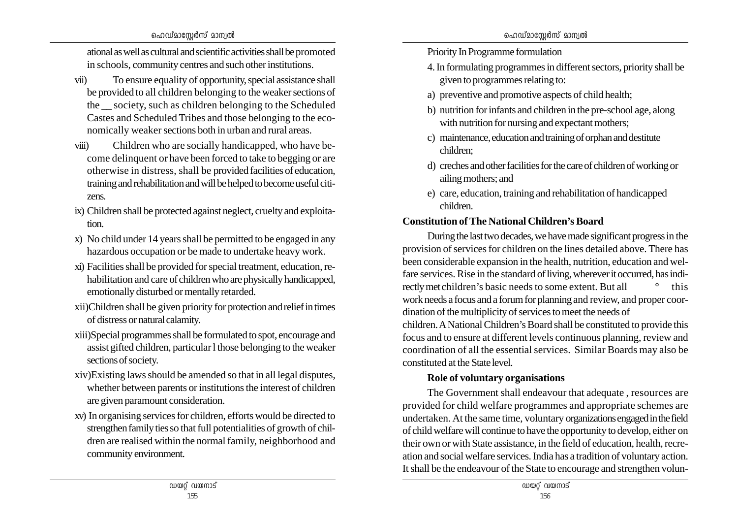#### ഹെഡ്മാസേർസ് മാന്വൽ

ational as well as cultural and scientific activities shall be promoted in schools, community centres and such other institutions.

- vii) To ensure equality of opportunity, special assistance shall be provided to all children belonging to the weaker sections of the society, such as children belonging to the Scheduled Castes and Scheduled Tribes and those belonging to the economically weaker sections both in urban and rural areas.
- viii) Children who are socially handicapped, who have become delinquent or have been forced to take to begging or are otherwise in distress, shall be provided facilities of education, training and rehabilitation and will be helped to become useful citizens.
- ix) Children shall be protected against neglect, cruelty and exploitation.
- x) No child under 14 years shall be permitted to be engaged in any hazardous occupation or be made to undertake heavy work.
- xi) Facilities shall be provided for special treatment, education, rehabilitation and care of children who are physically handicapped, emotionally disturbed or mentally retarded.
- xii)Children shall be given priority for protection and relief in times of distress or natural calamity.
- xiii)Special programmes shall be formulated to spot, encourage and assist gifted children, particular l those belonging to the weaker sections of society.
- xiv)Existing laws should be amended so that in all legal disputes, whether between parents or institutions the interest of children are given paramount consideration.
- xv) In organising services for children, efforts would be directed to strengthen family ties so that full potentialities of growth of children are realised within the normal family, neighborhood and community environment.
- Priority In Programme formulation
- 4. In formulating programmes in different sectors, priority shall be given to programmes relating to:
- a) preventive and promotive aspects of child health;
- b) nutrition for infants and children in the pre-school age, along with nutrition for nursing and expectant mothers;
- c) maintenance, education and training of orphan and destitute children;
- d) creches and other facilities for the care of children of working or ailing mothers; and
- e) care, education, training and rehabilitation of handicapped children.

# **Constitution of The National Children's Board**

During the last two decades, we have made significant progress in the provision of services for children on the lines detailed above. There has been considerable expansion in the health, nutrition, education and welfare services. Rise in the standard of living, wherever it occurred, has indirectly met children's basic needs to some extent. But all  $\degree$  this work needs a focus and a forum for planning and review, and proper coordination of the multiplicity of services to meet the needs of children. A National Children's Board shall be constituted to provide this focus and to ensure at different levels continuous planning, review and coordination of all the essential services. Similar Boards may also be constituted at the State level.

# **Role of voluntary organisations**

The Government shall endeavour that adequate , resources are provided for child welfare programmes and appropriate schemes are undertaken. At the same time, voluntary organizations engaged in the field of child welfare will continue to have the opportunity to develop, either on their own or with State assistance, in the field of education, health, recreation and social welfare services. India has a tradition of voluntary action. It shall be the endeavour of the State to encourage and strengthen volun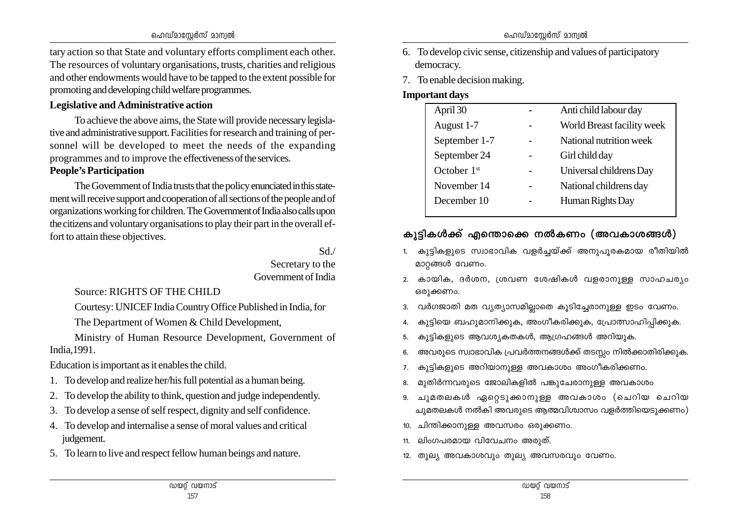tary action so that State and voluntary efforts compliment each other. The resources of voluntary organisations, trusts, charities and religious and other endowments would have to be tapped to the extent possible for promoting and developing child welfare programmes.

### **Legislative and Administrative action**

To achieve the above aims, the State will provide necessary legislative and administrative support. Facilities for research and training of personnel will be developed to meet the needs of the expanding programmes and to improve the effectiveness of the services.

## **People's Participation**

The Government of India trusts that the policy enunciated in this statement will receive support and cooperation of all sections of the people and of organizations working for children. The Government of India also calls upon the citizens and voluntary organisations to play their part in the overall effort to attain these objectives.

#### Sd./ Secretary to the Government of India

Source: RIGHTS OF THE CHILD

Courtesy: UNICEF India Country Office Published in India, for

The Department of Women & Child Development,

Ministry of Human Resource Development, Government of India,1991.

Education is important as it enables the child.

- 1. To develop and realize her/his full potential as a human being.
- 2. To develop the ability to think, question and judge independently.
- 3. To develop a sense of self respect, dignity and self confidence.
- 4. To develop and internalise a sense of moral values and critical judgement.
- 5. To learn to live and respect fellow human beings and nature.
- 6. To develop civic sense, citizenship and values of participatory democracy.
- 7. To enable decision making.

# **Important days**

| April 30      | Anti child labour day      |
|---------------|----------------------------|
| August 1-7    | World Breast facility week |
| September 1-7 | National nutrition week    |
| September 24  | Girl child day             |
| October $1st$ | Universal childrens Day    |
| November 14   | National childrens day     |
| December 10   | Human Rights Day           |
|               |                            |

# കുട്ടികൾക്ക് എന്തൊക്കെ നൽകണം (അവകാശങ്ങൾ)

- 1. കുട്ടികളുടെ സ്വാഭാവിക വളർച്ചയ്ക്ക് അനുപുരകമായ രീതിയിൽ മാറ്റങ്ങൾ വേണം.
- 2. കായിക, ദർശന, ശ്രവണ ശേഷികൾ വളരാനുള്ള സാഹചര്യം ഒരുക്കണം.
- 3. വർഗജാതി മത വ്യത്യാസമില്ലാതെ കൂടിച്ചേരാനുള്ള ഇടം വേണം.
- 4. കുട്ടിയെ ബഹുമാനിക്കുക, അംഗീകരിക്കുക, പ്രോത്സാഹിപ്പിക്കുക.
- 5. കുട്ടികളുടെ ആവശ്യകതകൾ, ആഗ്രഹങ്ങൾ അറിയുക.
- 6. അവരുടെ സ്വാഭാവിക പ്രവർത്തനങ്ങൾക്ക് തടസ്സം നിൽക്കാതിരിക്കുക.
- 7. കുട്ടികളുടെ അറിയാനുള്ള അവകാശം അംഗീകരിക്കണം.
- 8. മുതിർന്നവരുടെ ജോലികളിൽ പങ്കുചേരാനുള്ള അവകാശം
- 9. ചുമതലകൾ ഏറ്റെടുക്കാനുള്ള അവകാശം (ചെറിയ ചെറിയ ചുമതലകൾ നൽകി അവരുടെ ആത്മവിശ്വാസം വളർത്തിയെടുക്കണം)
- 10. ചിന്തിക്കാനുള്ള അവസരം ഒരുക്കണം.
- $11.$  ലിംഗപരമായ വിവേചനം അരുത്.
- $12.$  തുല്യ അവകാശവും തുല്യ അവസരവും വേണം.